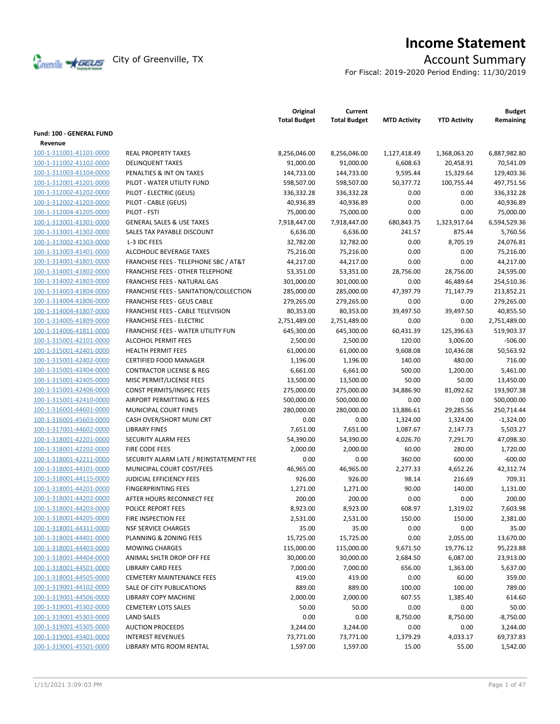

# **Income Statement**

For Fiscal: 2019-2020 Period Ending: 11/30/2019

|                          |                                                  | Original<br><b>Total Budget</b> | Current<br><b>Total Budget</b> | <b>MTD Activity</b> | <b>YTD Activity</b> | <b>Budget</b><br>Remaining |
|--------------------------|--------------------------------------------------|---------------------------------|--------------------------------|---------------------|---------------------|----------------------------|
| Fund: 100 - GENERAL FUND |                                                  |                                 |                                |                     |                     |                            |
| Revenue                  |                                                  |                                 |                                |                     |                     |                            |
| 100-1-311001-41101-0000  | <b>REAL PROPERTY TAXES</b>                       | 8,256,046.00                    | 8,256,046.00                   | 1,127,418.49        | 1,368,063.20        | 6,887,982.80               |
| 100-1-311002-41102-0000  | <b>DELINQUENT TAXES</b>                          | 91,000.00                       | 91,000.00                      | 6,608.63            | 20,458.91           | 70,541.09                  |
| 100-1-311003-41104-0000  | PENALTIES & INT ON TAXES                         | 144,733.00                      | 144,733.00                     | 9,595.44            | 15,329.64           | 129,403.36                 |
| 100-1-312001-41201-0000  | PILOT - WATER UTILITY FUND                       | 598,507.00                      | 598,507.00                     | 50,377.72           | 100,755.44          | 497,751.56                 |
| 100-1-312002-41202-0000  | PILOT - ELECTRIC (GEUS)                          | 336,332.28                      | 336,332.28                     | 0.00                | 0.00                | 336,332.28                 |
| 100-1-312002-41203-0000  | PILOT - CABLE (GEUS)                             | 40,936.89                       | 40,936.89                      | 0.00                | 0.00                | 40,936.89                  |
| 100-1-312004-41205-0000  | PILOT - FSTI                                     | 75,000.00                       | 75,000.00                      | 0.00                | 0.00                | 75,000.00                  |
|                          | <b>GENERAL SALES &amp; USE TAXES</b>             |                                 |                                |                     |                     |                            |
| 100-1-313001-41301-0000  |                                                  | 7,918,447.00                    | 7,918,447.00                   | 680,843.75          | 1,323,917.64        | 6,594,529.36               |
| 100-1-313001-41302-0000  | SALES TAX PAYABLE DISCOUNT                       | 6,636.00                        | 6,636.00                       | 241.57              | 875.44              | 5,760.56                   |
| 100-1-313002-41303-0000  | L-3 IDC FEES                                     | 32,782.00                       | 32,782.00                      | 0.00                | 8,705.19            | 24,076.81                  |
| 100-1-313003-41401-0000  | ALCOHOLIC BEVERAGE TAXES                         | 75,216.00                       | 75,216.00                      | 0.00                | 0.00                | 75,216.00                  |
| 100-1-314001-41801-0000  | <b>FRANCHISE FEES - TELEPHONE SBC / AT&amp;T</b> | 44,217.00                       | 44,217.00                      | 0.00                | 0.00                | 44,217.00                  |
| 100-1-314001-41802-0000  | <b>FRANCHISE FEES - OTHER TELEPHONE</b>          | 53,351.00                       | 53,351.00                      | 28,756.00           | 28,756.00           | 24,595.00                  |
| 100-1-314002-41803-0000  | FRANCHISE FEES - NATURAL GAS                     | 301,000.00                      | 301,000.00                     | 0.00                | 46,489.64           | 254,510.36                 |
| 100-1-314003-41804-0000  | FRANCHISE FEES - SANITATION/COLLECTION           | 285,000.00                      | 285,000.00                     | 47,397.79           | 71,147.79           | 213,852.21                 |
| 100-1-314004-41806-0000  | <b>FRANCHISE FEES - GEUS CABLE</b>               | 279,265.00                      | 279,265.00                     | 0.00                | 0.00                | 279,265.00                 |
| 100-1-314004-41807-0000  | <b>FRANCHISE FEES - CABLE TELEVISION</b>         | 80,353.00                       | 80,353.00                      | 39,497.50           | 39,497.50           | 40,855.50                  |
| 100-1-314005-41809-0000  | <b>FRANCHISE FEES - ELECTRIC</b>                 | 2,751,489.00                    | 2,751,489.00                   | 0.00                | 0.00                | 2,751,489.00               |
| 100-1-314006-41811-0000  | <b>FRANCHISE FEES - WATER UTILITY FUN</b>        | 645,300.00                      | 645,300.00                     | 60,431.39           | 125,396.63          | 519,903.37                 |
| 100-1-315001-42101-0000  | <b>ALCOHOL PERMIT FEES</b>                       | 2,500.00                        | 2,500.00                       | 120.00              | 3,006.00            | $-506.00$                  |
| 100-1-315001-42401-0000  | <b>HEALTH PERMIT FEES</b>                        | 61,000.00                       | 61,000.00                      | 9,608.08            | 10,436.08           | 50,563.92                  |
| 100-1-315001-42402-0000  | <b>CERTIFIED FOOD MANAGER</b>                    | 1,196.00                        | 1,196.00                       | 140.00              | 480.00              | 716.00                     |
| 100-1-315001-42404-0000  | <b>CONTRACTOR LICENSE &amp; REG</b>              | 6,661.00                        | 6,661.00                       | 500.00              | 1,200.00            | 5,461.00                   |
| 100-1-315001-42405-0000  | MISC PERMIT/LICENSE FEES                         | 13,500.00                       | 13,500.00                      | 50.00               | 50.00               | 13,450.00                  |
| 100-1-315001-42406-0000  | CONST PERMITS/INSPEC FEES                        | 275,000.00                      | 275,000.00                     | 34,886.90           | 81,092.62           | 193,907.38                 |
| 100-1-315001-42410-0000  | AIRPORT PERMITTING & FEES                        | 500,000.00                      | 500,000.00                     | 0.00                | 0.00                | 500,000.00                 |
| 100-1-316001-44601-0000  | MUNICIPAL COURT FINES                            | 280,000.00                      | 280,000.00                     | 13,886.61           | 29,285.56           | 250,714.44                 |
| 100-1-316001-45603-0000  | CASH OVER/SHORT MUNI CRT                         | 0.00                            | 0.00                           | 1,324.00            | 1,324.00            | $-1,324.00$                |
| 100-1-317001-44602-0000  | <b>LIBRARY FINES</b>                             | 7,651.00                        | 7,651.00                       | 1,087.67            | 2,147.73            | 5,503.27                   |
| 100-1-318001-42201-0000  | SECURITY ALARM FEES                              | 54,390.00                       | 54,390.00                      | 4,026.70            | 7,291.70            | 47,098.30                  |
| 100-1-318001-42202-0000  | <b>FIRE CODE FEES</b>                            | 2,000.00                        | 2,000.00                       | 60.00               | 280.00              | 1,720.00                   |
| 100-1-318001-42211-0000  | SECURITY ALARM LATE / REINSTATEMENT FEE          | 0.00                            | 0.00                           | 360.00              | 600.00              | $-600.00$                  |
| 100-1-318001-44101-0000  | MUNICIPAL COURT COST/FEES                        | 46,965.00                       | 46,965.00                      | 2,277.33            | 4,652.26            | 42,312.74                  |
| 100-1-318001-44115-0000  | <b>JUDICIAL EFFICIENCY FEES</b>                  | 926.00                          | 926.00                         | 98.14               | 216.69              | 709.31                     |
| 100-1-318001-44201-0000  | <b>FINGERPRINTING FEES</b>                       | 1,271.00                        | 1,271.00                       | 90.00               | 140.00              | 1,131.00                   |
| 100-1-318001-44202-0000  | AFTER HOURS RECONNECT FEE                        | 200.00                          | 200.00                         | 0.00                | 0.00                | 200.00                     |
| 100-1-318001-44203-0000  | POLICE REPORT FEES                               | 8,923.00                        | 8,923.00                       | 608.97              | 1,319.02            | 7,603.98                   |
| 100-1-318001-44205-0000  | FIRE INSPECTION FEE                              | 2,531.00                        | 2,531.00                       | 150.00              | 150.00              | 2,381.00                   |
| 100-1-318001-44311-0000  | <b>NSF SERVICE CHARGES</b>                       | 35.00                           | 35.00                          | 0.00                | 0.00                | 35.00                      |
| 100-1-318001-44401-0000  | PLANNING & ZONING FEES                           | 15,725.00                       | 15,725.00                      | 0.00                | 2,055.00            | 13,670.00                  |
| 100-1-318001-44403-0000  | <b>MOWING CHARGES</b>                            | 115,000.00                      | 115,000.00                     | 9,671.50            | 19,776.12           | 95,223.88                  |
| 100-1-318001-44404-0000  | ANIMAL SHLTR DROP OFF FEE                        | 30,000.00                       | 30,000.00                      | 2,684.50            | 6,087.00            | 23,913.00                  |
| 100-1-318001-44501-0000  | LIBRARY CARD FEES                                | 7,000.00                        | 7,000.00                       | 656.00              | 1,363.00            | 5,637.00                   |
| 100-1-318001-44505-0000  | <b>CEMETERY MAINTENANCE FEES</b>                 | 419.00                          | 419.00                         | 0.00                | 60.00               | 359.00                     |
| 100-1-319001-44102-0000  | SALE OF CITY PUBLICATIONS                        | 889.00                          | 889.00                         | 100.00              | 100.00              | 789.00                     |
| 100-1-319001-44506-0000  | LIBRARY COPY MACHINE                             | 2,000.00                        | 2,000.00                       | 607.55              | 1,385.40            | 614.60                     |
| 100-1-319001-45302-0000  | <b>CEMETERY LOTS SALES</b>                       | 50.00                           | 50.00                          | 0.00                | 0.00                | 50.00                      |
| 100-1-319001-45303-0000  | <b>LAND SALES</b>                                | 0.00                            | 0.00                           | 8,750.00            | 8,750.00            | $-8,750.00$                |
| 100-1-319001-45305-0000  | <b>AUCTION PROCEEDS</b>                          | 3,244.00                        | 3,244.00                       | 0.00                | 0.00                | 3,244.00                   |
| 100-1-319001-45401-0000  | <b>INTEREST REVENUES</b>                         | 73,771.00                       | 73,771.00                      | 1,379.29            | 4,033.17            | 69,737.83                  |
| 100-1-319001-45501-0000  | LIBRARY MTG ROOM RENTAL                          |                                 |                                |                     | 55.00               |                            |
|                          |                                                  | 1,597.00                        | 1,597.00                       | 15.00               |                     | 1,542.00                   |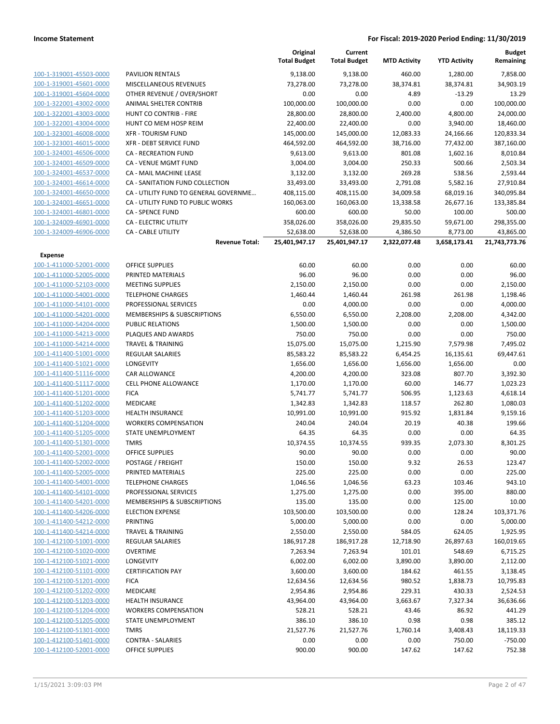|                         |                                       | Original<br><b>Total Budget</b> | Current<br><b>Total Budget</b> | <b>MTD Activity</b> | <b>YTD Activity</b> | <b>Budget</b><br>Remaining |
|-------------------------|---------------------------------------|---------------------------------|--------------------------------|---------------------|---------------------|----------------------------|
| 100-1-319001-45503-0000 | <b>PAVILION RENTALS</b>               | 9,138.00                        | 9,138.00                       | 460.00              | 1,280.00            | 7,858.00                   |
| 100-1-319001-45601-0000 | MISCELLANEOUS REVENUES                | 73,278.00                       | 73,278.00                      | 38,374.81           | 38,374.81           | 34,903.19                  |
| 100-1-319001-45604-0000 | OTHER REVENUE / OVER/SHORT            | 0.00                            | 0.00                           | 4.89                | $-13.29$            | 13.29                      |
| 100-1-322001-43002-0000 | ANIMAL SHELTER CONTRIB                | 100,000.00                      | 100,000.00                     | 0.00                | 0.00                | 100,000.00                 |
| 100-1-322001-43003-0000 | HUNT CO CONTRIB - FIRE                | 28,800.00                       | 28,800.00                      | 2,400.00            | 4,800.00            | 24,000.00                  |
| 100-1-322001-43004-0000 | HUNT CO MEM HOSP REIM                 | 22,400.00                       | 22,400.00                      | 0.00                | 3,940.00            | 18,460.00                  |
| 100-1-323001-46008-0000 | <b>XFR - TOURISM FUND</b>             | 145,000.00                      | 145,000.00                     | 12,083.33           | 24,166.66           | 120,833.34                 |
| 100-1-323001-46015-0000 | <b>XFR - DEBT SERVICE FUND</b>        | 464,592.00                      | 464,592.00                     | 38,716.00           | 77,432.00           | 387,160.00                 |
| 100-1-324001-46506-0000 | <b>CA - RECREATION FUND</b>           | 9,613.00                        | 9,613.00                       | 801.08              | 1,602.16            | 8,010.84                   |
| 100-1-324001-46509-0000 | CA - VENUE MGMT FUND                  | 3,004.00                        | 3,004.00                       | 250.33              | 500.66              | 2,503.34                   |
| 100-1-324001-46537-0000 | CA - MAIL MACHINE LEASE               | 3,132.00                        | 3,132.00                       | 269.28              | 538.56              | 2,593.44                   |
| 100-1-324001-46614-0000 | CA - SANITATION FUND COLLECTION       | 33,493.00                       | 33,493.00                      | 2,791.08            | 5,582.16            | 27,910.84                  |
| 100-1-324001-46650-0000 | CA - UTILITY FUND TO GENERAL GOVERNME | 408,115.00                      | 408,115.00                     | 34,009.58           | 68,019.16           | 340,095.84                 |
| 100-1-324001-46651-0000 | CA - UTILITY FUND TO PUBLIC WORKS     | 160,063.00                      | 160,063.00                     | 13,338.58           | 26,677.16           | 133,385.84                 |
| 100-1-324001-46801-0000 | <b>CA - SPENCE FUND</b>               | 600.00                          | 600.00                         | 50.00               | 100.00              | 500.00                     |
| 100-1-324009-46901-0000 | CA - ELECTRIC UTILITY                 | 358,026.00                      | 358,026.00                     | 29,835.50           | 59,671.00           | 298,355.00                 |
| 100-1-324009-46906-0000 | <b>CA - CABLE UTILITY</b>             | 52,638.00                       | 52,638.00                      | 4,386.50            | 8,773.00            | 43,865.00                  |
|                         | <b>Revenue Total:</b>                 | 25,401,947.17                   | 25,401,947.17                  | 2,322,077.48        | 3,658,173.41        | 21,743,773.76              |
| <b>Expense</b>          |                                       |                                 |                                |                     |                     |                            |
| 100-1-411000-52001-0000 | <b>OFFICE SUPPLIES</b>                | 60.00                           | 60.00                          | 0.00                | 0.00                | 60.00                      |
| 100-1-411000-52005-0000 | PRINTED MATERIALS                     | 96.00                           | 96.00                          | 0.00                | 0.00                | 96.00                      |
| 100-1-411000-52103-0000 | <b>MEETING SUPPLIES</b>               | 2,150.00                        | 2,150.00                       | 0.00                | 0.00                | 2,150.00                   |
| 100-1-411000-54001-0000 | <b>TELEPHONE CHARGES</b>              | 1,460.44                        | 1,460.44                       | 261.98              | 261.98              | 1,198.46                   |
| 100-1-411000-54101-0000 | PROFESSIONAL SERVICES                 | 0.00                            | 4,000.00                       | 0.00                | 0.00                | 4,000.00                   |
| 100-1-411000-54201-0000 | MEMBERSHIPS & SUBSCRIPTIONS           | 6,550.00                        | 6,550.00                       | 2,208.00            | 2,208.00            | 4,342.00                   |
| 100-1-411000-54204-0000 | <b>PUBLIC RELATIONS</b>               | 1,500.00                        | 1,500.00                       | 0.00                | 0.00                | 1,500.00                   |
| 100-1-411000-54213-0000 | PLAQUES AND AWARDS                    | 750.00                          | 750.00                         | 0.00                | 0.00                | 750.00                     |
| 100-1-411000-54214-0000 | <b>TRAVEL &amp; TRAINING</b>          | 15,075.00                       | 15,075.00                      | 1,215.90            | 7,579.98            | 7,495.02                   |
| 100-1-411400-51001-0000 | REGULAR SALARIES                      | 85,583.22                       | 85,583.22                      | 6,454.25            | 16,135.61           | 69,447.61                  |
| 100-1-411400-51021-0000 | LONGEVITY                             | 1,656.00                        | 1,656.00                       | 1,656.00            | 1,656.00            | 0.00                       |
| 100-1-411400-51116-0000 | CAR ALLOWANCE                         | 4,200.00                        | 4,200.00                       | 323.08              | 807.70              | 3,392.30                   |
| 100-1-411400-51117-0000 | <b>CELL PHONE ALLOWANCE</b>           | 1,170.00                        | 1,170.00                       | 60.00               | 146.77              | 1,023.23                   |
| 100-1-411400-51201-0000 | <b>FICA</b>                           | 5,741.77                        | 5,741.77                       | 506.95              | 1,123.63            | 4,618.14                   |
| 100-1-411400-51202-0000 | MEDICARE                              | 1,342.83                        | 1,342.83                       | 118.57              | 262.80              | 1,080.03                   |
| 100-1-411400-51203-0000 | HEALTH INSURANCE                      | 10,991.00                       | 10,991.00                      | 915.92              | 1,831.84            | 9,159.16                   |
| 100-1-411400-51204-0000 | <b>WORKERS COMPENSATION</b>           | 240.04                          | 240.04                         | 20.19               | 40.38               | 199.66                     |
| 100-1-411400-51205-0000 | STATE UNEMPLOYMENT                    | 64.35                           | 64.35                          | 0.00                | 0.00                | 64.35                      |
| 100-1-411400-51301-0000 | <b>TMRS</b>                           | 10,374.55                       | 10,374.55                      | 939.35              | 2,073.30            | 8,301.25                   |
| 100-1-411400-52001-0000 | <b>OFFICE SUPPLIES</b>                | 90.00                           | 90.00                          | 0.00                | 0.00                | 90.00                      |
| 100-1-411400-52002-0000 | POSTAGE / FREIGHT                     | 150.00                          | 150.00                         | 9.32                | 26.53               | 123.47                     |
| 100-1-411400-52005-0000 | PRINTED MATERIALS                     | 225.00                          | 225.00                         | 0.00                | 0.00                | 225.00                     |
| 100-1-411400-54001-0000 | <b>TELEPHONE CHARGES</b>              | 1,046.56                        | 1,046.56                       | 63.23               | 103.46              | 943.10                     |
| 100-1-411400-54101-0000 | PROFESSIONAL SERVICES                 | 1,275.00                        | 1,275.00                       | 0.00                | 395.00              | 880.00                     |
| 100-1-411400-54201-0000 | MEMBERSHIPS & SUBSCRIPTIONS           | 135.00                          | 135.00                         | 0.00                | 125.00              | 10.00                      |
| 100-1-411400-54206-0000 | <b>ELECTION EXPENSE</b>               | 103,500.00                      | 103,500.00                     | 0.00                | 128.24              | 103,371.76                 |
| 100-1-411400-54212-0000 | <b>PRINTING</b>                       | 5,000.00                        | 5,000.00                       | 0.00                | 0.00                | 5,000.00                   |
| 100-1-411400-54214-0000 | <b>TRAVEL &amp; TRAINING</b>          | 2,550.00                        | 2,550.00                       | 584.05              | 624.05              | 1,925.95                   |
| 100-1-412100-51001-0000 | REGULAR SALARIES                      | 186,917.28                      | 186,917.28                     | 12,718.90           | 26,897.63           | 160,019.65                 |
| 100-1-412100-51020-0000 | <b>OVERTIME</b>                       | 7,263.94                        | 7,263.94                       | 101.01              | 548.69              | 6,715.25                   |
| 100-1-412100-51021-0000 | <b>LONGEVITY</b>                      | 6,002.00                        | 6,002.00                       | 3,890.00            | 3,890.00            | 2,112.00                   |
| 100-1-412100-51101-0000 | <b>CERTIFICATION PAY</b>              | 3,600.00                        | 3,600.00                       | 184.62              | 461.55              | 3,138.45                   |
| 100-1-412100-51201-0000 | <b>FICA</b>                           | 12,634.56                       | 12,634.56                      | 980.52              | 1,838.73            | 10,795.83                  |
| 100-1-412100-51202-0000 | MEDICARE                              | 2,954.86                        | 2,954.86                       | 229.31              | 430.33              | 2,524.53                   |
| 100-1-412100-51203-0000 | <b>HEALTH INSURANCE</b>               | 43,964.00                       | 43,964.00                      | 3,663.67            | 7,327.34            | 36,636.66                  |
| 100-1-412100-51204-0000 | <b>WORKERS COMPENSATION</b>           | 528.21                          | 528.21                         | 43.46               | 86.92               | 441.29                     |
| 100-1-412100-51205-0000 | STATE UNEMPLOYMENT                    | 386.10                          | 386.10                         | 0.98                | 0.98                | 385.12                     |
| 100-1-412100-51301-0000 | TMRS                                  | 21,527.76                       | 21,527.76                      | 1,760.14            | 3,408.43            | 18,119.33                  |
| 100-1-412100-51401-0000 | <b>CONTRA - SALARIES</b>              | 0.00                            | 0.00                           | 0.00                | 750.00              | $-750.00$                  |
| 100-1-412100-52001-0000 | <b>OFFICE SUPPLIES</b>                | 900.00                          | 900.00                         | 147.62              | 147.62              | 752.38                     |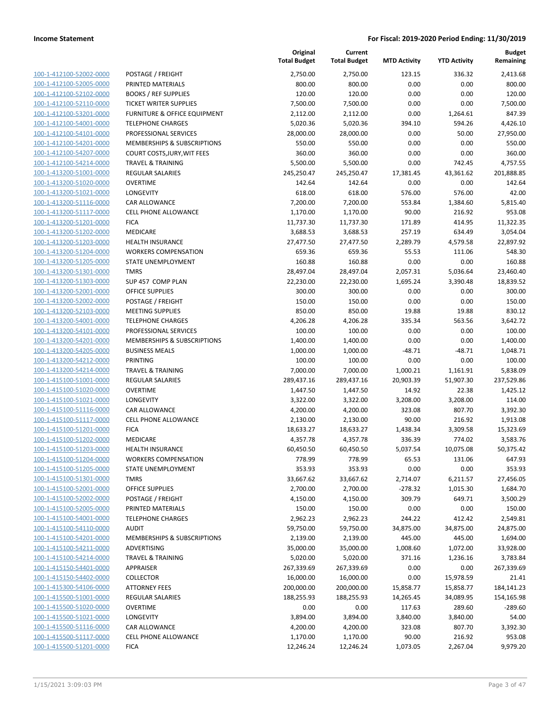|                                                    |                                             | Original<br><b>Total Budget</b> | Current<br><b>Total Budget</b> | <b>MTD Activity</b> | <b>YTD Activity</b> | <b>Budget</b><br>Remaining |
|----------------------------------------------------|---------------------------------------------|---------------------------------|--------------------------------|---------------------|---------------------|----------------------------|
| 100-1-412100-52002-0000                            | POSTAGE / FREIGHT                           | 2,750.00                        | 2,750.00                       | 123.15              | 336.32              | 2,413.68                   |
| 100-1-412100-52005-0000                            | PRINTED MATERIALS                           | 800.00                          | 800.00                         | 0.00                | 0.00                | 800.00                     |
| 100-1-412100-52102-0000                            | <b>BOOKS / REF SUPPLIES</b>                 | 120.00                          | 120.00                         | 0.00                | 0.00                | 120.00                     |
| 100-1-412100-52110-0000                            | <b>TICKET WRITER SUPPLIES</b>               | 7,500.00                        | 7,500.00                       | 0.00                | 0.00                | 7,500.00                   |
| 100-1-412100-53201-0000                            | FURNITURE & OFFICE EQUIPMENT                | 2,112.00                        | 2,112.00                       | 0.00                | 1,264.61            | 847.39                     |
| 100-1-412100-54001-0000                            | <b>TELEPHONE CHARGES</b>                    | 5,020.36                        | 5,020.36                       | 394.10              | 594.26              | 4,426.10                   |
| 100-1-412100-54101-0000                            | PROFESSIONAL SERVICES                       | 28,000.00                       | 28,000.00                      | 0.00                | 50.00               | 27,950.00                  |
| 100-1-412100-54201-0000                            | MEMBERSHIPS & SUBSCRIPTIONS                 | 550.00                          | 550.00                         | 0.00                | 0.00                | 550.00                     |
| 100-1-412100-54207-0000                            | COURT COSTS, JURY, WIT FEES                 | 360.00                          | 360.00                         | 0.00                | 0.00                | 360.00                     |
| 100-1-412100-54214-0000                            | <b>TRAVEL &amp; TRAINING</b>                | 5,500.00                        | 5,500.00                       | 0.00                | 742.45              | 4,757.55                   |
| 100-1-413200-51001-0000                            | REGULAR SALARIES                            | 245,250.47                      | 245,250.47                     | 17,381.45           | 43,361.62           | 201,888.85                 |
| 100-1-413200-51020-0000                            | <b>OVERTIME</b>                             | 142.64                          | 142.64                         | 0.00                | 0.00                | 142.64                     |
| 100-1-413200-51021-0000                            | LONGEVITY                                   | 618.00                          | 618.00                         | 576.00              | 576.00              | 42.00                      |
| 100-1-413200-51116-0000                            | <b>CAR ALLOWANCE</b>                        | 7,200.00                        | 7,200.00                       | 553.84              | 1,384.60            | 5,815.40                   |
| 100-1-413200-51117-0000                            | <b>CELL PHONE ALLOWANCE</b>                 | 1,170.00                        | 1,170.00                       | 90.00               | 216.92              | 953.08                     |
| 100-1-413200-51201-0000                            | <b>FICA</b>                                 | 11,737.30                       | 11,737.30                      | 171.89              | 414.95              | 11,322.35                  |
| 100-1-413200-51202-0000                            | MEDICARE                                    | 3,688.53                        | 3,688.53                       | 257.19              | 634.49              | 3,054.04                   |
| 100-1-413200-51203-0000                            | <b>HEALTH INSURANCE</b>                     | 27,477.50                       | 27,477.50                      | 2,289.79            | 4,579.58            | 22,897.92                  |
| 100-1-413200-51204-0000                            | <b>WORKERS COMPENSATION</b>                 | 659.36                          | 659.36                         | 55.53               | 111.06              | 548.30                     |
| 100-1-413200-51205-0000                            | STATE UNEMPLOYMENT                          | 160.88                          | 160.88                         | 0.00                | 0.00                | 160.88                     |
| 100-1-413200-51301-0000                            | <b>TMRS</b>                                 | 28,497.04                       | 28,497.04                      | 2,057.31            | 5,036.64            | 23,460.40                  |
| 100-1-413200-51303-0000                            | SUP 457 COMP PLAN                           | 22,230.00                       | 22,230.00                      | 1,695.24            | 3,390.48            | 18,839.52                  |
| 100-1-413200-52001-0000<br>100-1-413200-52002-0000 | <b>OFFICE SUPPLIES</b><br>POSTAGE / FREIGHT | 300.00                          | 300.00<br>150.00               | 0.00<br>0.00        | 0.00<br>0.00        | 300.00<br>150.00           |
| 100-1-413200-52103-0000                            | <b>MEETING SUPPLIES</b>                     | 150.00<br>850.00                | 850.00                         | 19.88               | 19.88               | 830.12                     |
| 100-1-413200-54001-0000                            | <b>TELEPHONE CHARGES</b>                    | 4,206.28                        | 4,206.28                       | 335.34              | 563.56              | 3,642.72                   |
| 100-1-413200-54101-0000                            | PROFESSIONAL SERVICES                       | 100.00                          | 100.00                         | 0.00                | 0.00                | 100.00                     |
| 100-1-413200-54201-0000                            | MEMBERSHIPS & SUBSCRIPTIONS                 | 1,400.00                        | 1,400.00                       | 0.00                | 0.00                | 1,400.00                   |
| 100-1-413200-54205-0000                            | <b>BUSINESS MEALS</b>                       | 1,000.00                        | 1,000.00                       | $-48.71$            | $-48.71$            | 1,048.71                   |
| 100-1-413200-54212-0000                            | <b>PRINTING</b>                             | 100.00                          | 100.00                         | 0.00                | 0.00                | 100.00                     |
| 100-1-413200-54214-0000                            | <b>TRAVEL &amp; TRAINING</b>                | 7,000.00                        | 7,000.00                       | 1,000.21            | 1,161.91            | 5,838.09                   |
| 100-1-415100-51001-0000                            | <b>REGULAR SALARIES</b>                     | 289,437.16                      | 289,437.16                     | 20,903.39           | 51,907.30           | 237,529.86                 |
| 100-1-415100-51020-0000                            | <b>OVERTIME</b>                             | 1,447.50                        | 1,447.50                       | 14.92               | 22.38               | 1,425.12                   |
| 100-1-415100-51021-0000                            | LONGEVITY                                   | 3,322.00                        | 3,322.00                       | 3,208.00            | 3,208.00            | 114.00                     |
| 100-1-415100-51116-0000                            | CAR ALLOWANCE                               | 4,200.00                        | 4,200.00                       | 323.08              | 807.70              | 3,392.30                   |
| 100-1-415100-51117-0000                            | <b>CELL PHONE ALLOWANCE</b>                 | 2,130.00                        | 2,130.00                       | 90.00               | 216.92              | 1,913.08                   |
| 100-1-415100-51201-0000                            | <b>FICA</b>                                 | 18,633.27                       | 18,633.27                      | 1,438.34            | 3,309.58            | 15,323.69                  |
| 100-1-415100-51202-0000                            | <b>MEDICARE</b>                             | 4,357.78                        | 4,357.78                       | 336.39              | 774.02              | 3,583.76                   |
| 100-1-415100-51203-0000                            | <b>HEALTH INSURANCE</b>                     | 60,450.50                       | 60,450.50                      | 5,037.54            | 10,075.08           | 50,375.42                  |
| 100-1-415100-51204-0000                            | <b>WORKERS COMPENSATION</b>                 | 778.99                          | 778.99                         | 65.53               | 131.06              | 647.93                     |
| 100-1-415100-51205-0000                            | STATE UNEMPLOYMENT                          | 353.93                          | 353.93                         | 0.00                | 0.00                | 353.93                     |
| 100-1-415100-51301-0000                            | <b>TMRS</b>                                 | 33,667.62                       | 33,667.62                      | 2,714.07            | 6,211.57            | 27,456.05                  |
| 100-1-415100-52001-0000                            | <b>OFFICE SUPPLIES</b>                      | 2,700.00                        | 2,700.00                       | $-278.32$           | 1,015.30            | 1,684.70                   |
| 100-1-415100-52002-0000                            | POSTAGE / FREIGHT                           | 4,150.00                        | 4,150.00                       | 309.79              | 649.71              | 3,500.29                   |
| 100-1-415100-52005-0000                            | PRINTED MATERIALS                           | 150.00                          | 150.00                         | 0.00                | 0.00                | 150.00                     |
| 100-1-415100-54001-0000                            | <b>TELEPHONE CHARGES</b>                    | 2,962.23                        | 2,962.23                       | 244.22              | 412.42              | 2,549.81                   |
| 100-1-415100-54110-0000                            | <b>AUDIT</b>                                | 59,750.00                       | 59,750.00                      | 34,875.00           | 34,875.00           | 24,875.00                  |
| 100-1-415100-54201-0000                            | MEMBERSHIPS & SUBSCRIPTIONS                 | 2,139.00                        | 2,139.00                       | 445.00              | 445.00              | 1,694.00                   |
| 100-1-415100-54211-0000                            | ADVERTISING                                 | 35,000.00                       | 35,000.00                      | 1,008.60            | 1,072.00            | 33,928.00                  |
| 100-1-415100-54214-0000<br>100-1-415150-54401-0000 | <b>TRAVEL &amp; TRAINING</b><br>APPRAISER   | 5,020.00                        | 5,020.00                       | 371.16              | 1,236.16            | 3,783.84                   |
| 100-1-415150-54402-0000                            | <b>COLLECTOR</b>                            | 267,339.69<br>16,000.00         | 267,339.69                     | 0.00<br>0.00        | 0.00<br>15,978.59   | 267,339.69                 |
| 100-1-415300-54106-0000                            | <b>ATTORNEY FEES</b>                        | 200,000.00                      | 16,000.00<br>200,000.00        | 15,858.77           | 15,858.77           | 21.41<br>184,141.23        |
| 100-1-415500-51001-0000                            | <b>REGULAR SALARIES</b>                     | 188,255.93                      | 188,255.93                     | 14,265.45           | 34,089.95           | 154,165.98                 |
| 100-1-415500-51020-0000                            | <b>OVERTIME</b>                             | 0.00                            | 0.00                           | 117.63              | 289.60              | $-289.60$                  |
| 100-1-415500-51021-0000                            | LONGEVITY                                   | 3,894.00                        | 3,894.00                       | 3,840.00            | 3,840.00            | 54.00                      |
| 100-1-415500-51116-0000                            | CAR ALLOWANCE                               | 4,200.00                        | 4,200.00                       | 323.08              | 807.70              | 3,392.30                   |
| 100-1-415500-51117-0000                            | <b>CELL PHONE ALLOWANCE</b>                 | 1,170.00                        | 1,170.00                       | 90.00               | 216.92              | 953.08                     |
| 100-1-415500-51201-0000                            | <b>FICA</b>                                 | 12,246.24                       | 12,246.24                      | 1,073.05            | 2,267.04            | 9,979.20                   |
|                                                    |                                             |                                 |                                |                     |                     |                            |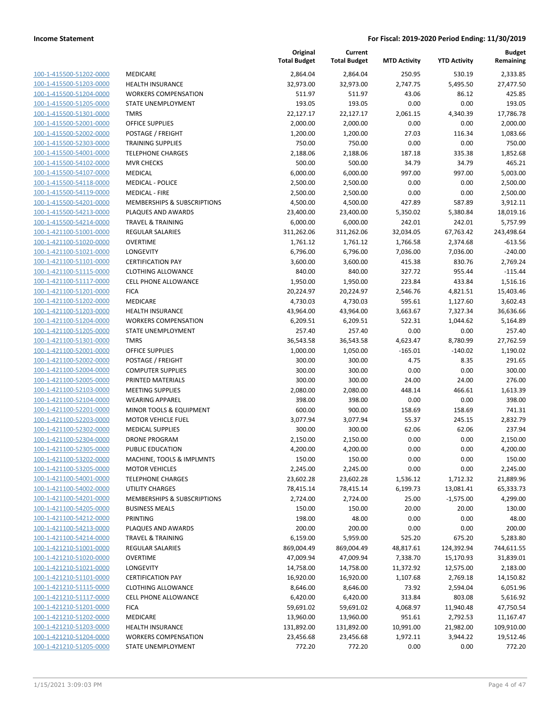| 100-1-415500-51202-0000         |
|---------------------------------|
| 100-1-415500-51203-0000         |
| 100-1-415500-51204-0000         |
| 100-1-415500-51205-0000         |
| 100-1-415500-51301-0000         |
|                                 |
| 100-1-415500-52001-0000         |
| 100-1-415500-52002-0000         |
| 100-1-415500-52303-0000         |
| 100-1-415500-54001-0000         |
| 100-1-415500-54102-0000         |
| $100 - 1$<br>-415500-54107-0000 |
|                                 |
| 100-1-415500-54118-0000         |
| 100-1-415500-54119-0000         |
| <u>100-1-415500-54201-0000</u>  |
| 100-1-415500-54213-0000         |
| 100-1-415500-54214-0000         |
| 100-1-421100-51001-0000         |
| 100-1-421100-51020-0000         |
|                                 |
| <u>100-1-421100-51021-0000</u>  |
| 100-1-421100-51101-0000         |
| 100-1-421100-51115-0000         |
| 100-1-421100-51117-0000         |
| 100-1-421100-51201-0000         |
| <u>100-1-421100-51202-0000</u>  |
| 100-1-421100-51203-0000         |
| 100-1-421100-51204-0000         |
|                                 |
| 100-1-421100-51205-0000         |
| 100-1-421100-51301-0000         |
| <u>100-1-421100-52001-0000</u>  |
| 100-1-421100-52002-0000         |
| 100-1-421100-52004-0000         |
| 100-1-421100-52005-0000         |
| 100-1-421100-52103-0000         |
| <u>100-1-421100-52104-0000</u>  |
| 100-1-421100-52201-0000         |
| 100-1-421100-52203-0000         |
|                                 |
| 100-1-421100-52302-0000         |
| 100-1-421100-52304-0000         |
| 100-1-421100-52305-0000         |
| 100-1-421100-53202-0000         |
| 100-1-421100-53205-0000         |
| <u>100-1-421100-54001-0000</u>  |
| <u>100-1-421100-54002-0000</u>  |
|                                 |
|                                 |
| <u>100-1-421100-54201-0000</u>  |
| 100-1-421100-54205-0000         |
| 100-1-421100-54212-0000         |
| 100-1-421100-54213-0000         |
| 100-1-421100-54214-0000         |
|                                 |
| <u>100-1-421210-51001-0000</u>  |
| 100-1-421210-51020-0000         |
| 100-1-421210-51021-0000         |
| 100-1-421210-51101-0000         |
| 100-1-421210-51115-0000         |
| <u>100-1-421210-51117-0000</u>  |
| 100-1-421210-51201-0000         |
| <u>100-1-421210-51202-0000</u>  |
| 100-1-421210-51203-0000         |
| 100-1-421210-51204-0000         |
| <u>100-1-421210-51205-0000</u>  |

|                         |                                        | Original<br><b>Total Budget</b> | Current<br><b>Total Budget</b> | <b>MTD Activity</b> | <b>YTD Activity</b> | <b>Budget</b><br>Remaining |
|-------------------------|----------------------------------------|---------------------------------|--------------------------------|---------------------|---------------------|----------------------------|
| 100-1-415500-51202-0000 | MEDICARE                               | 2,864.04                        | 2,864.04                       | 250.95              | 530.19              | 2,333.85                   |
| 100-1-415500-51203-0000 | <b>HEALTH INSURANCE</b>                | 32,973.00                       | 32,973.00                      | 2,747.75            | 5,495.50            | 27,477.50                  |
| 100-1-415500-51204-0000 | <b>WORKERS COMPENSATION</b>            | 511.97                          | 511.97                         | 43.06               | 86.12               | 425.85                     |
| 100-1-415500-51205-0000 | STATE UNEMPLOYMENT                     | 193.05                          | 193.05                         | 0.00                | 0.00                | 193.05                     |
| 100-1-415500-51301-0000 | <b>TMRS</b>                            | 22,127.17                       | 22,127.17                      | 2,061.15            | 4,340.39            | 17,786.78                  |
| 100-1-415500-52001-0000 | OFFICE SUPPLIES                        | 2,000.00                        | 2,000.00                       | 0.00                | 0.00                | 2,000.00                   |
| 100-1-415500-52002-0000 | POSTAGE / FREIGHT                      | 1,200.00                        | 1,200.00                       | 27.03               | 116.34              | 1,083.66                   |
| 100-1-415500-52303-0000 | <b>TRAINING SUPPLIES</b>               | 750.00                          | 750.00                         | 0.00                | 0.00                | 750.00                     |
| 100-1-415500-54001-0000 | <b>TELEPHONE CHARGES</b>               | 2,188.06                        | 2,188.06                       | 187.18              | 335.38              | 1,852.68                   |
| 100-1-415500-54102-0000 | <b>MVR CHECKS</b>                      | 500.00                          | 500.00                         | 34.79               | 34.79               | 465.21                     |
| 100-1-415500-54107-0000 | MEDICAL                                | 6,000.00                        | 6,000.00                       | 997.00              | 997.00              | 5,003.00                   |
| 100-1-415500-54118-0000 | <b>MEDICAL - POLICE</b>                | 2,500.00                        | 2,500.00                       | 0.00                | 0.00                | 2,500.00                   |
| 100-1-415500-54119-0000 | <b>MEDICAL - FIRE</b>                  | 2,500.00                        | 2,500.00                       | 0.00                | 0.00                | 2,500.00                   |
| 100-1-415500-54201-0000 | MEMBERSHIPS & SUBSCRIPTIONS            | 4,500.00                        | 4,500.00                       | 427.89              | 587.89              | 3,912.11                   |
| 100-1-415500-54213-0000 | PLAQUES AND AWARDS                     | 23,400.00                       | 23,400.00                      | 5,350.02            | 5,380.84            | 18,019.16                  |
| 100-1-415500-54214-0000 | <b>TRAVEL &amp; TRAINING</b>           | 6,000.00                        | 6,000.00                       | 242.01              | 242.01              | 5,757.99                   |
| 100-1-421100-51001-0000 | <b>REGULAR SALARIES</b>                | 311,262.06                      | 311,262.06                     | 32,034.05           | 67,763.42           | 243,498.64                 |
| 100-1-421100-51020-0000 | <b>OVERTIME</b>                        | 1,761.12                        | 1,761.12                       | 1,766.58            | 2,374.68            | $-613.56$                  |
| 100-1-421100-51021-0000 | LONGEVITY                              | 6,796.00                        | 6,796.00                       | 7,036.00            | 7,036.00            | $-240.00$                  |
| 100-1-421100-51101-0000 | <b>CERTIFICATION PAY</b>               | 3,600.00                        | 3,600.00                       | 415.38              | 830.76              | 2,769.24                   |
| 100-1-421100-51115-0000 | <b>CLOTHING ALLOWANCE</b>              | 840.00                          | 840.00                         | 327.72              | 955.44              | $-115.44$                  |
| 100-1-421100-51117-0000 | <b>CELL PHONE ALLOWANCE</b>            | 1,950.00                        | 1,950.00                       | 223.84              | 433.84              | 1,516.16                   |
| 100-1-421100-51201-0000 | <b>FICA</b>                            | 20,224.97                       | 20,224.97                      | 2,546.76            | 4,821.51            | 15,403.46                  |
| 100-1-421100-51202-0000 | MEDICARE                               | 4,730.03                        | 4,730.03                       | 595.61              | 1,127.60            | 3,602.43                   |
| 100-1-421100-51203-0000 | <b>HEALTH INSURANCE</b>                | 43,964.00                       | 43,964.00                      | 3,663.67            | 7,327.34            | 36,636.66                  |
| 100-1-421100-51204-0000 | <b>WORKERS COMPENSATION</b>            | 6,209.51                        | 6,209.51                       | 522.31              | 1,044.62            | 5,164.89                   |
| 100-1-421100-51205-0000 | STATE UNEMPLOYMENT                     | 257.40                          | 257.40                         | 0.00                | 0.00                | 257.40                     |
| 100-1-421100-51301-0000 | <b>TMRS</b>                            | 36,543.58                       | 36,543.58                      | 4,623.47            | 8,780.99            | 27,762.59                  |
| 100-1-421100-52001-0000 | <b>OFFICE SUPPLIES</b>                 | 1,000.00                        | 1,050.00                       | $-165.01$           | $-140.02$           | 1,190.02                   |
| 100-1-421100-52002-0000 | POSTAGE / FREIGHT                      | 300.00                          | 300.00                         | 4.75                | 8.35                | 291.65                     |
| 100-1-421100-52004-0000 | <b>COMPUTER SUPPLIES</b>               | 300.00                          | 300.00                         | 0.00                | 0.00                | 300.00                     |
| 100-1-421100-52005-0000 | PRINTED MATERIALS                      | 300.00                          | 300.00                         | 24.00               | 24.00               | 276.00                     |
| 100-1-421100-52103-0000 | <b>MEETING SUPPLIES</b>                | 2,080.00                        | 2,080.00                       | 448.14              | 466.61              | 1,613.39                   |
| 100-1-421100-52104-0000 | <b>WEARING APPAREL</b>                 | 398.00                          | 398.00                         | 0.00                | 0.00                | 398.00                     |
| 100-1-421100-52201-0000 | MINOR TOOLS & EQUIPMENT                | 600.00                          | 900.00                         | 158.69              | 158.69              | 741.31                     |
| 100-1-421100-52203-0000 | <b>MOTOR VEHICLE FUEL</b>              | 3,077.94                        | 3,077.94                       | 55.37               | 245.15              | 2,832.79                   |
| 100-1-421100-52302-0000 | <b>MEDICAL SUPPLIES</b>                | 300.00                          | 300.00                         | 62.06               | 62.06               | 237.94                     |
| 100-1-421100-52304-0000 | DRONE PROGRAM                          | 2,150.00                        | 2,150.00                       | 0.00                | 0.00                | 2,150.00                   |
| 100-1-421100-52305-0000 | PUBLIC EDUCATION                       | 4,200.00                        | 4,200.00                       | 0.00                | 0.00                | 4,200.00                   |
| 100-1-421100-53202-0000 | MACHINE, TOOLS & IMPLMNTS              | 150.00                          | 150.00                         | 0.00                | 0.00                | 150.00                     |
| 100-1-421100-53205-0000 | <b>MOTOR VEHICLES</b>                  | 2,245.00                        | 2,245.00                       | 0.00                | 0.00                | 2,245.00                   |
| 100-1-421100-54001-0000 | <b>TELEPHONE CHARGES</b>               | 23,602.28                       | 23,602.28                      | 1,536.12            | 1,712.32            | 21,889.96                  |
| 100-1-421100-54002-0000 | <b>UTILITY CHARGES</b>                 | 78,415.14                       | 78,415.14                      | 6,199.73            | 13,081.41           | 65,333.73                  |
| 100-1-421100-54201-0000 | <b>MEMBERSHIPS &amp; SUBSCRIPTIONS</b> | 2,724.00                        | 2,724.00                       | 25.00               | $-1,575.00$         | 4,299.00                   |
| 100-1-421100-54205-0000 | <b>BUSINESS MEALS</b>                  | 150.00                          | 150.00                         | 20.00               | 20.00               | 130.00                     |
| 100-1-421100-54212-0000 | PRINTING                               | 198.00                          | 48.00                          | 0.00                | 0.00                | 48.00                      |
| 100-1-421100-54213-0000 | PLAQUES AND AWARDS                     | 200.00                          | 200.00                         | 0.00                | 0.00                | 200.00                     |
| 100-1-421100-54214-0000 | <b>TRAVEL &amp; TRAINING</b>           | 6,159.00                        | 5,959.00                       | 525.20              | 675.20              | 5,283.80                   |
| 100-1-421210-51001-0000 | <b>REGULAR SALARIES</b>                | 869,004.49                      | 869,004.49                     | 48,817.61           | 124,392.94          | 744,611.55                 |
| 100-1-421210-51020-0000 | OVERTIME                               | 47,009.94                       | 47,009.94                      | 7,338.70            | 15,170.93           | 31,839.01                  |
| 100-1-421210-51021-0000 | <b>LONGEVITY</b>                       | 14,758.00                       | 14,758.00                      | 11,372.92           | 12,575.00           | 2,183.00                   |
| 100-1-421210-51101-0000 | <b>CERTIFICATION PAY</b>               | 16,920.00                       | 16,920.00                      | 1,107.68            | 2,769.18            | 14,150.82                  |
| 100-1-421210-51115-0000 | <b>CLOTHING ALLOWANCE</b>              | 8,646.00                        | 8,646.00                       | 73.92               | 2,594.04            | 6,051.96                   |
| 100-1-421210-51117-0000 | <b>CELL PHONE ALLOWANCE</b>            | 6,420.00                        | 6,420.00                       | 313.84              | 803.08              | 5,616.92                   |
| 100-1-421210-51201-0000 | <b>FICA</b>                            | 59,691.02                       | 59,691.02                      | 4,068.97            | 11,940.48           | 47,750.54                  |
| 100-1-421210-51202-0000 | MEDICARE                               | 13,960.00                       | 13,960.00                      | 951.61              | 2,792.53            | 11,167.47                  |
| 100-1-421210-51203-0000 | <b>HEALTH INSURANCE</b>                | 131,892.00                      | 131,892.00                     | 10,991.00           | 21,982.00           | 109,910.00                 |
| 100-1-421210-51204-0000 | <b>WORKERS COMPENSATION</b>            | 23,456.68                       | 23,456.68                      | 1,972.11            | 3,944.22            | 19,512.46                  |
| 100-1-421210-51205-0000 | STATE UNEMPLOYMENT                     | 772.20                          | 772.20                         | 0.00                | 0.00                | 772.20                     |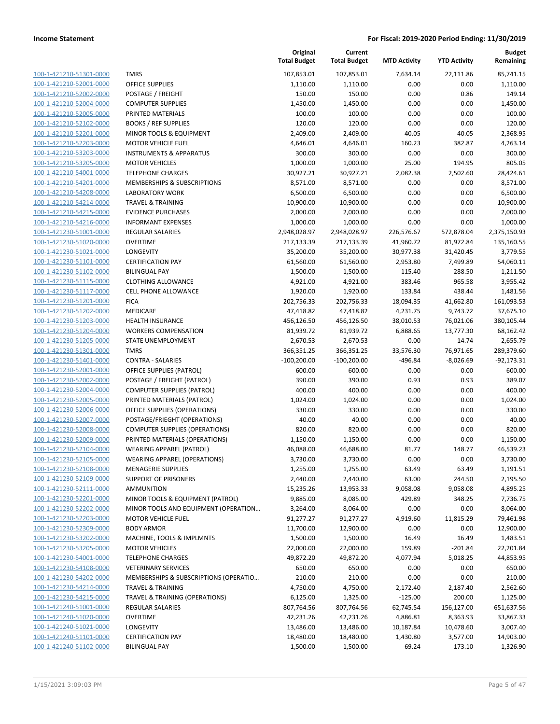| 100-1-421210-51301-0000                            |
|----------------------------------------------------|
| 100-1-421210-52001-0000                            |
| <u>100-1-421210-52002-0000</u>                     |
| 100-1-421210-52004-0000                            |
| 100-1-421210-52005-0000                            |
| 100-1-421210-52102-0000                            |
| <u>100-1-421210-52201-0000</u>                     |
| <u>100-1-421210-52203-0000</u>                     |
| 100-1-421210-53203-0000                            |
| 100-1-421210-53205-0000                            |
| 100-1-421210-54001-0000                            |
| 100-1-421210-54201-0000                            |
| <u>100-1-421210-54208-0000</u>                     |
| 100-1-421210-54214-0000                            |
| 100-1-421210-54215-0000                            |
| 100-1-421210-54216-0000                            |
| 100-1-421230-51001-0000                            |
| <u>100-1-421230-51020-0000</u>                     |
| 100-1-421230-51021-0000                            |
| 100-1-421230-51101-0000                            |
| 100-1-421230-51102-0000                            |
| 100-1-421230-51115-0000                            |
| 100-1-421230-51117-0000                            |
| 100-1-421230-51201-0000                            |
| 100-1-421230-51202-0000                            |
| 100-1-421230-51203-0000                            |
| <u>100-1-421230-51204-0000</u>                     |
| <u>100-1-421230-51205-0000</u>                     |
| 100-1-421230-51301-0000                            |
| 100-1-421230-51401-0000<br>100-1-421230-52001-0000 |
| 100-1-421230-52002-0000                            |
| <u>100-1-421230-52004-0000</u>                     |
| 100-1-421230-52005-0000                            |
| 100-1-421230-52006-0000                            |
| 100-1-421230-52007-0000                            |
| 100-1-421230-52008-0000                            |
| <u>100-1-421230-52009-0000</u>                     |
| 100-1-421230-52104-0000                            |
| 100-1-421230-52105-0000                            |
| 100-1-421230-52108-0000                            |
| <u>100-1-421230-52109-0000</u>                     |
| <u>100-1-421230-52111-0000</u>                     |
| 100-1-421230-52201-0000                            |
| 100-1-421230-52202-0000                            |
| 100-1-421230-52203-0000                            |
| 100-1-421230-52309-0000                            |
| <u>100-1-421230-53202-0000</u>                     |
| <u>100-1-421230-53205-0000</u>                     |
| 100-1-421230-54001-0000                            |
| <u>100-1-421230-54108-0000</u>                     |
| <u>100-1-421230-54202-0000</u>                     |
| <u>100-1-421230-54214-0000</u>                     |
| 100-1-421230-54215-0000                            |
| 100-1-421240-51001-0000                            |
| <u>100-1-421240-51020-0000</u>                     |
| <u>100-1-421240-51021-0000</u>                     |
| <u>100-1-421240-51101-0000</u>                     |
| 100-1-421240-51102-0000                            |

|                                                    |                                           | Original<br><b>Total Budget</b> | Current<br><b>Total Budget</b> | <b>MTD Activity</b>   | <b>YTD Activity</b>   | <b>Budget</b><br>Remaining |
|----------------------------------------------------|-------------------------------------------|---------------------------------|--------------------------------|-----------------------|-----------------------|----------------------------|
| 100-1-421210-51301-0000                            | <b>TMRS</b>                               | 107,853.01                      | 107,853.01                     | 7,634.14              | 22,111.86             | 85,741.15                  |
| 100-1-421210-52001-0000                            | <b>OFFICE SUPPLIES</b>                    | 1,110.00                        | 1,110.00                       | 0.00                  | 0.00                  | 1,110.00                   |
| 100-1-421210-52002-0000                            | POSTAGE / FREIGHT                         | 150.00                          | 150.00                         | 0.00                  | 0.86                  | 149.14                     |
| 100-1-421210-52004-0000                            | <b>COMPUTER SUPPLIES</b>                  | 1,450.00                        | 1,450.00                       | 0.00                  | 0.00                  | 1,450.00                   |
| 100-1-421210-52005-0000                            | PRINTED MATERIALS                         | 100.00                          | 100.00                         | 0.00                  | 0.00                  | 100.00                     |
| 100-1-421210-52102-0000                            | <b>BOOKS / REF SUPPLIES</b>               | 120.00                          | 120.00                         | 0.00                  | 0.00                  | 120.00                     |
| 100-1-421210-52201-0000                            | MINOR TOOLS & EQUIPMENT                   | 2,409.00                        | 2,409.00                       | 40.05                 | 40.05                 | 2,368.95                   |
| 100-1-421210-52203-0000                            | <b>MOTOR VEHICLE FUEL</b>                 | 4,646.01                        | 4,646.01                       | 160.23                | 382.87                | 4,263.14                   |
| 100-1-421210-53203-0000                            | <b>INSTRUMENTS &amp; APPARATUS</b>        | 300.00                          | 300.00                         | 0.00                  | 0.00                  | 300.00                     |
| 100-1-421210-53205-0000                            | <b>MOTOR VEHICLES</b>                     | 1,000.00                        | 1,000.00                       | 25.00                 | 194.95                | 805.05                     |
| 100-1-421210-54001-0000                            | <b>TELEPHONE CHARGES</b>                  | 30,927.21                       | 30,927.21                      | 2,082.38              | 2,502.60              | 28,424.61                  |
| 100-1-421210-54201-0000                            | MEMBERSHIPS & SUBSCRIPTIONS               | 8,571.00                        | 8,571.00                       | 0.00                  | 0.00                  | 8,571.00                   |
| 100-1-421210-54208-0000                            | <b>LABORATORY WORK</b>                    | 6,500.00                        | 6,500.00                       | 0.00                  | 0.00                  | 6,500.00                   |
| 100-1-421210-54214-0000                            | <b>TRAVEL &amp; TRAINING</b>              | 10,900.00                       | 10,900.00                      | 0.00                  | 0.00                  | 10,900.00                  |
| 100-1-421210-54215-0000                            | <b>EVIDENCE PURCHASES</b>                 | 2,000.00                        | 2,000.00                       | 0.00                  | 0.00                  | 2,000.00                   |
| 100-1-421210-54216-0000                            | <b>INFORMANT EXPENSES</b>                 | 1,000.00                        | 1,000.00                       | 0.00                  | 0.00                  | 1,000.00                   |
| 100-1-421230-51001-0000                            | REGULAR SALARIES                          | 2,948,028.97                    | 2,948,028.97                   | 226,576.67            | 572,878.04            | 2,375,150.93               |
| 100-1-421230-51020-0000                            | <b>OVERTIME</b>                           | 217,133.39                      | 217,133.39                     | 41,960.72             | 81,972.84             | 135,160.55                 |
| 100-1-421230-51021-0000                            | <b>LONGEVITY</b>                          | 35,200.00                       | 35,200.00                      | 30,977.38             | 31,420.45             | 3,779.55                   |
| 100-1-421230-51101-0000                            | <b>CERTIFICATION PAY</b>                  | 61,560.00                       | 61,560.00                      | 2,953.80              | 7,499.89              | 54,060.11                  |
| 100-1-421230-51102-0000                            | <b>BILINGUAL PAY</b>                      | 1,500.00                        | 1,500.00                       | 115.40                | 288.50                | 1,211.50                   |
| 100-1-421230-51115-0000                            | <b>CLOTHING ALLOWANCE</b>                 | 4,921.00                        | 4,921.00                       | 383.46                | 965.58                | 3,955.42                   |
| 100-1-421230-51117-0000                            | <b>CELL PHONE ALLOWANCE</b>               | 1,920.00                        | 1,920.00                       | 133.84                | 438.44                | 1,481.56                   |
| 100-1-421230-51201-0000                            | <b>FICA</b>                               | 202,756.33                      | 202,756.33                     | 18,094.35             | 41,662.80             | 161,093.53                 |
| 100-1-421230-51202-0000<br>100-1-421230-51203-0000 | MEDICARE<br><b>HEALTH INSURANCE</b>       | 47,418.82<br>456,126.50         | 47,418.82<br>456,126.50        | 4,231.75<br>38,010.53 | 9,743.72<br>76,021.06 | 37,675.10<br>380,105.44    |
| 100-1-421230-51204-0000                            | <b>WORKERS COMPENSATION</b>               | 81,939.72                       | 81,939.72                      | 6,888.65              | 13,777.30             | 68,162.42                  |
| 100-1-421230-51205-0000                            | STATE UNEMPLOYMENT                        | 2,670.53                        | 2,670.53                       | 0.00                  | 14.74                 | 2,655.79                   |
| 100-1-421230-51301-0000                            | <b>TMRS</b>                               | 366,351.25                      | 366,351.25                     | 33,576.30             | 76,971.65             | 289,379.60                 |
| 100-1-421230-51401-0000                            | <b>CONTRA - SALARIES</b>                  | $-100,200.00$                   | $-100,200.00$                  | -496.84               | $-8,026.69$           | $-92,173.31$               |
| 100-1-421230-52001-0000                            | <b>OFFICE SUPPLIES (PATROL)</b>           | 600.00                          | 600.00                         | 0.00                  | 0.00                  | 600.00                     |
| 100-1-421230-52002-0000                            | POSTAGE / FREIGHT (PATROL)                | 390.00                          | 390.00                         | 0.93                  | 0.93                  | 389.07                     |
| 100-1-421230-52004-0000                            | <b>COMPUTER SUPPLIES (PATROL)</b>         | 400.00                          | 400.00                         | 0.00                  | 0.00                  | 400.00                     |
| 100-1-421230-52005-0000                            | PRINTED MATERIALS (PATROL)                | 1,024.00                        | 1,024.00                       | 0.00                  | 0.00                  | 1,024.00                   |
| 100-1-421230-52006-0000                            | OFFICE SUPPLIES (OPERATIONS)              | 330.00                          | 330.00                         | 0.00                  | 0.00                  | 330.00                     |
| 100-1-421230-52007-0000                            | POSTAGE/FRIEGHT (OPERATIONS)              | 40.00                           | 40.00                          | 0.00                  | 0.00                  | 40.00                      |
| 100-1-421230-52008-0000                            | <b>COMPUTER SUPPLIES (OPERATIONS)</b>     | 820.00                          | 820.00                         | 0.00                  | 0.00                  | 820.00                     |
| 100-1-421230-52009-0000                            | PRINTED MATERIALS (OPERATIONS)            | 1,150.00                        | 1,150.00                       | 0.00                  | 0.00                  | 1,150.00                   |
| 100-1-421230-52104-0000                            | WEARING APPAREL (PATROL)                  | 46,088.00                       | 46,688.00                      | 81.77                 | 148.77                | 46,539.23                  |
| 100-1-421230-52105-0000                            | WEARING APPAREL (OPERATIONS)              | 3,730.00                        | 3,730.00                       | 0.00                  | 0.00                  | 3,730.00                   |
| 100-1-421230-52108-0000                            | <b>MENAGERIE SUPPLIES</b>                 | 1,255.00                        | 1,255.00                       | 63.49                 | 63.49                 | 1,191.51                   |
| 100-1-421230-52109-0000                            | <b>SUPPORT OF PRISONERS</b>               | 2,440.00                        | 2,440.00                       | 63.00                 | 244.50                | 2,195.50                   |
| 100-1-421230-52111-0000                            | <b>AMMUNITION</b>                         | 15,235.26                       | 13,953.33                      | 9,058.08              | 9,058.08              | 4,895.25                   |
| 100-1-421230-52201-0000                            | MINOR TOOLS & EQUIPMENT (PATROL)          | 9,885.00                        | 8,085.00                       | 429.89                | 348.25                | 7,736.75                   |
| 100-1-421230-52202-0000                            | MINOR TOOLS AND EQUIPMENT (OPERATION      | 3,264.00                        | 8,064.00                       | 0.00                  | 0.00                  | 8,064.00                   |
| 100-1-421230-52203-0000                            | <b>MOTOR VEHICLE FUEL</b>                 | 91,277.27                       | 91,277.27                      | 4,919.60              | 11,815.29             | 79,461.98                  |
| 100-1-421230-52309-0000                            | <b>BODY ARMOR</b>                         | 11,700.00                       | 12,900.00                      | 0.00                  | 0.00                  | 12,900.00                  |
| 100-1-421230-53202-0000                            | MACHINE, TOOLS & IMPLMNTS                 | 1,500.00                        | 1,500.00                       | 16.49                 | 16.49                 | 1,483.51                   |
| 100-1-421230-53205-0000                            | <b>MOTOR VEHICLES</b>                     | 22,000.00                       | 22,000.00                      | 159.89                | $-201.84$             | 22,201.84                  |
| 100-1-421230-54001-0000                            | <b>TELEPHONE CHARGES</b>                  | 49,872.20                       | 49,872.20                      | 4,077.94              | 5,018.25              | 44,853.95                  |
| 100-1-421230-54108-0000                            | <b>VETERINARY SERVICES</b>                | 650.00                          | 650.00                         | 0.00                  | 0.00                  | 650.00                     |
| 100-1-421230-54202-0000                            | MEMBERSHIPS & SUBSCRIPTIONS (OPERATIO     | 210.00                          | 210.00                         | 0.00                  | 0.00                  | 210.00                     |
| 100-1-421230-54214-0000                            | <b>TRAVEL &amp; TRAINING</b>              | 4,750.00                        | 4,750.00                       | 2,172.40              | 2,187.40              | 2,562.60                   |
| 100-1-421230-54215-0000                            | <b>TRAVEL &amp; TRAINING (OPERATIONS)</b> | 6,125.00                        | 1,325.00                       | $-125.00$             | 200.00                | 1,125.00                   |
| 100-1-421240-51001-0000                            | REGULAR SALARIES                          | 807,764.56                      | 807,764.56                     | 62,745.54             | 156,127.00            | 651,637.56                 |
| 100-1-421240-51020-0000                            | <b>OVERTIME</b>                           | 42,231.26                       | 42,231.26                      | 4,886.81              | 8,363.93              | 33,867.33                  |
| 100-1-421240-51021-0000                            | LONGEVITY                                 | 13,486.00                       | 13,486.00                      | 10,187.84             | 10,478.60             | 3,007.40                   |
| 100-1-421240-51101-0000                            | <b>CERTIFICATION PAY</b>                  | 18,480.00                       | 18,480.00                      | 1,430.80              | 3,577.00              | 14,903.00                  |
| 100-1-421240-51102-0000                            | <b>BILINGUAL PAY</b>                      | 1,500.00                        | 1,500.00                       | 69.24                 | 173.10                | 1,326.90                   |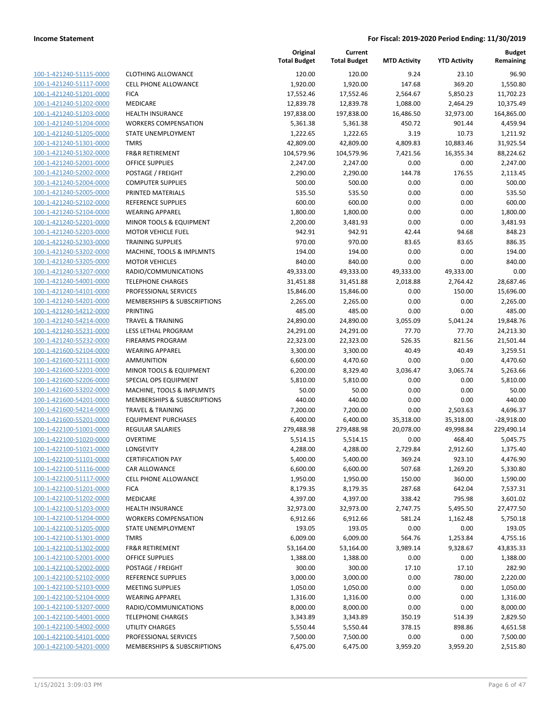| 100-1-421240-51115-0000        |
|--------------------------------|
| 100-1-421240-51117-0000        |
| 100-1-421240-51201-0000        |
| 100-1-421240-51202-0000        |
| 100-1-421240-51203-0000        |
| 100-1-421240-51204-0000        |
| 100-1-421240-51205-0000        |
| 100-1-421240-51301-0000        |
| 100-1-421240-51302-0000        |
| 100-1-421240-52001-0000        |
| 100-1-421240-52002-0000        |
| 100-1-421240-52004-0000        |
| 100-1-421240-52005-0000        |
| 100-1-421240-52102-0000        |
| <u>100-1-421240-52104-0000</u> |
| 100-1-421240-52201-0000        |
| 100-1-421240-52203-0000        |
| 100-1-421240-52303-0000        |
| 100-1-421240-53202-0000        |
| 100-1-421240-53205-0000        |
| 100-1-421240-53207-0000        |
| 100-1-421240-54001-0000        |
| 100-1-421240-54101-0000        |
| 100-1-421240-54201-0000        |
|                                |
| <u>100-1-421240-54212-0000</u> |
| 100-1-421240-54214-0000        |
| 100-1-421240-55231-0000        |
| 100-1-421240-55232-0000        |
| 100-1-421600-52104-0000        |
| 100-1-421600-52111-0000        |
| 100-1-421600-52201-0000        |
| 100-1-421600-52206-0000        |
| 100-1-421600-53202-0000        |
| 100-1-421600-54201-0000        |
| <u>100-1-421600-54214-0000</u> |
| 100-1-421600-55201-0000        |
| 100-1-422100-51001-0000        |
| 100-1-422100-51020-0000        |
| 100-1-422100-51021-0000        |
| 100-1-422100-51101-0000        |
| 100-1-422100-51116-0000        |
| <u>100-1-422100-51117-0000</u> |
| 100-1-422100-51201-0000        |
| 100-1-422100-51202-0000        |
| 100-1-422100-51203-0000        |
| 100-1-422100-51204-0000        |
| 100-1-422100-51205-0000        |
| 100-1-422100-51301-0000        |
| <u>100-1-422100-51302-0000</u> |
| 100-1-422100-52001-0000        |
| <u>100-1-422100-52002-0000</u> |
| 100-1-422100-52102-0000        |
| 100-1-422100-52103-0000        |
| <u>100-1-422100-52104-0000</u> |
| 100-1-422100-53207-0000        |
| <u>100-1-422100-54001-0000</u> |
| <u>100-1-422100-54002-0000</u> |
| 100-1-422100-54101-0000        |
| <u>100-1-422100-54201-0000</u> |
|                                |

| CLOTHING ALLOWANCE          |
|-----------------------------|
| CELL PHONE ALLOWANCE        |
| FICA                        |
| MEDICARE                    |
| HEALTH INSURANCE            |
| <b>WORKERS COMPENSATION</b> |
| STATE UNEMPLOYMENT          |
| TMRS                        |
| FR&R RETIREMENT             |
| OFFICE SUPPLIES             |
| POSTAGE / FREIGHT           |
| COMPUTER SUPPLIES           |
| PRINTED MATERIALS           |
| REFERENCE SUPPLIES          |
| WEARING APPAREL             |
| MINOR TOOLS & EQUIPMENT     |
| MOTOR VEHICLE FUEL          |
| TRAINING SUPPLIES           |
| MACHINE, TOOLS & IMPLMNTS   |
| MOTOR VEHICLES              |
| RADIO/COMMUNICATIONS        |
| TELEPHONE CHARGES           |
| PROFESSIONAL SERVICES       |
| MEMBERSHIPS & SUBSCRIPTIONS |
| PRINTING                    |
| TRAVEL & TRAINING           |
| LESS LETHAL PROGRAM         |
| <b>FIREARMS PROGRAM</b>     |
| WEARING APPAREL             |
| AMMUNITION                  |
| MINOR TOOLS & EQUIPMENT     |
| SPECIAL OPS EQUIPMENT       |
| MACHINE, TOOLS & IMPLMNTS   |
| MEMBERSHIPS & SUBSCRIPTIONS |
| TRAVEL & TRAINING           |
| EQUIPMENT PURCHASES         |
| REGULAR SALARIES            |
| OVERTIME                    |
| LONGEVITY                   |
| CERTIFICATION PAY           |
| CAR ALLOWANCE               |
| CELL PHONE ALLOWANCE        |
| FICA                        |
| MEDICARE                    |
| HEALTH INSURANCE            |
| <b>WORKERS COMPENSATION</b> |
| STATE UNEMPLOYMENT          |
| TMRS                        |
| FR&R RETIREMENT             |
| OFFICE SUPPLIES             |
| POSTAGE / FREIGHT           |
| REFERENCE SUPPLIES          |
| <b>MEETING SUPPLIES</b>     |
| WEARING APPAREL             |
| RADIO/COMMUNICATIONS        |
| <b>TELEPHONE CHARGES</b>    |
| UTILITY CHARGES             |
| PROFESSIONAL SERVICES       |

|                         |                             | Original<br><b>Total Budget</b> | Current<br><b>Total Budget</b> | <b>MTD Activity</b> | <b>YTD Activity</b> | <b>Budget</b><br>Remaining |
|-------------------------|-----------------------------|---------------------------------|--------------------------------|---------------------|---------------------|----------------------------|
| 100-1-421240-51115-0000 | <b>CLOTHING ALLOWANCE</b>   | 120.00                          | 120.00                         | 9.24                | 23.10               | 96.90                      |
| 100-1-421240-51117-0000 | <b>CELL PHONE ALLOWANCE</b> | 1,920.00                        | 1,920.00                       | 147.68              | 369.20              | 1,550.80                   |
| 100-1-421240-51201-0000 | <b>FICA</b>                 | 17,552.46                       | 17,552.46                      | 2,564.67            | 5,850.23            | 11,702.23                  |
| 100-1-421240-51202-0000 | <b>MEDICARE</b>             | 12,839.78                       | 12,839.78                      | 1,088.00            | 2,464.29            | 10,375.49                  |
| 100-1-421240-51203-0000 | <b>HEALTH INSURANCE</b>     | 197,838.00                      | 197,838.00                     | 16,486.50           | 32,973.00           | 164,865.00                 |
| 100-1-421240-51204-0000 | <b>WORKERS COMPENSATION</b> | 5,361.38                        | 5,361.38                       | 450.72              | 901.44              | 4,459.94                   |
| 100-1-421240-51205-0000 | STATE UNEMPLOYMENT          | 1,222.65                        | 1,222.65                       | 3.19                | 10.73               | 1,211.92                   |
| 100-1-421240-51301-0000 | <b>TMRS</b>                 | 42,809.00                       | 42,809.00                      | 4,809.83            | 10,883.46           | 31,925.54                  |
| 100-1-421240-51302-0000 | <b>FR&amp;R RETIREMENT</b>  | 104,579.96                      | 104,579.96                     | 7,421.56            | 16,355.34           | 88,224.62                  |
| 100-1-421240-52001-0000 | <b>OFFICE SUPPLIES</b>      | 2,247.00                        | 2,247.00                       | 0.00                | 0.00                | 2,247.00                   |
| 100-1-421240-52002-0000 | POSTAGE / FREIGHT           | 2,290.00                        | 2,290.00                       | 144.78              | 176.55              | 2,113.45                   |
| 100-1-421240-52004-0000 | <b>COMPUTER SUPPLIES</b>    | 500.00                          | 500.00                         | 0.00                | 0.00                | 500.00                     |
| 100-1-421240-52005-0000 | PRINTED MATERIALS           | 535.50                          | 535.50                         | 0.00                | 0.00                | 535.50                     |
| 100-1-421240-52102-0000 | <b>REFERENCE SUPPLIES</b>   | 600.00                          | 600.00                         | 0.00                | 0.00                | 600.00                     |
| 100-1-421240-52104-0000 | <b>WEARING APPAREL</b>      | 1,800.00                        | 1,800.00                       | 0.00                | 0.00                | 1,800.00                   |
| 100-1-421240-52201-0000 | MINOR TOOLS & EQUIPMENT     | 2,200.00                        | 3,481.93                       | 0.00                | 0.00                | 3,481.93                   |
| 100-1-421240-52203-0000 | <b>MOTOR VEHICLE FUEL</b>   | 942.91                          | 942.91                         | 42.44               | 94.68               | 848.23                     |
| 100-1-421240-52303-0000 | <b>TRAINING SUPPLIES</b>    | 970.00                          | 970.00                         | 83.65               | 83.65               | 886.35                     |
| 100-1-421240-53202-0000 | MACHINE, TOOLS & IMPLMNTS   | 194.00                          | 194.00                         | 0.00                | 0.00                | 194.00                     |
| 100-1-421240-53205-0000 | <b>MOTOR VEHICLES</b>       | 840.00                          | 840.00                         | 0.00                | 0.00                | 840.00                     |
| 100-1-421240-53207-0000 | RADIO/COMMUNICATIONS        | 49,333.00                       | 49,333.00                      | 49,333.00           | 49,333.00           | 0.00                       |
| 100-1-421240-54001-0000 | <b>TELEPHONE CHARGES</b>    | 31,451.88                       | 31,451.88                      | 2,018.88            | 2,764.42            | 28,687.46                  |
| 100-1-421240-54101-0000 | PROFESSIONAL SERVICES       | 15,846.00                       | 15,846.00                      | 0.00                | 150.00              | 15,696.00                  |
| 100-1-421240-54201-0000 | MEMBERSHIPS & SUBSCRIPTIONS | 2,265.00                        | 2,265.00                       | 0.00                | 0.00                | 2,265.00                   |
| 100-1-421240-54212-0000 | <b>PRINTING</b>             | 485.00                          | 485.00                         | 0.00                | 0.00                | 485.00                     |
| 100-1-421240-54214-0000 | TRAVEL & TRAINING           | 24,890.00                       | 24,890.00                      | 3,055.09            | 5,041.24            | 19,848.76                  |
| 100-1-421240-55231-0000 | LESS LETHAL PROGRAM         | 24,291.00                       | 24,291.00                      | 77.70               | 77.70               | 24,213.30                  |
| 100-1-421240-55232-0000 | <b>FIREARMS PROGRAM</b>     | 22,323.00                       | 22,323.00                      | 526.35              | 821.56              | 21,501.44                  |
| 100-1-421600-52104-0000 | <b>WEARING APPAREL</b>      | 3,300.00                        | 3,300.00                       | 40.49               | 40.49               | 3,259.51                   |
| 100-1-421600-52111-0000 | <b>AMMUNITION</b>           | 6,600.00                        | 4,470.60                       | 0.00                | 0.00                | 4,470.60                   |
| 100-1-421600-52201-0000 | MINOR TOOLS & EQUIPMENT     | 6,200.00                        | 8,329.40                       | 3,036.47            | 3,065.74            | 5,263.66                   |
| 100-1-421600-52206-0000 | SPECIAL OPS EQUIPMENT       | 5,810.00                        | 5,810.00                       | 0.00                | 0.00                | 5,810.00                   |
| 100-1-421600-53202-0000 | MACHINE, TOOLS & IMPLMNTS   | 50.00                           | 50.00                          | 0.00                | 0.00                | 50.00                      |
| 100-1-421600-54201-0000 | MEMBERSHIPS & SUBSCRIPTIONS | 440.00                          | 440.00                         | 0.00                | 0.00                | 440.00                     |
| 100-1-421600-54214-0000 | TRAVEL & TRAINING           | 7,200.00                        | 7,200.00                       | 0.00                | 2,503.63            | 4,696.37                   |
| 100-1-421600-55201-0000 | <b>EQUIPMENT PURCHASES</b>  | 6,400.00                        | 6,400.00                       | 35,318.00           | 35,318.00           | $-28,918.00$               |
| 100-1-422100-51001-0000 | <b>REGULAR SALARIES</b>     | 279,488.98                      | 279,488.98                     | 20,078.00           | 49,998.84           | 229,490.14                 |
| 100-1-422100-51020-0000 | <b>OVERTIME</b>             | 5,514.15                        | 5,514.15                       | 0.00                | 468.40              | 5,045.75                   |
| 100-1-422100-51021-0000 | LONGEVITY                   | 4,288.00                        | 4,288.00                       | 2,729.84            | 2,912.60            | 1,375.40                   |
| 100-1-422100-51101-0000 | <b>CERTIFICATION PAY</b>    | 5,400.00                        | 5,400.00                       | 369.24              | 923.10              | 4,476.90                   |
| 100-1-422100-51116-0000 | CAR ALLOWANCE               | 6,600.00                        | 6,600.00                       | 507.68              | 1,269.20            | 5,330.80                   |
| 100-1-422100-51117-0000 | <b>CELL PHONE ALLOWANCE</b> | 1,950.00                        | 1,950.00                       | 150.00              | 360.00              | 1,590.00                   |
| 100-1-422100-51201-0000 | <b>FICA</b>                 | 8,179.35                        | 8,179.35                       | 287.68              | 642.04              | 7,537.31                   |
| 100-1-422100-51202-0000 | <b>MEDICARE</b>             | 4,397.00                        | 4,397.00                       | 338.42              | 795.98              | 3,601.02                   |
| 100-1-422100-51203-0000 | <b>HEALTH INSURANCE</b>     | 32,973.00                       | 32,973.00                      | 2,747.75            | 5,495.50            | 27,477.50                  |
| 100-1-422100-51204-0000 | <b>WORKERS COMPENSATION</b> | 6,912.66                        | 6,912.66                       | 581.24              | 1,162.48            | 5,750.18                   |
| 100-1-422100-51205-0000 | STATE UNEMPLOYMENT          | 193.05                          | 193.05                         | 0.00                | 0.00                | 193.05                     |
| 100-1-422100-51301-0000 | <b>TMRS</b>                 | 6,009.00                        | 6,009.00                       | 564.76              | 1,253.84            | 4,755.16                   |
| 100-1-422100-51302-0000 | <b>FR&amp;R RETIREMENT</b>  | 53,164.00                       | 53,164.00                      | 3,989.14            | 9,328.67            | 43,835.33                  |
| 100-1-422100-52001-0000 | <b>OFFICE SUPPLIES</b>      | 1,388.00                        | 1,388.00                       | 0.00                | 0.00                | 1,388.00                   |
| 100-1-422100-52002-0000 | POSTAGE / FREIGHT           | 300.00                          | 300.00                         | 17.10               | 17.10               | 282.90                     |
| 100-1-422100-52102-0000 | REFERENCE SUPPLIES          | 3,000.00                        | 3,000.00                       | 0.00                | 780.00              | 2,220.00                   |
| 100-1-422100-52103-0000 | <b>MEETING SUPPLIES</b>     | 1,050.00                        | 1,050.00                       | 0.00                | 0.00                | 1,050.00                   |
| 100-1-422100-52104-0000 | <b>WEARING APPAREL</b>      | 1,316.00                        | 1,316.00                       | 0.00                | 0.00                | 1,316.00                   |
| 100-1-422100-53207-0000 | RADIO/COMMUNICATIONS        | 8,000.00                        | 8,000.00                       | 0.00                | 0.00                | 8,000.00                   |
| 100-1-422100-54001-0000 | <b>TELEPHONE CHARGES</b>    | 3,343.89                        | 3,343.89                       | 350.19              | 514.39              | 2,829.50                   |
| 100-1-422100-54002-0000 | UTILITY CHARGES             | 5,550.44                        | 5,550.44                       | 378.15              | 898.86              | 4,651.58                   |
| 100-1-422100-54101-0000 | PROFESSIONAL SERVICES       | 7,500.00                        | 7,500.00                       | 0.00                | 0.00                | 7,500.00                   |
| 100-1-422100-54201-0000 | MEMBERSHIPS & SUBSCRIPTIONS | 6,475.00                        | 6,475.00                       | 3,959.20            | 3,959.20            | 2,515.80                   |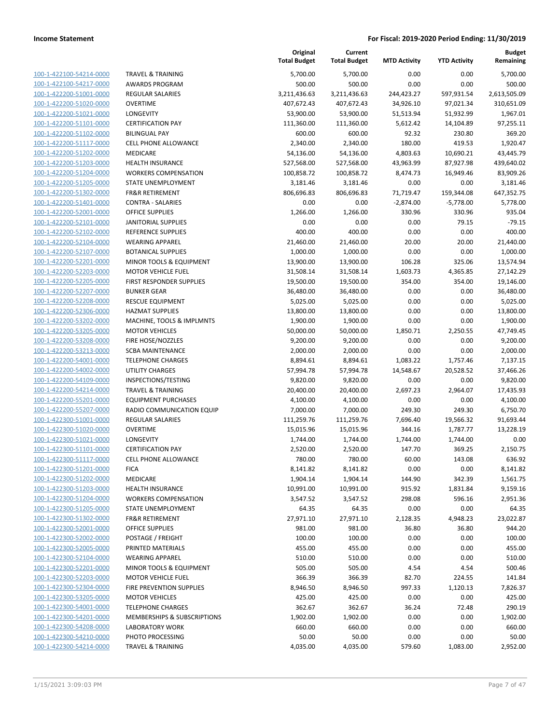| 100-1-422100-54214-0000        |
|--------------------------------|
| 100-1-422100-54217-0000        |
| 100-1-422200-51001-0000        |
| 100-1-422200-51020-0000        |
| 100-1-422200-51021-0000        |
| 100-1-422200-51101-0000        |
| 100-1-422200-51102-0000        |
| 100-1-422200-51117-0000        |
| 100-1-422200-51202-0000        |
| 100-1-422200-51203-0000        |
| 100-1-422200-51204-0000        |
| 100-1-422200-51205-0000        |
| 100-1-422200-51302-0000        |
|                                |
| 100-1-422200-51401-0000        |
| 100-1-422200-52001-0000        |
| 100-1-422200-52101-0000        |
| 100-1-422200-52102-0000        |
| 100-1-422200-52104-0000        |
| 100-1-422200-52107-0000        |
| 100-1-422200-52201-0000        |
| 100-1-422200-52203-0000        |
| 100-1-422200-52205-0000        |
| 100-1-422200-52207-0000        |
| 100-1-422200-52208-0000        |
| 100-1-422200-52306-0000        |
| 100-1-422200-53202-0000        |
| 100-1-422200-53205-0000        |
| 100-1-422200-53208-0000        |
|                                |
| 100-1-422200-53213-0000        |
| 100-1-422200-54001-0000        |
| 100-1-422200-54002-0000        |
| 100-1-422200-54109-0000        |
| 100-1-422200-54214-0000        |
| 100-1-422200-55201-0000        |
| 100-1-422200-55207-0000        |
| 100-1-422300-51001-0000        |
| 100-1-422300-51020-0000        |
| 100-1-422300-51021-0000        |
| 100-1-422300-51101-0000        |
| 100-1-422300-51117-0000        |
| 100-1-422300-51201-0000        |
| 100-1-422300-51202-0000        |
| <u>100-1-422300-51203-0000</u> |
| <u>100-1-422300-51204-0000</u> |
| 100-1-422300-51205-0000        |
| 100-1-422300-51302-0000        |
|                                |
| 100-1-422300-52001-0000        |
| 100-1-422300-52002-0000        |
| <u>100-1-422300-52005-0000</u> |
| 100-1-422300-52104-0000        |
| 100-1-422300-52201-0000        |
| 100-1-422300-52203-0000        |
| 100-1-422300-52304-0000        |
| <u>100-1-422300-53205-0000</u> |
| <u>100-1-422300-54001-0000</u> |
| <u>100-1-422300-54201-0000</u> |
| 100-1-422300-54208-0000        |
| <u>100-1-422300-54210-0000</u> |
| <u>100-1-422300-54214-0000</u> |
|                                |

| <b>RAVEL &amp; TRAINING</b>                           |
|-------------------------------------------------------|
| WARDS PROGRAM                                         |
| <b>EGULAR SALARIES</b>                                |
| <b>OVERTIME</b>                                       |
| ONGEVITY                                              |
| ERTIFICATION PAY                                      |
| IILINGUAL PAY                                         |
| <b>ELL PHONE ALLOWANCE</b>                            |
| <b><i>AEDICARE</i></b>                                |
| IEALTH INSURANCE                                      |
| <b>VORKERS COMPENSATION</b>                           |
| TATE UNEMPLOYMENT                                     |
| <b>R&amp;R RETIREMENT</b>                             |
| <b>CONTRA - SALARIES</b>                              |
| <b>DEFICE SUPPLIES</b>                                |
| ANITORIAL SUPPLIES                                    |
| EFERENCE SUPPLIES                                     |
| VEARING APPAREL                                       |
| OTANICAL SUPPLIES                                     |
| <i><b>IINOR TOOLS &amp; EQUIPMENT</b></i>             |
| <i>I</i> OTOR VEHICLE FUEL                            |
| IRST RESPONDER SUPPLIES                               |
| <b>UNKER GEAR</b>                                     |
| ESCUE EQUIPMENT                                       |
| <b>IAZMAT SUPPLIES</b>                                |
| <b>AACHINE, TOOLS &amp; IMPLMNTS</b>                  |
| <i><b>IOTOR VEHICLES</b></i>                          |
| IRE HOSE/NOZZLES                                      |
| CBA MAINTENANCE                                       |
| <b>ELEPHONE CHARGES</b>                               |
| <b>JTILITY CHARGES</b>                                |
| NSPECTIONS/TESTING                                    |
| <b>RAVEL &amp; TRAINING</b>                           |
| <b>QUIPMENT PURCHASES</b><br>ADIO COMMUNICATION EQUIP |
| EGULAR SALARIES:                                      |
| )VERTIME                                              |
| ONGEVITY                                              |
| <b>ERTIFICATION PAY</b>                               |
| <b>ELL PHONE ALLOWANCE</b>                            |
| ICA                                                   |
| <b>AEDICARE</b>                                       |
| IEALTH INSURANCE                                      |
| <b>VORKERS COMPENSATION</b>                           |
| <b>TATE UNEMPLOYMENT</b>                              |
| <b>R&amp;R RETIREMENT</b>                             |
| <b>PERCE SUPPLIES</b>                                 |
| 'OSTAGE / FREIGHT                                     |
| RINTED MATERIALS                                      |
| VEARING APPAREL                                       |
| <b><i>INOR TOOLS &amp; EQUIPMENT</i></b>              |
| <i><b>IOTOR VEHICLE FUEL</b></i>                      |
| IRE PREVENTION SUPPLIES                               |
| <b><i>AOTOR VEHICLES</i></b>                          |
| <b>ELEPHONE CHARGES</b>                               |
| AEMBERSHIPS & SUBSCRIPTIONS                           |
| <b>ABORATORY WORK</b>                                 |
| <b>HOTO PROCESSING</b>                                |

|                                                    |                                                     | Original<br><b>Total Budget</b> | Current<br><b>Total Budget</b> | <b>MTD Activity</b> | <b>YTD Activity</b> | <b>Budget</b><br>Remaining |
|----------------------------------------------------|-----------------------------------------------------|---------------------------------|--------------------------------|---------------------|---------------------|----------------------------|
| 100-1-422100-54214-0000                            | <b>TRAVEL &amp; TRAINING</b>                        | 5,700.00                        | 5,700.00                       | 0.00                | 0.00                | 5,700.00                   |
| 100-1-422100-54217-0000                            | <b>AWARDS PROGRAM</b>                               | 500.00                          | 500.00                         | 0.00                | 0.00                | 500.00                     |
| 100-1-422200-51001-0000                            | REGULAR SALARIES                                    | 3,211,436.63                    | 3,211,436.63                   | 244,423.27          | 597,931.54          | 2,613,505.09               |
| 100-1-422200-51020-0000                            | <b>OVERTIME</b>                                     | 407,672.43                      | 407,672.43                     | 34,926.10           | 97,021.34           | 310,651.09                 |
| 100-1-422200-51021-0000                            | <b>LONGEVITY</b>                                    | 53,900.00                       | 53,900.00                      | 51,513.94           | 51,932.99           | 1,967.01                   |
| 100-1-422200-51101-0000                            | <b>CERTIFICATION PAY</b>                            | 111,360.00                      | 111,360.00                     | 5,612.42            | 14,104.89           | 97,255.11                  |
| 100-1-422200-51102-0000                            | <b>BILINGUAL PAY</b>                                | 600.00                          | 600.00                         | 92.32               | 230.80              | 369.20                     |
| 100-1-422200-51117-0000                            | CELL PHONE ALLOWANCE                                | 2,340.00                        | 2,340.00                       | 180.00              | 419.53              | 1,920.47                   |
| 100-1-422200-51202-0000                            | <b>MEDICARE</b>                                     | 54,136.00                       | 54,136.00                      | 4,803.63            | 10,690.21           | 43,445.79                  |
| 100-1-422200-51203-0000                            | <b>HEALTH INSURANCE</b>                             | 527,568.00                      | 527,568.00                     | 43,963.99           | 87,927.98           | 439,640.02                 |
| 100-1-422200-51204-0000                            | <b>WORKERS COMPENSATION</b>                         | 100,858.72                      | 100,858.72                     | 8,474.73            | 16,949.46           | 83,909.26                  |
| 100-1-422200-51205-0000                            | STATE UNEMPLOYMENT                                  | 3,181.46                        | 3,181.46                       | 0.00                | 0.00                | 3,181.46                   |
| 100-1-422200-51302-0000                            | <b>FR&amp;R RETIREMENT</b>                          | 806,696.83                      | 806,696.83                     | 71,719.47           | 159,344.08          | 647,352.75                 |
| 100-1-422200-51401-0000                            | <b>CONTRA - SALARIES</b>                            | 0.00                            | 0.00                           | $-2,874.00$         | $-5,778.00$         | 5,778.00                   |
| 100-1-422200-52001-0000                            | <b>OFFICE SUPPLIES</b>                              | 1,266.00                        | 1,266.00                       | 330.96              | 330.96              | 935.04                     |
| 100-1-422200-52101-0000                            | <b>JANITORIAL SUPPLIES</b>                          | 0.00                            | 0.00                           | 0.00                | 79.15               | $-79.15$                   |
| 100-1-422200-52102-0000                            | <b>REFERENCE SUPPLIES</b>                           | 400.00                          | 400.00                         | 0.00                | 0.00                | 400.00                     |
| 100-1-422200-52104-0000                            | <b>WEARING APPAREL</b>                              | 21,460.00                       | 21,460.00                      | 20.00               | 20.00               | 21,440.00                  |
| 100-1-422200-52107-0000                            | <b>BOTANICAL SUPPLIES</b>                           | 1,000.00                        | 1,000.00                       | 0.00                | 0.00                | 1,000.00                   |
| 100-1-422200-52201-0000                            | MINOR TOOLS & EQUIPMENT                             | 13,900.00                       | 13,900.00                      | 106.28              | 325.06              | 13,574.94                  |
| 100-1-422200-52203-0000                            | <b>MOTOR VEHICLE FUEL</b>                           | 31,508.14                       | 31,508.14                      | 1,603.73            | 4,365.85            | 27,142.29                  |
| 100-1-422200-52205-0000                            | FIRST RESPONDER SUPPLIES                            | 19,500.00                       | 19,500.00                      | 354.00              | 354.00              | 19,146.00                  |
| 100-1-422200-52207-0000                            | <b>BUNKER GEAR</b>                                  | 36,480.00                       | 36,480.00                      | 0.00                | 0.00                | 36,480.00                  |
| 100-1-422200-52208-0000                            | <b>RESCUE EQUIPMENT</b>                             | 5,025.00                        | 5,025.00                       | 0.00                | 0.00                | 5,025.00                   |
| 100-1-422200-52306-0000                            | <b>HAZMAT SUPPLIES</b>                              | 13,800.00                       | 13,800.00                      | 0.00                | 0.00                | 13,800.00                  |
| 100-1-422200-53202-0000                            | MACHINE, TOOLS & IMPLMNTS                           | 1,900.00                        | 1,900.00                       | 0.00                | 0.00                | 1,900.00                   |
| 100-1-422200-53205-0000                            | <b>MOTOR VEHICLES</b>                               | 50,000.00                       | 50,000.00                      | 1,850.71            | 2,250.55            | 47,749.45                  |
| 100-1-422200-53208-0000<br>100-1-422200-53213-0000 | FIRE HOSE/NOZZLES                                   | 9,200.00                        | 9,200.00                       | 0.00                | 0.00                | 9,200.00                   |
| 100-1-422200-54001-0000                            | <b>SCBA MAINTENANCE</b><br><b>TELEPHONE CHARGES</b> | 2,000.00<br>8,894.61            | 2,000.00<br>8,894.61           | 0.00<br>1,083.22    | 0.00<br>1,757.46    | 2,000.00<br>7,137.15       |
| 100-1-422200-54002-0000                            | <b>UTILITY CHARGES</b>                              | 57,994.78                       | 57,994.78                      | 14,548.67           | 20,528.52           | 37,466.26                  |
| 100-1-422200-54109-0000                            | INSPECTIONS/TESTING                                 | 9,820.00                        | 9,820.00                       | 0.00                | 0.00                | 9,820.00                   |
| 100-1-422200-54214-0000                            | <b>TRAVEL &amp; TRAINING</b>                        | 20,400.00                       | 20,400.00                      | 2,697.23            | 2,964.07            | 17,435.93                  |
| 100-1-422200-55201-0000                            | <b>EQUIPMENT PURCHASES</b>                          | 4,100.00                        | 4,100.00                       | 0.00                | 0.00                | 4,100.00                   |
| 100-1-422200-55207-0000                            | RADIO COMMUNICATION EQUIP                           | 7,000.00                        | 7,000.00                       | 249.30              | 249.30              | 6,750.70                   |
| 100-1-422300-51001-0000                            | REGULAR SALARIES                                    | 111,259.76                      | 111,259.76                     | 7,696.40            | 19,566.32           | 91,693.44                  |
| 100-1-422300-51020-0000                            | <b>OVERTIME</b>                                     | 15,015.96                       | 15,015.96                      | 344.16              | 1,787.77            | 13,228.19                  |
| 100-1-422300-51021-0000                            | <b>LONGEVITY</b>                                    | 1,744.00                        | 1,744.00                       | 1,744.00            | 1,744.00            | 0.00                       |
| 100-1-422300-51101-0000                            | <b>CERTIFICATION PAY</b>                            | 2,520.00                        | 2,520.00                       | 147.70              | 369.25              | 2,150.75                   |
| 100-1-422300-51117-0000                            | CELL PHONE ALLOWANCE                                | 780.00                          | 780.00                         | 60.00               | 143.08              | 636.92                     |
| 100-1-422300-51201-0000                            | <b>FICA</b>                                         | 8,141.82                        | 8,141.82                       | 0.00                | 0.00                | 8,141.82                   |
| 100-1-422300-51202-0000                            | MEDICARE                                            | 1,904.14                        | 1,904.14                       | 144.90              | 342.39              | 1,561.75                   |
| 100-1-422300-51203-0000                            | <b>HEALTH INSURANCE</b>                             | 10,991.00                       | 10,991.00                      | 915.92              | 1,831.84            | 9,159.16                   |
| 100-1-422300-51204-0000                            | <b>WORKERS COMPENSATION</b>                         | 3,547.52                        | 3,547.52                       | 298.08              | 596.16              | 2,951.36                   |
| 100-1-422300-51205-0000                            | STATE UNEMPLOYMENT                                  | 64.35                           | 64.35                          | 0.00                | 0.00                | 64.35                      |
| 100-1-422300-51302-0000                            | <b>FR&amp;R RETIREMENT</b>                          | 27,971.10                       | 27,971.10                      | 2,128.35            | 4,948.23            | 23,022.87                  |
| 100-1-422300-52001-0000                            | <b>OFFICE SUPPLIES</b>                              | 981.00                          | 981.00                         | 36.80               | 36.80               | 944.20                     |
| 100-1-422300-52002-0000                            | POSTAGE / FREIGHT                                   | 100.00                          | 100.00                         | 0.00                | 0.00                | 100.00                     |
| 100-1-422300-52005-0000                            | PRINTED MATERIALS                                   | 455.00                          | 455.00                         | 0.00                | 0.00                | 455.00                     |
| 100-1-422300-52104-0000                            | <b>WEARING APPAREL</b>                              | 510.00                          | 510.00                         | 0.00                | 0.00                | 510.00                     |
| 100-1-422300-52201-0000                            | MINOR TOOLS & EQUIPMENT                             | 505.00                          | 505.00                         | 4.54                | 4.54                | 500.46                     |
| 100-1-422300-52203-0000                            | <b>MOTOR VEHICLE FUEL</b>                           | 366.39                          | 366.39                         | 82.70               | 224.55              | 141.84                     |
| 100-1-422300-52304-0000                            | FIRE PREVENTION SUPPLIES                            | 8,946.50                        | 8,946.50                       | 997.33              | 1,120.13            | 7,826.37                   |
| 100-1-422300-53205-0000                            | <b>MOTOR VEHICLES</b>                               | 425.00                          | 425.00                         | 0.00                | 0.00                | 425.00                     |
| 100-1-422300-54001-0000                            | <b>TELEPHONE CHARGES</b>                            | 362.67                          | 362.67                         | 36.24               | 72.48               | 290.19                     |
| 100-1-422300-54201-0000                            | MEMBERSHIPS & SUBSCRIPTIONS                         | 1,902.00                        | 1,902.00                       | 0.00                | 0.00                | 1,902.00                   |
| 100-1-422300-54208-0000                            | <b>LABORATORY WORK</b>                              | 660.00                          | 660.00                         | 0.00                | 0.00                | 660.00                     |
| 100-1-422300-54210-0000                            | PHOTO PROCESSING                                    | 50.00                           | 50.00                          | 0.00                | 0.00                | 50.00                      |
| 100-1-422300-54214-0000                            | <b>TRAVEL &amp; TRAINING</b>                        | 4,035.00                        | 4,035.00                       | 579.60              | 1,083.00            | 2,952.00                   |
|                                                    |                                                     |                                 |                                |                     |                     |                            |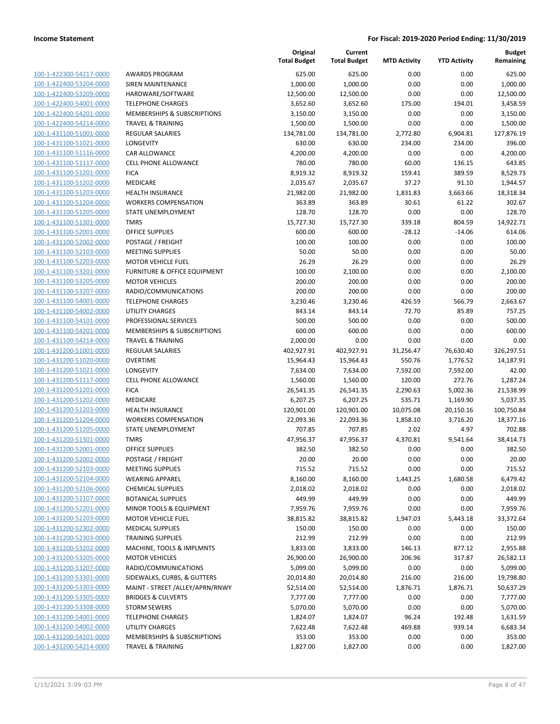**Current**

**Original**

**Budget Remaining**

| 100-1-422300-54217-0000         |
|---------------------------------|
| 100-1-422400-53204-0000         |
| 100-1-422400-53209-0000         |
| 100-1-422400-54001-0000         |
| 100-1-422400-54201-0000         |
| 100-1-422400-54214-0000         |
| 100-1-431100-51001-0000         |
| 100-1-431100-51021-0000         |
| 100-1-431100-51116-0000         |
| 100-1-431100-51117-0000         |
| 100-1-431100-51201-0000         |
| 100-1-431100-51202-0000         |
| 100-1-431100-51203-0000         |
| 100-1-431100-51204-0000         |
| 100-1-431100-51205-0000         |
| 100-1-431100-51301-0000         |
|                                 |
| 100-1-431100-52001-0000         |
| 100-1-431100-52002-0000         |
| 100-1-431100-52103-0000         |
| $100 - 1$<br>-431100-52203-0000 |
| 100-1-431100-53201-0000         |
| 100-1-431100-53205-0000         |
| 100-1-431100-53207-0000         |
| 100-1-431100-54001-0000         |
| 100-1-431100-54002-0000         |
| 100-1-431100-54101-0000         |
| 100-1-431100-54201-0000         |
| 100-1-431100-54214-0000         |
| 100-1-431200-51001-0000         |
| 100-1-431200-51020-0000         |
| 100-1-431200-51021-0000         |
| 100-1-431200-51117-0000         |
| 100-1-431200-51201-0000         |
| 100-1-431200-51202-0000         |
| 100-1-431200-51203-0000         |
| 100-1-431200-51204-0000         |
| 100-1-431200-51205-0000         |
| 100-1-431200-51301-0000         |
| 100-1-431200-52001-0000         |
|                                 |
| 100-1-431200-52002-0000         |
| 100-1-431200-52103-0000         |
| 100-1-431200-52104-0000         |
| <u>100-1-431200-52106-0000</u>  |
| 100-1-431200-52107-0000         |
| 100-1-431200-52201-0000         |
| 100-1-431200-52203-0000         |
| 100-1-431200-52302-0000         |
| 100-1-431200-52303-0000         |
| 100-1-431200-53202-0000         |
| 100-1-431200-53205-0000         |
| 100-1-431200-53207-0000         |
| 100-1-431200-53301-0000         |
| <u>100-1-431200-53303-0000</u>  |
| 100-1-431200-53305-0000         |
| 100-1-431200-53308-0000         |
| <u>100-1-431200-54001-0000</u>  |
| 100-1-431200-54002-0000         |
| <u>100-1-431200-54201-0000</u>  |
| 100-1-431200-54214-0000         |
|                                 |

|                         |                                 | <b>Total Budget</b> | <b>Total Budget</b> | <b>MTD Activity</b> | <b>YTD Activity</b> | Remaining  |
|-------------------------|---------------------------------|---------------------|---------------------|---------------------|---------------------|------------|
| 100-1-422300-54217-0000 | <b>AWARDS PROGRAM</b>           | 625.00              | 625.00              | 0.00                | 0.00                | 625.00     |
| 100-1-422400-53204-0000 | SIREN MAINTENANCE               | 1,000.00            | 1,000.00            | 0.00                | 0.00                | 1,000.00   |
| 100-1-422400-53209-0000 | HARDWARE/SOFTWARE               | 12,500.00           | 12,500.00           | 0.00                | 0.00                | 12,500.00  |
| 100-1-422400-54001-0000 | <b>TELEPHONE CHARGES</b>        | 3,652.60            | 3,652.60            | 175.00              | 194.01              | 3,458.59   |
| 100-1-422400-54201-0000 | MEMBERSHIPS & SUBSCRIPTIONS     | 3,150.00            | 3,150.00            | 0.00                | 0.00                | 3,150.00   |
| 100-1-422400-54214-0000 | <b>TRAVEL &amp; TRAINING</b>    | 1,500.00            | 1,500.00            | 0.00                | 0.00                | 1,500.00   |
| 100-1-431100-51001-0000 | <b>REGULAR SALARIES</b>         | 134,781.00          | 134,781.00          | 2,772.80            | 6,904.81            | 127,876.19 |
| 100-1-431100-51021-0000 | LONGEVITY                       | 630.00              | 630.00              | 234.00              | 234.00              | 396.00     |
| 100-1-431100-51116-0000 | <b>CAR ALLOWANCE</b>            | 4,200.00            | 4,200.00            | 0.00                | 0.00                | 4,200.00   |
| 100-1-431100-51117-0000 | CELL PHONE ALLOWANCE            | 780.00              | 780.00              | 60.00               | 136.15              | 643.85     |
| 100-1-431100-51201-0000 | <b>FICA</b>                     | 8,919.32            | 8,919.32            | 159.41              | 389.59              | 8,529.73   |
| 100-1-431100-51202-0000 | MEDICARE                        | 2,035.67            | 2,035.67            | 37.27               | 91.10               | 1,944.57   |
| 100-1-431100-51203-0000 | <b>HEALTH INSURANCE</b>         | 21,982.00           | 21,982.00           | 1,831.83            | 3,663.66            | 18,318.34  |
| 100-1-431100-51204-0000 | <b>WORKERS COMPENSATION</b>     | 363.89              | 363.89              | 30.61               | 61.22               | 302.67     |
| 100-1-431100-51205-0000 | STATE UNEMPLOYMENT              | 128.70              | 128.70              | 0.00                | 0.00                | 128.70     |
| 100-1-431100-51301-0000 | <b>TMRS</b>                     | 15,727.30           | 15,727.30           | 339.18              | 804.59              | 14,922.71  |
| 100-1-431100-52001-0000 | <b>OFFICE SUPPLIES</b>          | 600.00              | 600.00              | $-28.12$            | $-14.06$            | 614.06     |
| 100-1-431100-52002-0000 | POSTAGE / FREIGHT               | 100.00              | 100.00              | 0.00                | 0.00                | 100.00     |
| 100-1-431100-52103-0000 | <b>MEETING SUPPLIES</b>         | 50.00               | 50.00               | 0.00                | 0.00                | 50.00      |
| 100-1-431100-52203-0000 | <b>MOTOR VEHICLE FUEL</b>       | 26.29               | 26.29               | 0.00                | 0.00                | 26.29      |
| 100-1-431100-53201-0000 | FURNITURE & OFFICE EQUIPMENT    | 100.00              | 2,100.00            | 0.00                | 0.00                | 2,100.00   |
| 100-1-431100-53205-0000 | <b>MOTOR VEHICLES</b>           | 200.00              | 200.00              | 0.00                | 0.00                | 200.00     |
| 100-1-431100-53207-0000 | RADIO/COMMUNICATIONS            | 200.00              | 200.00              | 0.00                | 0.00                | 200.00     |
| 100-1-431100-54001-0000 | <b>TELEPHONE CHARGES</b>        | 3,230.46            | 3,230.46            | 426.59              | 566.79              | 2,663.67   |
| 100-1-431100-54002-0000 | UTILITY CHARGES                 | 843.14              | 843.14              | 72.70               | 85.89               | 757.25     |
| 100-1-431100-54101-0000 | PROFESSIONAL SERVICES           | 500.00              | 500.00              | 0.00                | 0.00                | 500.00     |
| 100-1-431100-54201-0000 | MEMBERSHIPS & SUBSCRIPTIONS     | 600.00              | 600.00              | 0.00                | 0.00                | 600.00     |
| 100-1-431100-54214-0000 | <b>TRAVEL &amp; TRAINING</b>    | 2,000.00            | 0.00                | 0.00                | 0.00                | 0.00       |
| 100-1-431200-51001-0000 | <b>REGULAR SALARIES</b>         | 402,927.91          | 402,927.91          | 31,256.47           | 76,630.40           | 326,297.51 |
| 100-1-431200-51020-0000 | <b>OVERTIME</b>                 | 15,964.43           | 15,964.43           | 550.76              | 1,776.52            | 14,187.91  |
| 100-1-431200-51021-0000 | LONGEVITY                       | 7,634.00            | 7,634.00            | 7,592.00            | 7,592.00            | 42.00      |
| 100-1-431200-51117-0000 | CELL PHONE ALLOWANCE            | 1,560.00            | 1,560.00            | 120.00              | 272.76              | 1,287.24   |
| 100-1-431200-51201-0000 | <b>FICA</b>                     | 26,541.35           | 26,541.35           | 2,290.63            | 5,002.36            | 21,538.99  |
| 100-1-431200-51202-0000 | MEDICARE                        | 6,207.25            | 6,207.25            | 535.71              | 1,169.90            | 5,037.35   |
| 100-1-431200-51203-0000 | HEALTH INSURANCE                | 120,901.00          | 120,901.00          | 10,075.08           | 20,150.16           | 100,750.84 |
| 100-1-431200-51204-0000 | <b>WORKERS COMPENSATION</b>     | 22,093.36           | 22,093.36           | 1,858.10            | 3,716.20            | 18,377.16  |
| 100-1-431200-51205-0000 | STATE UNEMPLOYMENT              | 707.85              | 707.85              | 2.02                | 4.97                | 702.88     |
| 100-1-431200-51301-0000 | <b>TMRS</b>                     | 47,956.37           | 47,956.37           | 4,370.81            | 9,541.64            | 38,414.73  |
| 100-1-431200-52001-0000 | <b>OFFICE SUPPLIES</b>          | 382.50              | 382.50              | 0.00                | 0.00                | 382.50     |
| 100-1-431200-52002-0000 | POSTAGE / FREIGHT               | 20.00               | 20.00               | 0.00                | 0.00                | 20.00      |
| 100-1-431200-52103-0000 | <b>MEETING SUPPLIES</b>         | 715.52              | 715.52              | 0.00                | 0.00                | 715.52     |
| 100-1-431200-52104-0000 | <b>WEARING APPAREL</b>          | 8,160.00            | 8,160.00            | 1,443.25            | 1,680.58            | 6,479.42   |
| 100-1-431200-52106-0000 | <b>CHEMICAL SUPPLIES</b>        | 2,018.02            | 2,018.02            | 0.00                | 0.00                | 2,018.02   |
| 100-1-431200-52107-0000 | <b>BOTANICAL SUPPLIES</b>       | 449.99              | 449.99              | 0.00                | 0.00                | 449.99     |
| 100-1-431200-52201-0000 | MINOR TOOLS & EQUIPMENT         | 7,959.76            | 7,959.76            | 0.00                | 0.00                | 7,959.76   |
| 100-1-431200-52203-0000 | <b>MOTOR VEHICLE FUEL</b>       | 38,815.82           | 38,815.82           | 1,947.03            | 5,443.18            | 33,372.64  |
| 100-1-431200-52302-0000 | <b>MEDICAL SUPPLIES</b>         | 150.00              | 150.00              | 0.00                | 0.00                | 150.00     |
| 100-1-431200-52303-0000 | <b>TRAINING SUPPLIES</b>        | 212.99              | 212.99              | 0.00                | 0.00                | 212.99     |
| 100-1-431200-53202-0000 | MACHINE, TOOLS & IMPLMNTS       | 3,833.00            | 3,833.00            | 146.13              | 877.12              | 2,955.88   |
| 100-1-431200-53205-0000 | <b>MOTOR VEHICLES</b>           | 26,900.00           | 26,900.00           | 206.96              | 317.87              | 26,582.13  |
| 100-1-431200-53207-0000 | RADIO/COMMUNICATIONS            | 5,099.00            | 5,099.00            | 0.00                | 0.00                | 5,099.00   |
| 100-1-431200-53301-0000 | SIDEWALKS, CURBS, & GUTTERS     | 20,014.80           | 20,014.80           | 216.00              | 216.00              | 19,798.80  |
| 100-1-431200-53303-0000 | MAINT - STREET /ALLEY/APRN/RNWY | 52,514.00           | 52,514.00           | 1,876.71            | 1,876.71            | 50,637.29  |
| 100-1-431200-53305-0000 | <b>BRIDGES &amp; CULVERTS</b>   | 7,777.00            | 7,777.00            | 0.00                | 0.00                | 7,777.00   |
| 100-1-431200-53308-0000 | <b>STORM SEWERS</b>             | 5,070.00            | 5,070.00            | 0.00                | 0.00                | 5,070.00   |
| 100-1-431200-54001-0000 | <b>TELEPHONE CHARGES</b>        | 1,824.07            | 1,824.07            | 96.24               | 192.48              | 1,631.59   |
| 100-1-431200-54002-0000 | UTILITY CHARGES                 | 7,622.48            | 7,622.48            | 469.88              | 939.14              | 6,683.34   |
| 100-1-431200-54201-0000 | MEMBERSHIPS & SUBSCRIPTIONS     | 353.00              | 353.00              | 0.00                | 0.00                | 353.00     |
| 100-1-431200-54214-0000 | TRAVEL & TRAINING               | 1,827.00            | 1,827.00            | 0.00                | 0.00                | 1,827.00   |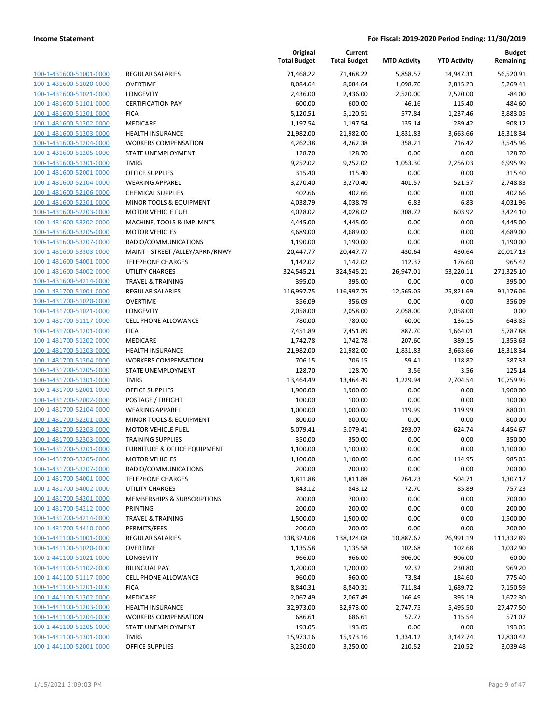| 100-1-431600-51001-0000        |
|--------------------------------|
| 100-1-431600-51020-0000        |
| 100-1-431600-51021-0000        |
| <u>100-1-431600-51101-0000</u> |
| 100-1-431600-51201-0000        |
| 100-1-431600-51202-0000        |
| 100-1-431600-51203-0000        |
| 100-1-431600-51204-0000        |
| 100-1-431600-51205-0000        |
| <u>100-1-431600-51301-0000</u> |
| 100-1-431600-52001-0000        |
| 100-1-431600-52104-0000        |
| 100-1-431600-52106-0000        |
| <u>100-1-431600-52201-0000</u> |
| <u>100-1-431600-52203-0000</u> |
| 100-1-431600-53202-0000        |
| 100-1-431600-53205-0000        |
| 100-1-431600-53207-0000        |
| <u>100-1-431600-53303-0000</u> |
| <u>100-1-431600-54001-0000</u> |
| 100-1-431600-54002-0000        |
| 100-1-431600-54214-0000        |
| <u>100-1-431700-51001-0000</u> |
| <u>100-1-431700-51020-0000</u> |
| 100-1-431700-51021-0000        |
| 100-1-431700-51117-0000        |
| 100-1-431700-51201-0000        |
| 100-1-431700-51202-0000        |
| 100-1-431700-51203-0000        |
| 100-1-431700-51204-0000        |
| 100-1-431700-51205-0000        |
| 100-1-431700-51301-0000        |
| <u>100-1-431700-52001-0000</u> |
| <u>100-1-431700-52002-0000</u> |
| 100-1-431700-52104-0000        |
| 100-1-431700-52201-0000        |
| 100-1-431700-52203-0000        |
| 100-1-431700-52303-0000        |
| 100-1-431700-53201-0000        |
| <u>100-1-431700-53205-0000</u> |
| 100-1-431700-53207-0000        |
| 100-1-431700-54001-0000        |
| <u>100-1-431700-54002-0000</u> |
| <u>100-1-431700-54201-0000</u> |
| <u>100-1-431700-54212-0000</u> |
| 100-1-431700-54214-0000        |
| 100-1-431700-54410-0000        |
| <u>100-1-441100-51001-0000</u> |
| <u>100-1-441100-51020-0000</u> |
| 100-1-441100-51021-0000        |
| 100-1-441100-51102-0000        |
| 100-1-441100-51117-0000        |
| <u>100-1-441100-51201-0000</u> |
| <u>100-1-441100-51202-0000</u> |
| <u>100-1-441100-51203-0000</u> |
| 100-1-441100-51204-0000        |
| 100-1-441100-51205-0000        |
| <u>100-1-441100-51301-0000</u> |
| <u>100-1-441100-52001-0000</u> |
|                                |

|                                                    |                                            | Original<br><b>Total Budget</b> | Current<br><b>Total Budget</b> | <b>MTD Activity</b> | <b>YTD Activity</b> | <b>Budget</b><br>Remaining |
|----------------------------------------------------|--------------------------------------------|---------------------------------|--------------------------------|---------------------|---------------------|----------------------------|
| 100-1-431600-51001-0000                            | <b>REGULAR SALARIES</b>                    | 71,468.22                       | 71,468.22                      | 5,858.57            | 14,947.31           | 56,520.91                  |
| 100-1-431600-51020-0000                            | <b>OVERTIME</b>                            | 8,084.64                        | 8,084.64                       | 1,098.70            | 2,815.23            | 5,269.41                   |
| 100-1-431600-51021-0000                            | LONGEVITY                                  | 2,436.00                        | 2,436.00                       | 2,520.00            | 2,520.00            | $-84.00$                   |
| 100-1-431600-51101-0000                            | <b>CERTIFICATION PAY</b>                   | 600.00                          | 600.00                         | 46.16               | 115.40              | 484.60                     |
| 100-1-431600-51201-0000                            | <b>FICA</b>                                | 5,120.51                        | 5,120.51                       | 577.84              | 1,237.46            | 3,883.05                   |
| 100-1-431600-51202-0000                            | MEDICARE                                   | 1,197.54                        | 1,197.54                       | 135.14              | 289.42              | 908.12                     |
| 100-1-431600-51203-0000                            | <b>HEALTH INSURANCE</b>                    | 21,982.00                       | 21,982.00                      | 1,831.83            | 3,663.66            | 18,318.34                  |
| 100-1-431600-51204-0000                            | <b>WORKERS COMPENSATION</b>                | 4,262.38                        | 4,262.38                       | 358.21              | 716.42              | 3,545.96                   |
| 100-1-431600-51205-0000                            | STATE UNEMPLOYMENT                         | 128.70                          | 128.70                         | 0.00                | 0.00                | 128.70                     |
| 100-1-431600-51301-0000                            | <b>TMRS</b>                                | 9,252.02                        | 9,252.02                       | 1,053.30            | 2,256.03            | 6,995.99                   |
| 100-1-431600-52001-0000                            | <b>OFFICE SUPPLIES</b>                     | 315.40                          | 315.40                         | 0.00                | 0.00                | 315.40                     |
| 100-1-431600-52104-0000                            | <b>WEARING APPAREL</b>                     | 3,270.40                        | 3,270.40                       | 401.57              | 521.57              | 2,748.83                   |
| 100-1-431600-52106-0000                            | <b>CHEMICAL SUPPLIES</b>                   | 402.66                          | 402.66                         | 0.00                | 0.00                | 402.66                     |
| 100-1-431600-52201-0000                            | MINOR TOOLS & EQUIPMENT                    | 4,038.79                        | 4,038.79                       | 6.83                | 6.83                | 4,031.96                   |
| 100-1-431600-52203-0000                            | <b>MOTOR VEHICLE FUEL</b>                  | 4,028.02                        | 4,028.02                       | 308.72              | 603.92              | 3,424.10                   |
| 100-1-431600-53202-0000                            | MACHINE, TOOLS & IMPLMNTS                  | 4,445.00                        | 4,445.00                       | 0.00                | 0.00                | 4,445.00                   |
| 100-1-431600-53205-0000                            | <b>MOTOR VEHICLES</b>                      | 4,689.00                        | 4,689.00                       | 0.00                | 0.00                | 4,689.00                   |
| 100-1-431600-53207-0000                            | RADIO/COMMUNICATIONS                       | 1,190.00                        | 1,190.00                       | 0.00                | 0.00                | 1,190.00                   |
| 100-1-431600-53303-0000                            | MAINT - STREET /ALLEY/APRN/RNWY            | 20,447.77                       | 20,447.77                      | 430.64              | 430.64              | 20,017.13                  |
| 100-1-431600-54001-0000                            | <b>TELEPHONE CHARGES</b>                   | 1,142.02                        | 1,142.02                       | 112.37              | 176.60              | 965.42                     |
| 100-1-431600-54002-0000                            | <b>UTILITY CHARGES</b>                     | 324,545.21                      | 324,545.21                     | 26,947.01           | 53,220.11           | 271,325.10                 |
| 100-1-431600-54214-0000                            | <b>TRAVEL &amp; TRAINING</b>               | 395.00                          | 395.00                         | 0.00                | 0.00                | 395.00                     |
| 100-1-431700-51001-0000                            | REGULAR SALARIES                           | 116,997.75                      | 116,997.75                     | 12,565.05           | 25,821.69           | 91,176.06                  |
| 100-1-431700-51020-0000                            | <b>OVERTIME</b>                            | 356.09                          | 356.09                         | 0.00                | 0.00                | 356.09                     |
| 100-1-431700-51021-0000                            | LONGEVITY                                  | 2,058.00                        | 2,058.00                       | 2,058.00            | 2,058.00            | 0.00                       |
| 100-1-431700-51117-0000                            | <b>CELL PHONE ALLOWANCE</b>                | 780.00                          | 780.00                         | 60.00               | 136.15              | 643.85                     |
| 100-1-431700-51201-0000                            | <b>FICA</b>                                | 7,451.89                        | 7,451.89                       | 887.70              | 1,664.01            | 5,787.88                   |
| 100-1-431700-51202-0000                            | MEDICARE                                   | 1,742.78                        | 1,742.78                       | 207.60              | 389.15              | 1,353.63                   |
| 100-1-431700-51203-0000                            | <b>HEALTH INSURANCE</b>                    | 21,982.00                       | 21,982.00                      | 1,831.83            | 3,663.66            | 18,318.34                  |
| 100-1-431700-51204-0000                            | <b>WORKERS COMPENSATION</b>                | 706.15                          | 706.15                         | 59.41               | 118.82              | 587.33                     |
| 100-1-431700-51205-0000                            | STATE UNEMPLOYMENT                         | 128.70                          | 128.70                         | 3.56                | 3.56                | 125.14                     |
| 100-1-431700-51301-0000                            | <b>TMRS</b>                                | 13,464.49                       | 13,464.49                      | 1,229.94            | 2,704.54            | 10,759.95                  |
| 100-1-431700-52001-0000                            | <b>OFFICE SUPPLIES</b>                     | 1,900.00                        | 1,900.00                       | 0.00                | 0.00                | 1,900.00                   |
| 100-1-431700-52002-0000                            | POSTAGE / FREIGHT                          | 100.00                          | 100.00                         | 0.00                | 0.00                | 100.00                     |
| 100-1-431700-52104-0000                            | <b>WEARING APPAREL</b>                     | 1,000.00                        | 1,000.00                       | 119.99              | 119.99              | 880.01                     |
| 100-1-431700-52201-0000                            | MINOR TOOLS & EQUIPMENT                    | 800.00                          | 800.00                         | 0.00                | 0.00                | 800.00                     |
| 100-1-431700-52203-0000                            | <b>MOTOR VEHICLE FUEL</b>                  | 5,079.41                        | 5,079.41                       | 293.07              | 624.74              | 4,454.67                   |
| 100-1-431700-52303-0000                            | <b>TRAINING SUPPLIES</b>                   | 350.00                          | 350.00                         | 0.00                | 0.00                | 350.00                     |
| 100-1-431700-53201-0000                            | <b>FURNITURE &amp; OFFICE EQUIPMENT</b>    | 1,100.00                        | 1,100.00                       | 0.00                | 0.00                | 1,100.00                   |
| 100-1-431700-53205-0000                            | <b>MOTOR VEHICLES</b>                      | 1,100.00                        | 1,100.00                       | 0.00                | 114.95              | 985.05                     |
| 100-1-431700-53207-0000                            | RADIO/COMMUNICATIONS                       | 200.00                          | 200.00                         | 0.00                | 0.00                | 200.00                     |
| 100-1-431700-54001-0000                            | <b>TELEPHONE CHARGES</b>                   | 1,811.88                        | 1,811.88                       | 264.23              | 504.71              | 1,307.17                   |
| 100-1-431700-54002-0000                            | <b>UTILITY CHARGES</b>                     | 843.12                          | 843.12                         | 72.70               | 85.89               | 757.23                     |
| 100-1-431700-54201-0000                            | MEMBERSHIPS & SUBSCRIPTIONS                | 700.00                          | 700.00                         | 0.00                | 0.00                | 700.00                     |
| 100-1-431700-54212-0000                            | <b>PRINTING</b>                            | 200.00                          | 200.00                         | 0.00                | 0.00                | 200.00                     |
| 100-1-431700-54214-0000                            | <b>TRAVEL &amp; TRAINING</b>               | 1,500.00                        | 1,500.00                       | 0.00                | 0.00                | 1,500.00                   |
| 100-1-431700-54410-0000                            | PERMITS/FEES                               | 200.00                          | 200.00                         | 0.00                | 0.00                | 200.00                     |
| 100-1-441100-51001-0000<br>100-1-441100-51020-0000 | <b>REGULAR SALARIES</b><br><b>OVERTIME</b> | 138,324.08                      | 138,324.08                     | 10,887.67           | 26,991.19           | 111,332.89                 |
| 100-1-441100-51021-0000                            | LONGEVITY                                  | 1,135.58<br>966.00              | 1,135.58<br>966.00             | 102.68<br>906.00    | 102.68<br>906.00    | 1,032.90<br>60.00          |
| 100-1-441100-51102-0000                            | <b>BILINGUAL PAY</b>                       | 1,200.00                        | 1,200.00                       | 92.32               | 230.80              | 969.20                     |
| 100-1-441100-51117-0000                            | CELL PHONE ALLOWANCE                       | 960.00                          | 960.00                         | 73.84               | 184.60              | 775.40                     |
| 100-1-441100-51201-0000                            | <b>FICA</b>                                | 8,840.31                        | 8,840.31                       | 711.84              | 1,689.72            | 7,150.59                   |
| 100-1-441100-51202-0000                            | MEDICARE                                   | 2,067.49                        | 2,067.49                       | 166.49              | 395.19              | 1,672.30                   |
| 100-1-441100-51203-0000                            | <b>HEALTH INSURANCE</b>                    | 32,973.00                       | 32,973.00                      | 2,747.75            | 5,495.50            | 27,477.50                  |
| 100-1-441100-51204-0000                            | <b>WORKERS COMPENSATION</b>                | 686.61                          | 686.61                         | 57.77               | 115.54              | 571.07                     |
| 100-1-441100-51205-0000                            | STATE UNEMPLOYMENT                         | 193.05                          | 193.05                         | 0.00                | 0.00                | 193.05                     |
| 100-1-441100-51301-0000                            | <b>TMRS</b>                                | 15,973.16                       | 15,973.16                      | 1,334.12            | 3,142.74            | 12,830.42                  |
| 100-1-441100-52001-0000                            | <b>OFFICE SUPPLIES</b>                     | 3,250.00                        | 3,250.00                       | 210.52              | 210.52              | 3,039.48                   |
|                                                    |                                            |                                 |                                |                     |                     |                            |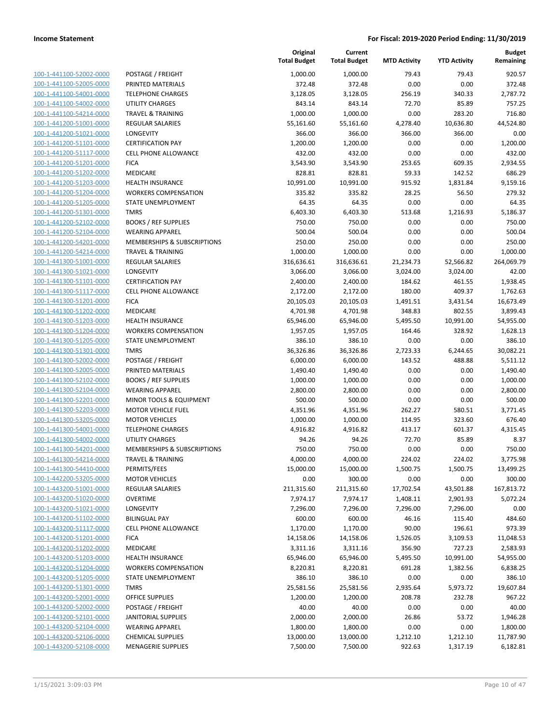| 100-1-441100-52002-0000        |
|--------------------------------|
| 100-1-441100-52005-0000        |
| 100-1-441100-54001-0000        |
| 100-1-441100-54002-0000        |
| 100-1-441100-54214-0000        |
| 100-1-441200-51001-0000        |
| 100-1-441200-51021-0000        |
|                                |
| 100-1-441200-51101-0000        |
| 100-1-441200-51117-0000        |
| 100-1-441200-51201-0000        |
| 100-1-441200-51202-0000        |
| 100-1-441200-51203-0000        |
| 100-1-441200-51204-0000        |
| 100-1-441200-51205-0000        |
| 100-1-441200-51301-0000        |
| 100-1-441200-52102-0000        |
| 100-1-441200-52104-0000        |
| 100-1-441200-54201-0000        |
| 100-1-441200-54214-0000        |
| $100-$<br>1-441300-51001-0000  |
| 100-1-441300-51021-0000        |
|                                |
| 100-1-441300-51101-0000        |
| 100-1-441300-51117-0000        |
| 100-1-441300-51201-0000        |
| 100-1-441300-51202-0000        |
| 100-1-441300-51203-0000        |
| 100-1-441300-51204-0000        |
| 100-1-441300-51205-0000        |
| 100-1-441300-51301-0000        |
| 100-1-441300-52002-0000        |
| 100-1-441300-52005-0000        |
| 100-1-441300-52102-0000        |
| 100-1-441300-52104-0000        |
| 100-1-441300-52201-0000        |
| 100-1-441300-52203-0000        |
| 100-1-441300-53205-0000        |
|                                |
| 100-1-441300-54001-0000        |
| 100-1-441300-54002-0000        |
| 100-1-441300-54201-0000        |
| 100-1-441300-54214-0000        |
| 100-1-441300-54410-0000        |
| 100-1-442200-53205-0000        |
| <u>100-1-443200-51001-0000</u> |
| <u>100-1-443200-51020-0000</u> |
| 100-1-443200-51021-0000        |
| 100-1-443200-51102-0000        |
| 100-1-443200-51117-0000        |
| <u>100-1-443200-51201-0000</u> |
| <u>100-1-443200-51202-0000</u> |
| 100-1-443200-51203-0000        |
|                                |
| 100-1-443200-51204-0000        |
| 100-1-443200-51205-0000        |
| 100-1-443200-51301-0000        |
| 100-1-443200-52001-0000        |
| 100-1-443200-52002-0000        |
| 100-1-443200-52101-0000        |
| 100-1-443200-52104-0000        |
| 100-1-443200-52106-0000        |
| <u>100-1-443200-52108-0000</u> |
|                                |

|                         |                              | Original<br><b>Total Budget</b> | Current<br><b>Total Budget</b> | <b>MTD Activity</b> | <b>YTD Activity</b> | <b>Budget</b><br>Remaining |
|-------------------------|------------------------------|---------------------------------|--------------------------------|---------------------|---------------------|----------------------------|
| 100-1-441100-52002-0000 | POSTAGE / FREIGHT            | 1,000.00                        | 1,000.00                       | 79.43               | 79.43               | 920.57                     |
| 100-1-441100-52005-0000 | PRINTED MATERIALS            | 372.48                          | 372.48                         | 0.00                | 0.00                | 372.48                     |
| 100-1-441100-54001-0000 | <b>TELEPHONE CHARGES</b>     | 3,128.05                        | 3,128.05                       | 256.19              | 340.33              | 2,787.72                   |
| 100-1-441100-54002-0000 | <b>UTILITY CHARGES</b>       | 843.14                          | 843.14                         | 72.70               | 85.89               | 757.25                     |
| 100-1-441100-54214-0000 | <b>TRAVEL &amp; TRAINING</b> | 1,000.00                        | 1,000.00                       | 0.00                | 283.20              | 716.80                     |
| 100-1-441200-51001-0000 | <b>REGULAR SALARIES</b>      | 55,161.60                       | 55,161.60                      | 4,278.40            | 10,636.80           | 44,524.80                  |
| 100-1-441200-51021-0000 | LONGEVITY                    | 366.00                          | 366.00                         | 366.00              | 366.00              | 0.00                       |
| 100-1-441200-51101-0000 | <b>CERTIFICATION PAY</b>     | 1,200.00                        | 1,200.00                       | 0.00                | 0.00                | 1,200.00                   |
| 100-1-441200-51117-0000 | <b>CELL PHONE ALLOWANCE</b>  | 432.00                          | 432.00                         | 0.00                | 0.00                | 432.00                     |
| 100-1-441200-51201-0000 | <b>FICA</b>                  | 3,543.90                        | 3,543.90                       | 253.65              | 609.35              | 2,934.55                   |
| 100-1-441200-51202-0000 | MEDICARE                     | 828.81                          | 828.81                         | 59.33               | 142.52              | 686.29                     |
| 100-1-441200-51203-0000 | HEALTH INSURANCE             | 10,991.00                       | 10,991.00                      | 915.92              | 1,831.84            | 9,159.16                   |
| 100-1-441200-51204-0000 | <b>WORKERS COMPENSATION</b>  | 335.82                          | 335.82                         | 28.25               | 56.50               | 279.32                     |
| 100-1-441200-51205-0000 | STATE UNEMPLOYMENT           | 64.35                           | 64.35                          | 0.00                | 0.00                | 64.35                      |
| 100-1-441200-51301-0000 | <b>TMRS</b>                  | 6,403.30                        | 6,403.30                       | 513.68              | 1,216.93            | 5,186.37                   |
| 100-1-441200-52102-0000 | <b>BOOKS / REF SUPPLIES</b>  | 750.00                          | 750.00                         | 0.00                | 0.00                | 750.00                     |
| 100-1-441200-52104-0000 | <b>WEARING APPAREL</b>       | 500.04                          | 500.04                         | 0.00                | 0.00                | 500.04                     |
| 100-1-441200-54201-0000 | MEMBERSHIPS & SUBSCRIPTIONS  | 250.00                          | 250.00                         | 0.00                | 0.00                | 250.00                     |
| 100-1-441200-54214-0000 | <b>TRAVEL &amp; TRAINING</b> | 1,000.00                        | 1,000.00                       | 0.00                | 0.00                | 1,000.00                   |
| 100-1-441300-51001-0000 | <b>REGULAR SALARIES</b>      | 316,636.61                      | 316,636.61                     | 21,234.73           | 52,566.82           | 264,069.79                 |
| 100-1-441300-51021-0000 | LONGEVITY                    | 3,066.00                        | 3,066.00                       | 3,024.00            | 3,024.00            | 42.00                      |
| 100-1-441300-51101-0000 | <b>CERTIFICATION PAY</b>     | 2,400.00                        | 2,400.00                       | 184.62              | 461.55              | 1,938.45                   |
| 100-1-441300-51117-0000 | <b>CELL PHONE ALLOWANCE</b>  | 2,172.00                        | 2,172.00                       | 180.00              | 409.37              | 1,762.63                   |
| 100-1-441300-51201-0000 | <b>FICA</b>                  | 20,105.03                       | 20,105.03                      | 1,491.51            | 3,431.54            | 16,673.49                  |
| 100-1-441300-51202-0000 | MEDICARE                     | 4,701.98                        | 4,701.98                       | 348.83              | 802.55              | 3,899.43                   |
| 100-1-441300-51203-0000 | <b>HEALTH INSURANCE</b>      | 65,946.00                       | 65,946.00                      | 5,495.50            | 10,991.00           | 54,955.00                  |
| 100-1-441300-51204-0000 | <b>WORKERS COMPENSATION</b>  | 1,957.05                        | 1,957.05                       | 164.46              | 328.92              | 1,628.13                   |
| 100-1-441300-51205-0000 | STATE UNEMPLOYMENT           | 386.10                          | 386.10                         | 0.00                | 0.00                | 386.10                     |
| 100-1-441300-51301-0000 | <b>TMRS</b>                  | 36,326.86                       | 36,326.86                      | 2,723.33            | 6,244.65            | 30,082.21                  |
| 100-1-441300-52002-0000 | POSTAGE / FREIGHT            | 6,000.00                        | 6,000.00                       | 143.52              | 488.88              | 5,511.12                   |
| 100-1-441300-52005-0000 | PRINTED MATERIALS            | 1,490.40                        | 1,490.40                       | 0.00                | 0.00                | 1,490.40                   |
| 100-1-441300-52102-0000 | <b>BOOKS / REF SUPPLIES</b>  | 1,000.00                        | 1,000.00                       | 0.00                | 0.00                | 1,000.00                   |
| 100-1-441300-52104-0000 | <b>WEARING APPAREL</b>       | 2,800.00                        | 2,800.00                       | 0.00                | 0.00                | 2,800.00                   |
| 100-1-441300-52201-0000 | MINOR TOOLS & EQUIPMENT      | 500.00                          | 500.00                         | 0.00                | 0.00                | 500.00                     |
| 100-1-441300-52203-0000 | <b>MOTOR VEHICLE FUEL</b>    | 4,351.96                        | 4,351.96                       | 262.27              | 580.51              | 3,771.45                   |
| 100-1-441300-53205-0000 | <b>MOTOR VEHICLES</b>        | 1,000.00                        | 1,000.00                       | 114.95              | 323.60              | 676.40                     |
| 100-1-441300-54001-0000 | <b>TELEPHONE CHARGES</b>     | 4,916.82                        | 4,916.82                       | 413.17              | 601.37              | 4,315.45                   |
| 100-1-441300-54002-0000 | <b>UTILITY CHARGES</b>       | 94.26                           | 94.26                          | 72.70               | 85.89               | 8.37                       |
| 100-1-441300-54201-0000 | MEMBERSHIPS & SUBSCRIPTIONS  | 750.00                          | 750.00                         | 0.00                | 0.00                | 750.00                     |
| 100-1-441300-54214-0000 | <b>TRAVEL &amp; TRAINING</b> | 4,000.00                        | 4,000.00                       | 224.02              | 224.02              | 3,775.98                   |
| 100-1-441300-54410-0000 | PERMITS/FEES                 | 15,000.00                       | 15,000.00                      | 1,500.75            | 1,500.75            | 13,499.25                  |
| 100-1-442200-53205-0000 | <b>MOTOR VEHICLES</b>        | 0.00                            | 300.00                         | 0.00                | 0.00                | 300.00                     |
| 100-1-443200-51001-0000 | <b>REGULAR SALARIES</b>      | 211,315.60                      | 211,315.60                     | 17,702.54           | 43,501.88           | 167,813.72                 |
| 100-1-443200-51020-0000 | <b>OVERTIME</b>              | 7,974.17                        | 7,974.17                       | 1,408.11            | 2,901.93            | 5,072.24                   |
| 100-1-443200-51021-0000 | <b>LONGEVITY</b>             | 7,296.00                        | 7,296.00                       | 7,296.00            | 7,296.00            | 0.00                       |
| 100-1-443200-51102-0000 | <b>BILINGUAL PAY</b>         | 600.00                          | 600.00                         | 46.16               | 115.40              | 484.60                     |
| 100-1-443200-51117-0000 | <b>CELL PHONE ALLOWANCE</b>  | 1,170.00                        | 1,170.00                       | 90.00               | 196.61              | 973.39                     |
| 100-1-443200-51201-0000 | <b>FICA</b>                  | 14,158.06                       | 14,158.06                      | 1,526.05            | 3,109.53            | 11,048.53                  |
| 100-1-443200-51202-0000 | <b>MEDICARE</b>              | 3,311.16                        | 3,311.16                       | 356.90              | 727.23              | 2,583.93                   |
| 100-1-443200-51203-0000 | <b>HEALTH INSURANCE</b>      | 65,946.00                       | 65,946.00                      | 5,495.50            | 10,991.00           | 54,955.00                  |
| 100-1-443200-51204-0000 | <b>WORKERS COMPENSATION</b>  | 8,220.81                        | 8,220.81                       | 691.28              | 1,382.56            | 6,838.25                   |
| 100-1-443200-51205-0000 | STATE UNEMPLOYMENT           | 386.10                          | 386.10                         | 0.00                | 0.00                | 386.10                     |
| 100-1-443200-51301-0000 | <b>TMRS</b>                  | 25,581.56                       | 25,581.56                      | 2,935.64            | 5,973.72            | 19,607.84                  |
| 100-1-443200-52001-0000 | <b>OFFICE SUPPLIES</b>       | 1,200.00                        | 1,200.00                       | 208.78              | 232.78              | 967.22                     |
| 100-1-443200-52002-0000 | POSTAGE / FREIGHT            | 40.00                           | 40.00                          | 0.00                | 0.00                | 40.00                      |
| 100-1-443200-52101-0000 | JANITORIAL SUPPLIES          | 2,000.00                        | 2,000.00                       | 26.86               | 53.72               | 1,946.28                   |
| 100-1-443200-52104-0000 | <b>WEARING APPAREL</b>       | 1,800.00                        | 1,800.00                       | 0.00                | 0.00                | 1,800.00                   |
| 100-1-443200-52106-0000 | <b>CHEMICAL SUPPLIES</b>     | 13,000.00                       | 13,000.00                      | 1,212.10            | 1,212.10            | 11,787.90                  |
| 100-1-443200-52108-0000 | <b>MENAGERIE SUPPLIES</b>    | 7,500.00                        | 7,500.00                       | 922.63              | 1,317.19            | 6,182.81                   |
|                         |                              |                                 |                                |                     |                     |                            |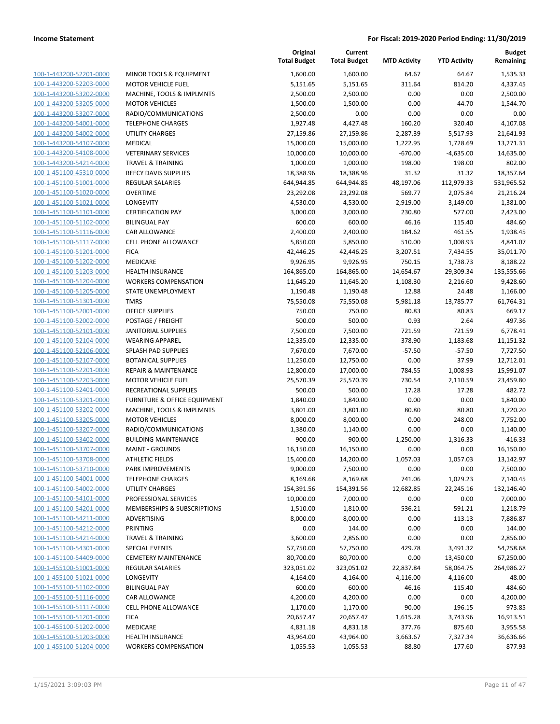| 100-1-443200-52201-0000        |
|--------------------------------|
| 100-1-443200-52203-0000        |
| 100-1-443200-53202-0000        |
| 100-1-443200-53205-0000        |
| 100-1-443200-53207-0000        |
|                                |
| 100-1-443200-54001-0000        |
| 100-1-443200-54002-0000        |
| <u>100-1-443200-54107-0000</u> |
| 100-1-443200-54108-0000        |
| 100-1-443200-54214-0000        |
| 100-1-451100-45310-0000        |
| 100-1-451100-51001-0000        |
| 100-1-451100-51020-0000        |
| 100-1-451100-51021-0000        |
|                                |
| 100-1-451100-51101-0000        |
| 100-1-451100-51102-0000        |
| 100-1-451100-51116-0000        |
| 100-1-451100-51117-0000        |
| 100-1-451100-51201-0000        |
| 100-1-451100-51202-0000        |
| 100-1-451100-51203-0000        |
| 100-1-451100-51204-0000        |
| <u>100-1-451100-51205-0000</u> |
|                                |
| 100-1-451100-51301-0000        |
| 100-1-451100-52001-0000        |
| 100-1-451100-52002-0000        |
| 100-1-451100-52101-0000        |
| 100-1-451100-52104-0000        |
| 100-1-451100-52106-0000        |
| 100-1-451100-52107-0000        |
| 100-1-451100-52201-0000        |
| 100-1-451100-52203-0000        |
| <u>100-1-451100-52401-0000</u> |
| 100-1-451100-53201-0000        |
|                                |
| 100-1-451100-53202-0000        |
| 100-1-451100-53205-0000        |
| 100-1-451100-53207-0000        |
| 100-1-451100-53402-0000        |
| 100-1-451100-53707-0000        |
| 100-1-451100-53708-0000        |
| 100-1-451100-53710-0000        |
| 100-1-451100-54001-0000        |
| <u>100-1-451100-54002-0000</u> |
| 100-1-451100-54101-0000        |
|                                |
| 100-1-451100-54201-0000        |
| 100-1-451100-54211-0000        |
| <u>100-1-451100-54212-0000</u> |
| 100-1-451100-54214-0000        |
| <u>100-1-451100-54301-0000</u> |
| 100-1-451100-54409-0000        |
| 100-1-455100-51001-0000        |
| 100-1-455100-51021-0000        |
| 100-1-455100-51102-0000        |
| <u>100-1-455100-51116-0000</u> |
|                                |
| 100-1-455100-51117-0000        |
| 100-1-455100-51201-0000        |
| <u>100-1-455100-51202-0000</u> |
| <u>100-1-455100-51203-0000</u> |
| <u>100-1-455100-51204-0000</u> |
|                                |

| MINOR TOOLS & EQUIPMENT                            |
|----------------------------------------------------|
| MOTOR VEHICLE FUEL                                 |
| MACHINE, TOOLS & IMPLMNTS                          |
| <b>MOTOR VEHICLES</b>                              |
| RADIO/COMMUNICATIONS                               |
| TELEPHONE CHARGES                                  |
| UTILITY CHARGES                                    |
| <b>MEDICAL</b>                                     |
| <b>VETERINARY SERVICES</b>                         |
| <b>TRAVEL &amp; TRAINING</b>                       |
| <b>REECY DAVIS SUPPLIES</b>                        |
| <b>REGULAR SALARIES</b>                            |
| <b>OVERTIME</b>                                    |
| <b>LONGEVITY</b>                                   |
| <b>CERTIFICATION PAY</b>                           |
| <b>BILINGUAL PAY</b>                               |
| <b>CAR ALLOWANCE</b>                               |
| <b>CELL PHONE ALLOWANCE</b>                        |
| <b>FICA</b>                                        |
| <b>MEDICARE</b>                                    |
| <b>HEALTH INSURANCE</b>                            |
| <b>WORKERS COMPENSATION</b>                        |
| STATE UNEMPLOYMENT                                 |
| <b>TMRS</b>                                        |
| <b>OFFICE SUPPLIES</b>                             |
| <b>POSTAGE / FREIGHT</b>                           |
| JANITORIAL SUPPLIES                                |
| <b>WEARING APPAREL</b>                             |
| <b>SPLASH PAD SUPPLIES</b>                         |
| <b>BOTANICAL SUPPLIES</b>                          |
| <b>REPAIR &amp; MAINTENANCE</b>                    |
| MOTOR VEHICLE FUEL                                 |
| RECREATIONAL SUPPLIES                              |
| <b>FURNITURE &amp; OFFICE EQUIPMENT</b>            |
| MACHINE, TOOLS & IMPLMNTS                          |
| <b>MOTOR VEHICLES</b>                              |
| RADIO/COMMUNICATIONS                               |
| <b>BUILDING MAINTENANCE</b>                        |
|                                                    |
| <b>MAINT - GROUNDS</b>                             |
| <b>ATHLETIC FIELDS</b><br><b>PARK IMPROVEMENTS</b> |
| <b>TELEPHONE CHARGES</b>                           |
|                                                    |
| <b>UTILITY CHARGES</b><br>PROFESSIONAL SERVICES    |
|                                                    |
| MEMBERSHIPS & SUBSCRIPTIONS                        |
| ADVERTISING                                        |
| <b>PRINTING</b>                                    |
| <b>TRAVEL &amp; TRAINING</b>                       |
| <b>SPECIAL EVENTS</b>                              |
| <b>CEMETERY MAINTENANCE</b>                        |
| <b>REGULAR SALARIES</b>                            |
| <b>LONGEVITY</b>                                   |
| <b>BILINGUAL PAY</b>                               |
| <b>CAR ALLOWANCE</b>                               |
| <b>CELL PHONE ALLOWANCE</b>                        |
| <b>FICA</b>                                        |
| <b>MEDICARE</b>                                    |
| <b>HEALTH INSURANCE</b>                            |
| <b>WORKERS COMPENSATION</b>                        |

|                         |                                        | Original<br><b>Total Budget</b> | Current<br><b>Total Budget</b> | <b>MTD Activity</b> | <b>YTD Activity</b> | <b>Budget</b><br>Remaining |
|-------------------------|----------------------------------------|---------------------------------|--------------------------------|---------------------|---------------------|----------------------------|
| 100-1-443200-52201-0000 | MINOR TOOLS & EQUIPMENT                | 1,600.00                        | 1,600.00                       | 64.67               | 64.67               | 1,535.33                   |
| 100-1-443200-52203-0000 | <b>MOTOR VEHICLE FUEL</b>              | 5,151.65                        | 5,151.65                       | 311.64              | 814.20              | 4,337.45                   |
| 100-1-443200-53202-0000 | MACHINE, TOOLS & IMPLMNTS              | 2,500.00                        | 2,500.00                       | 0.00                | 0.00                | 2,500.00                   |
| 100-1-443200-53205-0000 | <b>MOTOR VEHICLES</b>                  | 1,500.00                        | 1,500.00                       | 0.00                | $-44.70$            | 1,544.70                   |
| 100-1-443200-53207-0000 | RADIO/COMMUNICATIONS                   | 2,500.00                        | 0.00                           | 0.00                | 0.00                | 0.00                       |
| 100-1-443200-54001-0000 | <b>TELEPHONE CHARGES</b>               | 1,927.48                        | 4,427.48                       | 160.20              | 320.40              | 4,107.08                   |
| 100-1-443200-54002-0000 | <b>UTILITY CHARGES</b>                 | 27,159.86                       | 27,159.86                      | 2,287.39            | 5,517.93            | 21,641.93                  |
| 100-1-443200-54107-0000 | <b>MEDICAL</b>                         | 15,000.00                       | 15,000.00                      | 1,222.95            | 1,728.69            | 13,271.31                  |
| 100-1-443200-54108-0000 | <b>VETERINARY SERVICES</b>             | 10,000.00                       | 10,000.00                      | $-670.00$           | $-4,635.00$         | 14,635.00                  |
| 100-1-443200-54214-0000 | <b>TRAVEL &amp; TRAINING</b>           | 1,000.00                        | 1,000.00                       | 198.00              | 198.00              | 802.00                     |
| 100-1-451100-45310-0000 | REECY DAVIS SUPPLIES                   | 18,388.96                       | 18,388.96                      | 31.32               | 31.32               | 18,357.64                  |
| 100-1-451100-51001-0000 | REGULAR SALARIES                       | 644,944.85                      | 644,944.85                     | 48,197.06           | 112,979.33          | 531,965.52                 |
| 100-1-451100-51020-0000 | <b>OVERTIME</b>                        | 23,292.08                       | 23,292.08                      | 569.77              | 2,075.84            | 21,216.24                  |
| 100-1-451100-51021-0000 | LONGEVITY                              | 4,530.00                        | 4,530.00                       | 2,919.00            | 3,149.00            | 1,381.00                   |
| 100-1-451100-51101-0000 | <b>CERTIFICATION PAY</b>               | 3,000.00                        | 3,000.00                       | 230.80              | 577.00              | 2,423.00                   |
| 100-1-451100-51102-0000 | <b>BILINGUAL PAY</b>                   | 600.00                          | 600.00                         | 46.16               | 115.40              | 484.60                     |
| 100-1-451100-51116-0000 | <b>CAR ALLOWANCE</b>                   | 2,400.00                        | 2,400.00                       | 184.62              | 461.55              | 1,938.45                   |
| 100-1-451100-51117-0000 | <b>CELL PHONE ALLOWANCE</b>            | 5,850.00                        | 5,850.00                       | 510.00              | 1,008.93            | 4,841.07                   |
| 100-1-451100-51201-0000 | <b>FICA</b>                            | 42,446.25                       | 42,446.25                      | 3,207.51            | 7,434.55            | 35,011.70                  |
| 100-1-451100-51202-0000 | <b>MEDICARE</b>                        | 9,926.95                        | 9,926.95                       | 750.15              | 1,738.73            | 8,188.22                   |
| 100-1-451100-51203-0000 | <b>HEALTH INSURANCE</b>                | 164,865.00                      | 164,865.00                     | 14,654.67           | 29,309.34           | 135,555.66                 |
| 100-1-451100-51204-0000 | <b>WORKERS COMPENSATION</b>            | 11,645.20                       | 11,645.20                      | 1,108.30            | 2,216.60            | 9,428.60                   |
| 100-1-451100-51205-0000 | STATE UNEMPLOYMENT                     | 1,190.48                        | 1,190.48                       | 12.88               | 24.48               | 1,166.00                   |
| 100-1-451100-51301-0000 | <b>TMRS</b>                            | 75,550.08                       | 75,550.08                      | 5,981.18            | 13,785.77           | 61,764.31                  |
| 100-1-451100-52001-0000 | <b>OFFICE SUPPLIES</b>                 | 750.00                          | 750.00                         | 80.83               | 80.83               | 669.17                     |
| 100-1-451100-52002-0000 | POSTAGE / FREIGHT                      | 500.00                          | 500.00                         | 0.93                | 2.64                | 497.36                     |
| 100-1-451100-52101-0000 | JANITORIAL SUPPLIES                    | 7,500.00                        | 7,500.00                       | 721.59              | 721.59              | 6,778.41                   |
| 100-1-451100-52104-0000 | <b>WEARING APPAREL</b>                 | 12,335.00                       | 12,335.00                      | 378.90              | 1,183.68            | 11,151.32                  |
| 100-1-451100-52106-0000 | SPLASH PAD SUPPLIES                    | 7,670.00                        | 7,670.00                       | $-57.50$            | $-57.50$            | 7,727.50                   |
| 100-1-451100-52107-0000 | <b>BOTANICAL SUPPLIES</b>              | 11,250.00                       | 12,750.00                      | 0.00                | 37.99               | 12,712.01                  |
| 100-1-451100-52201-0000 | <b>REPAIR &amp; MAINTENANCE</b>        | 12,800.00                       | 17,000.00                      | 784.55              | 1,008.93            | 15,991.07                  |
| 100-1-451100-52203-0000 | <b>MOTOR VEHICLE FUEL</b>              | 25,570.39                       | 25,570.39                      | 730.54              | 2,110.59            | 23,459.80                  |
| 100-1-451100-52401-0000 | RECREATIONAL SUPPLIES                  | 500.00                          | 500.00                         | 17.28               | 17.28               | 482.72                     |
| 100-1-451100-53201-0000 | FURNITURE & OFFICE EQUIPMENT           | 1,840.00                        | 1,840.00                       | 0.00                | 0.00                | 1,840.00                   |
| 100-1-451100-53202-0000 | MACHINE, TOOLS & IMPLMNTS              | 3,801.00                        | 3,801.00                       | 80.80               | 80.80               | 3,720.20                   |
| 100-1-451100-53205-0000 | <b>MOTOR VEHICLES</b>                  | 8,000.00                        | 8,000.00                       | 0.00                | 248.00              | 7,752.00                   |
| 100-1-451100-53207-0000 | RADIO/COMMUNICATIONS                   | 1,380.00                        | 1,140.00                       | 0.00                | 0.00                | 1,140.00                   |
| 100-1-451100-53402-0000 | <b>BUILDING MAINTENANCE</b>            | 900.00                          | 900.00                         | 1,250.00            | 1,316.33            | $-416.33$                  |
| 100-1-451100-53707-0000 | <b>MAINT - GROUNDS</b>                 | 16,150.00                       | 16,150.00                      | 0.00                | 0.00                | 16,150.00                  |
| 100-1-451100-53708-0000 | <b>ATHLETIC FIELDS</b>                 | 15,400.00                       | 14,200.00                      | 1,057.03            | 1,057.03            | 13,142.97                  |
| 100-1-451100-53710-0000 | <b>PARK IMPROVEMENTS</b>               | 9,000.00                        | 7,500.00                       | 0.00                | 0.00                | 7,500.00                   |
| 100-1-451100-54001-0000 | <b>TELEPHONE CHARGES</b>               | 8,169.68                        | 8,169.68                       | 741.06              | 1,029.23            | 7,140.45                   |
| 100-1-451100-54002-0000 | <b>UTILITY CHARGES</b>                 | 154,391.56                      | 154,391.56                     | 12,682.85           | 22,245.16           | 132,146.40                 |
| 100-1-451100-54101-0000 | PROFESSIONAL SERVICES                  | 10,000.00                       | 7,000.00                       | 0.00                | 0.00                | 7,000.00                   |
| 100-1-451100-54201-0000 | <b>MEMBERSHIPS &amp; SUBSCRIPTIONS</b> | 1,510.00                        | 1,810.00                       | 536.21              | 591.21              | 1,218.79                   |
| 100-1-451100-54211-0000 | <b>ADVERTISING</b>                     | 8,000.00                        | 8,000.00                       | 0.00                | 113.13              | 7,886.87                   |
| 100-1-451100-54212-0000 | <b>PRINTING</b>                        | 0.00                            | 144.00                         | 0.00                | 0.00                | 144.00                     |
| 100-1-451100-54214-0000 | <b>TRAVEL &amp; TRAINING</b>           | 3,600.00                        | 2,856.00                       | 0.00                | 0.00                | 2,856.00                   |
| 100-1-451100-54301-0000 | <b>SPECIAL EVENTS</b>                  | 57,750.00                       | 57,750.00                      | 429.78              | 3,491.32            | 54,258.68                  |
| 100-1-451100-54409-0000 | <b>CEMETERY MAINTENANCE</b>            | 80,700.00                       | 80,700.00                      | 0.00                | 13,450.00           | 67,250.00                  |
| 100-1-455100-51001-0000 | REGULAR SALARIES                       | 323,051.02                      | 323,051.02                     | 22,837.84           | 58,064.75           | 264,986.27                 |
| 100-1-455100-51021-0000 | LONGEVITY                              | 4,164.00                        | 4,164.00                       | 4,116.00            | 4,116.00            | 48.00                      |
| 100-1-455100-51102-0000 | <b>BILINGUAL PAY</b>                   | 600.00                          | 600.00                         | 46.16               | 115.40              | 484.60                     |
| 100-1-455100-51116-0000 | CAR ALLOWANCE                          | 4,200.00                        | 4,200.00                       | 0.00                | 0.00                | 4,200.00                   |
| 100-1-455100-51117-0000 | CELL PHONE ALLOWANCE                   | 1,170.00                        | 1,170.00                       | 90.00               | 196.15              | 973.85                     |
| 100-1-455100-51201-0000 | <b>FICA</b>                            | 20,657.47                       | 20,657.47                      | 1,615.28            | 3,743.96            | 16,913.51                  |
| 100-1-455100-51202-0000 | MEDICARE                               | 4,831.18                        | 4,831.18                       | 377.76              | 875.60              | 3,955.58                   |
| 100-1-455100-51203-0000 | <b>HEALTH INSURANCE</b>                | 43,964.00                       | 43,964.00                      | 3,663.67            | 7,327.34            | 36,636.66                  |
| 100-1-455100-51204-0000 | <b>WORKERS COMPENSATION</b>            | 1,055.53                        | 1,055.53                       | 88.80               | 177.60              | 877.93                     |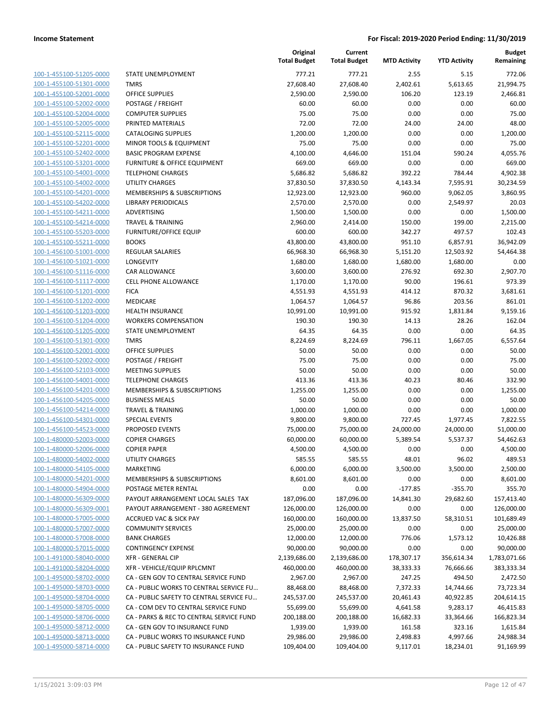| 100-1-455100-51205-0000        |
|--------------------------------|
| 100-1-455100-51301-0000        |
| 100-1-455100-52001-0000        |
| 100-1-455100-52002-0000        |
| 100-1-455100-52004-0000        |
| 100-1-455100-52005-0000        |
| 100-1-455100-52115-0000        |
| 100-1-455100-52201-0000        |
| 100-1-455100-52402-0000        |
| 100-1-455100-53201-0000        |
| 100-1-455100-54001-0000        |
| 100-1-455100-54002-0000        |
| 100-1-455100-54201-0000        |
| 100-1-455100-54202-0000        |
| 100-1-455100-54211-0000        |
| 100-1-455100-54214-0000        |
| 100-1-455100-55203-0000        |
| 100-1-455100-55211-0000        |
| 100-1-456100-51001-0000        |
|                                |
| 100-1-456100-51021-0000        |
| 100-1-456100-51116-0000        |
| 100-1-456100-51117-0000        |
| 100-1-456100-51201-0000        |
| 100-1-456100-51202-0000        |
| 100-1-456100-51203-0000        |
| 100-1-456100-51204-0000        |
| 100-1-456100-51205-0000        |
| 100-1-456100-51301-0000        |
| 100-1-456100-52001-0000        |
| 100-1-456100-52002-0000        |
| 100-1-456100-52103-0000        |
| 100-1-456100-54001-0000        |
| 100-1-456100-54201-0000        |
| 100-1-456100-54205-0000        |
| 100-1-456100-54214-0000        |
| 100-1-456100-54301-0000        |
| 100-1-456100-54523-0000        |
| 100-1-480000-52003-0000        |
| 100-1-480000-52006-0000        |
| 100-1-480000-54002-0000        |
| 100-1-480000-54105-0000        |
| <u>100-1-480000-54201-0000</u> |
| <u>100-1-480000-54904-0000</u> |
| 100-1-480000-56309-0000        |
| 100-1-480000-56309-0001        |
| 100-1-480000-57005-0000        |
| 100-1-480000-57007-0000        |
| 100-1-480000-57008-0000        |
| <u>100-1-480000-57015-0000</u> |
| 100-1-491000-58040-0000        |
| 100-1-491000-58204-0000        |
|                                |
| 100-1-495000-58702-0000        |
| <u>100-1-495000-58703-0000</u> |
| <u>100-1-495000-58704-0000</u> |
| <u>100-1-495000-58705-0000</u> |
| 100-1-495000-58706-0000        |
| <u>100-1-495000-58712-0000</u> |
| 100-1-495000-58713-0000        |
| 100-1-495000-58714-0000        |
|                                |

|                         |                                          | Original<br><b>Total Budget</b> | Current<br><b>Total Budget</b> | <b>MTD Activity</b> | <b>YTD Activity</b> | <b>Budget</b><br>Remaining |
|-------------------------|------------------------------------------|---------------------------------|--------------------------------|---------------------|---------------------|----------------------------|
| 100-1-455100-51205-0000 | STATE UNEMPLOYMENT                       | 777.21                          | 777.21                         | 2.55                | 5.15                | 772.06                     |
| 100-1-455100-51301-0000 | <b>TMRS</b>                              | 27,608.40                       | 27,608.40                      | 2,402.61            | 5,613.65            | 21,994.75                  |
| 100-1-455100-52001-0000 | <b>OFFICE SUPPLIES</b>                   | 2,590.00                        | 2,590.00                       | 106.20              | 123.19              | 2,466.81                   |
| 100-1-455100-52002-0000 | POSTAGE / FREIGHT                        | 60.00                           | 60.00                          | 0.00                | 0.00                | 60.00                      |
| 100-1-455100-52004-0000 | <b>COMPUTER SUPPLIES</b>                 | 75.00                           | 75.00                          | 0.00                | 0.00                | 75.00                      |
| 100-1-455100-52005-0000 | PRINTED MATERIALS                        | 72.00                           | 72.00                          | 24.00               | 24.00               | 48.00                      |
| 100-1-455100-52115-0000 | <b>CATALOGING SUPPLIES</b>               | 1,200.00                        | 1,200.00                       | 0.00                | 0.00                | 1,200.00                   |
| 100-1-455100-52201-0000 | MINOR TOOLS & EQUIPMENT                  | 75.00                           | 75.00                          | 0.00                | 0.00                | 75.00                      |
| 100-1-455100-52402-0000 | <b>BASIC PROGRAM EXPENSE</b>             | 4,100.00                        | 4,646.00                       | 151.04              | 590.24              | 4,055.76                   |
| 100-1-455100-53201-0000 | FURNITURE & OFFICE EQUIPMENT             | 669.00                          | 669.00                         | 0.00                | 0.00                | 669.00                     |
| 100-1-455100-54001-0000 | <b>TELEPHONE CHARGES</b>                 | 5,686.82                        | 5,686.82                       | 392.22              | 784.44              | 4,902.38                   |
| 100-1-455100-54002-0000 | UTILITY CHARGES                          | 37,830.50                       | 37,830.50                      | 4,143.34            | 7,595.91            | 30,234.59                  |
| 100-1-455100-54201-0000 | MEMBERSHIPS & SUBSCRIPTIONS              | 12,923.00                       | 12,923.00                      | 960.00              | 9,062.05            | 3,860.95                   |
| 100-1-455100-54202-0000 | <b>LIBRARY PERIODICALS</b>               | 2,570.00                        | 2,570.00                       | 0.00                | 2,549.97            | 20.03                      |
| 100-1-455100-54211-0000 | ADVERTISING                              | 1,500.00                        | 1,500.00                       | 0.00                | 0.00                | 1,500.00                   |
| 100-1-455100-54214-0000 | <b>TRAVEL &amp; TRAINING</b>             | 2,960.00                        | 2,414.00                       | 150.00              | 199.00              | 2,215.00                   |
| 100-1-455100-55203-0000 | <b>FURNITURE/OFFICE EQUIP</b>            | 600.00                          | 600.00                         | 342.27              | 497.57              | 102.43                     |
| 100-1-455100-55211-0000 | <b>BOOKS</b>                             | 43,800.00                       | 43,800.00                      | 951.10              | 6,857.91            | 36,942.09                  |
| 100-1-456100-51001-0000 | <b>REGULAR SALARIES</b>                  | 66,968.30                       | 66,968.30                      | 5,151.20            | 12,503.92           | 54.464.38                  |
| 100-1-456100-51021-0000 | <b>LONGEVITY</b>                         | 1,680.00                        | 1,680.00                       | 1,680.00            | 1,680.00            | 0.00                       |
| 100-1-456100-51116-0000 | CAR ALLOWANCE                            | 3,600.00                        | 3,600.00                       | 276.92              | 692.30              | 2,907.70                   |
| 100-1-456100-51117-0000 | <b>CELL PHONE ALLOWANCE</b>              | 1,170.00                        | 1,170.00                       | 90.00               | 196.61              | 973.39                     |
| 100-1-456100-51201-0000 | <b>FICA</b>                              | 4,551.93                        | 4,551.93                       | 414.12              | 870.32              | 3,681.61                   |
| 100-1-456100-51202-0000 | MEDICARE                                 | 1,064.57                        | 1,064.57                       | 96.86               | 203.56              | 861.01                     |
| 100-1-456100-51203-0000 | <b>HEALTH INSURANCE</b>                  | 10,991.00                       | 10,991.00                      | 915.92              | 1,831.84            | 9,159.16                   |
| 100-1-456100-51204-0000 | <b>WORKERS COMPENSATION</b>              | 190.30                          | 190.30                         | 14.13               | 28.26               | 162.04                     |
| 100-1-456100-51205-0000 | STATE UNEMPLOYMENT                       | 64.35                           | 64.35                          | 0.00                | 0.00                | 64.35                      |
| 100-1-456100-51301-0000 | <b>TMRS</b>                              | 8,224.69                        | 8,224.69                       | 796.11              | 1,667.05            | 6,557.64                   |
| 100-1-456100-52001-0000 | <b>OFFICE SUPPLIES</b>                   | 50.00                           | 50.00                          | 0.00                | 0.00                | 50.00                      |
| 100-1-456100-52002-0000 | POSTAGE / FREIGHT                        | 75.00                           | 75.00                          | 0.00                | 0.00                | 75.00                      |
| 100-1-456100-52103-0000 | <b>MEETING SUPPLIES</b>                  | 50.00                           | 50.00                          | 0.00                | 0.00                | 50.00                      |
| 100-1-456100-54001-0000 | <b>TELEPHONE CHARGES</b>                 | 413.36                          | 413.36                         | 40.23               | 80.46               | 332.90                     |
| 100-1-456100-54201-0000 | MEMBERSHIPS & SUBSCRIPTIONS              | 1,255.00                        | 1,255.00                       | 0.00                | 0.00                | 1,255.00                   |
| 100-1-456100-54205-0000 | <b>BUSINESS MEALS</b>                    | 50.00                           | 50.00                          | 0.00                | 0.00                | 50.00                      |
| 100-1-456100-54214-0000 | <b>TRAVEL &amp; TRAINING</b>             | 1,000.00                        | 1,000.00                       | 0.00                | 0.00                | 1,000.00                   |
| 100-1-456100-54301-0000 | SPECIAL EVENTS                           | 9,800.00                        | 9,800.00                       | 727.45              | 1,977.45            | 7,822.55                   |
| 100-1-456100-54523-0000 | PROPOSED EVENTS                          | 75,000.00                       | 75,000.00                      | 24,000.00           | 24,000.00           | 51,000.00                  |
| 100-1-480000-52003-0000 | <b>COPIER CHARGES</b>                    | 60,000.00                       | 60,000.00                      | 5,389.54            | 5,537.37            | 54,462.63                  |
| 100-1-480000-52006-0000 | <b>COPIER PAPER</b>                      | 4,500.00                        | 4,500.00                       | 0.00                | 0.00                | 4,500.00                   |
| 100-1-480000-54002-0000 | UTILITY CHARGES                          | 585.55                          | 585.55                         | 48.01               | 96.02               | 489.53                     |
| 100-1-480000-54105-0000 | MARKETING                                | 6,000.00                        | 6,000.00                       | 3,500.00            | 3,500.00            | 2,500.00                   |
| 100-1-480000-54201-0000 | MEMBERSHIPS & SUBSCRIPTIONS              | 8,601.00                        | 8,601.00                       | 0.00                | 0.00                | 8,601.00                   |
| 100-1-480000-54904-0000 | POSTAGE METER RENTAL                     | 0.00                            | 0.00                           | $-177.85$           | $-355.70$           | 355.70                     |
| 100-1-480000-56309-0000 | PAYOUT ARRANGEMENT LOCAL SALES TAX       | 187,096.00                      | 187,096.00                     | 14,841.30           | 29,682.60           | 157,413.40                 |
| 100-1-480000-56309-0001 | PAYOUT ARRANGEMENT - 380 AGREEMENT       | 126,000.00                      | 126,000.00                     | 0.00                | 0.00                | 126,000.00                 |
| 100-1-480000-57005-0000 | <b>ACCRUED VAC &amp; SICK PAY</b>        | 160,000.00                      | 160,000.00                     | 13,837.50           | 58,310.51           | 101,689.49                 |
| 100-1-480000-57007-0000 | <b>COMMUNITY SERVICES</b>                | 25,000.00                       | 25,000.00                      | 0.00                | 0.00                | 25,000.00                  |
| 100-1-480000-57008-0000 | <b>BANK CHARGES</b>                      | 12,000.00                       | 12,000.00                      | 776.06              | 1,573.12            | 10,426.88                  |
| 100-1-480000-57015-0000 | <b>CONTINGENCY EXPENSE</b>               | 90,000.00                       | 90,000.00                      | 0.00                | 0.00                | 90,000.00                  |
| 100-1-491000-58040-0000 | XFR - GENERAL CIP                        | 2,139,686.00                    | 2,139,686.00                   | 178,307.17          | 356,614.34          | 1,783,071.66               |
| 100-1-491000-58204-0000 | XFR - VEHICLE/EQUIP RPLCMNT              | 460,000.00                      | 460,000.00                     | 38,333.33           | 76,666.66           | 383,333.34                 |
| 100-1-495000-58702-0000 | CA - GEN GOV TO CENTRAL SERVICE FUND     | 2,967.00                        | 2,967.00                       | 247.25              | 494.50              | 2,472.50                   |
| 100-1-495000-58703-0000 | CA - PUBLIC WORKS TO CENTRAL SERVICE FU  | 88,468.00                       | 88,468.00                      | 7,372.33            | 14,744.66           | 73,723.34                  |
| 100-1-495000-58704-0000 | CA - PUBLIC SAFETY TO CENTRAL SERVICE FU | 245,537.00                      | 245,537.00                     | 20,461.43           | 40,922.85           | 204,614.15                 |
| 100-1-495000-58705-0000 | CA - COM DEV TO CENTRAL SERVICE FUND     | 55,699.00                       | 55,699.00                      | 4,641.58            | 9,283.17            | 46,415.83                  |
| 100-1-495000-58706-0000 | CA - PARKS & REC TO CENTRAL SERVICE FUND | 200,188.00                      | 200,188.00                     | 16,682.33           | 33,364.66           | 166,823.34                 |
| 100-1-495000-58712-0000 | CA - GEN GOV TO INSURANCE FUND           | 1,939.00                        | 1,939.00                       | 161.58              | 323.16              | 1,615.84                   |
| 100-1-495000-58713-0000 | CA - PUBLIC WORKS TO INSURANCE FUND      | 29,986.00                       | 29,986.00                      | 2,498.83            | 4,997.66            | 24,988.34                  |
| 100-1-495000-58714-0000 | CA - PUBLIC SAFETY TO INSURANCE FUND     | 109,404.00                      | 109,404.00                     | 9,117.01            | 18,234.01           | 91,169.99                  |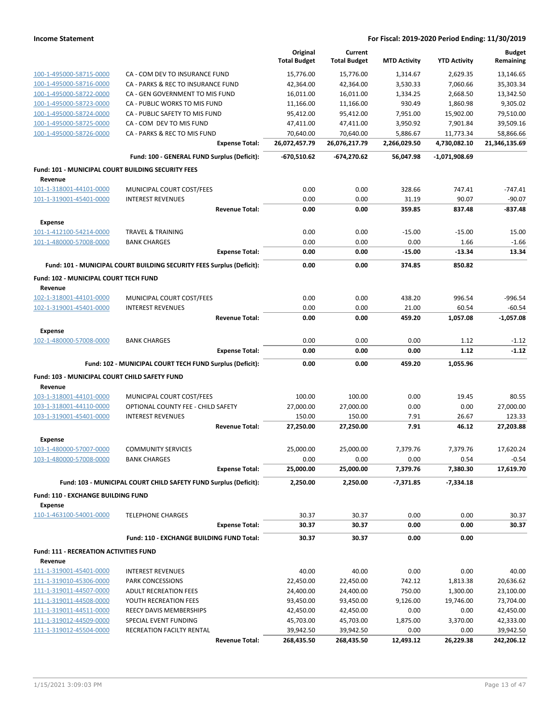|                                                    |                                                                       | Original<br><b>Total Budget</b> | Current<br><b>Total Budget</b> | <b>MTD Activity</b> | <b>YTD Activity</b> | <b>Budget</b><br>Remaining |
|----------------------------------------------------|-----------------------------------------------------------------------|---------------------------------|--------------------------------|---------------------|---------------------|----------------------------|
| 100-1-495000-58715-0000                            | CA - COM DEV TO INSURANCE FUND                                        | 15,776.00                       | 15,776.00                      | 1,314.67            | 2,629.35            | 13,146.65                  |
| 100-1-495000-58716-0000                            | CA - PARKS & REC TO INSURANCE FUND                                    | 42,364.00                       | 42,364.00                      | 3,530.33            | 7,060.66            | 35,303.34                  |
| 100-1-495000-58722-0000                            | CA - GEN GOVERNMENT TO MIS FUND                                       | 16,011.00                       | 16,011.00                      | 1,334.25            | 2,668.50            | 13,342.50                  |
| 100-1-495000-58723-0000                            | CA - PUBLIC WORKS TO MIS FUND                                         | 11,166.00                       | 11,166.00                      | 930.49              | 1,860.98            | 9,305.02                   |
| 100-1-495000-58724-0000                            | CA - PUBLIC SAFETY TO MIS FUND                                        | 95,412.00                       | 95,412.00                      | 7,951.00            | 15,902.00           | 79,510.00                  |
| 100-1-495000-58725-0000                            | CA - COM DEV TO MIS FUND                                              | 47,411.00                       | 47,411.00                      | 3,950.92            | 7,901.84            | 39,509.16                  |
| 100-1-495000-58726-0000                            | CA - PARKS & REC TO MIS FUND                                          | 70,640.00                       | 70,640.00                      | 5,886.67            | 11,773.34           | 58,866.66                  |
|                                                    | <b>Expense Total:</b>                                                 | 26,072,457.79                   | 26,076,217.79                  | 2,266,029.50        | 4,730,082.10        | 21,346,135.69              |
|                                                    | Fund: 100 - GENERAL FUND Surplus (Deficit):                           | -670,510.62                     | -674,270.62                    | 56,047.98           | -1,071,908.69       |                            |
| Fund: 101 - MUNICIPAL COURT BUILDING SECURITY FEES |                                                                       |                                 |                                |                     |                     |                            |
| Revenue                                            |                                                                       |                                 |                                |                     |                     |                            |
| 101-1-318001-44101-0000                            | MUNICIPAL COURT COST/FEES                                             | 0.00                            | 0.00                           | 328.66              | 747.41              | $-747.41$                  |
| 101-1-319001-45401-0000                            | <b>INTEREST REVENUES</b>                                              | 0.00                            | 0.00                           | 31.19               | 90.07               | $-90.07$                   |
|                                                    | <b>Revenue Total:</b>                                                 | 0.00                            | 0.00                           | 359.85              | 837.48              | -837.48                    |
| <b>Expense</b>                                     |                                                                       |                                 |                                |                     |                     |                            |
| 101-1-412100-54214-0000                            | <b>TRAVEL &amp; TRAINING</b>                                          | 0.00                            | 0.00                           | $-15.00$            | $-15.00$            | 15.00                      |
| 101-1-480000-57008-0000                            | <b>BANK CHARGES</b>                                                   | 0.00                            | 0.00                           | 0.00                | 1.66                | $-1.66$                    |
|                                                    | <b>Expense Total:</b>                                                 | 0.00                            | 0.00                           | $-15.00$            | $-13.34$            | 13.34                      |
|                                                    | Fund: 101 - MUNICIPAL COURT BUILDING SECURITY FEES Surplus (Deficit): | 0.00                            | 0.00                           | 374.85              | 850.82              |                            |
| Fund: 102 - MUNICIPAL COURT TECH FUND              |                                                                       |                                 |                                |                     |                     |                            |
| Revenue                                            |                                                                       |                                 |                                |                     |                     |                            |
| 102-1-318001-44101-0000                            | MUNICIPAL COURT COST/FEES                                             | 0.00                            | 0.00                           | 438.20              | 996.54              | -996.54                    |
| 102-1-319001-45401-0000                            | <b>INTEREST REVENUES</b>                                              | 0.00                            | 0.00                           | 21.00               | 60.54               | $-60.54$                   |
|                                                    | <b>Revenue Total:</b>                                                 | 0.00                            | 0.00                           | 459.20              | 1,057.08            | $-1,057.08$                |
| <b>Expense</b>                                     |                                                                       |                                 |                                |                     |                     |                            |
| 102-1-480000-57008-0000                            | <b>BANK CHARGES</b>                                                   | 0.00                            | 0.00                           | 0.00                | 1.12                | $-1.12$                    |
|                                                    | <b>Expense Total:</b>                                                 | 0.00                            | 0.00                           | 0.00                | 1.12                | $-1.12$                    |
|                                                    | Fund: 102 - MUNICIPAL COURT TECH FUND Surplus (Deficit):              | 0.00                            | 0.00                           | 459.20              | 1,055.96            |                            |
| Fund: 103 - MUNICIPAL COURT CHILD SAFETY FUND      |                                                                       |                                 |                                |                     |                     |                            |
| Revenue                                            |                                                                       |                                 |                                |                     |                     |                            |
| 103-1-318001-44101-0000                            | MUNICIPAL COURT COST/FEES                                             | 100.00                          | 100.00                         | 0.00                | 19.45               | 80.55                      |
| 103-1-318001-44110-0000                            | OPTIONAL COUNTY FEE - CHILD SAFETY                                    | 27,000.00                       | 27,000.00                      | 0.00                | 0.00                | 27,000.00                  |
| 103-1-319001-45401-0000                            | <b>INTEREST REVENUES</b>                                              | 150.00                          | 150.00                         | 7.91                | 26.67               | 123.33                     |
|                                                    | <b>Revenue Total:</b>                                                 | 27,250.00                       | 27,250.00                      | 7.91                | 46.12               | 27,203.88                  |
| <b>Expense</b>                                     |                                                                       |                                 |                                |                     |                     |                            |
| 103-1-480000-57007-0000                            | <b>COMMUNITY SERVICES</b>                                             | 25,000.00                       | 25,000.00                      | 7,379.76            | 7,379.76            | 17,620.24                  |
| 103-1-480000-57008-0000                            | <b>BANK CHARGES</b>                                                   | 0.00                            | 0.00                           | 0.00                | 0.54                | $-0.54$                    |
|                                                    | <b>Expense Total:</b>                                                 | 25,000.00                       | 25,000.00                      | 7,379.76            | 7,380.30            | 17,619.70                  |
|                                                    | Fund: 103 - MUNICIPAL COURT CHILD SAFETY FUND Surplus (Deficit):      | 2,250.00                        | 2,250.00                       | $-7,371.85$         | $-7,334.18$         |                            |
| Fund: 110 - EXCHANGE BUILDING FUND                 |                                                                       |                                 |                                |                     |                     |                            |
| <b>Expense</b>                                     |                                                                       |                                 |                                |                     |                     |                            |
| 110-1-463100-54001-0000                            | <b>TELEPHONE CHARGES</b>                                              | 30.37                           | 30.37                          | 0.00                | 0.00                | 30.37                      |
|                                                    | <b>Expense Total:</b>                                                 | 30.37                           | 30.37                          | 0.00                | 0.00                | 30.37                      |
|                                                    | Fund: 110 - EXCHANGE BUILDING FUND Total:                             | 30.37                           | 30.37                          | 0.00                | 0.00                |                            |
| <b>Fund: 111 - RECREATION ACTIVITIES FUND</b>      |                                                                       |                                 |                                |                     |                     |                            |
| Revenue                                            |                                                                       |                                 |                                |                     |                     |                            |
| 111-1-319001-45401-0000                            | <b>INTEREST REVENUES</b>                                              | 40.00                           | 40.00                          | 0.00                | 0.00                | 40.00                      |
| 111-1-319010-45306-0000                            | PARK CONCESSIONS                                                      | 22,450.00                       | 22,450.00                      | 742.12              | 1,813.38            | 20,636.62                  |
| 111-1-319011-44507-0000                            | <b>ADULT RECREATION FEES</b>                                          | 24,400.00                       | 24,400.00                      | 750.00              | 1,300.00            | 23,100.00                  |
| 111-1-319011-44508-0000                            | YOUTH RECREATION FEES                                                 | 93,450.00                       | 93,450.00                      | 9,126.00            | 19,746.00           | 73,704.00                  |
| 111-1-319011-44511-0000                            | REECY DAVIS MEMBERSHIPS                                               | 42,450.00                       | 42,450.00                      | 0.00                | 0.00                | 42,450.00                  |
| 111-1-319012-44509-0000                            | SPECIAL EVENT FUNDING                                                 | 45,703.00                       | 45,703.00                      | 1,875.00            | 3,370.00            | 42,333.00                  |
| 111-1-319012-45504-0000                            | RECREATION FACILTY RENTAL                                             | 39,942.50                       | 39,942.50                      | 0.00                | 0.00                | 39,942.50                  |
|                                                    | <b>Revenue Total:</b>                                                 | 268,435.50                      | 268,435.50                     | 12,493.12           | 26,229.38           | 242,206.12                 |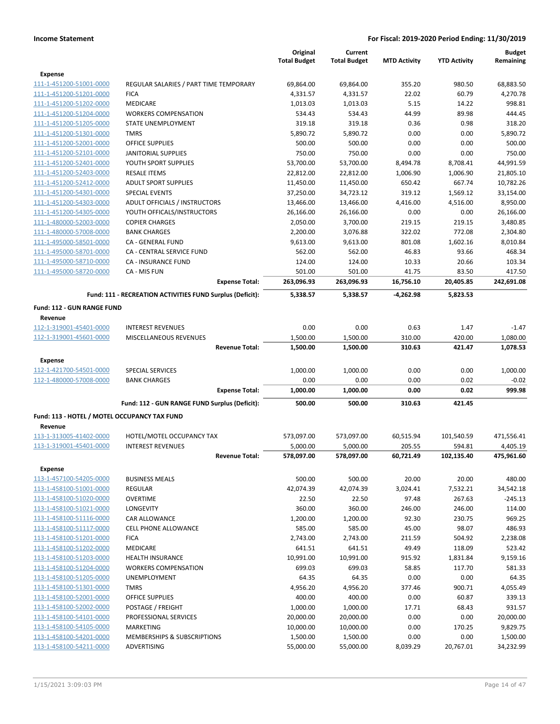|                                                    |                                                           | Original             | Current              |                     |                     | <b>Budget</b>      |
|----------------------------------------------------|-----------------------------------------------------------|----------------------|----------------------|---------------------|---------------------|--------------------|
|                                                    |                                                           | <b>Total Budget</b>  | <b>Total Budget</b>  | <b>MTD Activity</b> | <b>YTD Activity</b> | Remaining          |
| <b>Expense</b>                                     |                                                           |                      |                      |                     |                     |                    |
| 111-1-451200-51001-0000                            | REGULAR SALARIES / PART TIME TEMPORARY                    | 69,864.00            | 69,864.00            | 355.20              | 980.50              | 68,883.50          |
| 111-1-451200-51201-0000<br>111-1-451200-51202-0000 | <b>FICA</b><br><b>MEDICARE</b>                            | 4,331.57<br>1,013.03 | 4,331.57<br>1,013.03 | 22.02<br>5.15       | 60.79<br>14.22      | 4,270.78<br>998.81 |
| 111-1-451200-51204-0000                            | <b>WORKERS COMPENSATION</b>                               | 534.43               | 534.43               | 44.99               | 89.98               | 444.45             |
| 111-1-451200-51205-0000                            | STATE UNEMPLOYMENT                                        | 319.18               | 319.18               | 0.36                | 0.98                | 318.20             |
| 111-1-451200-51301-0000                            | <b>TMRS</b>                                               | 5,890.72             | 5,890.72             | 0.00                | 0.00                | 5,890.72           |
| 111-1-451200-52001-0000                            | <b>OFFICE SUPPLIES</b>                                    | 500.00               | 500.00               | 0.00                | 0.00                | 500.00             |
| 111-1-451200-52101-0000                            | <b>JANITORIAL SUPPLIES</b>                                | 750.00               | 750.00               | 0.00                | 0.00                | 750.00             |
| 111-1-451200-52401-0000                            | YOUTH SPORT SUPPLIES                                      | 53,700.00            | 53,700.00            | 8,494.78            | 8,708.41            | 44,991.59          |
| 111-1-451200-52403-0000                            | <b>RESALE ITEMS</b>                                       | 22,812.00            | 22,812.00            | 1,006.90            | 1,006.90            | 21,805.10          |
| 111-1-451200-52412-0000                            | <b>ADULT SPORT SUPPLIES</b>                               | 11,450.00            | 11,450.00            | 650.42              | 667.74              | 10,782.26          |
| 111-1-451200-54301-0000                            | <b>SPECIAL EVENTS</b>                                     | 37,250.00            | 34,723.12            | 319.12              | 1,569.12            | 33,154.00          |
| 111-1-451200-54303-0000                            | ADULT OFFICIALS / INSTRUCTORS                             | 13,466.00            | 13,466.00            | 4,416.00            | 4,516.00            | 8,950.00           |
| 111-1-451200-54305-0000                            | YOUTH OFFICALS/INSTRUCTORS                                | 26,166.00            | 26,166.00            | 0.00                | 0.00                | 26,166.00          |
| 111-1-480000-52003-0000                            | <b>COPIER CHARGES</b>                                     | 2,050.00             | 3,700.00             | 219.15              | 219.15              | 3,480.85           |
| 111-1-480000-57008-0000                            | <b>BANK CHARGES</b>                                       | 2,200.00             | 3,076.88             | 322.02              | 772.08              | 2,304.80           |
| 111-1-495000-58501-0000                            | CA - GENERAL FUND                                         | 9,613.00             | 9,613.00             | 801.08              | 1,602.16            | 8,010.84           |
| 111-1-495000-58701-0000                            | CA - CENTRAL SERVICE FUND                                 | 562.00               | 562.00               | 46.83               | 93.66               | 468.34             |
| 111-1-495000-58710-0000                            | <b>CA - INSURANCE FUND</b>                                | 124.00               | 124.00               | 10.33               | 20.66               | 103.34             |
| 111-1-495000-58720-0000                            | CA - MIS FUN                                              | 501.00               | 501.00               | 41.75               | 83.50               | 417.50             |
|                                                    | <b>Expense Total:</b>                                     | 263,096.93           | 263,096.93           | 16,756.10           | 20,405.85           | 242,691.08         |
|                                                    | Fund: 111 - RECREATION ACTIVITIES FUND Surplus (Deficit): | 5,338.57             | 5,338.57             | -4,262.98           | 5,823.53            |                    |
| <b>Fund: 112 - GUN RANGE FUND</b>                  |                                                           |                      |                      |                     |                     |                    |
| Revenue                                            |                                                           |                      |                      |                     |                     |                    |
| 112-1-319001-45401-0000                            | <b>INTEREST REVENUES</b>                                  | 0.00                 | 0.00                 | 0.63                | 1.47                | $-1.47$            |
| 112-1-319001-45601-0000                            | MISCELLANEOUS REVENUES                                    | 1,500.00             | 1,500.00             | 310.00              | 420.00              | 1,080.00           |
|                                                    | <b>Revenue Total:</b>                                     | 1,500.00             | 1,500.00             | 310.63              | 421.47              | 1,078.53           |
| Expense                                            |                                                           |                      |                      |                     |                     |                    |
| 112-1-421700-54501-0000                            | <b>SPECIAL SERVICES</b>                                   | 1,000.00             | 1,000.00             | 0.00                | 0.00                | 1,000.00           |
| 112-1-480000-57008-0000                            | <b>BANK CHARGES</b>                                       | 0.00                 | 0.00                 | 0.00                | 0.02                | $-0.02$            |
|                                                    | <b>Expense Total:</b>                                     | 1,000.00             | 1,000.00             | 0.00                | 0.02                | 999.98             |
|                                                    | Fund: 112 - GUN RANGE FUND Surplus (Deficit):             | 500.00               | 500.00               | 310.63              | 421.45              |                    |
| Fund: 113 - HOTEL / MOTEL OCCUPANCY TAX FUND       |                                                           |                      |                      |                     |                     |                    |
| Revenue                                            |                                                           |                      |                      |                     |                     |                    |
| 113-1-313005-41402-0000                            | HOTEL/MOTEL OCCUPANCY TAX                                 | 573,097.00           | 573,097.00           | 60,515.94           | 101,540.59          | 471,556.41         |
| 113-1-319001-45401-0000                            | <b>INTEREST REVENUES</b>                                  | 5,000.00             | 5,000.00             | 205.55              | 594.81              | 4,405.19           |
|                                                    | <b>Revenue Total:</b>                                     | 578,097.00           | 578,097.00           | 60,721.49           | 102,135.40          | 475,961.60         |
| Expense                                            |                                                           |                      |                      |                     |                     |                    |
| 113-1-457100-54205-0000                            | <b>BUSINESS MEALS</b>                                     | 500.00               | 500.00               | 20.00               | 20.00               | 480.00             |
| 113-1-458100-51001-0000                            | <b>REGULAR</b>                                            | 42,074.39            | 42,074.39            | 3,024.41            | 7,532.21            | 34,542.18          |
| 113-1-458100-51020-0000                            | <b>OVERTIME</b>                                           | 22.50                | 22.50                | 97.48               | 267.63              | $-245.13$          |
| 113-1-458100-51021-0000                            | <b>LONGEVITY</b>                                          | 360.00               | 360.00               | 246.00              | 246.00              | 114.00             |
| 113-1-458100-51116-0000                            | <b>CAR ALLOWANCE</b>                                      | 1,200.00             | 1,200.00             | 92.30               | 230.75              | 969.25             |
| 113-1-458100-51117-0000                            | <b>CELL PHONE ALLOWANCE</b>                               | 585.00               | 585.00               | 45.00               | 98.07               | 486.93             |
| 113-1-458100-51201-0000                            | <b>FICA</b>                                               | 2,743.00             | 2,743.00             | 211.59              | 504.92              | 2,238.08           |
| 113-1-458100-51202-0000                            | MEDICARE                                                  | 641.51               | 641.51               | 49.49               | 118.09              | 523.42             |
| 113-1-458100-51203-0000                            | <b>HEALTH INSURANCE</b>                                   | 10,991.00            | 10,991.00            | 915.92              | 1,831.84            | 9,159.16           |
| 113-1-458100-51204-0000                            | <b>WORKERS COMPENSATION</b>                               | 699.03               | 699.03               | 58.85               | 117.70              | 581.33             |
| 113-1-458100-51205-0000                            | UNEMPLOYMENT                                              | 64.35                | 64.35                | 0.00                | 0.00                | 64.35              |
| 113-1-458100-51301-0000                            | <b>TMRS</b>                                               | 4,956.20             | 4,956.20             | 377.46              | 900.71              | 4,055.49           |
| 113-1-458100-52001-0000                            | <b>OFFICE SUPPLIES</b>                                    | 400.00               | 400.00               | 0.00                | 60.87               | 339.13             |
| 113-1-458100-52002-0000                            | POSTAGE / FREIGHT                                         | 1,000.00             | 1,000.00             | 17.71               | 68.43               | 931.57             |
| 113-1-458100-54101-0000                            | PROFESSIONAL SERVICES                                     | 20,000.00            | 20,000.00            | 0.00                | 0.00                | 20,000.00          |
| 113-1-458100-54105-0000                            | MARKETING                                                 | 10,000.00            | 10,000.00            | 0.00                | 170.25              | 9,829.75           |
| 113-1-458100-54201-0000                            | MEMBERSHIPS & SUBSCRIPTIONS                               | 1,500.00             | 1,500.00             | 0.00                | 0.00                | 1,500.00           |
| 113-1-458100-54211-0000                            | ADVERTISING                                               | 55,000.00            | 55,000.00            | 8,039.29            | 20,767.01           | 34,232.99          |
|                                                    |                                                           |                      |                      |                     |                     |                    |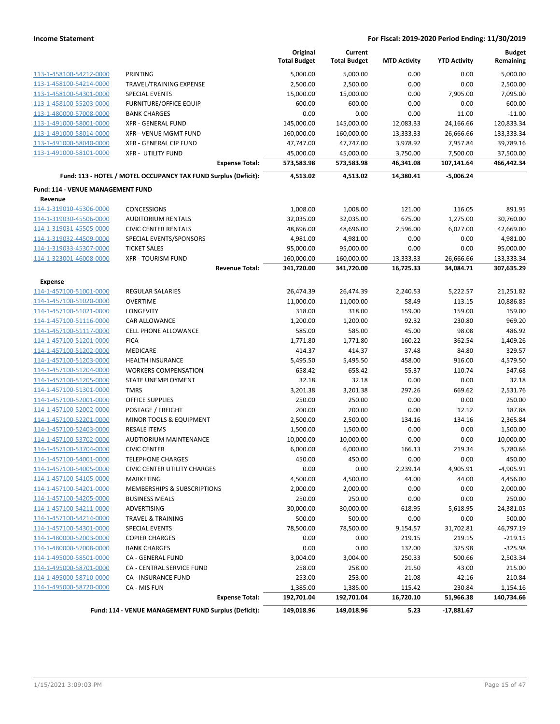|                                          |                                                                 | Original<br><b>Total Budget</b> | Current<br><b>Total Budget</b> | <b>MTD Activity</b> | <b>YTD Activity</b> | <b>Budget</b><br>Remaining |
|------------------------------------------|-----------------------------------------------------------------|---------------------------------|--------------------------------|---------------------|---------------------|----------------------------|
| 113-1-458100-54212-0000                  | PRINTING                                                        | 5,000.00                        | 5,000.00                       | 0.00                | 0.00                | 5,000.00                   |
| 113-1-458100-54214-0000                  | TRAVEL/TRAINING EXPENSE                                         | 2,500.00                        | 2,500.00                       | 0.00                | 0.00                | 2,500.00                   |
| 113-1-458100-54301-0000                  | <b>SPECIAL EVENTS</b>                                           | 15,000.00                       | 15,000.00                      | 0.00                | 7,905.00            | 7,095.00                   |
| 113-1-458100-55203-0000                  | <b>FURNITURE/OFFICE EQUIP</b>                                   | 600.00                          | 600.00                         | 0.00                | 0.00                | 600.00                     |
| 113-1-480000-57008-0000                  | <b>BANK CHARGES</b>                                             | 0.00                            | 0.00                           | 0.00                | 11.00               | $-11.00$                   |
| 113-1-491000-58001-0000                  | <b>XFR - GENERAL FUND</b>                                       | 145,000.00                      | 145,000.00                     | 12,083.33           | 24,166.66           | 120,833.34                 |
| 113-1-491000-58014-0000                  | <b>XFR - VENUE MGMT FUND</b>                                    | 160,000.00                      | 160,000.00                     | 13,333.33           | 26,666.66           | 133,333.34                 |
| 113-1-491000-58040-0000                  | XFR - GENERAL CIP FUND                                          | 47,747.00                       | 47,747.00                      | 3,978.92            | 7,957.84            | 39,789.16                  |
| 113-1-491000-58101-0000                  | <b>XFR - UTILITY FUND</b>                                       | 45,000.00                       | 45,000.00                      | 3,750.00            | 7,500.00            | 37,500.00                  |
|                                          | <b>Expense Total:</b>                                           | 573,583.98                      | 573,583.98                     | 46,341.08           | 107,141.64          | 466,442.34                 |
|                                          | Fund: 113 - HOTEL / MOTEL OCCUPANCY TAX FUND Surplus (Deficit): | 4,513.02                        | 4,513.02                       | 14,380.41           | $-5,006.24$         |                            |
| <b>Fund: 114 - VENUE MANAGEMENT FUND</b> |                                                                 |                                 |                                |                     |                     |                            |
| Revenue                                  |                                                                 |                                 |                                |                     |                     |                            |
| 114-1-319010-45306-0000                  | <b>CONCESSIONS</b>                                              | 1,008.00                        | 1,008.00                       | 121.00              | 116.05              | 891.95                     |
| 114-1-319030-45506-0000                  | <b>AUDITORIUM RENTALS</b>                                       | 32,035.00                       | 32,035.00                      | 675.00              | 1,275.00            | 30,760.00                  |
| 114-1-319031-45505-0000                  | <b>CIVIC CENTER RENTALS</b>                                     | 48,696.00                       | 48,696.00                      | 2,596.00            | 6,027.00            | 42,669.00                  |
| 114-1-319032-44509-0000                  | SPECIAL EVENTS/SPONSORS                                         | 4,981.00                        | 4,981.00                       | 0.00                | 0.00                | 4,981.00                   |
| 114-1-319033-45307-0000                  | <b>TICKET SALES</b>                                             | 95,000.00                       | 95,000.00                      | 0.00                | 0.00                | 95,000.00                  |
| 114-1-323001-46008-0000                  | <b>XFR - TOURISM FUND</b>                                       | 160,000.00                      | 160,000.00                     | 13,333.33           | 26,666.66           | 133,333.34                 |
|                                          | <b>Revenue Total:</b>                                           | 341,720.00                      | 341,720.00                     | 16,725.33           | 34,084.71           | 307,635.29                 |
| <b>Expense</b>                           |                                                                 |                                 |                                |                     |                     |                            |
| 114-1-457100-51001-0000                  | <b>REGULAR SALARIES</b>                                         | 26,474.39                       | 26,474.39                      | 2,240.53            | 5,222.57            | 21,251.82                  |
| 114-1-457100-51020-0000                  | <b>OVERTIME</b>                                                 | 11,000.00                       | 11,000.00                      | 58.49               | 113.15              | 10,886.85                  |
| 114-1-457100-51021-0000                  | LONGEVITY                                                       | 318.00                          | 318.00                         | 159.00              | 159.00              | 159.00                     |
| 114-1-457100-51116-0000                  | CAR ALLOWANCE                                                   | 1,200.00                        | 1,200.00                       | 92.32               | 230.80              | 969.20                     |
| 114-1-457100-51117-0000                  | <b>CELL PHONE ALLOWANCE</b>                                     | 585.00                          | 585.00                         | 45.00               | 98.08               | 486.92                     |
| 114-1-457100-51201-0000                  | <b>FICA</b>                                                     | 1,771.80                        | 1,771.80                       | 160.22              | 362.54              | 1,409.26                   |
| 114-1-457100-51202-0000                  | MEDICARE                                                        | 414.37                          | 414.37                         | 37.48               | 84.80               | 329.57                     |
| 114-1-457100-51203-0000                  | <b>HEALTH INSURANCE</b>                                         | 5,495.50                        | 5,495.50                       | 458.00              | 916.00              | 4,579.50                   |
| 114-1-457100-51204-0000                  | <b>WORKERS COMPENSATION</b>                                     | 658.42                          | 658.42                         | 55.37               | 110.74              | 547.68                     |
| 114-1-457100-51205-0000                  | STATE UNEMPLOYMENT                                              | 32.18                           | 32.18                          | 0.00                | 0.00                | 32.18                      |
| 114-1-457100-51301-0000                  | <b>TMRS</b>                                                     | 3,201.38                        | 3,201.38                       | 297.26              | 669.62              | 2,531.76                   |
| 114-1-457100-52001-0000                  | <b>OFFICE SUPPLIES</b>                                          | 250.00                          | 250.00                         | 0.00                | 0.00                | 250.00                     |
| 114-1-457100-52002-0000                  | POSTAGE / FREIGHT                                               | 200.00                          | 200.00                         | 0.00                | 12.12               | 187.88                     |
| 114-1-457100-52201-0000                  | MINOR TOOLS & EQUIPMENT                                         | 2,500.00                        | 2,500.00                       | 134.16              | 134.16              | 2,365.84                   |
| 114-1-457100-52403-0000                  | <b>RESALE ITEMS</b>                                             | 1,500.00                        | 1,500.00                       | 0.00                | 0.00                | 1,500.00                   |
| 114-1-457100-53702-0000                  | <b>AUDTIORIUM MAINTENANCE</b>                                   | 10,000.00                       | 10,000.00                      | 0.00                | 0.00                | 10,000.00                  |
| 114-1-457100-53704-0000                  | <b>CIVIC CENTER</b>                                             | 6,000.00                        | 6,000.00                       | 166.13              | 219.34              | 5,780.66                   |
| 114-1-457100-54001-0000                  | TELEPHONE CHARGES                                               | 450.00                          | 450.00                         | 0.00                | 0.00                | 450.00                     |
| 114-1-457100-54005-0000                  | <b>CIVIC CENTER UTILITY CHARGES</b>                             | 0.00                            | 0.00                           | 2,239.14            | 4,905.91            | $-4,905.91$                |
| 114-1-457100-54105-0000                  | MARKETING                                                       | 4,500.00                        | 4,500.00                       | 44.00               | 44.00               | 4,456.00                   |
| 114-1-457100-54201-0000                  | MEMBERSHIPS & SUBSCRIPTIONS                                     | 2,000.00                        | 2,000.00                       | 0.00                | 0.00                | 2,000.00                   |
| 114-1-457100-54205-0000                  | <b>BUSINESS MEALS</b>                                           | 250.00                          | 250.00                         | 0.00                | 0.00                | 250.00                     |
| 114-1-457100-54211-0000                  | ADVERTISING                                                     | 30,000.00                       | 30,000.00                      | 618.95              | 5,618.95            | 24,381.05                  |
| 114-1-457100-54214-0000                  | <b>TRAVEL &amp; TRAINING</b>                                    | 500.00                          | 500.00                         | 0.00                | 0.00                | 500.00                     |
| 114-1-457100-54301-0000                  | <b>SPECIAL EVENTS</b>                                           | 78,500.00                       | 78,500.00                      | 9,154.57            | 31,702.81           | 46,797.19                  |
| 114-1-480000-52003-0000                  | <b>COPIER CHARGES</b>                                           | 0.00                            | 0.00                           | 219.15              | 219.15              | $-219.15$                  |
| 114-1-480000-57008-0000                  | <b>BANK CHARGES</b>                                             | 0.00                            | 0.00                           | 132.00              | 325.98              | $-325.98$                  |
| 114-1-495000-58501-0000                  | CA - GENERAL FUND                                               | 3,004.00                        | 3,004.00                       | 250.33              | 500.66              | 2,503.34                   |
| 114-1-495000-58701-0000                  | <b>CA - CENTRAL SERVICE FUND</b>                                | 258.00                          | 258.00                         | 21.50               | 43.00               | 215.00                     |
| 114-1-495000-58710-0000                  | <b>CA - INSURANCE FUND</b>                                      | 253.00                          | 253.00                         | 21.08               | 42.16               | 210.84                     |
| 114-1-495000-58720-0000                  | CA - MIS FUN                                                    | 1,385.00                        | 1,385.00                       | 115.42              | 230.84              | 1,154.16                   |
|                                          | <b>Expense Total:</b>                                           | 192,701.04                      | 192,701.04                     | 16,720.10           | 51,966.38           | 140,734.66                 |
|                                          | Fund: 114 - VENUE MANAGEMENT FUND Surplus (Deficit):            | 149,018.96                      | 149,018.96                     | 5.23                | $-17,881.67$        |                            |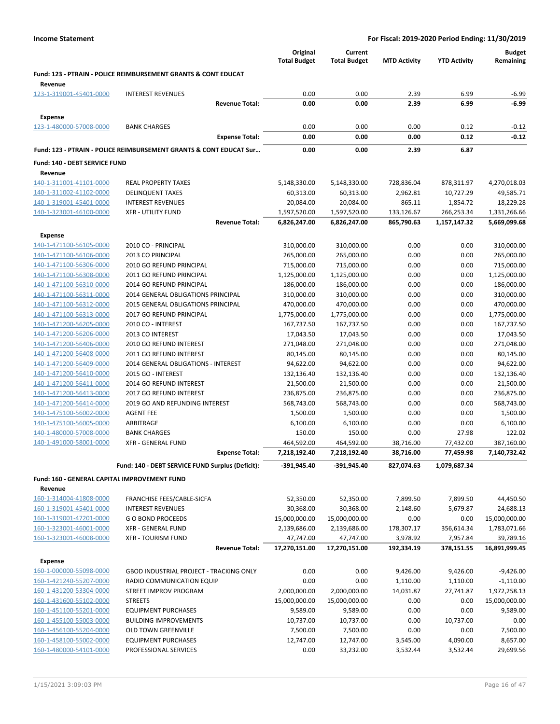|                                                    |                                                                               | Original<br><b>Total Budget</b> | Current<br><b>Total Budget</b> | <b>MTD Activity</b>    | <b>YTD Activity</b>    | Budget<br>Remaining         |
|----------------------------------------------------|-------------------------------------------------------------------------------|---------------------------------|--------------------------------|------------------------|------------------------|-----------------------------|
| Revenue                                            | <b>Fund: 123 - PTRAIN - POLICE REIMBURSEMENT GRANTS &amp; CONT EDUCAT</b>     |                                 |                                |                        |                        |                             |
| 123-1-319001-45401-0000                            | <b>INTEREST REVENUES</b>                                                      | 0.00                            | 0.00                           | 2.39                   | 6.99                   | $-6.99$                     |
|                                                    | <b>Revenue Total:</b>                                                         | 0.00                            | 0.00                           | 2.39                   | 6.99                   | $-6.99$                     |
| <b>Expense</b>                                     |                                                                               |                                 |                                |                        |                        |                             |
| 123-1-480000-57008-0000                            | <b>BANK CHARGES</b>                                                           | 0.00                            | 0.00                           | 0.00                   | 0.12                   | $-0.12$                     |
|                                                    | <b>Expense Total:</b>                                                         | 0.00                            | 0.00                           | 0.00                   | 0.12                   | $-0.12$                     |
|                                                    | <b>Fund: 123 - PTRAIN - POLICE REIMBURSEMENT GRANTS &amp; CONT EDUCAT Sur</b> | 0.00                            | 0.00                           | 2.39                   | 6.87                   |                             |
| Fund: 140 - DEBT SERVICE FUND                      |                                                                               |                                 |                                |                        |                        |                             |
| Revenue                                            |                                                                               |                                 |                                |                        |                        |                             |
| 140-1-311001-41101-0000                            | <b>REAL PROPERTY TAXES</b>                                                    | 5,148,330.00                    | 5,148,330.00                   | 728,836.04             | 878,311.97             | 4,270,018.03                |
| 140-1-311002-41102-0000                            | <b>DELINQUENT TAXES</b>                                                       | 60,313.00                       | 60,313.00                      | 2,962.81               | 10,727.29              | 49,585.71                   |
| 140-1-319001-45401-0000                            | <b>INTEREST REVENUES</b>                                                      | 20,084.00                       | 20,084.00                      | 865.11                 | 1,854.72               | 18,229.28                   |
| 140-1-323001-46100-0000                            | <b>XFR - UTILITY FUND</b>                                                     | 1,597,520.00                    | 1,597,520.00                   | 133,126.67             | 266,253.34             | 1,331,266.66                |
|                                                    | <b>Revenue Total:</b>                                                         | 6,826,247.00                    | 6,826,247.00                   | 865,790.63             | 1,157,147.32           | 5,669,099.68                |
| Expense                                            |                                                                               |                                 |                                |                        |                        |                             |
| 140-1-471100-56105-0000                            | 2010 CO - PRINCIPAL                                                           | 310,000.00                      | 310,000.00                     | 0.00                   | 0.00                   | 310,000.00                  |
| 140-1-471100-56106-0000                            | 2013 CO PRINCIPAL                                                             | 265,000.00                      | 265,000.00                     | 0.00                   | 0.00                   | 265,000.00                  |
| 140-1-471100-56306-0000                            | 2010 GO REFUND PRINCIPAL                                                      | 715,000.00                      | 715,000.00                     | 0.00                   | 0.00                   | 715,000.00                  |
| 140-1-471100-56308-0000                            | 2011 GO REFUND PRINCIPAL                                                      | 1,125,000.00                    | 1,125,000.00                   | 0.00                   | 0.00                   | 1,125,000.00                |
| 140-1-471100-56310-0000                            | 2014 GO REFUND PRINCIPAL                                                      | 186,000.00                      | 186,000.00                     | 0.00                   | 0.00                   | 186,000.00                  |
| 140-1-471100-56311-0000                            | 2014 GENERAL OBLIGATIONS PRINCIPAL                                            | 310,000.00                      | 310,000.00                     | 0.00                   | 0.00                   | 310,000.00                  |
| 140-1-471100-56312-0000                            | 2015 GENERAL OBLIGATIONS PRINCIPAL                                            | 470,000.00                      | 470,000.00                     | 0.00                   | 0.00                   | 470,000.00                  |
| 140-1-471100-56313-0000                            | 2017 GO REFUND PRINCIPAL                                                      | 1,775,000.00                    | 1,775,000.00                   | 0.00                   | 0.00                   | 1,775,000.00                |
| 140-1-471200-56205-0000                            | 2010 CO - INTEREST                                                            | 167,737.50                      | 167,737.50                     | 0.00                   | 0.00                   | 167,737.50                  |
| 140-1-471200-56206-0000                            | 2013 CO INTEREST                                                              | 17,043.50                       | 17,043.50                      | 0.00                   | 0.00                   | 17,043.50                   |
| 140-1-471200-56406-0000                            | 2010 GO REFUND INTEREST                                                       | 271,048.00                      | 271,048.00                     | 0.00                   | 0.00                   | 271,048.00                  |
| 140-1-471200-56408-0000<br>140-1-471200-56409-0000 | 2011 GO REFUND INTEREST<br>2014 GENERAL OBLIGATIONS - INTEREST                | 80,145.00<br>94,622.00          | 80,145.00<br>94,622.00         | 0.00<br>0.00           | 0.00<br>0.00           | 80,145.00<br>94,622.00      |
| 140-1-471200-56410-0000                            | 2015 GO - INTEREST                                                            | 132,136.40                      | 132,136.40                     | 0.00                   | 0.00                   | 132,136.40                  |
| 140-1-471200-56411-0000                            | 2014 GO REFUND INTEREST                                                       | 21,500.00                       | 21,500.00                      | 0.00                   | 0.00                   | 21,500.00                   |
| 140-1-471200-56413-0000                            | 2017 GO REFUND INTEREST                                                       | 236,875.00                      | 236,875.00                     | 0.00                   | 0.00                   | 236,875.00                  |
| 140-1-471200-56414-0000                            | 2019 GO AND REFUNDING INTEREST                                                | 568,743.00                      | 568,743.00                     | 0.00                   | 0.00                   | 568,743.00                  |
| 140-1-475100-56002-0000                            | <b>AGENT FEE</b>                                                              | 1,500.00                        | 1,500.00                       | 0.00                   | 0.00                   | 1,500.00                    |
| 140-1-475100-56005-0000                            | ARBITRAGE                                                                     | 6,100.00                        | 6,100.00                       | 0.00                   | 0.00                   | 6,100.00                    |
| 140-1-480000-57008-0000                            | <b>BANK CHARGES</b>                                                           | 150.00                          | 150.00                         | 0.00                   | 27.98                  | 122.02                      |
| 140-1-491000-58001-0000                            | <b>XFR - GENERAL FUND</b>                                                     | 464,592.00                      | 464,592.00                     | 38,716.00              | 77,432.00              | 387,160.00                  |
|                                                    | <b>Expense Total:</b>                                                         | 7,218,192.40                    | 7,218,192.40                   | 38,716.00              | 77,459.98              | 7,140,732.42                |
|                                                    | Fund: 140 - DEBT SERVICE FUND Surplus (Deficit):                              | -391,945.40                     | -391,945.40                    | 827,074.63             | 1,079,687.34           |                             |
| Fund: 160 - GENERAL CAPITAL IMPROVEMENT FUND       |                                                                               |                                 |                                |                        |                        |                             |
| Revenue                                            |                                                                               |                                 |                                |                        |                        |                             |
| 160-1-314004-41808-0000                            | FRANCHISE FEES/CABLE-SICFA                                                    | 52,350.00                       | 52,350.00                      | 7,899.50               | 7,899.50               | 44,450.50                   |
| 160-1-319001-45401-0000                            | <b>INTEREST REVENUES</b>                                                      | 30,368.00                       | 30,368.00                      | 2,148.60               | 5,679.87               | 24,688.13                   |
| 160-1-319001-47201-0000                            | <b>GO BOND PROCEEDS</b>                                                       | 15,000,000.00                   | 15,000,000.00                  | 0.00                   | 0.00                   | 15,000,000.00               |
| 160-1-323001-46001-0000                            | <b>XFR - GENERAL FUND</b>                                                     | 2,139,686.00                    | 2,139,686.00                   | 178,307.17             | 356,614.34             | 1,783,071.66<br>39,789.16   |
| 160-1-323001-46008-0000                            | <b>XFR - TOURISM FUND</b><br><b>Revenue Total:</b>                            | 47,747.00<br>17,270,151.00      | 47,747.00<br>17,270,151.00     | 3,978.92<br>192,334.19 | 7,957.84<br>378,151.55 | 16,891,999.45               |
|                                                    |                                                                               |                                 |                                |                        |                        |                             |
| <b>Expense</b>                                     |                                                                               |                                 |                                |                        |                        |                             |
| 160-1-000000-55098-0000<br>160-1-421240-55207-0000 | GBOD INDUSTRIAL PROJECT - TRACKING ONLY<br>RADIO COMMUNICATION EQUIP          | 0.00<br>0.00                    | 0.00<br>0.00                   | 9,426.00               | 9,426.00               | $-9,426.00$                 |
| 160-1-431200-53304-0000                            | STREET IMPROV PROGRAM                                                         | 2,000,000.00                    | 2,000,000.00                   | 1,110.00<br>14,031.87  | 1,110.00<br>27,741.87  | $-1,110.00$<br>1,972,258.13 |
| 160-1-431600-55102-0000                            | <b>STREETS</b>                                                                | 15,000,000.00                   | 15,000,000.00                  | 0.00                   | 0.00                   | 15,000,000.00               |
| 160-1-451100-55201-0000                            | <b>EQUIPMENT PURCHASES</b>                                                    | 9,589.00                        | 9,589.00                       | 0.00                   | 0.00                   | 9,589.00                    |
| 160-1-455100-55003-0000                            | <b>BUILDING IMPROVEMENTS</b>                                                  | 10,737.00                       | 10,737.00                      | 0.00                   | 10,737.00              | 0.00                        |
| 160-1-456100-55204-0000                            | <b>OLD TOWN GREENVILLE</b>                                                    | 7,500.00                        | 7,500.00                       | 0.00                   | 0.00                   | 7,500.00                    |
| 160-1-458100-55002-0000                            | <b>EQUIPMENT PURCHASES</b>                                                    | 12,747.00                       | 12,747.00                      | 3,545.00               | 4,090.00               | 8,657.00                    |
| 160-1-480000-54101-0000                            | PROFESSIONAL SERVICES                                                         | 0.00                            | 33,232.00                      | 3,532.44               | 3,532.44               | 29,699.56                   |
|                                                    |                                                                               |                                 |                                |                        |                        |                             |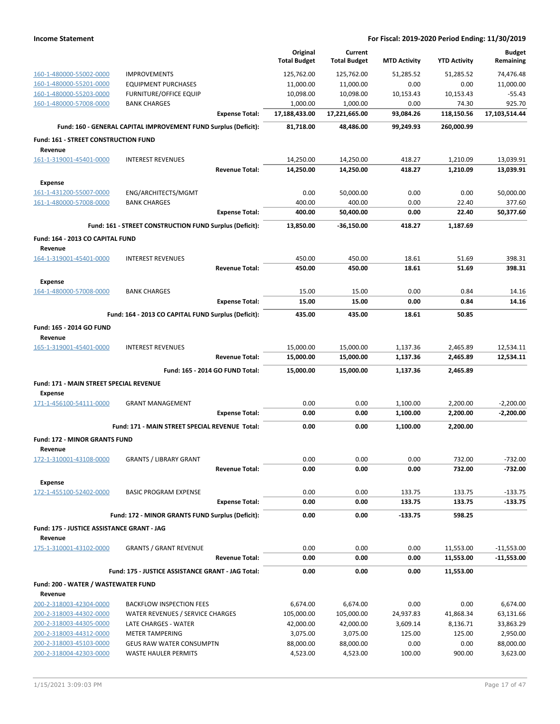|                                                    |                                                                 | Original<br><b>Total Budget</b> | Current<br><b>Total Budget</b> | <b>MTD Activity</b> | <b>YTD Activity</b>  | <b>Budget</b><br>Remaining |
|----------------------------------------------------|-----------------------------------------------------------------|---------------------------------|--------------------------------|---------------------|----------------------|----------------------------|
| 160-1-480000-55002-0000                            | <b>IMPROVEMENTS</b>                                             | 125,762.00                      | 125,762.00                     | 51,285.52           | 51,285.52            | 74.476.48                  |
| 160-1-480000-55201-0000                            | <b>EQUIPMENT PURCHASES</b>                                      | 11,000.00                       | 11,000.00                      | 0.00                | 0.00                 | 11,000.00                  |
| 160-1-480000-55203-0000                            | <b>FURNITURE/OFFICE EQUIP</b>                                   | 10,098.00                       | 10,098.00                      | 10,153.43           | 10,153.43            | $-55.43$                   |
| 160-1-480000-57008-0000                            | <b>BANK CHARGES</b>                                             | 1,000.00                        | 1,000.00                       | 0.00                | 74.30                | 925.70                     |
|                                                    | <b>Expense Total:</b>                                           | 17,188,433.00                   | 17,221,665.00                  | 93,084.26           | 118,150.56           | 17,103,514.44              |
|                                                    | Fund: 160 - GENERAL CAPITAL IMPROVEMENT FUND Surplus (Deficit): | 81,718.00                       | 48,486.00                      | 99,249.93           | 260,000.99           |                            |
| Fund: 161 - STREET CONSTRUCTION FUND               |                                                                 |                                 |                                |                     |                      |                            |
| Revenue                                            |                                                                 |                                 |                                |                     |                      |                            |
| 161-1-319001-45401-0000                            | <b>INTEREST REVENUES</b><br><b>Revenue Total:</b>               | 14,250.00<br>14,250.00          | 14,250.00<br>14,250.00         | 418.27<br>418.27    | 1,210.09<br>1,210.09 | 13,039.91<br>13,039.91     |
|                                                    |                                                                 |                                 |                                |                     |                      |                            |
| <b>Expense</b>                                     |                                                                 | 0.00                            |                                | 0.00                | 0.00                 |                            |
| 161-1-431200-55007-0000<br>161-1-480000-57008-0000 | ENG/ARCHITECTS/MGMT<br><b>BANK CHARGES</b>                      | 400.00                          | 50,000.00<br>400.00            | 0.00                | 22.40                | 50,000.00<br>377.60        |
|                                                    | <b>Expense Total:</b>                                           | 400.00                          | 50,400.00                      | 0.00                | 22.40                | 50,377.60                  |
|                                                    | Fund: 161 - STREET CONSTRUCTION FUND Surplus (Deficit):         | 13,850.00                       | $-36,150.00$                   | 418.27              | 1,187.69             |                            |
| Fund: 164 - 2013 CO CAPITAL FUND                   |                                                                 |                                 |                                |                     |                      |                            |
| Revenue                                            |                                                                 |                                 |                                |                     |                      |                            |
| 164-1-319001-45401-0000                            | <b>INTEREST REVENUES</b>                                        | 450.00                          | 450.00                         | 18.61               | 51.69                | 398.31                     |
|                                                    | <b>Revenue Total:</b>                                           | 450.00                          | 450.00                         | 18.61               | 51.69                | 398.31                     |
| <b>Expense</b>                                     |                                                                 |                                 |                                |                     |                      |                            |
| 164-1-480000-57008-0000                            | <b>BANK CHARGES</b>                                             | 15.00                           | 15.00                          | 0.00                | 0.84                 | 14.16                      |
|                                                    | <b>Expense Total:</b>                                           | 15.00                           | 15.00                          | 0.00                | 0.84                 | 14.16                      |
|                                                    | Fund: 164 - 2013 CO CAPITAL FUND Surplus (Deficit):             | 435.00                          | 435.00                         | 18.61               | 50.85                |                            |
| Fund: 165 - 2014 GO FUND<br>Revenue                |                                                                 |                                 |                                |                     |                      |                            |
| 165-1-319001-45401-0000                            | <b>INTEREST REVENUES</b>                                        | 15,000.00                       | 15,000.00                      | 1,137.36            | 2,465.89             | 12,534.11                  |
|                                                    | <b>Revenue Total:</b>                                           | 15,000.00                       | 15,000.00                      | 1,137.36            | 2,465.89             | 12,534.11                  |
|                                                    | Fund: 165 - 2014 GO FUND Total:                                 | 15,000.00                       | 15,000.00                      | 1,137.36            | 2,465.89             |                            |
| Fund: 171 - MAIN STREET SPECIAL REVENUE            |                                                                 |                                 |                                |                     |                      |                            |
| <b>Expense</b>                                     |                                                                 |                                 |                                |                     |                      |                            |
| 171-1-456100-54111-0000                            | <b>GRANT MANAGEMENT</b>                                         | 0.00                            | 0.00                           | 1,100.00            | 2,200.00             | $-2,200.00$                |
|                                                    | <b>Expense Total:</b>                                           | 0.00                            | 0.00                           | 1,100.00            | 2,200.00             | $-2,200.00$                |
|                                                    | Fund: 171 - MAIN STREET SPECIAL REVENUE Total:                  | 0.00                            | 0.00                           | 1,100.00            | 2,200.00             |                            |
| Fund: 172 - MINOR GRANTS FUND                      |                                                                 |                                 |                                |                     |                      |                            |
| Revenue                                            |                                                                 |                                 |                                |                     |                      |                            |
| 172-1-310001-43108-0000                            | <b>GRANTS / LIBRARY GRANT</b><br><b>Revenue Total:</b>          | 0.00<br>0.00                    | 0.00<br>0.00                   | 0.00<br>0.00        | 732.00<br>732.00     | $-732.00$<br>-732.00       |
|                                                    |                                                                 |                                 |                                |                     |                      |                            |
| <b>Expense</b><br>172-1-455100-52402-0000          | <b>BASIC PROGRAM EXPENSE</b>                                    | 0.00                            | 0.00                           | 133.75              | 133.75               | $-133.75$                  |
|                                                    | <b>Expense Total:</b>                                           | 0.00                            | 0.00                           | 133.75              | 133.75               | $-133.75$                  |
|                                                    | Fund: 172 - MINOR GRANTS FUND Surplus (Deficit):                | 0.00                            | 0.00                           | $-133.75$           | 598.25               |                            |
| Fund: 175 - JUSTICE ASSISTANCE GRANT - JAG         |                                                                 |                                 |                                |                     |                      |                            |
| Revenue                                            |                                                                 |                                 |                                |                     |                      |                            |
| 175-1-310001-43102-0000                            | <b>GRANTS / GRANT REVENUE</b>                                   | 0.00                            | 0.00                           | 0.00                | 11,553.00            | $-11,553.00$               |
|                                                    | <b>Revenue Total:</b>                                           | 0.00                            | 0.00                           | 0.00                | 11,553.00            | $-11,553.00$               |
|                                                    | Fund: 175 - JUSTICE ASSISTANCE GRANT - JAG Total:               | 0.00                            | 0.00                           | 0.00                | 11,553.00            |                            |
| Fund: 200 - WATER / WASTEWATER FUND                |                                                                 |                                 |                                |                     |                      |                            |
| Revenue                                            |                                                                 |                                 |                                |                     |                      |                            |
| 200-2-318003-42304-0000                            | <b>BACKFLOW INSPECTION FEES</b>                                 | 6,674.00                        | 6,674.00                       | 0.00                | 0.00                 | 6,674.00                   |
| 200-2-318003-44302-0000                            | WATER REVENUES / SERVICE CHARGES                                | 105,000.00                      | 105,000.00                     | 24,937.83           | 41,868.34            | 63,131.66                  |
| 200-2-318003-44305-0000                            | LATE CHARGES - WATER                                            | 42,000.00                       | 42,000.00                      | 3,609.14            | 8,136.71             | 33,863.29                  |
| 200-2-318003-44312-0000                            | <b>METER TAMPERING</b>                                          | 3,075.00                        | 3,075.00                       | 125.00              | 125.00               | 2,950.00                   |
| 200-2-318003-45103-0000<br>200-2-318004-42303-0000 | <b>GEUS RAW WATER CONSUMPTN</b><br><b>WASTE HAULER PERMITS</b>  | 88,000.00<br>4,523.00           | 88,000.00<br>4,523.00          | 0.00<br>100.00      | 0.00<br>900.00       | 88,000.00<br>3,623.00      |
|                                                    |                                                                 |                                 |                                |                     |                      |                            |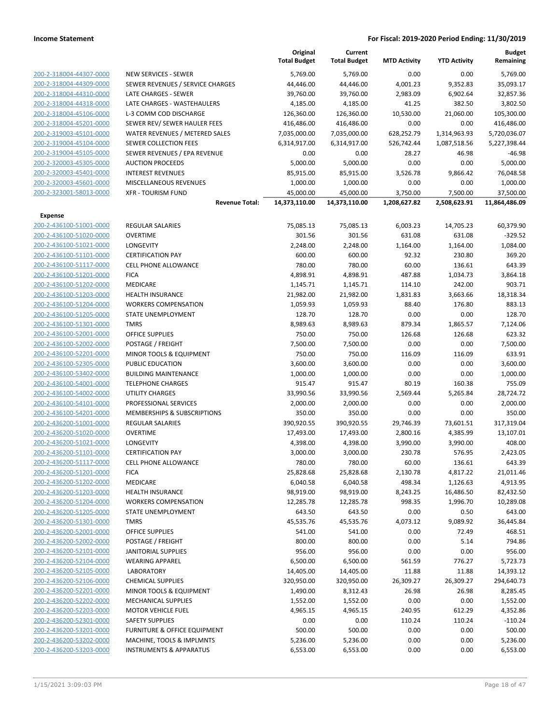|                                |                                         | Original<br><b>Total Budget</b> | Current<br><b>Total Budget</b> | <b>MTD Activity</b> | <b>YTD Activity</b> | <b>Budget</b><br>Remaining |
|--------------------------------|-----------------------------------------|---------------------------------|--------------------------------|---------------------|---------------------|----------------------------|
| 200-2-318004-44307-0000        | <b>NEW SERVICES - SEWER</b>             | 5,769.00                        | 5,769.00                       | 0.00                | 0.00                | 5,769.00                   |
| 200-2-318004-44309-0000        | SEWER REVENUES / SERVICE CHARGES        | 44,446.00                       | 44,446.00                      | 4,001.23            | 9,352.83            | 35,093.17                  |
| 200-2-318004-44310-0000        | LATE CHARGES - SEWER                    | 39,760.00                       | 39,760.00                      | 2,983.09            | 6,902.64            | 32,857.36                  |
| 200-2-318004-44318-0000        | LATE CHARGES - WASTEHAULERS             | 4,185.00                        | 4,185.00                       | 41.25               | 382.50              | 3,802.50                   |
| 200-2-318004-45106-0000        | L-3 COMM COD DISCHARGE                  | 126,360.00                      | 126,360.00                     | 10,530.00           | 21,060.00           | 105,300.00                 |
| 200-2-318004-45201-0000        | SEWER REV/ SEWER HAULER FEES            | 416,486.00                      | 416,486.00                     | 0.00                | 0.00                | 416,486.00                 |
| 200-2-319003-45101-0000        | WATER REVENUES / METERED SALES          | 7,035,000.00                    | 7,035,000.00                   | 628,252.79          | 1,314,963.93        | 5,720,036.07               |
| 200-2-319004-45104-0000        | <b>SEWER COLLECTION FEES</b>            | 6,314,917.00                    | 6,314,917.00                   | 526,742.44          | 1,087,518.56        | 5,227,398.44               |
| 200-2-319004-45105-0000        | SEWER REVENUES / EPA REVENUE            | 0.00                            | 0.00                           | 28.27               | 46.98               | $-46.98$                   |
| 200-2-320003-45305-0000        | <b>AUCTION PROCEEDS</b>                 | 5,000.00                        | 5,000.00                       | 0.00                | 0.00                | 5,000.00                   |
| 200-2-320003-45401-0000        | <b>INTEREST REVENUES</b>                | 85,915.00                       | 85,915.00                      | 3,526.78            | 9,866.42            | 76,048.58                  |
| 200-2-320003-45601-0000        | MISCELLANEOUS REVENUES                  | 1,000.00                        | 1,000.00                       | 0.00                | 0.00                | 1,000.00                   |
| 200-2-323001-58013-0000        | <b>XFR - TOURISM FUND</b>               | 45,000.00                       | 45,000.00                      | 3,750.00            | 7,500.00            | 37,500.00                  |
|                                | <b>Revenue Total:</b>                   | 14,373,110.00                   | 14,373,110.00                  | 1,208,627.82        | 2,508,623.91        | 11,864,486.09              |
| <b>Expense</b>                 |                                         |                                 |                                |                     |                     |                            |
| 200-2-436100-51001-0000        | REGULAR SALARIES                        | 75,085.13                       | 75,085.13                      | 6,003.23            | 14,705.23           | 60,379.90                  |
| 200-2-436100-51020-0000        | <b>OVERTIME</b>                         | 301.56<br>2,248.00              | 301.56<br>2,248.00             | 631.08              | 631.08              | $-329.52$<br>1,084.00      |
| 200-2-436100-51021-0000        | LONGEVITY                               |                                 |                                | 1,164.00            | 1,164.00            |                            |
| 200-2-436100-51101-0000        | <b>CERTIFICATION PAY</b>                | 600.00                          | 600.00                         | 92.32               | 230.80              | 369.20                     |
| 200-2-436100-51117-0000        | CELL PHONE ALLOWANCE                    | 780.00                          | 780.00                         | 60.00               | 136.61              | 643.39                     |
| 200-2-436100-51201-0000        | <b>FICA</b>                             | 4,898.91                        | 4,898.91                       | 487.88              | 1,034.73            | 3,864.18                   |
| 200-2-436100-51202-0000        | <b>MEDICARE</b>                         | 1,145.71                        | 1,145.71                       | 114.10              | 242.00              | 903.71                     |
| 200-2-436100-51203-0000        | <b>HEALTH INSURANCE</b>                 | 21,982.00                       | 21,982.00                      | 1,831.83            | 3,663.66            | 18,318.34                  |
| 200-2-436100-51204-0000        | <b>WORKERS COMPENSATION</b>             | 1,059.93                        | 1,059.93                       | 88.40               | 176.80              | 883.13                     |
| 200-2-436100-51205-0000        | STATE UNEMPLOYMENT                      | 128.70                          | 128.70                         | 0.00                | 0.00                | 128.70                     |
| 200-2-436100-51301-0000        | <b>TMRS</b>                             | 8,989.63                        | 8,989.63                       | 879.34              | 1,865.57            | 7,124.06                   |
| 200-2-436100-52001-0000        | <b>OFFICE SUPPLIES</b>                  | 750.00                          | 750.00                         | 126.68              | 126.68              | 623.32                     |
| 200-2-436100-52002-0000        | POSTAGE / FREIGHT                       | 7,500.00                        | 7,500.00                       | 0.00                | 0.00                | 7,500.00                   |
| 200-2-436100-52201-0000        | MINOR TOOLS & EQUIPMENT                 | 750.00                          | 750.00                         | 116.09              | 116.09              | 633.91                     |
| 200-2-436100-52305-0000        | PUBLIC EDUCATION                        | 3,600.00                        | 3,600.00                       | 0.00                | 0.00                | 3,600.00                   |
| 200-2-436100-53402-0000        | <b>BUILDING MAINTENANCE</b>             | 1,000.00                        | 1,000.00                       | 0.00                | 0.00                | 1,000.00                   |
| 200-2-436100-54001-0000        | <b>TELEPHONE CHARGES</b>                | 915.47                          | 915.47                         | 80.19               | 160.38              | 755.09                     |
| 200-2-436100-54002-0000        | <b>UTILITY CHARGES</b>                  | 33,990.56                       | 33,990.56                      | 2,569.44            | 5,265.84            | 28,724.72                  |
| 200-2-436100-54101-0000        | PROFESSIONAL SERVICES                   | 2,000.00                        | 2,000.00                       | 0.00                | 0.00                | 2,000.00                   |
| 200-2-436100-54201-0000        | MEMBERSHIPS & SUBSCRIPTIONS             | 350.00                          | 350.00                         | 0.00                | 0.00                | 350.00                     |
| 200-2-436200-51001-0000        | REGULAR SALARIES                        | 390,920.55                      | 390,920.55                     | 29,746.39           | 73,601.51           | 317,319.04                 |
| 200-2-436200-51020-0000        | <b>OVERTIME</b>                         | 17,493.00                       | 17,493.00                      | 2,800.16            | 4,385.99            | 13,107.01                  |
| 200-2-436200-51021-0000        | LONGEVITY                               | 4,398.00                        | 4,398.00                       | 3,990.00            | 3,990.00            | 408.00                     |
| 200-2-436200-51101-0000        | <b>CERTIFICATION PAY</b>                | 3,000.00                        | 3,000.00                       | 230.78              | 576.95              | 2,423.05                   |
| <u>200-2-436200-51117-0000</u> | <b>CELL PHONE ALLOWANCE</b>             | 780.00                          | 780.00                         | 60.00               | 136.61              | 643.39                     |
| 200-2-436200-51201-0000        | <b>FICA</b>                             | 25,828.68                       | 25,828.68                      | 2,130.78            | 4,817.22            | 21,011.46                  |
| 200-2-436200-51202-0000        | <b>MEDICARE</b>                         | 6,040.58                        | 6,040.58                       | 498.34              | 1,126.63            | 4,913.95                   |
| 200-2-436200-51203-0000        | <b>HEALTH INSURANCE</b>                 | 98,919.00                       | 98,919.00                      | 8,243.25            | 16,486.50           | 82,432.50                  |
| 200-2-436200-51204-0000        | <b>WORKERS COMPENSATION</b>             | 12,285.78                       | 12,285.78                      | 998.35              | 1,996.70            | 10,289.08                  |
| 200-2-436200-51205-0000        | <b>STATE UNEMPLOYMENT</b>               | 643.50                          | 643.50                         | 0.00                | 0.50                | 643.00                     |
| 200-2-436200-51301-0000        | <b>TMRS</b>                             | 45,535.76                       | 45,535.76                      | 4,073.12            | 9,089.92            | 36,445.84                  |
| 200-2-436200-52001-0000        | OFFICE SUPPLIES                         | 541.00                          | 541.00                         | 0.00                | 72.49               | 468.51                     |
| 200-2-436200-52002-0000        | POSTAGE / FREIGHT                       | 800.00                          | 800.00                         | 0.00                | 5.14                | 794.86                     |
| 200-2-436200-52101-0000        | JANITORIAL SUPPLIES                     | 956.00                          | 956.00                         | 0.00                | 0.00                | 956.00                     |
| 200-2-436200-52104-0000        | <b>WEARING APPAREL</b>                  | 6,500.00                        | 6,500.00                       | 561.59              | 776.27              | 5,723.73                   |
| 200-2-436200-52105-0000        | <b>LABORATORY</b>                       | 14,405.00                       | 14,405.00                      | 11.88               | 11.88               | 14,393.12                  |
| 200-2-436200-52106-0000        | <b>CHEMICAL SUPPLIES</b>                | 320,950.00                      | 320,950.00                     | 26,309.27           | 26,309.27           | 294,640.73                 |
| 200-2-436200-52201-0000        | MINOR TOOLS & EQUIPMENT                 | 1,490.00                        | 8,312.43                       | 26.98               | 26.98               | 8,285.45                   |
| 200-2-436200-52202-0000        | MECHANICAL SUPPLIES                     | 1,552.00                        | 1,552.00                       | 0.00                | 0.00                | 1,552.00                   |
| 200-2-436200-52203-0000        | <b>MOTOR VEHICLE FUEL</b>               | 4,965.15                        | 4,965.15                       | 240.95              | 612.29              | 4,352.86                   |
| 200-2-436200-52301-0000        | <b>SAFETY SUPPLIES</b>                  | 0.00                            | 0.00                           | 110.24              | 110.24              | $-110.24$                  |
| 200-2-436200-53201-0000        | <b>FURNITURE &amp; OFFICE EQUIPMENT</b> | 500.00                          | 500.00                         | 0.00                | 0.00                | 500.00                     |
| 200-2-436200-53202-0000        | MACHINE, TOOLS & IMPLMNTS               | 5,236.00                        | 5,236.00                       | 0.00                | 0.00                | 5,236.00                   |
| 200-2-436200-53203-0000        | <b>INSTRUMENTS &amp; APPARATUS</b>      | 6,553.00                        | 6,553.00                       | 0.00                | 0.00                | 6,553.00                   |
|                                |                                         |                                 |                                |                     |                     |                            |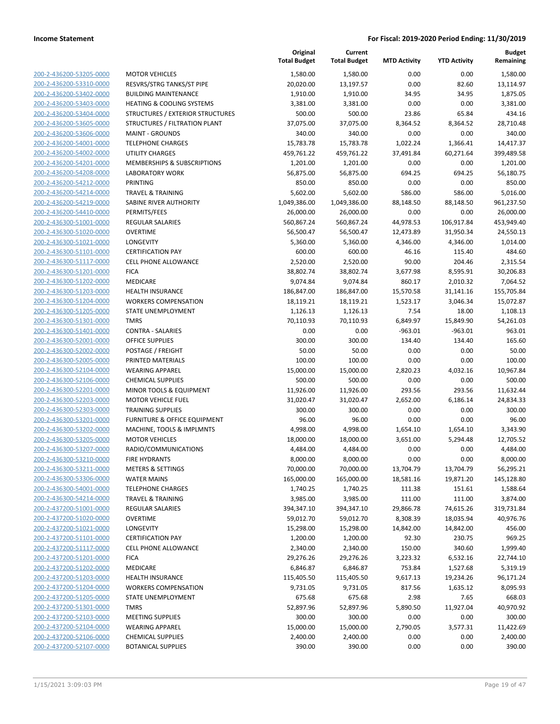| 200-2-436200-53205-0000        | <b>MOTOR VEHICLES</b>            |
|--------------------------------|----------------------------------|
| 200-2-436200-53310-0000        | RESVRS/STRG TANKS/ST             |
| 200-2-436200-53402-0000        | <b>BUILDING MAINTENANG</b>       |
| 200-2-436200-53403-0000        | <b>HEATING &amp; COOLING SY</b>  |
| 200-2-436200-53404-0000        | <b>STRUCTURES / EXTERIOR</b>     |
| 200-2-436200-53605-0000        | STRUCTURES / FILTRATI            |
|                                | <b>MAINT - GROUNDS</b>           |
| <u>200-2-436200-53606-0000</u> | <b>TELEPHONE CHARGES</b>         |
| 200-2-436200-54001-0000        |                                  |
| 200-2-436200-54002-0000        | <b>UTILITY CHARGES</b>           |
| 200-2-436200-54201-0000        | MEMBERSHIPS & SUBSC              |
| 200-2-436200-54208-0000        | <b>LABORATORY WORK</b>           |
| 200-2-436200-54212-0000        | PRINTING                         |
| 200-2-436200-54214-0000        | <b>TRAVEL &amp; TRAINING</b>     |
| 200-2-436200-54219-0000        | SABINE RIVER AUTHORIT            |
| 200-2-436200-54410-0000        | PERMITS/FEES                     |
| 200-2-436300-51001-0000        | <b>REGULAR SALARIES</b>          |
| <u>200-2-436300-51020-0000</u> | <b>OVERTIME</b>                  |
| 200-2-436300-51021-0000        | LONGEVITY                        |
| 200-2-436300-51101-0000        | <b>CERTIFICATION PAY</b>         |
| 200-2-436300-51117-0000        | <b>CELL PHONE ALLOWANG</b>       |
| 200-2-436300-51201-0000        | <b>FICA</b>                      |
| 200-2-436300-51202-0000        | <b>MEDICARE</b>                  |
| 200-2-436300-51203-0000        | <b>HEALTH INSURANCE</b>          |
| 200-2-436300-51204-0000        | <b>WORKERS COMPENSATI</b>        |
| 200-2-436300-51205-0000        | <b>STATE UNEMPLOYMENT</b>        |
| 200-2-436300-51301-0000        | TMRS                             |
| <u>200-2-436300-51401-0000</u> | <b>CONTRA - SALARIES</b>         |
| 200-2-436300-52001-0000        | <b>OFFICE SUPPLIES</b>           |
| 200-2-436300-52002-0000        | POSTAGE / FREIGHT                |
| 200-2-436300-52005-0000        | PRINTED MATERIALS                |
| 200-2-436300-52104-0000        | <b>WEARING APPAREL</b>           |
| 200-2-436300-52106-0000        | <b>CHEMICAL SUPPLIES</b>         |
| 200-2-436300-52201-0000        | MINOR TOOLS & EQUIPI             |
| 200-2-436300-52203-0000        | <b>MOTOR VEHICLE FUEL</b>        |
| 200-2-436300-52303-0000        | TRAINING SUPPLIES                |
| 200-2-436300-53201-0000        | <b>FURNITURE &amp; OFFICE EC</b> |
| 200-2-436300-53202-0000        | MACHINE, TOOLS & IMP             |
| 200-2-436300-53205-0000        | <b>MOTOR VEHICLES</b>            |
| 200-2-436300-53207-0000        | RADIO/COMMUNICATIC               |
| 200-2-436300-53210-0000        | <b>FIRE HYDRANTS</b>             |
| 200-2-436300-53211-0000        | METERS & SETTINGS                |
| 200-2-436300-53306-0000        | <b>WATER MAINS</b>               |
| 200-2-436300-54001-0000        | <b>TELEPHONE CHARGES</b>         |
| 200-2-436300-54214-0000        | <b>TRAVEL &amp; TRAINING</b>     |
| 200-2-437200-51001-0000        | <b>REGULAR SALARIES</b>          |
| 200-2-437200-51020-0000        | <b>OVERTIME</b>                  |
| 200-2-437200-51021-0000        | <b>LONGEVITY</b>                 |
| 200-2-437200-51101-0000        | <b>CERTIFICATION PAY</b>         |
| 200-2-437200-51117-0000        | <b>CELL PHONE ALLOWANG</b>       |
| 200-2-437200-51201-0000        | <b>FICA</b>                      |
| 200-2-437200-51202-0000        | MEDICARE                         |
| 200-2-437200-51203-0000        | <b>HEALTH INSURANCE</b>          |
| 200-2-437200-51204-0000        | <b>WORKERS COMPENSATI</b>        |
| 200-2-437200-51205-0000        | <b>STATE UNEMPLOYMENT</b>        |
| 200-2-437200-51301-0000        | TMRS                             |
| 200-2-437200-52103-0000        | <b>MEETING SUPPLIES</b>          |
| 200-2-437200-52104-0000        | <b>WEARING APPAREL</b>           |
| 200-2-437200-52106-0000        | <b>CHEMICAL SUPPLIES</b>         |
| 200-2-437200-52107-0000        | <b>BOTANICAL SUPPLIES</b>        |
|                                |                                  |
|                                |                                  |

|                         |                                         | Original<br><b>Total Budget</b> | Current<br><b>Total Budget</b> | <b>MTD Activity</b> | <b>YTD Activity</b> | <b>Budget</b><br>Remaining |
|-------------------------|-----------------------------------------|---------------------------------|--------------------------------|---------------------|---------------------|----------------------------|
| 200-2-436200-53205-0000 | <b>MOTOR VEHICLES</b>                   | 1,580.00                        | 1,580.00                       | 0.00                | 0.00                | 1,580.00                   |
| 200-2-436200-53310-0000 | RESVRS/STRG TANKS/ST PIPE               | 20,020.00                       | 13,197.57                      | 0.00                | 82.60               | 13,114.97                  |
| 200-2-436200-53402-0000 | <b>BUILDING MAINTENANCE</b>             | 1,910.00                        | 1,910.00                       | 34.95               | 34.95               | 1,875.05                   |
| 200-2-436200-53403-0000 | <b>HEATING &amp; COOLING SYSTEMS</b>    | 3,381.00                        | 3,381.00                       | 0.00                | 0.00                | 3,381.00                   |
| 200-2-436200-53404-0000 | STRUCTURES / EXTERIOR STRUCTURES        | 500.00                          | 500.00                         | 23.86               | 65.84               | 434.16                     |
| 200-2-436200-53605-0000 | STRUCTURES / FILTRATION PLANT           | 37,075.00                       | 37,075.00                      | 8,364.52            | 8,364.52            | 28,710.48                  |
| 200-2-436200-53606-0000 | <b>MAINT - GROUNDS</b>                  | 340.00                          | 340.00                         | 0.00                | 0.00                | 340.00                     |
| 200-2-436200-54001-0000 | <b>TELEPHONE CHARGES</b>                | 15,783.78                       | 15,783.78                      | 1,022.24            | 1,366.41            | 14,417.37                  |
| 200-2-436200-54002-0000 | <b>UTILITY CHARGES</b>                  | 459,761.22                      | 459,761.22                     | 37,491.84           | 60,271.64           | 399,489.58                 |
| 200-2-436200-54201-0000 | MEMBERSHIPS & SUBSCRIPTIONS             | 1,201.00                        | 1,201.00                       | 0.00                | 0.00                | 1,201.00                   |
| 200-2-436200-54208-0000 | <b>LABORATORY WORK</b>                  | 56,875.00                       | 56,875.00                      | 694.25              | 694.25              | 56,180.75                  |
| 200-2-436200-54212-0000 | <b>PRINTING</b>                         | 850.00                          | 850.00                         | 0.00                | 0.00                | 850.00                     |
| 200-2-436200-54214-0000 | <b>TRAVEL &amp; TRAINING</b>            | 5,602.00                        | 5,602.00                       | 586.00              | 586.00              | 5,016.00                   |
| 200-2-436200-54219-0000 | SABINE RIVER AUTHORITY                  | 1,049,386.00                    | 1,049,386.00                   | 88,148.50           | 88,148.50           | 961,237.50                 |
| 200-2-436200-54410-0000 | PERMITS/FEES                            | 26,000.00                       | 26,000.00                      | 0.00                | 0.00                | 26,000.00                  |
| 200-2-436300-51001-0000 | REGULAR SALARIES                        | 560,867.24                      | 560,867.24                     | 44,978.53           | 106,917.84          | 453,949.40                 |
| 200-2-436300-51020-0000 | <b>OVERTIME</b>                         | 56,500.47                       | 56,500.47                      | 12,473.89           | 31,950.34           | 24,550.13                  |
| 200-2-436300-51021-0000 | LONGEVITY                               | 5,360.00                        | 5,360.00                       | 4,346.00            | 4,346.00            | 1,014.00                   |
| 200-2-436300-51101-0000 | <b>CERTIFICATION PAY</b>                | 600.00                          | 600.00                         | 46.16               | 115.40              | 484.60                     |
| 200-2-436300-51117-0000 | <b>CELL PHONE ALLOWANCE</b>             | 2,520.00                        | 2,520.00                       | 90.00               | 204.46              | 2,315.54                   |
| 200-2-436300-51201-0000 | <b>FICA</b>                             | 38,802.74                       | 38,802.74                      | 3,677.98            | 8,595.91            | 30,206.83                  |
| 200-2-436300-51202-0000 | MEDICARE                                | 9,074.84                        | 9,074.84                       | 860.17              | 2,010.32            | 7,064.52                   |
| 200-2-436300-51203-0000 | <b>HEALTH INSURANCE</b>                 | 186,847.00                      | 186,847.00                     | 15,570.58           | 31,141.16           | 155,705.84                 |
| 200-2-436300-51204-0000 | <b>WORKERS COMPENSATION</b>             | 18,119.21                       | 18,119.21                      | 1,523.17            | 3,046.34            | 15,072.87                  |
| 200-2-436300-51205-0000 | <b>STATE UNEMPLOYMENT</b>               | 1,126.13                        | 1,126.13                       | 7.54                | 18.00               | 1,108.13                   |
| 200-2-436300-51301-0000 | <b>TMRS</b>                             | 70,110.93                       | 70,110.93                      | 6,849.97            | 15,849.90           | 54,261.03                  |
| 200-2-436300-51401-0000 | <b>CONTRA - SALARIES</b>                | 0.00                            | 0.00                           | $-963.01$           | $-963.01$           | 963.01                     |
| 200-2-436300-52001-0000 | <b>OFFICE SUPPLIES</b>                  | 300.00                          | 300.00                         | 134.40              | 134.40              | 165.60                     |
| 200-2-436300-52002-0000 | POSTAGE / FREIGHT                       | 50.00                           | 50.00                          | 0.00                | 0.00                | 50.00                      |
| 200-2-436300-52005-0000 | PRINTED MATERIALS                       | 100.00                          | 100.00                         | 0.00                | 0.00                | 100.00                     |
| 200-2-436300-52104-0000 | <b>WEARING APPAREL</b>                  | 15,000.00                       | 15,000.00                      | 2,820.23            | 4,032.16            | 10,967.84                  |
| 200-2-436300-52106-0000 | <b>CHEMICAL SUPPLIES</b>                | 500.00                          | 500.00                         | 0.00                | 0.00                | 500.00                     |
| 200-2-436300-52201-0000 | MINOR TOOLS & EQUIPMENT                 | 11,926.00                       | 11,926.00                      | 293.56              | 293.56              | 11,632.44                  |
| 200-2-436300-52203-0000 | <b>MOTOR VEHICLE FUEL</b>               | 31,020.47                       | 31,020.47                      | 2,652.00            | 6,186.14            | 24,834.33                  |
| 200-2-436300-52303-0000 | <b>TRAINING SUPPLIES</b>                | 300.00                          | 300.00                         | 0.00                | 0.00                | 300.00                     |
| 200-2-436300-53201-0000 | <b>FURNITURE &amp; OFFICE EQUIPMENT</b> | 96.00                           | 96.00                          | 0.00                | 0.00                | 96.00                      |
| 200-2-436300-53202-0000 | MACHINE, TOOLS & IMPLMNTS               | 4,998.00                        | 4,998.00                       | 1,654.10            | 1,654.10            | 3,343.90                   |
| 200-2-436300-53205-0000 | <b>MOTOR VEHICLES</b>                   | 18,000.00                       | 18,000.00                      | 3,651.00            | 5,294.48            | 12,705.52                  |
| 200-2-436300-53207-0000 | RADIO/COMMUNICATIONS                    | 4,484.00                        | 4,484.00                       | 0.00                | 0.00                | 4,484.00                   |
| 200-2-436300-53210-0000 | FIRE HYDRANTS                           | 8,000.00                        | 8,000.00                       | 0.00                | 0.00                | 8,000.00                   |
| 200-2-436300-53211-0000 | <b>METERS &amp; SETTINGS</b>            | 70,000.00                       | 70,000.00                      | 13,704.79           | 13,704.79           | 56,295.21                  |
| 200-2-436300-53306-0000 | <b>WATER MAINS</b>                      | 165,000.00                      | 165,000.00                     | 18,581.16           | 19,871.20           | 145,128.80                 |
| 200-2-436300-54001-0000 | <b>TELEPHONE CHARGES</b>                | 1,740.25                        | 1,740.25                       | 111.38              | 151.61              | 1,588.64                   |
| 200-2-436300-54214-0000 | <b>TRAVEL &amp; TRAINING</b>            | 3,985.00                        | 3,985.00                       | 111.00              | 111.00              | 3,874.00                   |
| 200-2-437200-51001-0000 | REGULAR SALARIES                        | 394,347.10                      | 394,347.10                     | 29,866.78           | 74,615.26           | 319,731.84                 |
| 200-2-437200-51020-0000 | <b>OVERTIME</b>                         | 59,012.70                       | 59,012.70                      | 8,308.39            | 18,035.94           | 40,976.76                  |
| 200-2-437200-51021-0000 | <b>LONGEVITY</b>                        | 15,298.00                       | 15,298.00                      | 14,842.00           | 14,842.00           | 456.00                     |
| 200-2-437200-51101-0000 | <b>CERTIFICATION PAY</b>                | 1,200.00                        | 1,200.00                       | 92.30               | 230.75              | 969.25                     |
| 200-2-437200-51117-0000 | <b>CELL PHONE ALLOWANCE</b>             | 2,340.00                        | 2,340.00                       | 150.00              | 340.60              | 1,999.40                   |
| 200-2-437200-51201-0000 | <b>FICA</b>                             | 29,276.26                       | 29,276.26                      | 3,223.32            | 6,532.16            | 22,744.10                  |
| 200-2-437200-51202-0000 | MEDICARE                                | 6,846.87                        | 6,846.87                       | 753.84              | 1,527.68            | 5,319.19                   |
| 200-2-437200-51203-0000 | <b>HEALTH INSURANCE</b>                 | 115,405.50                      | 115,405.50                     | 9,617.13            | 19,234.26           | 96,171.24                  |
| 200-2-437200-51204-0000 | <b>WORKERS COMPENSATION</b>             | 9,731.05                        | 9,731.05                       | 817.56              | 1,635.12            | 8,095.93                   |
| 200-2-437200-51205-0000 | STATE UNEMPLOYMENT                      | 675.68                          | 675.68                         | 2.98                | 7.65                | 668.03                     |
| 200-2-437200-51301-0000 | <b>TMRS</b>                             | 52,897.96                       | 52,897.96                      | 5,890.50            | 11,927.04           | 40,970.92                  |
| 200-2-437200-52103-0000 | <b>MEETING SUPPLIES</b>                 | 300.00                          | 300.00                         | 0.00                | 0.00                | 300.00                     |
| 200-2-437200-52104-0000 | <b>WEARING APPAREL</b>                  | 15,000.00                       | 15,000.00                      | 2,790.05            | 3,577.31            | 11,422.69                  |
| 200-2-437200-52106-0000 | <b>CHEMICAL SUPPLIES</b>                | 2,400.00                        | 2,400.00                       | 0.00                | 0.00                | 2,400.00                   |
| 200-2-437200-52107-0000 | <b>BOTANICAL SUPPLIES</b>               | 390.00                          | 390.00                         | 0.00                | 0.00                | 390.00                     |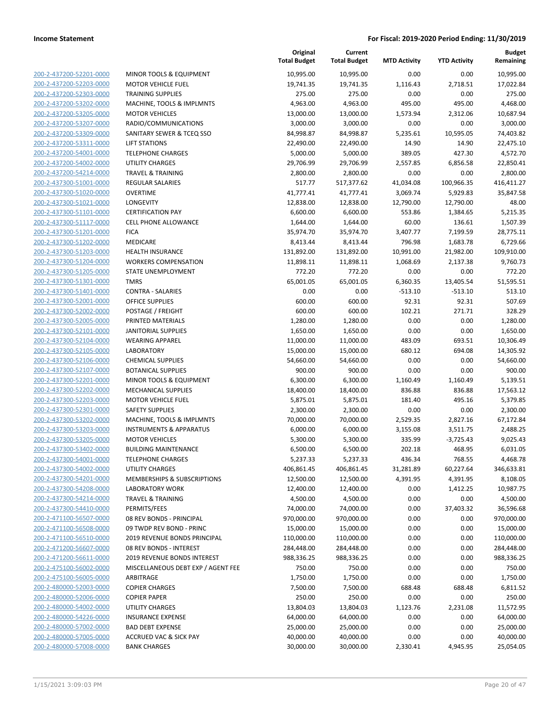| 200-2-437200-52201-0000        |
|--------------------------------|
| 200-2-437200-52203-0000        |
| <u>200-2-437200-52303-0000</u> |
| 200-2-437200-53202-0000        |
| 200-2-437200-53205-0000        |
| 200-2-437200-53207-0000        |
| 200-2-437200-53309-0000        |
| 200-2-437200-53311-0000        |
| 200-2-437200-54001-0000        |
| 200-2-437200-54002-0000        |
| 200-2-437200-54214-0000        |
| 200-2-437300-51001-0000        |
|                                |
| <u>200-2-437300-51020-0000</u> |
| 200-2-437300-51021-0000        |
| 200-2-437300-51101-0000        |
| 200-2-437300-51117-0000        |
| 200-2-437300-51201-0000        |
| 200-2-437300-51202-0000        |
| 200-2-437300-51203-0000        |
| 200-2-437300-51204-0000        |
| 200-2-437300-51205-0000        |
| 200-2-437300-51301-0000        |
| <u>200-2-437300-51401-0000</u> |
| 200-2-437300-52001-0000        |
| 200-2-437300-52002-0000        |
| 200-2-437300-52005-0000        |
| 200-2-437300-52101-0000        |
| <u>200-2-437300-52104-0000</u> |
| 200-2-437300-52105-0000        |
| 200-2-437300-52106-0000        |
| 200-2-437300-52107-0000        |
| 200-2-437300-52201-0000        |
|                                |
| 200-2-437300-52202-0000        |
| 200-2-437300-52203-0000        |
| 200-2-437300-52301-0000        |
| 200-2-437300-53202-0000        |
| 200-2-437300-53203-0000        |
| <u>200-2-437300-53205-0000</u> |
| 200-2-437300-53402-0000        |
| 200-2-437300-54001-0000        |
| 200-2-437300-54002-0000        |
| 200-2-437300-54201-0000        |
| <u>200-2-437300-54208-0000</u> |
| 200-2-437300-54214-0000        |
| 200-2-437300-54410-0000        |
| 200-2-471100-56507-0000        |
| 200-2-471100-56508-0000        |
| 200-2-471100-56510-0000        |
| <u>200-2-471200-56607-0000</u> |
| 200-2-471200-56611-0000        |
|                                |
| 200-2-475100-56002-0000        |
| 200-2-475100-56005-0000        |
| 200-2-480000-52003-0000        |
| <u>200-2-480000-52006-0000</u> |
| <u>200-2-480000-54002-0000</u> |
| 200-2-480000-54226-0000        |
| <u>200-2-480000-57002-0000</u> |
| <u>200-2-480000-57005-0000</u> |
| <u>200-2-480000-57008-0000</u> |
|                                |

|                         |                                    | Original<br><b>Total Budget</b> | Current<br><b>Total Budget</b> | <b>MTD Activity</b> | <b>YTD Activity</b> | <b>Budget</b><br>Remaining |
|-------------------------|------------------------------------|---------------------------------|--------------------------------|---------------------|---------------------|----------------------------|
| 200-2-437200-52201-0000 | MINOR TOOLS & EQUIPMENT            | 10,995.00                       | 10,995.00                      | 0.00                | 0.00                | 10,995.00                  |
| 200-2-437200-52203-0000 | <b>MOTOR VEHICLE FUEL</b>          | 19,741.35                       | 19,741.35                      | 1,116.43            | 2,718.51            | 17,022.84                  |
| 200-2-437200-52303-0000 | <b>TRAINING SUPPLIES</b>           | 275.00                          | 275.00                         | 0.00                | 0.00                | 275.00                     |
| 200-2-437200-53202-0000 | MACHINE, TOOLS & IMPLMNTS          | 4,963.00                        | 4,963.00                       | 495.00              | 495.00              | 4,468.00                   |
| 200-2-437200-53205-0000 | <b>MOTOR VEHICLES</b>              | 13,000.00                       | 13,000.00                      | 1,573.94            | 2,312.06            | 10,687.94                  |
| 200-2-437200-53207-0000 | RADIO/COMMUNICATIONS               | 3,000.00                        | 3,000.00                       | 0.00                | 0.00                | 3,000.00                   |
| 200-2-437200-53309-0000 | SANITARY SEWER & TCEQ SSO          | 84,998.87                       | 84,998.87                      | 5,235.61            | 10,595.05           | 74,403.82                  |
| 200-2-437200-53311-0000 | <b>LIFT STATIONS</b>               | 22,490.00                       | 22,490.00                      | 14.90               | 14.90               | 22,475.10                  |
| 200-2-437200-54001-0000 | <b>TELEPHONE CHARGES</b>           | 5,000.00                        | 5,000.00                       | 389.05              | 427.30              | 4,572.70                   |
| 200-2-437200-54002-0000 | <b>UTILITY CHARGES</b>             | 29,706.99                       | 29,706.99                      | 2,557.85            | 6,856.58            | 22,850.41                  |
| 200-2-437200-54214-0000 | <b>TRAVEL &amp; TRAINING</b>       | 2,800.00                        | 2,800.00                       | 0.00                | 0.00                | 2,800.00                   |
| 200-2-437300-51001-0000 | <b>REGULAR SALARIES</b>            | 517.77                          | 517,377.62                     | 41,034.08           | 100,966.35          | 416,411.27                 |
| 200-2-437300-51020-0000 | <b>OVERTIME</b>                    | 41,777.41                       | 41,777.41                      | 3,069.74            | 5,929.83            | 35,847.58                  |
| 200-2-437300-51021-0000 | LONGEVITY                          | 12,838.00                       | 12,838.00                      | 12,790.00           | 12,790.00           | 48.00                      |
| 200-2-437300-51101-0000 | <b>CERTIFICATION PAY</b>           | 6,600.00                        | 6,600.00                       | 553.86              | 1,384.65            | 5,215.35                   |
| 200-2-437300-51117-0000 | <b>CELL PHONE ALLOWANCE</b>        | 1,644.00                        | 1,644.00                       | 60.00               | 136.61              | 1,507.39                   |
| 200-2-437300-51201-0000 | <b>FICA</b>                        | 35,974.70                       | 35,974.70                      | 3,407.77            | 7,199.59            | 28,775.11                  |
| 200-2-437300-51202-0000 | MEDICARE                           | 8,413.44                        | 8,413.44                       | 796.98              | 1,683.78            | 6,729.66                   |
| 200-2-437300-51203-0000 | <b>HEALTH INSURANCE</b>            | 131,892.00                      | 131,892.00                     | 10,991.00           | 21,982.00           | 109,910.00                 |
| 200-2-437300-51204-0000 | <b>WORKERS COMPENSATION</b>        | 11,898.11                       | 11,898.11                      | 1,068.69            | 2,137.38            | 9,760.73                   |
| 200-2-437300-51205-0000 | STATE UNEMPLOYMENT                 | 772.20                          | 772.20                         | 0.00                | 0.00                | 772.20                     |
| 200-2-437300-51301-0000 | <b>TMRS</b>                        | 65,001.05                       | 65,001.05                      | 6,360.35            | 13,405.54           | 51,595.51                  |
| 200-2-437300-51401-0000 | <b>CONTRA - SALARIES</b>           | 0.00                            | 0.00                           | $-513.10$           | $-513.10$           | 513.10                     |
| 200-2-437300-52001-0000 | <b>OFFICE SUPPLIES</b>             | 600.00                          | 600.00                         | 92.31               | 92.31               | 507.69                     |
| 200-2-437300-52002-0000 | POSTAGE / FREIGHT                  | 600.00                          | 600.00                         | 102.21              | 271.71              | 328.29                     |
| 200-2-437300-52005-0000 | PRINTED MATERIALS                  | 1,280.00                        | 1,280.00                       | 0.00                | 0.00                | 1,280.00                   |
| 200-2-437300-52101-0000 | <b>JANITORIAL SUPPLIES</b>         | 1,650.00                        | 1,650.00                       | 0.00                | 0.00                | 1,650.00                   |
| 200-2-437300-52104-0000 | <b>WEARING APPAREL</b>             | 11,000.00                       | 11,000.00                      | 483.09              | 693.51              | 10,306.49                  |
| 200-2-437300-52105-0000 | <b>LABORATORY</b>                  | 15,000.00                       | 15,000.00                      | 680.12              | 694.08              | 14,305.92                  |
| 200-2-437300-52106-0000 | <b>CHEMICAL SUPPLIES</b>           | 54,660.00                       | 54,660.00                      | 0.00                | 0.00                | 54,660.00                  |
| 200-2-437300-52107-0000 | <b>BOTANICAL SUPPLIES</b>          | 900.00                          | 900.00                         | 0.00                | 0.00                | 900.00                     |
| 200-2-437300-52201-0000 | MINOR TOOLS & EQUIPMENT            | 6,300.00                        | 6,300.00                       | 1,160.49            | 1,160.49            | 5,139.51                   |
| 200-2-437300-52202-0000 | <b>MECHANICAL SUPPLIES</b>         | 18,400.00                       | 18,400.00                      | 836.88              | 836.88              | 17,563.12                  |
| 200-2-437300-52203-0000 | <b>MOTOR VEHICLE FUEL</b>          | 5,875.01                        | 5,875.01                       | 181.40              | 495.16              | 5,379.85                   |
| 200-2-437300-52301-0000 | <b>SAFETY SUPPLIES</b>             | 2,300.00                        | 2,300.00                       | 0.00                | 0.00                | 2,300.00                   |
| 200-2-437300-53202-0000 | MACHINE, TOOLS & IMPLMNTS          | 70,000.00                       | 70,000.00                      | 2,529.35            | 2,827.16            | 67,172.84                  |
| 200-2-437300-53203-0000 | <b>INSTRUMENTS &amp; APPARATUS</b> | 6,000.00                        | 6,000.00                       | 3,155.08            | 3,511.75            | 2,488.25                   |
| 200-2-437300-53205-0000 | <b>MOTOR VEHICLES</b>              | 5,300.00                        | 5,300.00                       | 335.99              | $-3,725.43$         | 9,025.43                   |
| 200-2-437300-53402-0000 | <b>BUILDING MAINTENANCE</b>        | 6,500.00                        | 6,500.00                       | 202.18              | 468.95              | 6,031.05                   |
| 200-2-437300-54001-0000 | <b>TELEPHONE CHARGES</b>           | 5,237.33                        | 5,237.33                       | 436.34              | 768.55              | 4,468.78                   |
| 200-2-437300-54002-0000 | <b>UTILITY CHARGES</b>             | 406,861.45                      | 406,861.45                     | 31,281.89           | 60,227.64           | 346,633.81                 |
| 200-2-437300-54201-0000 | MEMBERSHIPS & SUBSCRIPTIONS        | 12,500.00                       | 12,500.00                      | 4,391.95            | 4,391.95            | 8,108.05                   |
| 200-2-437300-54208-0000 | LABORATORY WORK                    | 12,400.00                       | 12,400.00                      | 0.00                | 1,412.25            | 10,987.75                  |
| 200-2-437300-54214-0000 | <b>TRAVEL &amp; TRAINING</b>       | 4,500.00                        | 4,500.00                       | 0.00                | 0.00                | 4,500.00                   |
| 200-2-437300-54410-0000 | PERMITS/FEES                       | 74,000.00                       | 74,000.00                      | 0.00                | 37,403.32           | 36,596.68                  |
| 200-2-471100-56507-0000 | 08 REV BONDS - PRINCIPAL           | 970,000.00                      | 970,000.00                     | 0.00                | 0.00                | 970,000.00                 |
| 200-2-471100-56508-0000 | 09 TWDP REV BOND - PRINC           | 15,000.00                       | 15,000.00                      | 0.00                | 0.00                | 15,000.00                  |
| 200-2-471100-56510-0000 | 2019 REVENUE BONDS PRINCIPAL       | 110,000.00                      | 110,000.00                     | 0.00                | 0.00                | 110,000.00                 |
| 200-2-471200-56607-0000 | 08 REV BONDS - INTEREST            | 284,448.00                      | 284,448.00                     | 0.00                | 0.00                | 284,448.00                 |
| 200-2-471200-56611-0000 | 2019 REVENUE BONDS INTEREST        | 988,336.25                      | 988,336.25                     | 0.00                | 0.00                | 988,336.25                 |
| 200-2-475100-56002-0000 | MISCELLANEOUS DEBT EXP / AGENT FEE | 750.00                          | 750.00                         | 0.00                | 0.00                | 750.00                     |
| 200-2-475100-56005-0000 | ARBITRAGE                          | 1,750.00                        | 1,750.00                       | 0.00                | 0.00                | 1,750.00                   |
| 200-2-480000-52003-0000 | <b>COPIER CHARGES</b>              | 7,500.00                        | 7,500.00                       | 688.48              | 688.48              | 6,811.52                   |
| 200-2-480000-52006-0000 | <b>COPIER PAPER</b>                | 250.00                          | 250.00                         | 0.00                | 0.00                | 250.00                     |
| 200-2-480000-54002-0000 | UTILITY CHARGES                    | 13,804.03                       | 13,804.03                      | 1,123.76            | 2,231.08            | 11,572.95                  |
| 200-2-480000-54226-0000 | <b>INSURANCE EXPENSE</b>           | 64,000.00                       | 64,000.00                      | 0.00                | 0.00                | 64,000.00                  |
| 200-2-480000-57002-0000 | <b>BAD DEBT EXPENSE</b>            | 25,000.00                       | 25,000.00                      | 0.00                | 0.00                | 25,000.00                  |
| 200-2-480000-57005-0000 | <b>ACCRUED VAC &amp; SICK PAY</b>  | 40,000.00                       | 40,000.00                      | 0.00                | 0.00                | 40,000.00                  |
| 200-2-480000-57008-0000 | <b>BANK CHARGES</b>                | 30,000.00                       | 30,000.00                      | 2,330.41            | 4,945.95            | 25,054.05                  |
|                         |                                    |                                 |                                |                     |                     |                            |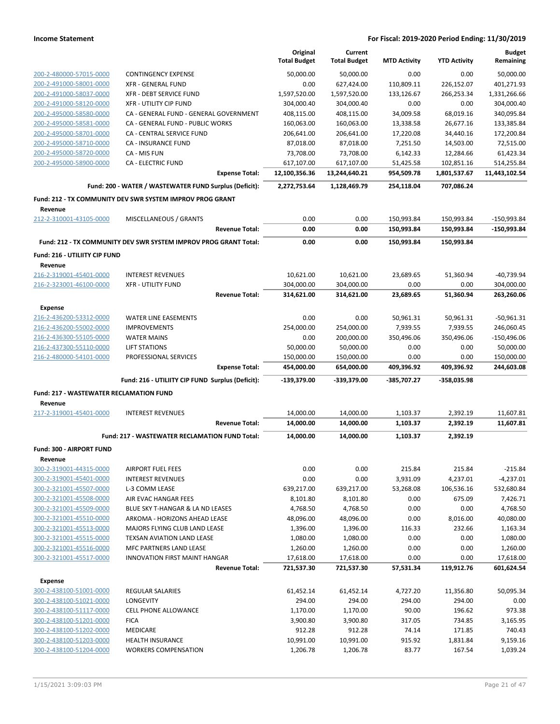|                                                |                                                                  | Original            | Current             |                     |                     | <b>Budget</b> |
|------------------------------------------------|------------------------------------------------------------------|---------------------|---------------------|---------------------|---------------------|---------------|
|                                                |                                                                  | <b>Total Budget</b> | <b>Total Budget</b> | <b>MTD Activity</b> | <b>YTD Activity</b> | Remaining     |
| 200-2-480000-57015-0000                        | <b>CONTINGENCY EXPENSE</b>                                       | 50,000.00           | 50,000.00           | 0.00                | 0.00                | 50,000.00     |
| 200-2-491000-58001-0000                        | <b>XFR - GENERAL FUND</b>                                        | 0.00                | 627,424.00          | 110,809.11          | 226,152.07          | 401,271.93    |
| 200-2-491000-58037-0000                        | XFR - DEBT SERVICE FUND                                          | 1,597,520.00        | 1,597,520.00        | 133,126.67          | 266,253.34          | 1,331,266.66  |
| 200-2-491000-58120-0000                        | <b>XFR - UTILITY CIP FUND</b>                                    | 304,000.40          | 304,000.40          | 0.00                | 0.00                | 304,000.40    |
| 200-2-495000-58580-0000                        | CA - GENERAL FUND - GENERAL GOVERNMENT                           | 408,115.00          | 408,115.00          | 34,009.58           | 68,019.16           | 340,095.84    |
| 200-2-495000-58581-0000                        | CA - GENERAL FUND - PUBLIC WORKS                                 | 160,063.00          | 160,063.00          | 13,338.58           | 26,677.16           | 133,385.84    |
| 200-2-495000-58701-0000                        | CA - CENTRAL SERVICE FUND                                        | 206,641.00          | 206,641.00          | 17,220.08           | 34,440.16           | 172,200.84    |
| 200-2-495000-58710-0000                        | <b>CA - INSURANCE FUND</b>                                       | 87,018.00           | 87,018.00           | 7,251.50            | 14,503.00           | 72,515.00     |
| 200-2-495000-58720-0000                        | CA - MIS FUN                                                     | 73,708.00           | 73,708.00           | 6,142.33            | 12,284.66           | 61,423.34     |
| 200-2-495000-58900-0000                        | <b>CA - ELECTRIC FUND</b>                                        | 617,107.00          | 617,107.00          | 51,425.58           | 102,851.16          | 514,255.84    |
|                                                | <b>Expense Total:</b>                                            | 12,100,356.36       | 13,244,640.21       | 954,509.78          | 1,801,537.67        | 11,443,102.54 |
|                                                | Fund: 200 - WATER / WASTEWATER FUND Surplus (Deficit):           | 2,272,753.64        | 1,128,469.79        | 254,118.04          | 707,086.24          |               |
| Revenue                                        | Fund: 212 - TX COMMUNITY DEV SWR SYSTEM IMPROV PROG GRANT        |                     |                     |                     |                     |               |
| 212-2-310001-43105-0000                        | MISCELLANEOUS / GRANTS                                           | 0.00                | 0.00                | 150,993.84          | 150,993.84          | -150,993.84   |
|                                                | <b>Revenue Total:</b>                                            | 0.00                | 0.00                | 150,993.84          | 150,993.84          | -150,993.84   |
|                                                | Fund: 212 - TX COMMUNITY DEV SWR SYSTEM IMPROV PROG GRANT Total: | 0.00                | 0.00                | 150,993.84          | 150,993.84          |               |
| Fund: 216 - UTILIITY CIP FUND                  |                                                                  |                     |                     |                     |                     |               |
| Revenue                                        |                                                                  |                     |                     |                     |                     |               |
| 216-2-319001-45401-0000                        | <b>INTEREST REVENUES</b>                                         | 10,621.00           | 10,621.00           | 23,689.65           | 51,360.94           | $-40,739.94$  |
| 216-2-323001-46100-0000                        | <b>XFR - UTILITY FUND</b>                                        | 304,000.00          | 304,000.00          | 0.00                | 0.00                | 304,000.00    |
|                                                | <b>Revenue Total:</b>                                            | 314,621.00          | 314,621.00          | 23,689.65           | 51,360.94           | 263,260.06    |
| <b>Expense</b>                                 |                                                                  |                     |                     |                     |                     |               |
| 216-2-436200-53312-0000                        | <b>WATER LINE EASEMENTS</b>                                      | 0.00                | 0.00                | 50,961.31           | 50,961.31           | $-50,961.31$  |
| 216-2-436200-55002-0000                        | <b>IMPROVEMENTS</b>                                              | 254,000.00          | 254,000.00          | 7,939.55            | 7,939.55            | 246,060.45    |
| 216-2-436300-55105-0000                        | <b>WATER MAINS</b>                                               | 0.00                | 200,000.00          | 350,496.06          | 350,496.06          | $-150,496.06$ |
| 216-2-437300-55110-0000                        | <b>LIFT STATIONS</b>                                             | 50,000.00           | 50,000.00           | 0.00                | 0.00                | 50,000.00     |
| 216-2-480000-54101-0000                        | PROFESSIONAL SERVICES                                            | 150,000.00          | 150,000.00          | 0.00                | 0.00                | 150,000.00    |
|                                                | <b>Expense Total:</b>                                            | 454,000.00          | 654,000.00          | 409,396.92          | 409,396.92          | 244,603.08    |
|                                                | Fund: 216 - UTILIITY CIP FUND Surplus (Deficit):                 | -139,379.00         | -339,379.00         | -385,707.27         | -358,035.98         |               |
| <b>Fund: 217 - WASTEWATER RECLAMATION FUND</b> |                                                                  |                     |                     |                     |                     |               |
| Revenue                                        |                                                                  |                     |                     |                     |                     |               |
| 217-2-319001-45401-0000                        | <b>INTEREST REVENUES</b>                                         | 14,000.00           | 14,000.00           | 1,103.37            | 2,392.19            | 11,607.81     |
|                                                | <b>Revenue Total:</b>                                            | 14,000.00           | 14,000.00           | 1,103.37            | 2,392.19            | 11,607.81     |
|                                                | Fund: 217 - WASTEWATER RECLAMATION FUND Total:                   | 14,000.00           | 14,000.00           | 1,103.37            | 2,392.19            |               |
| Fund: 300 - AIRPORT FUND                       |                                                                  |                     |                     |                     |                     |               |
| Revenue                                        |                                                                  |                     |                     |                     |                     |               |
| 300-2-319001-44315-0000                        | <b>AIRPORT FUEL FEES</b>                                         | 0.00                | 0.00                | 215.84              | 215.84              | $-215.84$     |
| 300-2-319001-45401-0000                        | <b>INTEREST REVENUES</b>                                         | 0.00                | 0.00                | 3,931.09            | 4,237.01            | $-4,237.01$   |
| 300-2-321001-45507-0000                        | L-3 COMM LEASE                                                   | 639,217.00          | 639,217.00          | 53,268.08           | 106,536.16          | 532,680.84    |
| 300-2-321001-45508-0000                        | AIR EVAC HANGAR FEES                                             | 8,101.80            | 8,101.80            | 0.00                | 675.09              | 7,426.71      |
| 300-2-321001-45509-0000                        | BLUE SKY T-HANGAR & LA ND LEASES                                 | 4,768.50            | 4,768.50            | 0.00                | 0.00                | 4,768.50      |
| 300-2-321001-45510-0000                        | ARKOMA - HORIZONS AHEAD LEASE                                    | 48,096.00           | 48,096.00           | 0.00                | 8,016.00            | 40,080.00     |
| 300-2-321001-45513-0000                        | MAJORS FLYING CLUB LAND LEASE                                    | 1,396.00            | 1,396.00            | 116.33              | 232.66              | 1,163.34      |
| 300-2-321001-45515-0000                        | TEXSAN AVIATION LAND LEASE                                       | 1,080.00            | 1,080.00            | 0.00                | 0.00                | 1,080.00      |
| 300-2-321001-45516-0000                        | MFC PARTNERS LAND LEASE                                          | 1,260.00            | 1,260.00            | 0.00                | 0.00                | 1,260.00      |
| 300-2-321001-45517-0000                        | INNOVATION FIRST MAINT HANGAR                                    | 17,618.00           | 17,618.00           | 0.00                | 0.00                | 17,618.00     |
|                                                | <b>Revenue Total:</b>                                            | 721,537.30          | 721,537.30          | 57,531.34           | 119,912.76          | 601,624.54    |
| <b>Expense</b>                                 |                                                                  |                     |                     |                     |                     |               |
| 300-2-438100-51001-0000                        | <b>REGULAR SALARIES</b>                                          | 61,452.14           | 61,452.14           | 4,727.20            | 11,356.80           | 50,095.34     |
| 300-2-438100-51021-0000                        | LONGEVITY                                                        | 294.00              | 294.00              | 294.00              | 294.00              | 0.00          |
| 300-2-438100-51117-0000                        | CELL PHONE ALLOWANCE                                             | 1,170.00            | 1,170.00            | 90.00               | 196.62              | 973.38        |
| 300-2-438100-51201-0000                        | <b>FICA</b>                                                      | 3,900.80            | 3,900.80            | 317.05              | 734.85              | 3,165.95      |
| 300-2-438100-51202-0000                        | MEDICARE                                                         | 912.28              | 912.28              | 74.14               | 171.85              | 740.43        |
| 300-2-438100-51203-0000                        | <b>HEALTH INSURANCE</b>                                          | 10,991.00           | 10,991.00           | 915.92              | 1,831.84            | 9,159.16      |
| 300-2-438100-51204-0000                        | <b>WORKERS COMPENSATION</b>                                      | 1,206.78            | 1,206.78            | 83.77               | 167.54              | 1,039.24      |
|                                                |                                                                  |                     |                     |                     |                     |               |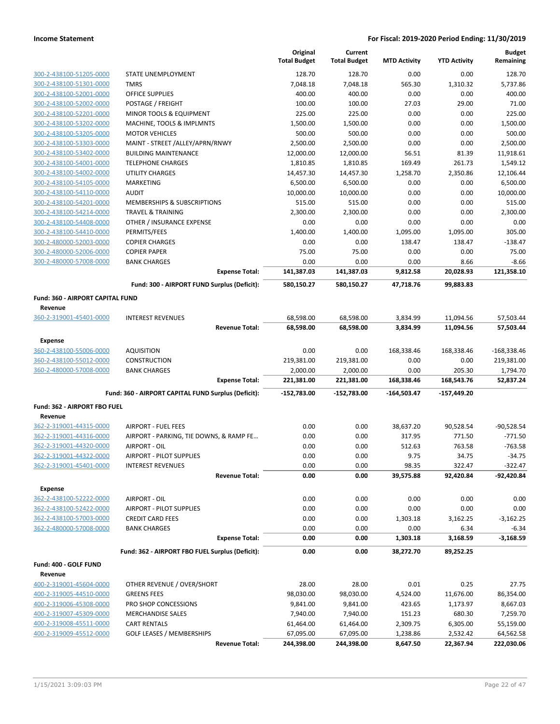|                                  |                                                     | Original<br><b>Total Budget</b> | Current<br><b>Total Budget</b> | <b>MTD Activity</b>  | <b>YTD Activity</b>    | <b>Budget</b><br>Remaining |
|----------------------------------|-----------------------------------------------------|---------------------------------|--------------------------------|----------------------|------------------------|----------------------------|
| 300-2-438100-51205-0000          | STATE UNEMPLOYMENT                                  | 128.70                          | 128.70                         | 0.00                 | 0.00                   | 128.70                     |
| 300-2-438100-51301-0000          | <b>TMRS</b>                                         | 7,048.18                        | 7,048.18                       | 565.30               | 1,310.32               | 5,737.86                   |
| 300-2-438100-52001-0000          | <b>OFFICE SUPPLIES</b>                              | 400.00                          | 400.00                         | 0.00                 | 0.00                   | 400.00                     |
| 300-2-438100-52002-0000          | POSTAGE / FREIGHT                                   | 100.00                          | 100.00                         | 27.03                | 29.00                  | 71.00                      |
| 300-2-438100-52201-0000          | MINOR TOOLS & EQUIPMENT                             | 225.00                          | 225.00                         | 0.00                 | 0.00                   | 225.00                     |
| 300-2-438100-53202-0000          | MACHINE, TOOLS & IMPLMNTS                           | 1,500.00                        | 1,500.00                       | 0.00                 | 0.00                   | 1,500.00                   |
| 300-2-438100-53205-0000          | <b>MOTOR VEHICLES</b>                               | 500.00                          | 500.00                         | 0.00                 | 0.00                   | 500.00                     |
| 300-2-438100-53303-0000          | MAINT - STREET /ALLEY/APRN/RNWY                     | 2,500.00                        | 2,500.00                       | 0.00                 | 0.00                   | 2,500.00                   |
| 300-2-438100-53402-0000          | <b>BUILDING MAINTENANCE</b>                         | 12,000.00                       | 12,000.00                      | 56.51                | 81.39                  | 11,918.61                  |
| 300-2-438100-54001-0000          | <b>TELEPHONE CHARGES</b>                            | 1,810.85                        | 1,810.85                       | 169.49               | 261.73                 | 1,549.12                   |
| 300-2-438100-54002-0000          | <b>UTILITY CHARGES</b>                              | 14,457.30                       | 14,457.30                      | 1,258.70             | 2,350.86               | 12,106.44                  |
| 300-2-438100-54105-0000          | <b>MARKETING</b>                                    | 6,500.00                        | 6,500.00                       | 0.00                 | 0.00                   | 6,500.00                   |
| 300-2-438100-54110-0000          | <b>AUDIT</b>                                        | 10,000.00                       | 10,000.00                      | 0.00                 | 0.00                   | 10,000.00                  |
| 300-2-438100-54201-0000          | MEMBERSHIPS & SUBSCRIPTIONS                         | 515.00                          | 515.00                         | 0.00                 | 0.00                   | 515.00                     |
| 300-2-438100-54214-0000          | <b>TRAVEL &amp; TRAINING</b>                        | 2,300.00                        | 2,300.00                       | 0.00                 | 0.00                   | 2,300.00                   |
| 300-2-438100-54408-0000          | OTHER / INSURANCE EXPENSE                           | 0.00                            | 0.00                           | 0.00                 | 0.00                   | 0.00                       |
| 300-2-438100-54410-0000          | PERMITS/FEES                                        | 1,400.00                        | 1,400.00                       | 1,095.00             | 1,095.00               | 305.00                     |
| 300-2-480000-52003-0000          | <b>COPIER CHARGES</b>                               | 0.00                            | 0.00                           | 138.47               | 138.47                 | $-138.47$                  |
| 300-2-480000-52006-0000          | <b>COPIER PAPER</b>                                 | 75.00                           | 75.00                          | 0.00                 | 0.00                   | 75.00                      |
| 300-2-480000-57008-0000          | <b>BANK CHARGES</b>                                 | 0.00                            | 0.00                           | 0.00                 | 8.66                   | $-8.66$                    |
|                                  | <b>Expense Total:</b>                               | 141,387.03                      | 141,387.03                     | 9,812.58             | 20,028.93              | 121.358.10                 |
|                                  | Fund: 300 - AIRPORT FUND Surplus (Deficit):         | 580,150.27                      | 580,150.27                     | 47,718.76            | 99,883.83              |                            |
| Fund: 360 - AIRPORT CAPITAL FUND |                                                     |                                 |                                |                      |                        |                            |
| Revenue                          |                                                     |                                 |                                |                      |                        |                            |
| 360-2-319001-45401-0000          | <b>INTEREST REVENUES</b><br><b>Revenue Total:</b>   | 68,598.00<br>68,598.00          | 68,598.00<br>68,598.00         | 3,834.99<br>3,834.99 | 11,094.56<br>11,094.56 | 57,503.44<br>57,503.44     |
| <b>Expense</b>                   |                                                     |                                 |                                |                      |                        |                            |
| 360-2-438100-55006-0000          | <b>AQUISITION</b>                                   | 0.00                            | 0.00                           | 168,338.46           | 168,338.46             | $-168,338.46$              |
| 360-2-438100-55012-0000          | <b>CONSTRUCTION</b>                                 | 219,381.00                      | 219,381.00                     | 0.00                 | 0.00                   | 219,381.00                 |
| 360-2-480000-57008-0000          | <b>BANK CHARGES</b>                                 | 2,000.00                        | 2,000.00                       | 0.00                 | 205.30                 | 1,794.70                   |
|                                  | <b>Expense Total:</b>                               | 221,381.00                      | 221,381.00                     | 168,338.46           | 168,543.76             | 52,837.24                  |
|                                  | Fund: 360 - AIRPORT CAPITAL FUND Surplus (Deficit): | -152,783.00                     | $-152,783.00$                  | $-164,503.47$        | -157,449.20            |                            |
| Fund: 362 - AIRPORT FBO FUEL     |                                                     |                                 |                                |                      |                        |                            |
| Revenue                          |                                                     |                                 |                                |                      |                        |                            |
| 362-2-319001-44315-0000          | <b>AIRPORT - FUEL FEES</b>                          | 0.00                            | 0.00                           | 38,637.20            | 90,528.54              | $-90,528.54$               |
| 362-2-319001-44316-0000          | AIRPORT - PARKING, TIE DOWNS, & RAMP FE             | 0.00                            | 0.00                           | 317.95               | 771.50                 | $-771.50$                  |
| 362-2-319001-44320-0000          | AIRPORT - OIL                                       | 0.00                            | 0.00                           | 512.63               | 763.58                 | $-763.58$                  |
| 362-2-319001-44322-0000          | <b>AIRPORT - PILOT SUPPLIES</b>                     | 0.00                            | 0.00                           | 9.75                 | 34.75                  | $-34.75$                   |
| 362-2-319001-45401-0000          | <b>INTEREST REVENUES</b>                            | 0.00                            | 0.00                           | 98.35                | 322.47                 | $-322.47$                  |
|                                  | <b>Revenue Total:</b>                               | 0.00                            | 0.00                           | 39,575.88            | 92,420.84              | -92,420.84                 |
| <b>Expense</b>                   |                                                     |                                 |                                |                      |                        |                            |
| 362-2-438100-52222-0000          | AIRPORT - OIL                                       | 0.00                            | 0.00                           | 0.00                 | 0.00                   | 0.00                       |
| 362-2-438100-52422-0000          | AIRPORT - PILOT SUPPLIES                            | 0.00                            | 0.00                           | 0.00                 | 0.00                   | 0.00                       |
| 362-2-438100-57003-0000          | <b>CREDIT CARD FEES</b>                             | 0.00                            | 0.00                           | 1,303.18             | 3,162.25               | $-3,162.25$                |
| 362-2-480000-57008-0000          | <b>BANK CHARGES</b>                                 | 0.00                            | 0.00                           | 0.00                 | 6.34                   | $-6.34$                    |
|                                  | <b>Expense Total:</b>                               | 0.00                            | 0.00                           | 1,303.18             | 3,168.59               | $-3,168.59$                |
|                                  | Fund: 362 - AIRPORT FBO FUEL Surplus (Deficit):     | 0.00                            | 0.00                           | 38,272.70            | 89,252.25              |                            |
| Fund: 400 - GOLF FUND            |                                                     |                                 |                                |                      |                        |                            |
| Revenue                          |                                                     |                                 |                                |                      |                        |                            |
| 400-2-319001-45604-0000          | OTHER REVENUE / OVER/SHORT                          | 28.00                           | 28.00                          | 0.01                 | 0.25                   | 27.75                      |
| 400-2-319005-44510-0000          | <b>GREENS FEES</b>                                  | 98,030.00                       | 98,030.00                      | 4,524.00             | 11,676.00              | 86,354.00                  |
| 400-2-319006-45308-0000          | PRO SHOP CONCESSIONS                                | 9,841.00                        | 9,841.00                       | 423.65               | 1,173.97               | 8,667.03                   |
| 400-2-319007-45309-0000          | <b>MERCHANDISE SALES</b>                            | 7,940.00                        | 7,940.00                       | 151.23               | 680.30                 | 7,259.70                   |
| 400-2-319008-45511-0000          | <b>CART RENTALS</b>                                 | 61,464.00                       | 61,464.00                      | 2,309.75             | 6,305.00               | 55,159.00                  |
| 400-2-319009-45512-0000          | <b>GOLF LEASES / MEMBERSHIPS</b>                    | 67,095.00                       | 67,095.00                      | 1,238.86             | 2,532.42               | 64,562.58                  |
|                                  | <b>Revenue Total:</b>                               | 244,398.00                      | 244,398.00                     | 8,647.50             | 22,367.94              | 222,030.06                 |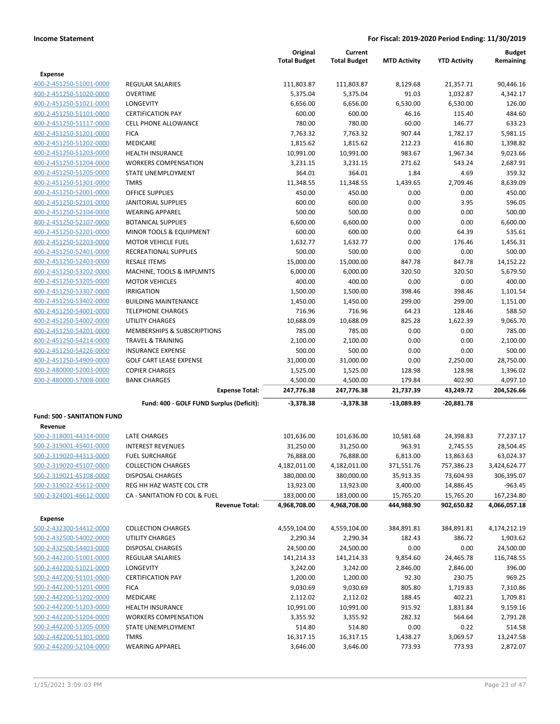|                                    |                                          | Original<br><b>Total Budget</b> | Current<br><b>Total Budget</b> | <b>MTD Activity</b> | <b>YTD Activity</b> | <b>Budget</b><br>Remaining |
|------------------------------------|------------------------------------------|---------------------------------|--------------------------------|---------------------|---------------------|----------------------------|
| <b>Expense</b>                     |                                          |                                 |                                |                     |                     |                            |
| 400-2-451250-51001-0000            | <b>REGULAR SALARIES</b>                  | 111,803.87                      | 111,803.87                     | 8,129.68            | 21,357.71           | 90,446.16                  |
| 400-2-451250-51020-0000            | <b>OVERTIME</b>                          | 5,375.04                        | 5,375.04                       | 91.03               | 1,032.87            | 4,342.17                   |
| 400-2-451250-51021-0000            | LONGEVITY                                | 6,656.00                        | 6,656.00                       | 6,530.00            | 6,530.00            | 126.00                     |
| 400-2-451250-51101-0000            | <b>CERTIFICATION PAY</b>                 | 600.00                          | 600.00                         | 46.16               | 115.40              | 484.60                     |
| 400-2-451250-51117-0000            | <b>CELL PHONE ALLOWANCE</b>              | 780.00                          | 780.00                         | 60.00               | 146.77              | 633.23                     |
| 400-2-451250-51201-0000            | <b>FICA</b>                              | 7,763.32                        | 7,763.32                       | 907.44              | 1,782.17            | 5,981.15                   |
| 400-2-451250-51202-0000            | <b>MEDICARE</b>                          | 1,815.62                        | 1,815.62                       | 212.23              | 416.80              | 1,398.82                   |
| 400-2-451250-51203-0000            | HEALTH INSURANCE                         | 10,991.00                       | 10,991.00                      | 983.67              | 1,967.34            | 9,023.66                   |
| 400-2-451250-51204-0000            | <b>WORKERS COMPENSATION</b>              | 3,231.15                        | 3,231.15                       | 271.62              | 543.24              | 2,687.91                   |
| 400-2-451250-51205-0000            | STATE UNEMPLOYMENT                       | 364.01                          | 364.01                         | 1.84                | 4.69                | 359.32                     |
| 400-2-451250-51301-0000            | <b>TMRS</b>                              | 11,348.55                       | 11,348.55                      | 1,439.65            | 2,709.46            | 8,639.09                   |
| 400-2-451250-52001-0000            | <b>OFFICE SUPPLIES</b>                   | 450.00                          | 450.00                         | 0.00                | 0.00                | 450.00                     |
| 400-2-451250-52101-0000            | <b>JANITORIAL SUPPLIES</b>               | 600.00                          | 600.00                         | 0.00                | 3.95                | 596.05                     |
| 400-2-451250-52104-0000            | <b>WEARING APPAREL</b>                   | 500.00                          | 500.00                         | 0.00                | 0.00                | 500.00                     |
| 400-2-451250-52107-0000            | <b>BOTANICAL SUPPLIES</b>                | 6,600.00                        | 6,600.00                       | 0.00                | 0.00                | 6,600.00                   |
| 400-2-451250-52201-0000            | MINOR TOOLS & EQUIPMENT                  | 600.00                          | 600.00                         | 0.00                | 64.39               | 535.61                     |
| 400-2-451250-52203-0000            | <b>MOTOR VEHICLE FUEL</b>                | 1,632.77                        | 1,632.77                       | 0.00                | 176.46              | 1,456.31                   |
| 400-2-451250-52401-0000            | RECREATIONAL SUPPLIES                    | 500.00                          | 500.00                         | 0.00                | 0.00                | 500.00                     |
| 400-2-451250-52403-0000            | <b>RESALE ITEMS</b>                      | 15,000.00                       | 15,000.00                      | 847.78              | 847.78              | 14,152.22                  |
| 400-2-451250-53202-0000            | MACHINE, TOOLS & IMPLMNTS                | 6,000.00                        | 6,000.00                       | 320.50              | 320.50              | 5,679.50                   |
| 400-2-451250-53205-0000            | <b>MOTOR VEHICLES</b>                    | 400.00                          | 400.00                         | 0.00                | 0.00                | 400.00                     |
| 400-2-451250-53307-0000            | <b>IRRIGATION</b>                        | 1,500.00                        | 1,500.00                       | 398.46              | 398.46              | 1,101.54                   |
| 400-2-451250-53402-0000            | <b>BUILDING MAINTENANCE</b>              | 1,450.00                        | 1,450.00                       | 299.00              | 299.00              | 1,151.00                   |
| 400-2-451250-54001-0000            | <b>TELEPHONE CHARGES</b>                 | 716.96                          | 716.96                         | 64.23               | 128.46              | 588.50                     |
| 400-2-451250-54002-0000            | UTILITY CHARGES                          | 10,688.09                       | 10,688.09                      | 825.28              | 1,622.39            | 9,065.70                   |
| 400-2-451250-54201-0000            | MEMBERSHIPS & SUBSCRIPTIONS              | 785.00                          | 785.00                         | 0.00                | 0.00                | 785.00                     |
| 400-2-451250-54214-0000            | <b>TRAVEL &amp; TRAINING</b>             | 2,100.00                        | 2,100.00                       | 0.00                | 0.00                | 2,100.00                   |
| 400-2-451250-54226-0000            | <b>INSURANCE EXPENSE</b>                 | 500.00                          | 500.00                         | 0.00                | 0.00                | 500.00                     |
| 400-2-451250-54909-0000            | <b>GOLF CART LEASE EXPENSE</b>           | 31,000.00                       | 31,000.00                      | 0.00                | 2,250.00            | 28,750.00                  |
| 400-2-480000-52003-0000            | <b>COPIER CHARGES</b>                    | 1,525.00                        | 1,525.00                       | 128.98              | 128.98              | 1,396.02                   |
| 400-2-480000-57008-0000            | <b>BANK CHARGES</b>                      | 4,500.00                        | 4,500.00                       | 179.84              | 402.90              | 4,097.10                   |
|                                    | <b>Expense Total:</b>                    | 247,776.38                      | 247,776.38                     | 21,737.39           | 43,249.72           | 204,526.66                 |
|                                    | Fund: 400 - GOLF FUND Surplus (Deficit): | $-3,378.38$                     | $-3,378.38$                    | -13,089.89          | -20,881.78          |                            |
| <b>Fund: 500 - SANITATION FUND</b> |                                          |                                 |                                |                     |                     |                            |
| Revenue                            |                                          |                                 |                                |                     |                     |                            |
| 500-2-318001-44314-0000            | <b>LATE CHARGES</b>                      | 101,636.00                      | 101,636.00                     | 10,581.68           | 24,398.83           | 77,237.17                  |
| 500-2-319001-45401-0000            | <b>INTEREST REVENUES</b>                 | 31,250.00                       | 31,250.00                      | 963.91              | 2,745.55            | 28,504.45                  |
| 500-2-319020-44313-0000            | <b>FUEL SURCHARGE</b>                    | 76,888.00                       | 76,888.00                      | 6,813.00            | 13,863.63           | 63,024.37                  |
| 500-2-319020-45107-0000            | <b>COLLECTION CHARGES</b>                | 4,182,011.00                    | 4,182,011.00                   | 371,551.76          | 757,386.23          | 3,424,624.77               |
| 500-2-319021-45108-0000            | DISPOSAL CHARGES                         | 380,000.00                      | 380,000.00                     | 35,913.35           | 73,604.93           | 306,395.07                 |
| 500-2-319022-45612-0000            | REG HH HAZ WASTE COL CTR                 | 13,923.00                       | 13,923.00                      | 3,400.00            | 14,886.45           | $-963.45$                  |
| 500-2-324001-46612-0000            | CA - SANITATION FD COL & FUEL            | 183,000.00                      | 183,000.00                     | 15,765.20           | 15,765.20           | 167,234.80                 |
|                                    | <b>Revenue Total:</b>                    | 4,968,708.00                    | 4,968,708.00                   | 444,988.90          | 902,650.82          | 4,066,057.18               |
| <b>Expense</b>                     |                                          |                                 |                                |                     |                     |                            |
| 500-2-432300-54412-0000            | <b>COLLECTION CHARGES</b>                | 4,559,104.00                    | 4,559,104.00                   | 384,891.81          | 384,891.81          | 4,174,212.19               |
| 500-2-432500-54002-0000            | UTILITY CHARGES                          | 2,290.34                        | 2,290.34                       | 182.43              | 386.72              | 1,903.62                   |
| 500-2-432500-54403-0000            | DISPOSAL CHARGES                         | 24,500.00                       | 24,500.00                      | 0.00                | 0.00                | 24,500.00                  |
| 500-2-442200-51001-0000            | <b>REGULAR SALARIES</b>                  | 141,214.33                      | 141,214.33                     | 9,854.60            | 24,465.78           | 116,748.55                 |
| 500-2-442200-51021-0000            | LONGEVITY                                | 3,242.00                        | 3,242.00                       | 2,846.00            | 2,846.00            | 396.00                     |
| 500-2-442200-51101-0000            | <b>CERTIFICATION PAY</b>                 | 1,200.00                        | 1,200.00                       | 92.30               | 230.75              | 969.25                     |
| 500-2-442200-51201-0000            | <b>FICA</b>                              | 9,030.69                        | 9,030.69                       | 805.80              | 1,719.83            | 7,310.86                   |
| 500-2-442200-51202-0000            | MEDICARE                                 | 2,112.02                        | 2,112.02                       | 188.45              | 402.21              | 1,709.81                   |
| 500-2-442200-51203-0000            | HEALTH INSURANCE                         | 10,991.00                       | 10,991.00                      | 915.92              | 1,831.84            | 9,159.16                   |
| 500-2-442200-51204-0000            | <b>WORKERS COMPENSATION</b>              | 3,355.92                        | 3,355.92                       | 282.32              | 564.64              | 2,791.28                   |
| 500-2-442200-51205-0000            | STATE UNEMPLOYMENT                       | 514.80                          | 514.80                         | 0.00                | 0.22                | 514.58                     |
| 500-2-442200-51301-0000            | <b>TMRS</b>                              | 16,317.15                       | 16,317.15                      | 1,438.27            | 3,069.57            | 13,247.58                  |
| 500-2-442200-52104-0000            | <b>WEARING APPAREL</b>                   | 3,646.00                        | 3,646.00                       | 773.93              | 773.93              | 2,872.07                   |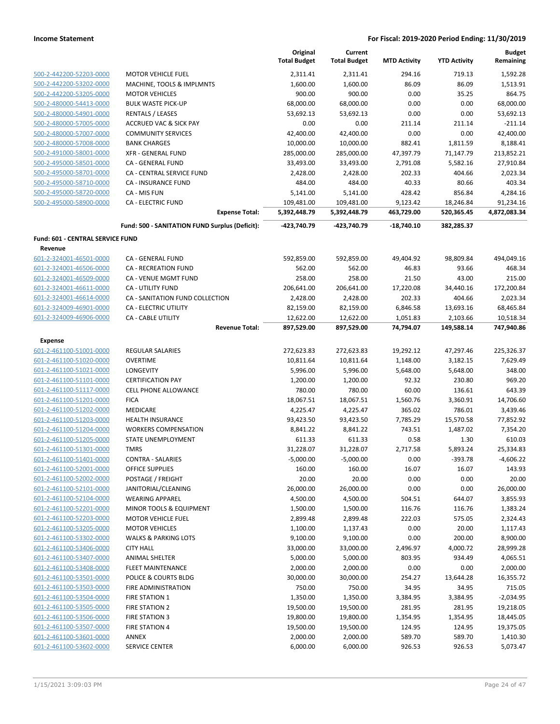|                                         |                                                | Original<br><b>Total Budget</b> | Current<br><b>Total Budget</b> | <b>MTD Activity</b> | <b>YTD Activity</b> | <b>Budget</b><br>Remaining |
|-----------------------------------------|------------------------------------------------|---------------------------------|--------------------------------|---------------------|---------------------|----------------------------|
| 500-2-442200-52203-0000                 | <b>MOTOR VEHICLE FUEL</b>                      | 2,311.41                        | 2,311.41                       | 294.16              | 719.13              | 1,592.28                   |
| 500-2-442200-53202-0000                 | MACHINE, TOOLS & IMPLMNTS                      | 1,600.00                        | 1,600.00                       | 86.09               | 86.09               | 1,513.91                   |
| 500-2-442200-53205-0000                 | <b>MOTOR VEHICLES</b>                          | 900.00                          | 900.00                         | 0.00                | 35.25               | 864.75                     |
| 500-2-480000-54413-0000                 | <b>BULK WASTE PICK-UP</b>                      | 68,000.00                       | 68,000.00                      | 0.00                | 0.00                | 68,000.00                  |
| 500-2-480000-54901-0000                 | <b>RENTALS / LEASES</b>                        | 53,692.13                       | 53,692.13                      | 0.00                | 0.00                | 53,692.13                  |
| 500-2-480000-57005-0000                 | <b>ACCRUED VAC &amp; SICK PAY</b>              | 0.00                            | 0.00                           | 211.14              | 211.14              | $-211.14$                  |
| 500-2-480000-57007-0000                 | <b>COMMUNITY SERVICES</b>                      | 42,400.00                       | 42,400.00                      | 0.00                | 0.00                | 42,400.00                  |
| 500-2-480000-57008-0000                 | <b>BANK CHARGES</b>                            | 10,000.00                       | 10,000.00                      | 882.41              | 1,811.59            | 8,188.41                   |
| 500-2-491000-58001-0000                 | <b>XFR - GENERAL FUND</b>                      | 285,000.00                      | 285,000.00                     | 47,397.79           | 71,147.79           | 213,852.21                 |
| 500-2-495000-58501-0000                 | CA - GENERAL FUND                              | 33,493.00                       | 33,493.00                      | 2,791.08            | 5,582.16            | 27,910.84                  |
| 500-2-495000-58701-0000                 | CA - CENTRAL SERVICE FUND                      | 2,428.00                        | 2,428.00                       | 202.33              | 404.66              | 2,023.34                   |
| 500-2-495000-58710-0000                 | <b>CA - INSURANCE FUND</b>                     | 484.00                          | 484.00                         | 40.33               | 80.66               | 403.34                     |
| 500-2-495000-58720-0000                 | CA - MIS FUN                                   | 5,141.00                        | 5,141.00                       | 428.42              | 856.84              | 4,284.16                   |
| 500-2-495000-58900-0000                 | <b>CA - ELECTRIC FUND</b>                      | 109,481.00                      | 109,481.00                     | 9,123.42            | 18,246.84           | 91,234.16                  |
|                                         | <b>Expense Total:</b>                          | 5,392,448.79                    | 5,392,448.79                   | 463,729.00          | 520,365.45          | 4,872,083.34               |
|                                         | Fund: 500 - SANITATION FUND Surplus (Deficit): | -423,740.79                     | -423,740.79                    | $-18,740.10$        | 382,285.37          |                            |
| <b>Fund: 601 - CENTRAL SERVICE FUND</b> |                                                |                                 |                                |                     |                     |                            |
| Revenue                                 |                                                |                                 |                                |                     |                     |                            |
| 601-2-324001-46501-0000                 | CA - GENERAL FUND                              | 592,859.00                      | 592,859.00                     | 49,404.92           | 98,809.84           | 494,049.16                 |
| 601-2-324001-46506-0000                 | <b>CA - RECREATION FUND</b>                    | 562.00                          | 562.00                         | 46.83               | 93.66               | 468.34                     |
| 601-2-324001-46509-0000                 | CA - VENUE MGMT FUND                           | 258.00                          | 258.00                         | 21.50               | 43.00               | 215.00                     |
| 601-2-324001-46611-0000                 | CA - UTILITY FUND                              | 206,641.00                      | 206,641.00                     | 17,220.08           | 34,440.16           | 172,200.84                 |
| 601-2-324001-46614-0000                 | CA - SANITATION FUND COLLECTION                | 2,428.00                        | 2,428.00                       | 202.33              | 404.66              | 2,023.34                   |
| 601-2-324009-46901-0000                 | <b>CA - ELECTRIC UTILITY</b>                   | 82,159.00                       | 82,159.00                      | 6,846.58            | 13,693.16           | 68,465.84                  |
| 601-2-324009-46906-0000                 | <b>CA - CABLE UTILITY</b>                      | 12,622.00                       | 12,622.00                      | 1,051.83            | 2,103.66            | 10,518.34                  |
|                                         | <b>Revenue Total:</b>                          | 897,529.00                      | 897,529.00                     | 74,794.07           | 149,588.14          | 747,940.86                 |
| Expense                                 |                                                |                                 |                                |                     |                     |                            |
| 601-2-461100-51001-0000                 | <b>REGULAR SALARIES</b>                        | 272,623.83                      | 272,623.83                     | 19,292.12           | 47,297.46           | 225,326.37                 |
| 601-2-461100-51020-0000                 | <b>OVERTIME</b>                                | 10,811.64                       | 10,811.64                      | 1,148.00            | 3,182.15            | 7,629.49                   |
| 601-2-461100-51021-0000                 | LONGEVITY                                      | 5,996.00                        | 5,996.00                       | 5,648.00            | 5,648.00            | 348.00                     |
| 601-2-461100-51101-0000                 | <b>CERTIFICATION PAY</b>                       | 1,200.00                        | 1,200.00                       | 92.32               | 230.80              | 969.20                     |
| 601-2-461100-51117-0000                 | <b>CELL PHONE ALLOWANCE</b>                    | 780.00                          | 780.00                         | 60.00               | 136.61              | 643.39                     |
| 601-2-461100-51201-0000                 | <b>FICA</b>                                    | 18,067.51                       | 18,067.51                      | 1,560.76            | 3,360.91            | 14,706.60                  |
| 601-2-461100-51202-0000                 | MEDICARE                                       | 4,225.47                        | 4,225.47                       | 365.02              | 786.01              | 3,439.46                   |
| 601-2-461100-51203-0000                 | <b>HEALTH INSURANCE</b>                        | 93,423.50                       | 93,423.50                      | 7,785.29            | 15,570.58           | 77,852.92                  |
| 601-2-461100-51204-0000                 | <b>WORKERS COMPENSATION</b>                    | 8,841.22                        | 8,841.22                       | 743.51              | 1,487.02            | 7,354.20                   |
| 601-2-461100-51205-0000                 | STATE UNEMPLOYMENT                             | 611.33                          | 611.33                         | 0.58                | 1.30                | 610.03                     |
| 601-2-461100-51301-0000                 | <b>TMRS</b>                                    | 31,228.07                       | 31,228.07                      | 2,717.58            | 5,893.24            | 25,334.83                  |
| 601-2-461100-51401-0000                 | <b>CONTRA - SALARIES</b>                       | $-5,000.00$                     | $-5,000.00$                    | 0.00                | -393.78             | -4,606.22                  |
| 601-2-461100-52001-0000                 | OFFICE SUPPLIES                                | 160.00                          | 160.00                         | 16.07               | 16.07               | 143.93                     |
| 601-2-461100-52002-0000                 | POSTAGE / FREIGHT                              | 20.00                           | 20.00                          | 0.00                | 0.00                | 20.00                      |
| 601-2-461100-52101-0000                 | JANITORIAL/CLEANING                            | 26,000.00                       | 26,000.00                      | 0.00                | 0.00                | 26,000.00                  |
| 601-2-461100-52104-0000                 | <b>WEARING APPAREL</b>                         | 4,500.00                        | 4,500.00                       | 504.51              | 644.07              | 3,855.93                   |
| 601-2-461100-52201-0000                 | MINOR TOOLS & EQUIPMENT                        | 1,500.00                        | 1,500.00                       | 116.76              | 116.76              | 1,383.24                   |
| 601-2-461100-52203-0000                 | <b>MOTOR VEHICLE FUEL</b>                      | 2,899.48                        | 2,899.48                       | 222.03              | 575.05              | 2,324.43                   |
| 601-2-461100-53205-0000                 | <b>MOTOR VEHICLES</b>                          | 1,100.00                        | 1,137.43                       | 0.00                | 20.00               | 1,117.43                   |
| 601-2-461100-53302-0000                 | <b>WALKS &amp; PARKING LOTS</b>                | 9,100.00                        | 9,100.00                       | 0.00                | 200.00              | 8,900.00                   |
| 601-2-461100-53406-0000                 | <b>CITY HALL</b>                               | 33,000.00                       | 33,000.00                      | 2,496.97            | 4,000.72            | 28,999.28                  |
| 601-2-461100-53407-0000                 | <b>ANIMAL SHELTER</b>                          | 5,000.00                        | 5,000.00                       | 803.95              | 934.49              | 4,065.51                   |
| 601-2-461100-53408-0000                 | FLEET MAINTENANCE                              | 2,000.00                        | 2,000.00                       | 0.00                | 0.00                | 2,000.00                   |
| 601-2-461100-53501-0000                 | POLICE & COURTS BLDG                           | 30,000.00                       | 30,000.00                      | 254.27              | 13,644.28           | 16,355.72                  |
| 601-2-461100-53503-0000                 | FIRE ADMINISTRATION                            | 750.00                          | 750.00                         | 34.95               | 34.95               | 715.05                     |
| 601-2-461100-53504-0000                 | FIRE STATION 1                                 | 1,350.00                        | 1,350.00                       | 3,384.95            | 3,384.95            | $-2,034.95$                |
| 601-2-461100-53505-0000                 | <b>FIRE STATION 2</b>                          | 19,500.00                       | 19,500.00                      | 281.95              | 281.95              | 19,218.05                  |
| 601-2-461100-53506-0000                 | FIRE STATION 3                                 | 19,800.00                       | 19,800.00                      | 1,354.95            | 1,354.95            | 18,445.05                  |
| 601-2-461100-53507-0000                 | <b>FIRE STATION 4</b>                          | 19,500.00                       | 19,500.00                      | 124.95              | 124.95              | 19,375.05                  |
| 601-2-461100-53601-0000                 | ANNEX                                          | 2,000.00                        | 2,000.00                       | 589.70              | 589.70              | 1,410.30                   |
| 601-2-461100-53602-0000                 | SERVICE CENTER                                 | 6,000.00                        | 6,000.00                       | 926.53              | 926.53              | 5,073.47                   |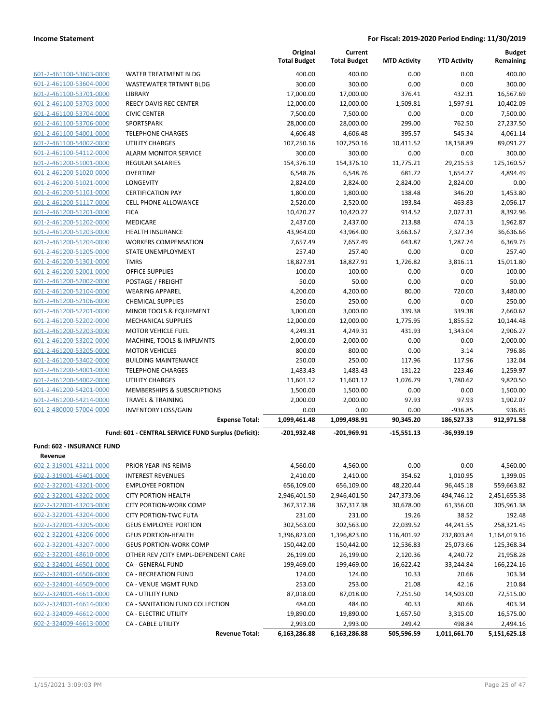| 601-2-461100-53603-0000 |
|-------------------------|
| 601-2-461100-53604-0000 |
| 601-2-461100-53701-0000 |
| 601-2-461100-53703-0000 |
| 601-2-461100-53704-0000 |
| 601-2-461100-53706-0000 |
| 601-2-461100-54001-0000 |
| 601-2-461100-54002-0000 |
| 601-2-461100-54112-0000 |
| 601-2-461200-51001-0000 |
| 601-2-461200-51020-0000 |
| 601-2-461200-51021-0000 |
| 601-2-461200-51101-0000 |
| 601-2-461200-51117-0000 |
| 601-2-461200-51201-0000 |
| 601-2-461200-51202-0000 |
| 601-2-461200-51203-0000 |
| 601-2-461200-51204-0000 |
| 601-2-461200-51205-0000 |
| 601-2-461200-51301-0000 |
| 601-2-461200-52001-0000 |
| 601-2-461200-52002-0000 |
| 601-2-461200-52104-0000 |
| 601-2-461200-52106-0000 |
| 601-2-461200-52201-0000 |
| 601-2-461200-52202-0000 |
| 601-2-461200-52203-0000 |
| 601-2-461200-53202-0000 |
| 601-2-461200-53205-0000 |
| 601-2-461200-53402-0000 |
| 601-2-461200-54001-0000 |
| 601-2-461200-54002-0000 |
| 601-2-461200-54201-0000 |
| 601-2-461200-54214-0000 |
| 601-2-480000-57004-0000 |

|                                                    |                                                     | Original<br><b>Total Budget</b> | Current<br><b>Total Budget</b> | <b>MTD Activity</b> | <b>YTD Activity</b> | <b>Budget</b><br>Remaining |
|----------------------------------------------------|-----------------------------------------------------|---------------------------------|--------------------------------|---------------------|---------------------|----------------------------|
| 601-2-461100-53603-0000                            | WATER TREATMENT BLDG                                | 400.00                          | 400.00                         | 0.00                | 0.00                | 400.00                     |
| 601-2-461100-53604-0000                            | WASTEWATER TRTMNT BLDG                              | 300.00                          | 300.00                         | 0.00                | 0.00                | 300.00                     |
| 601-2-461100-53701-0000                            | LIBRARY                                             | 17,000.00                       | 17,000.00                      | 376.41              | 432.31              | 16,567.69                  |
| 601-2-461100-53703-0000                            | <b>REECY DAVIS REC CENTER</b>                       | 12,000.00                       | 12,000.00                      | 1,509.81            | 1,597.91            | 10,402.09                  |
| 601-2-461100-53704-0000                            | <b>CIVIC CENTER</b>                                 | 7,500.00                        | 7,500.00                       | 0.00                | 0.00                | 7,500.00                   |
| 601-2-461100-53706-0000                            | SPORTSPARK                                          | 28,000.00                       | 28,000.00                      | 299.00              | 762.50              | 27,237.50                  |
| 601-2-461100-54001-0000                            | <b>TELEPHONE CHARGES</b>                            | 4,606.48                        | 4,606.48                       | 395.57              | 545.34              | 4,061.14                   |
| 601-2-461100-54002-0000                            | <b>UTILITY CHARGES</b>                              | 107,250.16                      | 107,250.16                     | 10,411.52           | 18,158.89           | 89,091.27                  |
| 601-2-461100-54112-0000                            | <b>ALARM MONITOR SERVICE</b>                        | 300.00                          | 300.00                         | 0.00                | 0.00                | 300.00                     |
| 601-2-461200-51001-0000                            | <b>REGULAR SALARIES</b>                             | 154,376.10                      | 154,376.10                     | 11,775.21           | 29,215.53           | 125,160.57                 |
| 601-2-461200-51020-0000                            | <b>OVERTIME</b>                                     | 6,548.76                        | 6,548.76                       | 681.72              | 1,654.27            | 4,894.49                   |
| 601-2-461200-51021-0000                            | <b>LONGEVITY</b>                                    | 2,824.00                        | 2,824.00                       | 2,824.00            | 2,824.00            | 0.00                       |
| 601-2-461200-51101-0000                            | <b>CERTIFICATION PAY</b>                            | 1,800.00                        | 1,800.00                       | 138.48              | 346.20              | 1,453.80                   |
| 601-2-461200-51117-0000                            | CELL PHONE ALLOWANCE                                | 2,520.00                        | 2,520.00                       | 193.84              | 463.83              | 2,056.17                   |
| 601-2-461200-51201-0000                            | <b>FICA</b>                                         | 10,420.27                       | 10,420.27                      | 914.52              | 2,027.31            | 8,392.96                   |
| 601-2-461200-51202-0000                            | <b>MEDICARE</b>                                     | 2,437.00                        | 2,437.00                       | 213.88              | 474.13              | 1,962.87                   |
| 601-2-461200-51203-0000                            | <b>HEALTH INSURANCE</b>                             | 43,964.00                       | 43,964.00                      | 3,663.67            | 7,327.34            | 36,636.66                  |
| 601-2-461200-51204-0000                            | <b>WORKERS COMPENSATION</b>                         | 7,657.49                        | 7,657.49                       | 643.87              | 1,287.74            | 6,369.75                   |
| 601-2-461200-51205-0000                            | <b>STATE UNEMPLOYMENT</b>                           | 257.40                          | 257.40                         | 0.00                | 0.00                | 257.40                     |
| 601-2-461200-51301-0000                            | <b>TMRS</b>                                         | 18,827.91                       | 18,827.91                      | 1,726.82            | 3,816.11            | 15,011.80                  |
| 601-2-461200-52001-0000                            | <b>OFFICE SUPPLIES</b>                              | 100.00                          | 100.00                         | 0.00                | 0.00                | 100.00                     |
| 601-2-461200-52002-0000                            | POSTAGE / FREIGHT                                   | 50.00                           | 50.00                          | 0.00                | 0.00                | 50.00                      |
| 601-2-461200-52104-0000                            | <b>WEARING APPAREL</b>                              | 4,200.00                        | 4,200.00                       | 80.00               | 720.00              | 3,480.00                   |
| 601-2-461200-52106-0000                            | <b>CHEMICAL SUPPLIES</b>                            | 250.00                          | 250.00                         | 0.00                | 0.00                | 250.00                     |
| 601-2-461200-52201-0000                            | MINOR TOOLS & EQUIPMENT                             | 3,000.00                        | 3,000.00                       | 339.38              | 339.38              | 2,660.62                   |
| 601-2-461200-52202-0000                            | <b>MECHANICAL SUPPLIES</b>                          | 12,000.00                       | 12,000.00                      | 1,775.95            | 1,855.52            | 10,144.48                  |
| 601-2-461200-52203-0000                            | <b>MOTOR VEHICLE FUEL</b>                           | 4,249.31                        | 4,249.31                       | 431.93              | 1,343.04            | 2,906.27                   |
| 601-2-461200-53202-0000<br>601-2-461200-53205-0000 | MACHINE, TOOLS & IMPLMNTS<br><b>MOTOR VEHICLES</b>  | 2,000.00<br>800.00              | 2,000.00<br>800.00             | 0.00<br>0.00        | 0.00<br>3.14        | 2,000.00<br>796.86         |
| 601-2-461200-53402-0000                            | <b>BUILDING MAINTENANCE</b>                         | 250.00                          | 250.00                         | 117.96              | 117.96              | 132.04                     |
| 601-2-461200-54001-0000                            | <b>TELEPHONE CHARGES</b>                            | 1,483.43                        | 1,483.43                       | 131.22              | 223.46              | 1,259.97                   |
| 601-2-461200-54002-0000                            | UTILITY CHARGES                                     | 11,601.12                       | 11,601.12                      | 1,076.79            | 1,780.62            | 9,820.50                   |
| 601-2-461200-54201-0000                            | MEMBERSHIPS & SUBSCRIPTIONS                         | 1,500.00                        | 1,500.00                       | 0.00                | 0.00                | 1,500.00                   |
| 601-2-461200-54214-0000                            | <b>TRAVEL &amp; TRAINING</b>                        | 2,000.00                        | 2,000.00                       | 97.93               | 97.93               | 1,902.07                   |
| 601-2-480000-57004-0000                            | <b>INVENTORY LOSS/GAIN</b>                          | 0.00                            | 0.00                           | 0.00                | $-936.85$           | 936.85                     |
|                                                    | <b>Expense Total:</b>                               | 1,099,461.48                    | 1,099,498.91                   | 90,345.20           | 186,527.33          | 912,971.58                 |
|                                                    | Fund: 601 - CENTRAL SERVICE FUND Surplus (Deficit): | $-201,932.48$                   | $-201.969.91$                  | $-15,551.13$        | $-36,939.19$        |                            |
| Fund: 602 - INSURANCE FUND                         |                                                     |                                 |                                |                     |                     |                            |
| <b>Revenue</b>                                     |                                                     |                                 |                                |                     |                     |                            |
| 602-2-319001-43211-0000                            | PRIOR YEAR INS REIMB                                | 4,560.00                        | 4,560.00                       | 0.00                | 0.00                | 4,560.00                   |
| 602-2-319001-45401-0000                            | <b>INTEREST REVENUES</b>                            | 2,410.00                        | 2,410.00                       | 354.62              | 1,010.95            | 1,399.05                   |
| 602-2-322001-43201-0000                            | <b>EMPLOYEE PORTION</b>                             | 656,109.00                      | 656,109.00                     | 48,220.44           | 96,445.18           | 559,663.82                 |
| 602-2-322001-43202-0000                            | <b>CITY PORTION-HEALTH</b>                          | 2,946,401.50                    | 2,946,401.50                   | 247,373.06          | 494,746.12          | 2,451,655.38               |
| 602-2-322001-43203-0000                            | <b>CITY PORTION-WORK COMP</b>                       | 367,317.38                      | 367,317.38                     | 30,678.00           | 61,356.00           | 305,961.38                 |
| 602-2-322001-43204-0000                            | <b>CITY PORTION-TWC FUTA</b>                        | 231.00                          | 231.00                         | 19.26               | 38.52               | 192.48                     |
| 602-2-322001-43205-0000                            | <b>GEUS EMPLOYEE PORTION</b>                        | 302,563.00                      | 302,563.00                     | 22,039.52           | 44,241.55           | 258,321.45                 |
| 602-2-322001-43206-0000                            | <b>GEUS PORTION-HEALTH</b>                          | 1,396,823.00                    | 1,396,823.00                   | 116,401.92          | 232,803.84          | 1,164,019.16               |
| 602-2-322001-43207-0000                            | <b>GEUS PORTION-WORK COMP</b>                       | 150,442.00                      | 150,442.00                     | 12,536.83           | 25,073.66           | 125,368.34                 |
| 602-2-322001-48610-0000                            | OTHER REV / CITY EMPL-DEPENDENT CARE                | 26,199.00                       | 26,199.00                      | 2,120.36            | 4,240.72            | 21,958.28                  |
| 602-2-324001-46501-0000                            | CA - GENERAL FUND                                   | 199,469.00                      | 199,469.00                     | 16,622.42           | 33,244.84           | 166,224.16                 |
| 602-2-324001-46506-0000                            | CA - RECREATION FUND                                | 124.00                          | 124.00                         | 10.33               | 20.66               | 103.34                     |
| 602-2-324001-46509-0000                            | CA - VENUE MGMT FUND                                | 253.00                          | 253.00                         | 21.08               | 42.16               | 210.84                     |
| 602-2-324001-46611-0000                            | CA - UTILITY FUND                                   | 87,018.00                       | 87,018.00                      | 7,251.50            | 14,503.00           | 72,515.00                  |
| 602-2-324001-46614-0000                            | CA - SANITATION FUND COLLECTION                     | 484.00                          | 484.00                         | 40.33               | 80.66               | 403.34                     |

602-2-324009-46612-0000 CA - ELECTRIC UTILITY 19,890.00 19,890.00 1,657.50 3,315.00 16,575.00 602-2-324009-46613-0000 CA - CABLE UTILITY 2,993.00 2,993.00 249.42 498.84 2,494.16

**Revenue Total: 6,163,286.88 6,163,286.88 505,596.59 1,011,661.70 5,151,625.18**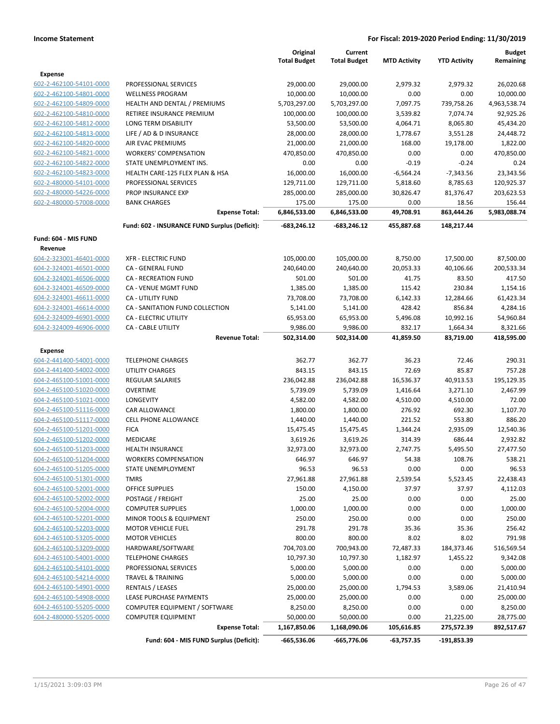|                         |                                               | Original            | Current             |                     |                     | <b>Budget</b> |
|-------------------------|-----------------------------------------------|---------------------|---------------------|---------------------|---------------------|---------------|
|                         |                                               | <b>Total Budget</b> | <b>Total Budget</b> | <b>MTD Activity</b> | <b>YTD Activity</b> | Remaining     |
| Expense                 |                                               |                     |                     |                     |                     |               |
| 602-2-462100-54101-0000 | PROFESSIONAL SERVICES                         | 29,000.00           | 29,000.00           | 2,979.32            | 2,979.32            | 26,020.68     |
| 602-2-462100-54801-0000 | <b>WELLNESS PROGRAM</b>                       | 10,000.00           | 10,000.00           | 0.00                | 0.00                | 10,000.00     |
| 602-2-462100-54809-0000 | <b>HEALTH AND DENTAL / PREMIUMS</b>           | 5,703,297.00        | 5,703,297.00        | 7,097.75            | 739,758.26          | 4,963,538.74  |
| 602-2-462100-54810-0000 | RETIREE INSURANCE PREMIUM                     | 100,000.00          | 100,000.00          | 3,539.82            | 7,074.74            | 92,925.26     |
| 602-2-462100-54812-0000 | LONG TERM DISABILITY                          | 53,500.00           | 53,500.00           | 4,064.71            | 8,065.80            | 45,434.20     |
| 602-2-462100-54813-0000 | LIFE / AD & D INSURANCE                       | 28,000.00           | 28,000.00           | 1,778.67            | 3,551.28            | 24,448.72     |
| 602-2-462100-54820-0000 | AIR EVAC PREMIUMS                             | 21,000.00           | 21,000.00           | 168.00              | 19,178.00           | 1,822.00      |
| 602-2-462100-54821-0000 | <b>WORKERS' COMPENSATION</b>                  | 470,850.00          | 470,850.00          | 0.00                | 0.00                | 470,850.00    |
| 602-2-462100-54822-0000 | STATE UNEMPLOYMENT INS.                       | 0.00                | 0.00                | $-0.19$             | $-0.24$             | 0.24          |
| 602-2-462100-54823-0000 | HEALTH CARE-125 FLEX PLAN & HSA               | 16,000.00           | 16,000.00           | $-6,564.24$         | $-7,343.56$         | 23,343.56     |
| 602-2-480000-54101-0000 | PROFESSIONAL SERVICES                         | 129,711.00          | 129,711.00          | 5,818.60            | 8,785.63            | 120,925.37    |
| 602-2-480000-54226-0000 | PROP INSURANCE EXP                            | 285,000.00          | 285,000.00          | 30,826.47           | 81,376.47           | 203,623.53    |
| 602-2-480000-57008-0000 | <b>BANK CHARGES</b>                           | 175.00              | 175.00              | 0.00                | 18.56               | 156.44        |
|                         | <b>Expense Total:</b>                         | 6,846,533.00        | 6,846,533.00        | 49,708.91           | 863,444.26          | 5,983,088.74  |
|                         | Fund: 602 - INSURANCE FUND Surplus (Deficit): | -683,246.12         | $-683,246.12$       | 455,887.68          | 148,217.44          |               |
| Fund: 604 - MIS FUND    |                                               |                     |                     |                     |                     |               |
| Revenue                 |                                               |                     |                     |                     |                     |               |
| 604-2-323001-46401-0000 | <b>XFR - ELECTRIC FUND</b>                    | 105,000.00          | 105,000.00          | 8,750.00            | 17,500.00           | 87,500.00     |
| 604-2-324001-46501-0000 | CA - GENERAL FUND                             | 240,640.00          | 240,640.00          | 20,053.33           | 40,106.66           | 200,533.34    |
| 604-2-324001-46506-0000 | CA - RECREATION FUND                          | 501.00              | 501.00              | 41.75               | 83.50               | 417.50        |
| 604-2-324001-46509-0000 | <b>CA - VENUE MGMT FUND</b>                   | 1,385.00            | 1,385.00            | 115.42              | 230.84              | 1,154.16      |
| 604-2-324001-46611-0000 | CA - UTILITY FUND                             | 73,708.00           | 73,708.00           | 6,142.33            | 12,284.66           | 61,423.34     |
| 604-2-324001-46614-0000 | CA - SANITATION FUND COLLECTION               | 5,141.00            | 5,141.00            | 428.42              | 856.84              | 4,284.16      |
| 604-2-324009-46901-0000 | CA - ELECTRIC UTILITY                         | 65,953.00           | 65,953.00           | 5,496.08            | 10,992.16           | 54,960.84     |
| 604-2-324009-46906-0000 | CA - CABLE UTILITY                            | 9,986.00            | 9,986.00            | 832.17              | 1,664.34            | 8,321.66      |
|                         | <b>Revenue Total:</b>                         | 502,314.00          | 502,314.00          | 41,859.50           | 83,719.00           | 418,595.00    |
| Expense                 |                                               |                     |                     |                     |                     |               |
| 604-2-441400-54001-0000 | <b>TELEPHONE CHARGES</b>                      | 362.77              | 362.77              | 36.23               | 72.46               | 290.31        |
| 604-2-441400-54002-0000 | <b>UTILITY CHARGES</b>                        | 843.15              | 843.15              | 72.69               | 85.87               | 757.28        |
| 604-2-465100-51001-0000 | REGULAR SALARIES                              | 236,042.88          | 236,042.88          | 16,536.37           | 40,913.53           | 195,129.35    |
| 604-2-465100-51020-0000 | <b>OVERTIME</b>                               | 5,739.09            | 5,739.09            | 1,416.64            | 3,271.10            | 2,467.99      |
| 604-2-465100-51021-0000 | <b>LONGEVITY</b>                              | 4,582.00            | 4,582.00            | 4,510.00            | 4,510.00            | 72.00         |
| 604-2-465100-51116-0000 | CAR ALLOWANCE                                 | 1,800.00            | 1,800.00            | 276.92              | 692.30              | 1,107.70      |
| 604-2-465100-51117-0000 | <b>CELL PHONE ALLOWANCE</b>                   | 1,440.00            | 1,440.00            | 221.52              | 553.80              | 886.20        |
| 604-2-465100-51201-0000 | <b>FICA</b>                                   | 15,475.45           | 15,475.45           | 1,344.24            | 2,935.09            | 12,540.36     |
| 604-2-465100-51202-0000 | <b>MEDICARE</b>                               | 3,619.26            | 3,619.26            | 314.39              | 686.44              | 2,932.82      |
| 604-2-465100-51203-0000 | <b>HEALTH INSURANCE</b>                       | 32,973.00           | 32,973.00           | 2,747.75            | 5,495.50            | 27,477.50     |
| 604-2-465100-51204-0000 | <b>WORKERS COMPENSATION</b>                   | 646.97              | 646.97              | 54.38               | 108.76              | 538.21        |
| 604-2-465100-51205-0000 | STATE UNEMPLOYMENT                            | 96.53               | 96.53               | 0.00                | 0.00                | 96.53         |
| 604-2-465100-51301-0000 | <b>TMRS</b>                                   | 27,961.88           | 27,961.88           | 2,539.54            | 5,523.45            | 22,438.43     |
| 604-2-465100-52001-0000 | <b>OFFICE SUPPLIES</b>                        | 150.00              | 4,150.00            | 37.97               | 37.97               | 4,112.03      |
| 604-2-465100-52002-0000 | POSTAGE / FREIGHT                             | 25.00               | 25.00               | 0.00                | 0.00                | 25.00         |
| 604-2-465100-52004-0000 | <b>COMPUTER SUPPLIES</b>                      | 1,000.00            | 1,000.00            | 0.00                | 0.00                | 1,000.00      |
| 604-2-465100-52201-0000 | MINOR TOOLS & EQUIPMENT                       | 250.00              | 250.00              | 0.00                | 0.00                | 250.00        |
| 604-2-465100-52203-0000 | <b>MOTOR VEHICLE FUEL</b>                     | 291.78              | 291.78              | 35.36               | 35.36               | 256.42        |
| 604-2-465100-53205-0000 | <b>MOTOR VEHICLES</b>                         | 800.00              | 800.00              | 8.02                | 8.02                | 791.98        |
| 604-2-465100-53209-0000 | HARDWARE/SOFTWARE                             | 704,703.00          | 700,943.00          | 72,487.33           | 184,373.46          | 516,569.54    |
| 604-2-465100-54001-0000 | <b>TELEPHONE CHARGES</b>                      | 10,797.30           | 10,797.30           | 1,182.97            | 1,455.22            | 9,342.08      |
| 604-2-465100-54101-0000 | PROFESSIONAL SERVICES                         | 5,000.00            | 5,000.00            | 0.00                | 0.00                | 5,000.00      |
| 604-2-465100-54214-0000 | <b>TRAVEL &amp; TRAINING</b>                  | 5,000.00            | 5,000.00            | 0.00                | 0.00                | 5,000.00      |
| 604-2-465100-54901-0000 | <b>RENTALS / LEASES</b>                       | 25,000.00           | 25,000.00           | 1,794.53            | 3,589.06            | 21,410.94     |
| 604-2-465100-54908-0000 | LEASE PURCHASE PAYMENTS                       | 25,000.00           | 25,000.00           | 0.00                | 0.00                | 25,000.00     |
| 604-2-465100-55205-0000 | COMPUTER EQUIPMENT / SOFTWARE                 | 8,250.00            | 8,250.00            | 0.00                | 0.00                | 8,250.00      |
| 604-2-480000-55205-0000 | <b>COMPUTER EQUIPMENT</b>                     | 50,000.00           | 50,000.00           | 0.00                | 21,225.00           | 28,775.00     |
|                         | <b>Expense Total:</b>                         | 1,167,850.06        | 1,168,090.06        | 105,616.85          | 275,572.39          | 892,517.67    |
|                         | Fund: 604 - MIS FUND Surplus (Deficit):       | -665,536.06         | -665,776.06         | $-63,757.35$        | -191,853.39         |               |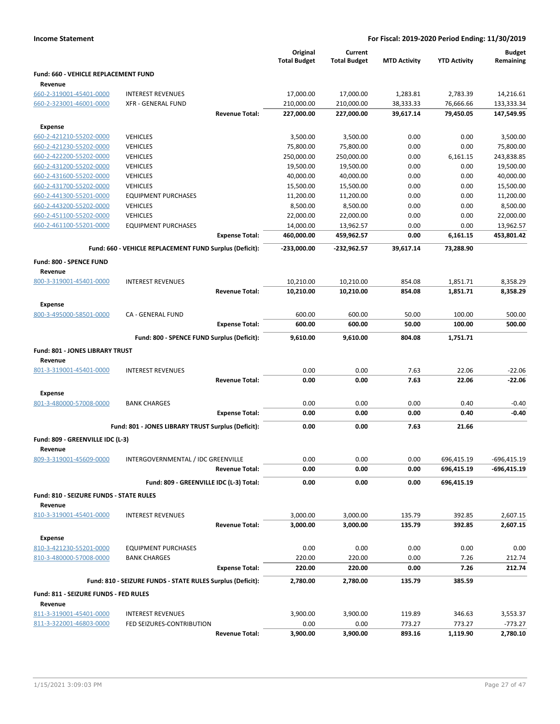|  | <b>Income Statement</b> |
|--|-------------------------|
|--|-------------------------|

|                                                    |                                                            |                       | Original<br><b>Total Budget</b> | Current<br><b>Total Budget</b> | <b>MTD Activity</b> | <b>YTD Activity</b> | <b>Budget</b><br>Remaining |
|----------------------------------------------------|------------------------------------------------------------|-----------------------|---------------------------------|--------------------------------|---------------------|---------------------|----------------------------|
| Fund: 660 - VEHICLE REPLACEMENT FUND<br>Revenue    |                                                            |                       |                                 |                                |                     |                     |                            |
| 660-2-319001-45401-0000                            | <b>INTEREST REVENUES</b>                                   |                       | 17,000.00                       | 17,000.00                      | 1,283.81            | 2,783.39            | 14,216.61                  |
| 660-2-323001-46001-0000                            | <b>XFR - GENERAL FUND</b>                                  |                       | 210,000.00                      | 210,000.00                     | 38,333.33           | 76,666.66           | 133,333.34                 |
|                                                    |                                                            | <b>Revenue Total:</b> | 227,000.00                      | 227,000.00                     | 39,617.14           | 79,450.05           | 147,549.95                 |
| <b>Expense</b>                                     |                                                            |                       |                                 |                                |                     |                     |                            |
| 660-2-421210-55202-0000                            | <b>VEHICLES</b>                                            |                       | 3,500.00                        | 3,500.00                       | 0.00                | 0.00                | 3,500.00                   |
| 660-2-421230-55202-0000                            | <b>VEHICLES</b>                                            |                       | 75,800.00                       | 75,800.00                      | 0.00                | 0.00                | 75,800.00                  |
| 660-2-422200-55202-0000                            | <b>VEHICLES</b>                                            |                       | 250,000.00                      | 250,000.00                     | 0.00                | 6,161.15            | 243,838.85                 |
| 660-2-431200-55202-0000                            | <b>VEHICLES</b>                                            |                       | 19,500.00                       | 19,500.00                      | 0.00                | 0.00                | 19,500.00                  |
| 660-2-431600-55202-0000                            | <b>VEHICLES</b>                                            |                       | 40,000.00                       | 40,000.00                      | 0.00                | 0.00                | 40,000.00                  |
| 660-2-431700-55202-0000                            | <b>VEHICLES</b>                                            |                       | 15,500.00                       | 15,500.00                      | 0.00                | 0.00                | 15,500.00                  |
| 660-2-441300-55201-0000                            | <b>EQUIPMENT PURCHASES</b>                                 |                       | 11,200.00                       | 11,200.00                      | 0.00                | 0.00                | 11,200.00                  |
| 660-2-443200-55202-0000                            | <b>VEHICLES</b>                                            |                       | 8,500.00                        | 8,500.00                       | 0.00                | 0.00                | 8,500.00                   |
| 660-2-451100-55202-0000                            | <b>VEHICLES</b>                                            |                       | 22,000.00                       | 22,000.00                      | 0.00                | 0.00                | 22,000.00                  |
| 660-2-461100-55201-0000                            | <b>EQUIPMENT PURCHASES</b>                                 |                       | 14,000.00                       | 13,962.57                      | 0.00                | 0.00                | 13,962.57                  |
|                                                    |                                                            | <b>Expense Total:</b> | 460,000.00                      | 459,962.57                     | 0.00                | 6,161.15            | 453,801.42                 |
|                                                    | Fund: 660 - VEHICLE REPLACEMENT FUND Surplus (Deficit):    |                       | -233,000.00                     | -232,962.57                    | 39,617.14           | 73,288.90           |                            |
| Fund: 800 - SPENCE FUND<br>Revenue                 |                                                            |                       |                                 |                                |                     |                     |                            |
| 800-3-319001-45401-0000                            | <b>INTEREST REVENUES</b>                                   |                       | 10,210.00                       | 10,210.00                      | 854.08              | 1,851.71            | 8.358.29                   |
|                                                    |                                                            | <b>Revenue Total:</b> | 10,210.00                       | 10,210.00                      | 854.08              | 1,851.71            | 8,358.29                   |
| <b>Expense</b>                                     | CA - GENERAL FUND                                          |                       | 600.00                          | 600.00                         | 50.00               |                     | 500.00                     |
| 800-3-495000-58501-0000                            |                                                            | <b>Expense Total:</b> | 600.00                          | 600.00                         | 50.00               | 100.00<br>100.00    | 500.00                     |
|                                                    |                                                            |                       |                                 |                                |                     |                     |                            |
| Fund: 801 - JONES LIBRARY TRUST<br>Revenue         | Fund: 800 - SPENCE FUND Surplus (Deficit):                 |                       | 9,610.00                        | 9,610.00                       | 804.08              | 1,751.71            |                            |
| 801-3-319001-45401-0000                            | <b>INTEREST REVENUES</b>                                   |                       | 0.00                            | 0.00                           | 7.63                | 22.06               | $-22.06$                   |
|                                                    |                                                            | <b>Revenue Total:</b> | 0.00                            | 0.00                           | 7.63                | 22.06               | -22.06                     |
|                                                    |                                                            |                       |                                 |                                |                     |                     |                            |
| <b>Expense</b><br>801-3-480000-57008-0000          | <b>BANK CHARGES</b>                                        |                       | 0.00                            | 0.00                           | 0.00                | 0.40                | $-0.40$                    |
|                                                    |                                                            | <b>Expense Total:</b> | 0.00                            | 0.00                           | 0.00                | 0.40                | $-0.40$                    |
|                                                    | Fund: 801 - JONES LIBRARY TRUST Surplus (Deficit):         |                       | 0.00                            | 0.00                           | 7.63                | 21.66               |                            |
| Fund: 809 - GREENVILLE IDC (L-3)                   |                                                            |                       |                                 |                                |                     |                     |                            |
| Revenue                                            |                                                            |                       |                                 |                                |                     |                     |                            |
| 809-3-319001-45609-0000                            | INTERGOVERNMENTAL / IDC GREENVILLE                         |                       | 0.00                            | 0.00                           | 0.00                | 696,415.19          | $-696,415.19$              |
|                                                    |                                                            | <b>Revenue Total:</b> | 0.00                            | 0.00                           | 0.00                | 696,415.19          | -696,415.19                |
|                                                    | Fund: 809 - GREENVILLE IDC (L-3) Total:                    |                       | 0.00                            | 0.00                           | 0.00                | 696,415.19          |                            |
| Fund: 810 - SEIZURE FUNDS - STATE RULES<br>Revenue |                                                            |                       |                                 |                                |                     |                     |                            |
| 810-3-319001-45401-0000                            | <b>INTEREST REVENUES</b>                                   |                       | 3,000.00                        | 3,000.00                       | 135.79              | 392.85              | 2,607.15                   |
| <b>Expense</b>                                     |                                                            | <b>Revenue Total:</b> | 3,000.00                        | 3,000.00                       | 135.79              | 392.85              | 2,607.15                   |
| 810-3-421230-55201-0000                            | <b>EQUIPMENT PURCHASES</b>                                 |                       | 0.00                            | 0.00                           | 0.00                | 0.00                | 0.00                       |
| 810-3-480000-57008-0000                            | <b>BANK CHARGES</b>                                        |                       | 220.00                          | 220.00                         | 0.00                | 7.26                | 212.74                     |
|                                                    |                                                            | <b>Expense Total:</b> | 220.00                          | 220.00                         | 0.00                | 7.26                | 212.74                     |
|                                                    | Fund: 810 - SEIZURE FUNDS - STATE RULES Surplus (Deficit): |                       | 2,780.00                        | 2,780.00                       | 135.79              | 385.59              |                            |
| Fund: 811 - SEIZURE FUNDS - FED RULES              |                                                            |                       |                                 |                                |                     |                     |                            |
| Revenue                                            |                                                            |                       |                                 |                                |                     |                     |                            |
| 811-3-319001-45401-0000                            | <b>INTEREST REVENUES</b>                                   |                       | 3,900.00                        | 3,900.00                       | 119.89              | 346.63              | 3,553.37                   |
| 811-3-322001-46803-0000                            | FED SEIZURES-CONTRIBUTION                                  |                       | 0.00                            | 0.00                           | 773.27              | 773.27              | $-773.27$                  |
|                                                    |                                                            | <b>Revenue Total:</b> | 3,900.00                        | 3,900.00                       | 893.16              | 1,119.90            | 2,780.10                   |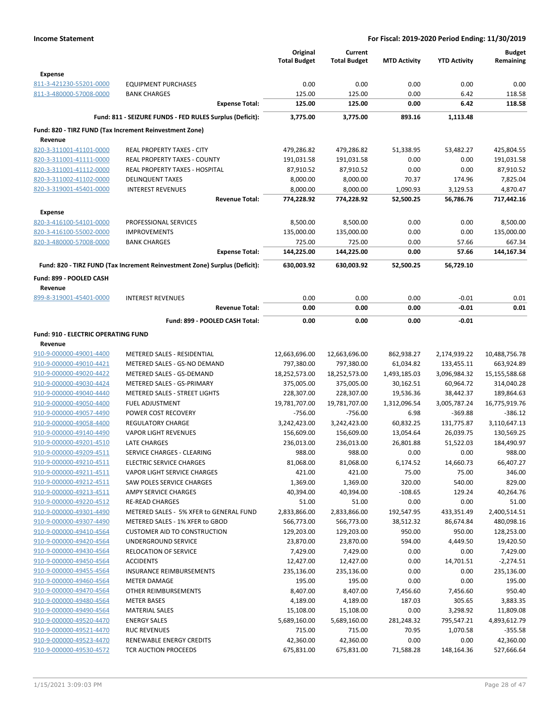|                                                |                                                                            | Original<br><b>Total Budget</b> | Current<br><b>Total Budget</b> | <b>MTD Activity</b> | <b>YTD Activity</b> | <b>Budget</b><br>Remaining |
|------------------------------------------------|----------------------------------------------------------------------------|---------------------------------|--------------------------------|---------------------|---------------------|----------------------------|
| Expense                                        |                                                                            |                                 |                                |                     |                     |                            |
| 811-3-421230-55201-0000                        | <b>EQUIPMENT PURCHASES</b>                                                 | 0.00                            | 0.00                           | 0.00                | 0.00                | 0.00                       |
| 811-3-480000-57008-0000                        | <b>BANK CHARGES</b>                                                        | 125.00                          | 125.00                         | 0.00                | 6.42                | 118.58                     |
|                                                | <b>Expense Total:</b>                                                      | 125.00                          | 125.00                         | 0.00                | 6.42                | 118.58                     |
|                                                | Fund: 811 - SEIZURE FUNDS - FED RULES Surplus (Deficit):                   | 3,775.00                        | 3,775.00                       | 893.16              | 1,113.48            |                            |
| Revenue                                        | Fund: 820 - TIRZ FUND (Tax Increment Reinvestment Zone)                    |                                 |                                |                     |                     |                            |
| 820-3-311001-41101-0000                        | <b>REAL PROPERTY TAXES - CITY</b>                                          | 479,286.82                      | 479,286.82                     | 51,338.95           | 53,482.27           | 425,804.55                 |
| 820-3-311001-41111-0000                        | REAL PROPERTY TAXES - COUNTY                                               | 191,031.58                      | 191,031.58                     | 0.00                | 0.00                | 191,031.58                 |
| 820-3-311001-41112-0000                        | REAL PROPERTY TAXES - HOSPITAL                                             | 87,910.52                       | 87,910.52                      | 0.00                | 0.00                | 87,910.52                  |
| 820-3-311002-41102-0000                        | <b>DELINQUENT TAXES</b>                                                    | 8,000.00                        | 8,000.00                       | 70.37               | 174.96              | 7,825.04                   |
| 820-3-319001-45401-0000                        | <b>INTEREST REVENUES</b>                                                   | 8,000.00                        | 8,000.00                       | 1,090.93            | 3,129.53            | 4,870.47                   |
|                                                | <b>Revenue Total:</b>                                                      | 774,228.92                      | 774,228.92                     | 52,500.25           | 56,786.76           | 717,442.16                 |
| <b>Expense</b>                                 |                                                                            |                                 |                                |                     |                     |                            |
| 820-3-416100-54101-0000                        | PROFESSIONAL SERVICES                                                      | 8,500.00                        | 8,500.00                       | 0.00                | 0.00                | 8,500.00                   |
| 820-3-416100-55002-0000                        | <b>IMPROVEMENTS</b>                                                        | 135,000.00                      | 135,000.00                     | 0.00                | 0.00                | 135,000.00                 |
| 820-3-480000-57008-0000                        | <b>BANK CHARGES</b>                                                        | 725.00                          | 725.00                         | 0.00                | 57.66               | 667.34                     |
|                                                | <b>Expense Total:</b>                                                      | 144,225.00                      | 144,225.00                     | 0.00                | 57.66               | 144,167.34                 |
|                                                | Fund: 820 - TIRZ FUND (Tax Increment Reinvestment Zone) Surplus (Deficit): | 630,003.92                      | 630,003.92                     | 52,500.25           | 56,729.10           |                            |
| Fund: 899 - POOLED CASH<br>Revenue             |                                                                            |                                 |                                |                     |                     |                            |
| 899-8-319001-45401-0000                        | <b>INTEREST REVENUES</b>                                                   | 0.00                            | 0.00                           | 0.00                | $-0.01$             | 0.01                       |
|                                                | <b>Revenue Total:</b>                                                      | 0.00                            | 0.00                           | 0.00                | $-0.01$             | 0.01                       |
|                                                | Fund: 899 - POOLED CASH Total:                                             | 0.00                            | 0.00                           | 0.00                | $-0.01$             |                            |
| Fund: 910 - ELECTRIC OPERATING FUND<br>Revenue |                                                                            |                                 |                                |                     |                     |                            |
| 910-9-000000-49001-4400                        | METERED SALES - RESIDENTIAL                                                | 12,663,696.00                   | 12,663,696.00                  | 862,938.27          | 2,174,939.22        | 10,488,756.78              |
| 910-9-000000-49010-4421                        | METERED SALES - GS-NO DEMAND                                               | 797,380.00                      | 797,380.00                     | 61,034.82           | 133,455.11          | 663,924.89                 |
| 910-9-000000-49020-4422                        | METERED SALES - GS-DEMAND                                                  | 18,252,573.00                   | 18,252,573.00                  | 1,493,185.03        | 3,096,984.32        | 15,155,588.68              |
| 910-9-000000-49030-4424                        | METERED SALES - GS-PRIMARY                                                 | 375,005.00                      | 375,005.00                     | 30,162.51           | 60,964.72           | 314,040.28                 |
| 910-9-000000-49040-4440                        | <b>METERED SALES - STREET LIGHTS</b>                                       | 228,307.00                      | 228,307.00                     | 19,536.36           | 38,442.37           | 189,864.63                 |
| 910-9-000000-49050-4400                        | <b>FUEL ADJUSTMENT</b>                                                     | 19,781,707.00                   | 19,781,707.00                  | 1,312,096.54        | 3,005,787.24        | 16,775,919.76              |
| 910-9-000000-49057-4490                        | POWER COST RECOVERY                                                        | $-756.00$                       | $-756.00$                      | 6.98                | $-369.88$           | $-386.12$                  |
| 910-9-000000-49058-4400                        | <b>REGULATORY CHARGE</b>                                                   | 3,242,423.00                    | 3,242,423.00                   | 60,832.25           | 131,775.87          | 3,110,647.13               |
| 910-9-000000-49140-4490                        | <b>VAPOR LIGHT REVENUES</b>                                                | 156,609.00                      | 156,609.00                     | 13,054.64           | 26,039.75           | 130,569.25                 |
| 910-9-000000-49201-4510                        | LATE CHARGES                                                               | 236,013.00                      | 236,013.00                     | 26,801.88           | 51,522.03           | 184,490.97                 |
| 910-9-000000-49209-4511                        | SERVICE CHARGES - CLEARING                                                 | 988.00                          | 988.00                         | 0.00                | 0.00                | 988.00                     |
| 910-9-000000-49210-4511                        | <b>ELECTRIC SERVICE CHARGES</b>                                            | 81,068.00                       | 81,068.00                      | 6,174.52            | 14,660.73           | 66,407.27                  |
| 910-9-000000-49211-4511                        | VAPOR LIGHT SERVICE CHARGES                                                | 421.00                          | 421.00                         | 75.00               | 75.00               | 346.00                     |
| 910-9-000000-49212-4511                        | <b>SAW POLES SERVICE CHARGES</b>                                           | 1,369.00                        | 1,369.00                       | 320.00              | 540.00              | 829.00                     |
| 910-9-000000-49213-4511                        | AMPY SERVICE CHARGES                                                       | 40,394.00                       | 40,394.00                      | $-108.65$           | 129.24              | 40,264.76                  |
| 910-9-000000-49220-4512                        | <b>RE-READ CHARGES</b>                                                     | 51.00                           | 51.00                          | 0.00                | 0.00                | 51.00                      |
| 910-9-000000-49301-4490                        | METERED SALES - 5% XFER to GENERAL FUND                                    | 2,833,866.00                    | 2,833,866.00                   | 192,547.95          | 433,351.49          | 2,400,514.51               |
| 910-9-000000-49307-4490                        | METERED SALES - 1% XFER to GBOD                                            | 566,773.00                      | 566,773.00                     | 38,512.32           | 86,674.84           | 480,098.16                 |
| 910-9-000000-49410-4564                        | <b>CUSTOMER AID TO CONSTRUCTION</b>                                        | 129,203.00                      | 129,203.00                     | 950.00              | 950.00              | 128,253.00                 |
| 910-9-000000-49420-4564                        | UNDERGROUND SERVICE                                                        | 23,870.00                       | 23,870.00                      | 594.00              | 4,449.50            | 19,420.50                  |
| 910-9-000000-49430-4564                        | RELOCATION OF SERVICE                                                      | 7,429.00                        | 7,429.00                       | 0.00                | 0.00                | 7,429.00                   |
| 910-9-000000-49450-4564                        | <b>ACCIDENTS</b>                                                           | 12,427.00                       | 12,427.00                      | 0.00                | 14,701.51           | $-2,274.51$                |
| 910-9-000000-49455-4564                        | <b>INSURANCE REIMBURSEMENTS</b>                                            | 235,136.00                      | 235,136.00                     | 0.00                | 0.00                | 235,136.00                 |
| 910-9-000000-49460-4564                        | <b>METER DAMAGE</b>                                                        | 195.00                          | 195.00                         | 0.00                | 0.00                | 195.00                     |
| 910-9-000000-49470-4564                        | OTHER REIMBURSEMENTS                                                       | 8,407.00                        | 8,407.00                       | 7,456.60            | 7,456.60            | 950.40                     |
| 910-9-000000-49480-4564                        | <b>METER BASES</b>                                                         | 4,189.00                        | 4,189.00                       | 187.03              | 305.65              | 3,883.35                   |
| 910-9-000000-49490-4564                        | <b>MATERIAL SALES</b>                                                      | 15,108.00                       | 15,108.00                      | 0.00                | 3,298.92            | 11,809.08                  |
| 910-9-000000-49520-4470                        | <b>ENERGY SALES</b>                                                        | 5,689,160.00                    | 5,689,160.00                   | 281,248.32          | 795,547.21          | 4,893,612.79               |
| 910-9-000000-49521-4470                        | <b>RUC REVENUES</b>                                                        | 715.00                          | 715.00                         | 70.95               | 1,070.58            | $-355.58$                  |
| 910-9-000000-49523-4470                        | RENEWABLE ENERGY CREDITS                                                   | 42,360.00                       | 42,360.00                      | 0.00                | 0.00                | 42,360.00                  |
| 910-9-000000-49530-4572                        | TCR AUCTION PROCEEDS                                                       | 675,831.00                      | 675,831.00                     | 71,588.28           | 148,164.36          | 527,666.64                 |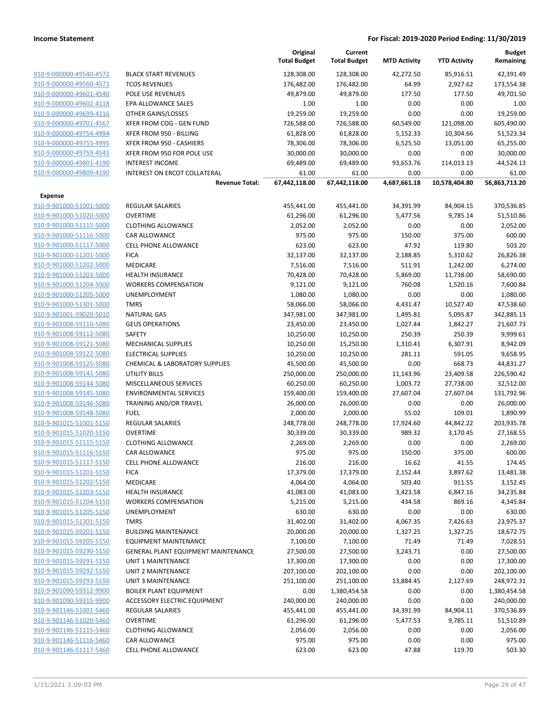|                                                    |                                      | Original<br><b>Total Budget</b> | Current<br><b>Total Budget</b> | <b>MTD Activity</b> | <b>YTD Activity</b> | <b>Budget</b><br>Remaining |
|----------------------------------------------------|--------------------------------------|---------------------------------|--------------------------------|---------------------|---------------------|----------------------------|
| 910-9-000000-49540-4572                            | <b>BLACK START REVENUES</b>          | 128,308.00                      | 128,308.00                     | 42,272.50           | 85,916.51           | 42,391.49                  |
| 910-9-000000-49560-4571                            | <b>TCOS REVENUES</b>                 | 176,482.00                      | 176,482.00                     | 64.99               | 2,927.62            | 173,554.38                 |
| 910-9-000000-49601-4540                            | POLE USE REVENUES                    | 49,879.00                       | 49,879.00                      | 177.50              | 177.50              | 49,701.50                  |
| 910-9-000000-49602-4118                            | <b>EPA ALLOWANCE SALES</b>           | 1.00                            | 1.00                           | 0.00                | 0.00                | 1.00                       |
| 910-9-000000-49699-4116                            | OTHER GAINS/LOSSES                   | 19,259.00                       | 19,259.00                      | 0.00                | 0.00                | 19,259.00                  |
| 910-9-000000-49701-4567                            | XFER FROM COG - GEN FUND             | 726,588.00                      | 726,588.00                     | 60,549.00           | 121,098.00          | 605,490.00                 |
| 910-9-000000-49754-4994                            | XFER FROM 950 - BILLING              | 61,828.00                       | 61,828.00                      | 5,152.33            | 10,304.66           | 51,523.34                  |
| 910-9-000000-49755-4995                            | XFER FROM 950 - CASHIERS             | 78,306.00                       | 78,306.00                      | 6,525.50            | 13,051.00           | 65,255.00                  |
| 910-9-000000-49759-4545                            | XFER FROM 950 FOR POLE USE           | 30,000.00                       | 30,000.00                      | 0.00                | 0.00                | 30,000.00                  |
| 910-9-000000-49801-4190                            | <b>INTEREST INCOME</b>               | 69,489.00                       | 69,489.00                      | 93,653.76           | 114,013.13          | $-44,524.13$               |
| 910-9-000000-49809-4190                            | INTEREST ON ERCOT COLLATERAL         | 61.00                           | 61.00                          | 0.00                | 0.00                | 61.00                      |
|                                                    | <b>Revenue Total:</b>                | 67,442,118.00                   | 67,442,118.00                  | 4,687,661.18        | 10,578,404.80       | 56,863,713.20              |
| <b>Expense</b>                                     |                                      |                                 |                                |                     |                     |                            |
| 910-9-901000-51001-5000                            | <b>REGULAR SALARIES</b>              | 455,441.00                      | 455,441.00                     | 34,391.99           | 84,904.15           | 370,536.85                 |
| 910-9-901000-51020-5000                            | <b>OVERTIME</b>                      | 61,296.00                       | 61,296.00                      | 5,477.56            | 9,785.14            | 51,510.86                  |
| 910-9-901000-51115-5000                            | <b>CLOTHING ALLOWANCE</b>            | 2,052.00                        | 2,052.00                       | 0.00                | 0.00                | 2,052.00                   |
| 910-9-901000-51116-5000                            | CAR ALLOWANCE                        | 975.00                          | 975.00                         | 150.00              | 375.00              | 600.00                     |
| 910-9-901000-51117-5000                            | <b>CELL PHONE ALLOWANCE</b>          | 623.00                          | 623.00                         | 47.92               | 119.80              | 503.20                     |
| 910-9-901000-51201-5000                            | <b>FICA</b>                          | 32,137.00                       | 32,137.00                      | 2,188.85            | 5,310.62            | 26,826.38                  |
| 910-9-901000-51202-5000                            | MEDICARE                             | 7,516.00                        | 7,516.00                       | 511.91              | 1,242.00            | 6,274.00                   |
| 910-9-901000-51203-5000                            | <b>HEALTH INSURANCE</b>              | 70,428.00                       | 70,428.00                      | 5,869.00            | 11,738.00           | 58,690.00                  |
| 910-9-901000-51204-5000                            | <b>WORKERS COMPENSATION</b>          | 9,121.00                        | 9,121.00                       | 760.08              | 1,520.16            | 7,600.84                   |
| 910-9-901000-51205-5000                            | <b>UNEMPLOYMENT</b>                  | 1,080.00                        | 1,080.00                       | 0.00                | 0.00                | 1,080.00                   |
| 910-9-901000-51301-5000                            | <b>TMRS</b>                          | 58,066.00                       | 58,066.00                      | 4,431.47            | 10,527.40           | 47,538.60                  |
| 910-9-901001-59020-5010<br>910-9-901008-59110-5080 | <b>NATURAL GAS</b>                   | 347,981.00                      | 347,981.00                     | 1,495.81            | 5,095.87            | 342,885.13                 |
| 910-9-901008-59112-5080                            | <b>GEUS OPERATIONS</b>               | 23,450.00                       | 23,450.00                      | 1,027.44            | 1,842.27            | 21,607.73                  |
| 910-9-901008-59121-5080                            | <b>SAFETY</b><br>MECHANICAL SUPPLIES | 10,250.00                       | 10,250.00                      | 250.39<br>1,310.41  | 250.39<br>6,307.91  | 9,999.61<br>8,942.09       |
| 910-9-901008-59122-5080                            | <b>ELECTRICAL SUPPLIES</b>           | 10,250.00<br>10,250.00          | 15,250.00<br>10,250.00         | 281.11              | 591.05              | 9,658.95                   |
| 910-9-901008-59125-5080                            | CHEMICAL & LABORATORY SUPPLIES       | 45,500.00                       | 45,500.00                      | 0.00                | 668.73              | 44,831.27                  |
| 910-9-901008-59141-5080                            | <b>UTILITY BILLS</b>                 | 250,000.00                      | 250,000.00                     | 11,143.96           | 23,409.58           | 226,590.42                 |
| 910-9-901008-59144-5080                            | MISCELLANEOUS SERVICES               | 60,250.00                       | 60,250.00                      | 1,003.72            | 27,738.00           | 32,512.00                  |
| 910-9-901008-59145-5080                            | <b>ENVIRONMENTAL SERVICES</b>        | 159,400.00                      | 159,400.00                     | 27,607.04           | 27,607.04           | 131,792.96                 |
| 910-9-901008-59146-5080                            | TRAINING AND/OR TRAVEL               | 26,000.00                       | 26,000.00                      | 0.00                | 0.00                | 26,000.00                  |
| 910-9-901008-59148-5080                            | <b>FUEL</b>                          | 2,000.00                        | 2,000.00                       | 55.02               | 109.01              | 1,890.99                   |
| 910-9-901015-51001-5150                            | REGULAR SALARIES                     | 248,778.00                      | 248,778.00                     | 17,924.60           | 44,842.22           | 203,935.78                 |
| 910-9-901015-51020-5150                            | <b>OVERTIME</b>                      | 30,339.00                       | 30,339.00                      | 989.32              | 3,170.45            | 27,168.55                  |
| 910-9-901015-51115-5150                            | <b>CLOTHING ALLOWANCE</b>            | 2,269.00                        | 2,269.00                       | 0.00                | 0.00                | 2,269.00                   |
| 910-9-901015-51116-5150                            | CAR ALLOWANCE                        | 975.00                          | 975.00                         | 150.00              | 375.00              | 600.00                     |
| 910-9-901015-51117-5150                            | CELL PHONE ALLOWANCE                 | 216.00                          | 216.00                         | 16.62               | 41.55               | 174.45                     |
| 910-9-901015-51201-5150                            | <b>FICA</b>                          | 17,379.00                       | 17,379.00                      | 2,152.44            | 3,897.62            | 13,481.38                  |
| 910-9-901015-51202-5150                            | MEDICARE                             | 4,064.00                        | 4,064.00                       | 503.40              | 911.55              | 3,152.45                   |
| 910-9-901015-51203-5150                            | <b>HEALTH INSURANCE</b>              | 41,083.00                       | 41,083.00                      | 3,423.58            | 6,847.16            | 34,235.84                  |
| 910-9-901015-51204-5150                            | <b>WORKERS COMPENSATION</b>          | 5,215.00                        | 5,215.00                       | 434.58              | 869.16              | 4,345.84                   |
| 910-9-901015-51205-5150                            | UNEMPLOYMENT                         | 630.00                          | 630.00                         | 0.00                | 0.00                | 630.00                     |
| 910-9-901015-51301-5150                            | <b>TMRS</b>                          | 31,402.00                       | 31,402.00                      | 4,067.35            | 7,426.63            | 23,975.37                  |
| 910-9-901015-59201-5150                            | <b>BUILDING MAINTENANCE</b>          | 20,000.00                       | 20,000.00                      | 1,327.25            | 1,327.25            | 18,672.75                  |
| 910-9-901015-59205-5150                            | <b>EQUIPMENT MAINTENANCE</b>         | 7,100.00                        | 7,100.00                       | 71.49               | 71.49               | 7,028.51                   |
| 910-9-901015-59290-5150                            | GENERAL PLANT EQUIPMENT MAINTENANCE  | 27,500.00                       | 27,500.00                      | 3,243.71            | 0.00                | 27,500.00                  |
| 910-9-901015-59291-5150                            | UNIT 1 MAINTENANCE                   | 17,300.00                       | 17,300.00                      | 0.00                | 0.00                | 17,300.00                  |
| 910-9-901015-59292-5150                            | UNIT 2 MAINTENANCE                   | 207,100.00                      | 202,100.00                     | 0.00                | 0.00                | 202,100.00                 |
| 910-9-901015-59293-5150                            | <b>UNIT 3 MAINTENANCE</b>            | 251,100.00                      | 251,100.00                     | 13,884.45           | 2,127.69            | 248,972.31                 |
| 910-9-901090-59312-9900                            | <b>BOILER PLANT EQUIPMENT</b>        | 0.00                            | 1,380,454.58                   | 0.00                | 0.00                | 1,380,454.58               |
| 910-9-901090-59315-9900                            | ACCESSORY ELECTRIC EQUIPMENT         | 240,000.00                      | 240,000.00                     | 0.00                | 0.00                | 240,000.00                 |
| 910-9-901146-51001-5460                            | <b>REGULAR SALARIES</b>              | 455,441.00                      | 455,441.00                     | 34,391.99           | 84,904.11           | 370,536.89                 |
| 910-9-901146-51020-5460                            | <b>OVERTIME</b>                      | 61,296.00                       | 61,296.00                      | 5,477.53            | 9,785.11            | 51,510.89                  |
| 910-9-901146-51115-5460                            | <b>CLOTHING ALLOWANCE</b>            | 2,056.00                        | 2,056.00                       | 0.00                | 0.00                | 2,056.00                   |
| 910-9-901146-51116-5460                            | CAR ALLOWANCE                        | 975.00                          | 975.00                         | 0.00                | 0.00                | 975.00                     |
| 910-9-901146-51117-5460                            | <b>CELL PHONE ALLOWANCE</b>          | 623.00                          | 623.00                         | 47.88               | 119.70              | 503.30                     |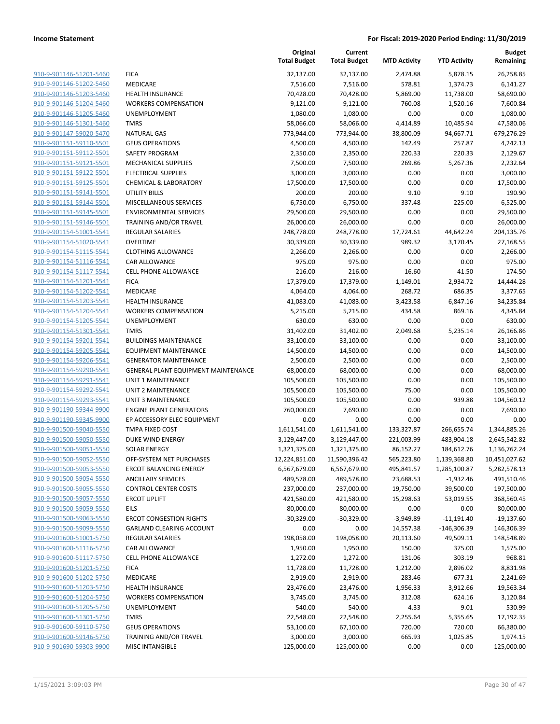|                                                    |                                                                   | Original<br><b>Total Budget</b> | Current<br><b>Total Budget</b> | <b>MTD Activity</b>    | <b>YTD Activity</b>      | <b>Budget</b><br>Remaining |
|----------------------------------------------------|-------------------------------------------------------------------|---------------------------------|--------------------------------|------------------------|--------------------------|----------------------------|
| 910-9-901146-51201-5460                            | <b>FICA</b>                                                       | 32,137.00                       | 32,137.00                      | 2,474.88               | 5,878.15                 | 26,258.85                  |
| 910-9-901146-51202-5460                            | <b>MEDICARE</b>                                                   | 7,516.00                        | 7,516.00                       | 578.81                 | 1,374.73                 | 6,141.27                   |
| 910-9-901146-51203-5460                            | <b>HEALTH INSURANCE</b>                                           | 70,428.00                       | 70,428.00                      | 5,869.00               | 11,738.00                | 58,690.00                  |
| 910-9-901146-51204-5460                            | <b>WORKERS COMPENSATION</b>                                       | 9,121.00                        | 9,121.00                       | 760.08                 | 1,520.16                 | 7,600.84                   |
| 910-9-901146-51205-5460                            | <b>UNEMPLOYMENT</b>                                               | 1,080.00                        | 1,080.00                       | 0.00                   | 0.00                     | 1,080.00                   |
| 910-9-901146-51301-5460                            | <b>TMRS</b>                                                       | 58,066.00                       | 58,066.00                      | 4,414.89               | 10,485.94                | 47,580.06                  |
| 910-9-901147-59020-5470                            | <b>NATURAL GAS</b>                                                | 773,944.00                      | 773,944.00                     | 38,800.09              | 94,667.71                | 679,276.29                 |
| 910-9-901151-59110-5501                            | <b>GEUS OPERATIONS</b>                                            | 4,500.00                        | 4,500.00                       | 142.49                 | 257.87                   | 4,242.13                   |
| 910-9-901151-59112-5501                            | SAFETY PROGRAM                                                    | 2,350.00                        | 2,350.00                       | 220.33                 | 220.33                   | 2,129.67                   |
| 910-9-901151-59121-5501                            | <b>MECHANICAL SUPPLIES</b>                                        | 7,500.00                        | 7,500.00                       | 269.86                 | 5,267.36                 | 2,232.64                   |
| 910-9-901151-59122-5501                            | <b>ELECTRICAL SUPPLIES</b>                                        | 3,000.00                        | 3,000.00                       | 0.00                   | 0.00                     | 3,000.00                   |
| 910-9-901151-59125-5501                            | <b>CHEMICAL &amp; LABORATORY</b>                                  | 17,500.00                       | 17,500.00                      | 0.00                   | 0.00                     | 17,500.00                  |
| 910-9-901151-59141-5501                            | UTILITY BILLS                                                     | 200.00                          | 200.00                         | 9.10                   | 9.10                     | 190.90                     |
| 910-9-901151-59144-5501                            | <b>MISCELLANEOUS SERVICES</b>                                     | 6,750.00                        | 6,750.00                       | 337.48                 | 225.00                   | 6,525.00                   |
| 910-9-901151-59145-5501                            | <b>ENVIRONMENTAL SERVICES</b>                                     | 29,500.00                       | 29,500.00                      | 0.00                   | 0.00                     | 29,500.00                  |
| 910-9-901151-59146-5501                            | TRAINING AND/OR TRAVEL                                            | 26,000.00                       | 26,000.00<br>248,778.00        | 0.00                   | 0.00                     | 26,000.00                  |
| 910-9-901154-51001-5541<br>910-9-901154-51020-5541 | <b>REGULAR SALARIES</b><br><b>OVERTIME</b>                        | 248,778.00                      | 30,339.00                      | 17,724.61<br>989.32    | 44,642.24                | 204,135.76<br>27,168.55    |
| 910-9-901154-51115-5541                            | <b>CLOTHING ALLOWANCE</b>                                         | 30,339.00                       | 2,266.00                       | 0.00                   | 3,170.45                 |                            |
| 910-9-901154-51116-5541                            | <b>CAR ALLOWANCE</b>                                              | 2,266.00<br>975.00              | 975.00                         | 0.00                   | 0.00<br>0.00             | 2,266.00<br>975.00         |
| 910-9-901154-51117-5541                            | <b>CELL PHONE ALLOWANCE</b>                                       | 216.00                          | 216.00                         | 16.60                  | 41.50                    | 174.50                     |
| 910-9-901154-51201-5541                            | <b>FICA</b>                                                       | 17,379.00                       | 17,379.00                      | 1,149.01               | 2,934.72                 | 14,444.28                  |
| 910-9-901154-51202-5541                            | MEDICARE                                                          | 4,064.00                        | 4,064.00                       | 268.72                 | 686.35                   | 3,377.65                   |
| 910-9-901154-51203-5541                            | <b>HEALTH INSURANCE</b>                                           | 41,083.00                       | 41,083.00                      | 3,423.58               | 6,847.16                 | 34,235.84                  |
| 910-9-901154-51204-5541                            | <b>WORKERS COMPENSATION</b>                                       | 5,215.00                        | 5,215.00                       | 434.58                 | 869.16                   | 4,345.84                   |
| 910-9-901154-51205-5541                            | <b>UNEMPLOYMENT</b>                                               | 630.00                          | 630.00                         | 0.00                   | 0.00                     | 630.00                     |
| 910-9-901154-51301-5541                            | <b>TMRS</b>                                                       | 31,402.00                       | 31,402.00                      | 2,049.68               | 5,235.14                 | 26,166.86                  |
| 910-9-901154-59201-5541                            | <b>BUILDINGS MAINTENANCE</b>                                      | 33,100.00                       | 33,100.00                      | 0.00                   | 0.00                     | 33,100.00                  |
| 910-9-901154-59205-5541                            | <b>EQUIPMENT MAINTENANCE</b>                                      | 14,500.00                       | 14,500.00                      | 0.00                   | 0.00                     | 14,500.00                  |
| 910-9-901154-59206-5541                            | <b>GENERATOR MAINTENANCE</b>                                      | 2,500.00                        | 2,500.00                       | 0.00                   | 0.00                     | 2,500.00                   |
| 910-9-901154-59290-5541                            | <b>GENERAL PLANT EQUIPMENT MAINTENANCE</b>                        | 68,000.00                       | 68,000.00                      | 0.00                   | 0.00                     | 68,000.00                  |
| 910-9-901154-59291-5541                            | UNIT 1 MAINTENANCE                                                | 105,500.00                      | 105,500.00                     | 0.00                   | 0.00                     | 105,500.00                 |
| 910-9-901154-59292-5541                            | <b>UNIT 2 MAINTENANCE</b>                                         | 105,500.00                      | 105,500.00                     | 75.00                  | 0.00                     | 105,500.00                 |
| 910-9-901154-59293-5541                            | UNIT 3 MAINTENANCE                                                | 105,500.00                      | 105,500.00                     | 0.00                   | 939.88                   | 104,560.12                 |
| 910-9-901190-59344-9900                            | <b>ENGINE PLANT GENERATORS</b>                                    | 760,000.00                      | 7,690.00                       | 0.00                   | 0.00                     | 7,690.00                   |
| 910-9-901190-59345-9900                            | EP ACCESSORY ELEC EQUIPMENT                                       | 0.00                            | 0.00                           | 0.00                   | 0.00                     | 0.00                       |
| 910-9-901500-59040-5550                            | <b>TMPA FIXED COST</b>                                            | 1,611,541.00                    | 1,611,541.00                   | 133,327.87             | 266,655.74               | 1,344,885.26               |
| 910-9-901500-59050-5550                            | <b>DUKE WIND ENERGY</b>                                           | 3,129,447.00                    | 3,129,447.00                   | 221,003.99             | 483,904.18               | 2,645,542.82               |
| 910-9-901500-59051-5550                            | <b>SOLAR ENERGY</b>                                               | 1,321,375.00                    | 1,321,375.00                   | 86,152.27              | 184,612.76               | 1,136,762.24               |
| 910-9-901500-59052-5550                            | OFF-SYSTEM NET PURCHASES                                          | 12,224,851.00                   | 11,590,396.42                  | 565,223.80             | 1,139,368.80             | 10,451,027.62              |
| 910-9-901500-59053-5550                            | <b>ERCOT BALANCING ENERGY</b>                                     | 6,567,679.00                    | 6,567,679.00                   | 495,841.57             | 1,285,100.87             | 5,282,578.13               |
| 910-9-901500-59054-5550                            | <b>ANCILLARY SERVICES</b>                                         | 489,578.00                      | 489,578.00                     | 23,688.53              | $-1,932.46$              | 491,510.46                 |
| 910-9-901500-59055-5550                            | <b>CONTROL CENTER COSTS</b>                                       | 237,000.00                      | 237,000.00                     | 19,750.00              | 39,500.00                | 197,500.00                 |
| 910-9-901500-59057-5550                            | <b>ERCOT UPLIFT</b>                                               | 421,580.00                      | 421,580.00                     | 15,298.63              | 53,019.55                | 368,560.45                 |
| 910-9-901500-59059-5550                            | <b>EILS</b>                                                       | 80,000.00                       | 80,000.00                      | 0.00                   | 0.00                     | 80,000.00                  |
| 910-9-901500-59063-5550<br>910-9-901500-59099-5550 | <b>ERCOT CONGESTION RIGHTS</b><br><b>GARLAND CLEARING ACCOUNT</b> | $-30,329.00$                    | $-30,329.00$                   | $-3,949.89$            | $-11,191.40$             | $-19,137.60$               |
| 910-9-901600-51001-5750                            | <b>REGULAR SALARIES</b>                                           | 0.00<br>198,058.00              | 0.00<br>198,058.00             | 14,557.38<br>20,113.60 | -146,306.39<br>49,509.11 | 146,306.39<br>148,548.89   |
| 910-9-901600-51116-5750                            | <b>CAR ALLOWANCE</b>                                              | 1,950.00                        | 1,950.00                       | 150.00                 | 375.00                   | 1,575.00                   |
| 910-9-901600-51117-5750                            | <b>CELL PHONE ALLOWANCE</b>                                       | 1,272.00                        | 1,272.00                       | 131.06                 | 303.19                   | 968.81                     |
| 910-9-901600-51201-5750                            | <b>FICA</b>                                                       | 11,728.00                       | 11,728.00                      | 1,212.00               | 2,896.02                 | 8,831.98                   |
| 910-9-901600-51202-5750                            | <b>MEDICARE</b>                                                   | 2,919.00                        | 2,919.00                       | 283.46                 | 677.31                   | 2,241.69                   |
| 910-9-901600-51203-5750                            | <b>HEALTH INSURANCE</b>                                           | 23,476.00                       | 23,476.00                      | 1,956.33               | 3,912.66                 | 19,563.34                  |
| 910-9-901600-51204-5750                            | WORKERS COMPENSATION                                              | 3,745.00                        | 3,745.00                       | 312.08                 | 624.16                   | 3,120.84                   |
| 910-9-901600-51205-5750                            | UNEMPLOYMENT                                                      | 540.00                          | 540.00                         | 4.33                   | 9.01                     | 530.99                     |
| 910-9-901600-51301-5750                            | <b>TMRS</b>                                                       | 22,548.00                       | 22,548.00                      | 2,255.64               | 5,355.65                 | 17,192.35                  |
| 910-9-901600-59110-5750                            | <b>GEUS OPERATIONS</b>                                            | 53,100.00                       | 67,100.00                      | 720.00                 | 720.00                   | 66,380.00                  |
| 910-9-901600-59146-5750                            | TRAINING AND/OR TRAVEL                                            | 3,000.00                        | 3,000.00                       | 665.93                 | 1,025.85                 | 1,974.15                   |
| 910-9-901690-59303-9900                            | <b>MISC INTANGIBLE</b>                                            | 125,000.00                      | 125,000.00                     | 0.00                   | 0.00                     | 125,000.00                 |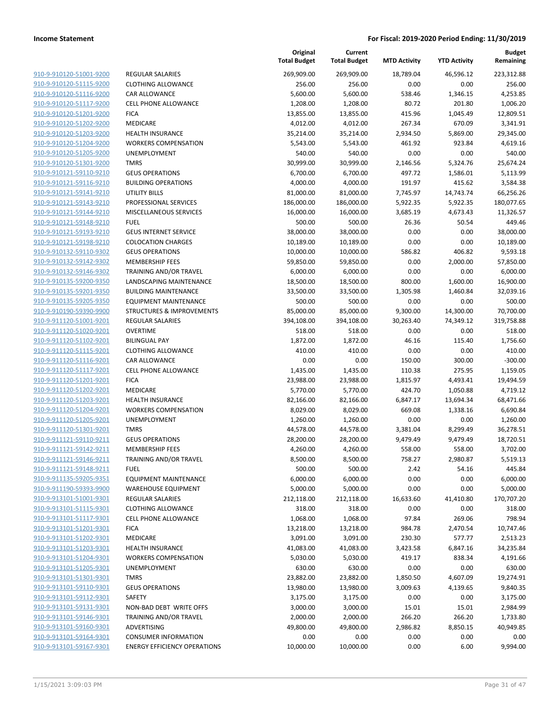|                                                    |                                              | Original<br><b>Total Budget</b> | Current<br><b>Total Budget</b> | <b>MTD Activity</b> | <b>YTD Activity</b> | Budget<br>Remaining   |
|----------------------------------------------------|----------------------------------------------|---------------------------------|--------------------------------|---------------------|---------------------|-----------------------|
| 910-9-910120-51001-9200                            | <b>REGULAR SALARIES</b>                      | 269,909.00                      | 269,909.00                     | 18,789.04           | 46,596.12           | 223,312.88            |
| 910-9-910120-51115-9200                            | <b>CLOTHING ALLOWANCE</b>                    | 256.00                          | 256.00                         | 0.00                | 0.00                | 256.00                |
| 910-9-910120-51116-9200                            | <b>CAR ALLOWANCE</b>                         | 5,600.00                        | 5,600.00                       | 538.46              | 1,346.15            | 4,253.85              |
| 910-9-910120-51117-9200                            | <b>CELL PHONE ALLOWANCE</b>                  | 1,208.00                        | 1,208.00                       | 80.72               | 201.80              | 1,006.20              |
| 910-9-910120-51201-9200                            | <b>FICA</b>                                  | 13,855.00                       | 13,855.00                      | 415.96              | 1,045.49            | 12,809.51             |
| 910-9-910120-51202-9200                            | MEDICARE                                     | 4,012.00                        | 4,012.00                       | 267.34              | 670.09              | 3,341.91              |
| 910-9-910120-51203-9200                            | <b>HEALTH INSURANCE</b>                      | 35,214.00                       | 35,214.00                      | 2,934.50            | 5,869.00            | 29,345.00             |
| 910-9-910120-51204-9200                            | <b>WORKERS COMPENSATION</b>                  | 5,543.00                        | 5,543.00                       | 461.92              | 923.84              | 4,619.16              |
| 910-9-910120-51205-9200                            | <b>UNEMPLOYMENT</b>                          | 540.00                          | 540.00                         | 0.00                | 0.00                | 540.00                |
| 910-9-910120-51301-9200                            | <b>TMRS</b>                                  | 30,999.00                       | 30,999.00                      | 2,146.56            | 5,324.76            | 25,674.24             |
| 910-9-910121-59110-9210                            | <b>GEUS OPERATIONS</b>                       | 6,700.00                        | 6,700.00                       | 497.72              | 1,586.01            | 5,113.99              |
| 910-9-910121-59116-9210                            | <b>BUILDING OPERATIONS</b>                   | 4,000.00                        | 4,000.00                       | 191.97              | 415.62              | 3,584.38              |
| 910-9-910121-59141-9210                            | UTILITY BILLS                                | 81,000.00                       | 81,000.00                      | 7,745.97            | 14,743.74           | 66,256.26             |
| 910-9-910121-59143-9210                            | PROFESSIONAL SERVICES                        | 186,000.00                      | 186,000.00                     | 5,922.35            | 5,922.35            | 180,077.65            |
| 910-9-910121-59144-9210                            | MISCELLANEOUS SERVICES                       | 16,000.00                       | 16,000.00                      | 3,685.19            | 4,673.43            | 11,326.57             |
| 910-9-910121-59148-9210                            | <b>FUEL</b>                                  | 500.00                          | 500.00                         | 26.36               | 50.54               | 449.46                |
| 910-9-910121-59193-9210                            | <b>GEUS INTERNET SERVICE</b>                 | 38,000.00                       | 38,000.00                      | 0.00                | 0.00                | 38,000.00             |
| 910-9-910121-59198-9210                            | <b>COLOCATION CHARGES</b>                    | 10,189.00                       | 10,189.00                      | 0.00                | 0.00                | 10,189.00             |
| 910-9-910132-59110-9302                            | <b>GEUS OPERATIONS</b>                       | 10,000.00                       | 10,000.00                      | 586.82              | 406.82              | 9,593.18              |
| 910-9-910132-59142-9302                            | <b>MEMBERSHIP FEES</b>                       | 59,850.00                       | 59,850.00                      | 0.00                | 2,000.00            | 57,850.00             |
| 910-9-910132-59146-9302                            | <b>TRAINING AND/OR TRAVEL</b>                | 6,000.00                        | 6,000.00                       | 0.00                | 0.00                | 6,000.00              |
| 910-9-910135-59200-9350                            | <b>LANDSCAPING MAINTENANCE</b>               | 18,500.00                       | 18,500.00                      | 800.00              | 1,600.00            | 16,900.00             |
| 910-9-910135-59201-9350                            | <b>BUILDING MAINTENANCE</b>                  | 33,500.00                       | 33,500.00                      | 1,305.98            | 1,460.84            | 32,039.16             |
| 910-9-910135-59205-9350                            | <b>EQUIPMENT MAINTENANCE</b>                 | 500.00                          | 500.00                         | 0.00                | 0.00                | 500.00                |
| 910-9-910190-59390-9900                            | <b>STRUCTURES &amp; IMPROVEMENTS</b>         | 85,000.00                       | 85,000.00                      | 9,300.00            | 14,300.00           | 70,700.00             |
| 910-9-911120-51001-9201                            | <b>REGULAR SALARIES</b>                      | 394,108.00                      | 394,108.00                     | 30,263.40           | 74,349.12           | 319,758.88            |
| 910-9-911120-51020-9201                            | <b>OVERTIME</b>                              | 518.00                          | 518.00                         | 0.00                | 0.00                | 518.00                |
| 910-9-911120-51102-9201                            | <b>BILINGUAL PAY</b>                         | 1,872.00                        | 1,872.00                       | 46.16               | 115.40              | 1,756.60              |
| 910-9-911120-51115-9201                            | <b>CLOTHING ALLOWANCE</b>                    | 410.00<br>0.00                  | 410.00                         | 0.00                | 0.00                | 410.00<br>$-300.00$   |
| 910-9-911120-51116-9201<br>910-9-911120-51117-9201 | CAR ALLOWANCE<br><b>CELL PHONE ALLOWANCE</b> |                                 | 0.00                           | 150.00<br>110.38    | 300.00<br>275.95    |                       |
| 910-9-911120-51201-9201                            | <b>FICA</b>                                  | 1,435.00<br>23,988.00           | 1,435.00<br>23,988.00          | 1,815.97            | 4,493.41            | 1,159.05<br>19,494.59 |
| 910-9-911120-51202-9201                            | MEDICARE                                     | 5,770.00                        | 5,770.00                       | 424.70              | 1,050.88            | 4,719.12              |
| 910-9-911120-51203-9201                            | <b>HEALTH INSURANCE</b>                      | 82,166.00                       | 82,166.00                      | 6,847.17            | 13,694.34           | 68,471.66             |
| 910-9-911120-51204-9201                            | <b>WORKERS COMPENSATION</b>                  | 8,029.00                        | 8,029.00                       | 669.08              | 1,338.16            | 6,690.84              |
| 910-9-911120-51205-9201                            | UNEMPLOYMENT                                 | 1,260.00                        | 1,260.00                       | 0.00                | 0.00                | 1,260.00              |
| 910-9-911120-51301-9201                            | <b>TMRS</b>                                  | 44,578.00                       | 44,578.00                      | 3,381.04            | 8,299.49            | 36,278.51             |
| 910-9-911121-59110-9211                            | <b>GEUS OPERATIONS</b>                       | 28,200.00                       | 28,200.00                      | 9,479.49            | 9,479.49            | 18,720.51             |
| 910-9-911121-59142-9211                            | <b>MEMBERSHIP FEES</b>                       | 4,260.00                        | 4,260.00                       | 558.00              | 558.00              | 3,702.00              |
| 910-9-911121-59146-9211                            | TRAINING AND/OR TRAVEL                       | 8,500.00                        | 8,500.00                       | 758.27              | 2,980.87            | 5,519.13              |
| 910-9-911121-59148-9211                            | <b>FUEL</b>                                  | 500.00                          | 500.00                         | 2.42                | 54.16               | 445.84                |
| 910-9-911135-59205-9351                            | <b>EQUIPMENT MAINTENANCE</b>                 | 6,000.00                        | 6,000.00                       | 0.00                | 0.00                | 6,000.00              |
| 910-9-911190-59393-9900                            | <b>WAREHOUSE EQUIPMENT</b>                   | 5,000.00                        | 5,000.00                       | 0.00                | 0.00                | 5,000.00              |
| 910-9-913101-51001-9301                            | <b>REGULAR SALARIES</b>                      | 212,118.00                      | 212,118.00                     | 16,633.60           | 41,410.80           | 170,707.20            |
| 910-9-913101-51115-9301                            | <b>CLOTHING ALLOWANCE</b>                    | 318.00                          | 318.00                         | 0.00                | 0.00                | 318.00                |
| 910-9-913101-51117-9301                            | <b>CELL PHONE ALLOWANCE</b>                  | 1,068.00                        | 1,068.00                       | 97.84               | 269.06              | 798.94                |
| 910-9-913101-51201-9301                            | <b>FICA</b>                                  | 13,218.00                       | 13,218.00                      | 984.78              | 2,470.54            | 10,747.46             |
| 910-9-913101-51202-9301                            | MEDICARE                                     | 3,091.00                        | 3,091.00                       | 230.30              | 577.77              | 2,513.23              |
| 910-9-913101-51203-9301                            | <b>HEALTH INSURANCE</b>                      | 41,083.00                       | 41,083.00                      | 3,423.58            | 6,847.16            | 34,235.84             |
| 910-9-913101-51204-9301                            | <b>WORKERS COMPENSATION</b>                  | 5,030.00                        | 5,030.00                       | 419.17              | 838.34              | 4,191.66              |
| 910-9-913101-51205-9301                            | <b>UNEMPLOYMENT</b>                          | 630.00                          | 630.00                         | 0.00                | 0.00                | 630.00                |
| 910-9-913101-51301-9301                            | <b>TMRS</b>                                  | 23,882.00                       | 23,882.00                      | 1,850.50            | 4,607.09            | 19,274.91             |
| 910-9-913101-59110-9301                            | <b>GEUS OPERATIONS</b>                       | 13,980.00                       | 13,980.00                      | 3,009.63            | 4,139.65            | 9,840.35              |
| 910-9-913101-59112-9301                            | SAFETY                                       | 3,175.00                        | 3,175.00                       | 0.00                | 0.00                | 3,175.00              |
| 910-9-913101-59131-9301                            | NON-BAD DEBT WRITE OFFS                      | 3,000.00                        | 3,000.00                       | 15.01               | 15.01               | 2,984.99              |
| 910-9-913101-59146-9301                            | TRAINING AND/OR TRAVEL                       | 2,000.00                        | 2,000.00                       | 266.20              | 266.20              | 1,733.80              |
| 910-9-913101-59160-9301                            | ADVERTISING                                  | 49,800.00                       | 49,800.00                      | 2,986.82            | 8,850.15            | 40,949.85             |
| 910-9-913101-59164-9301                            | <b>CONSUMER INFORMATION</b>                  | 0.00                            | 0.00                           | 0.00                | 0.00                | 0.00                  |
| 910-9-913101-59167-9301                            | <b>ENERGY EFFICIENCY OPERATIONS</b>          | 10,000.00                       | 10,000.00                      | 0.00                | 6.00                | 9,994.00              |
|                                                    |                                              |                                 |                                |                     |                     |                       |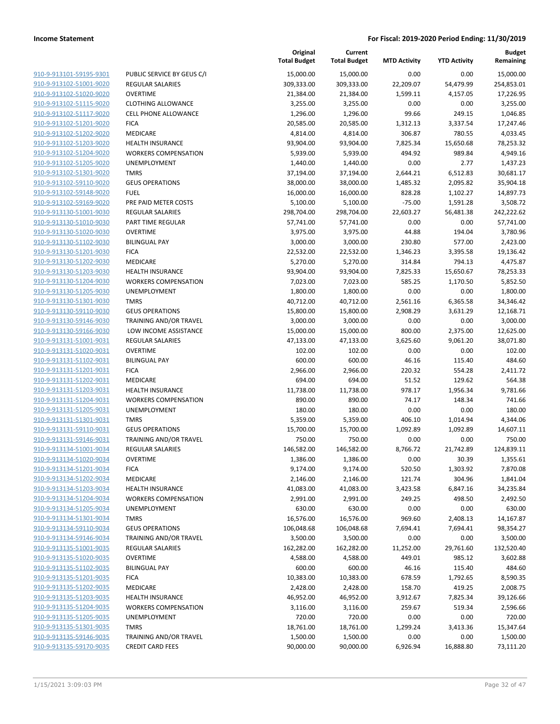| 910-9-913101-59195-9301        |
|--------------------------------|
| 910-9-913102-51001-9020        |
| 910-9-913102-51020-9020        |
| <u>910-9-913102-51115-9020</u> |
| 910-9-913102-51117-9020        |
| 910-9-913102-51201-9020        |
| 910-9-913102-51202-9020        |
| 910-9-913102-51203-9020        |
| 910-9-913102-51204-9020        |
| 910-9-913102-51205-9020        |
| 910-9-913102-51301-9020        |
| 910-9-913102-59110-9020        |
| 910-9-913102-59148-9020        |
|                                |
| <u>910-9-913102-59169-9020</u> |
| 910-9-913130-51001-9030        |
| 910-9-913130-51010-9030        |
| 910-9-913130-51020-9030        |
| 910-9-913130-51102-9030        |
| <u>910-9-913130-51201-9030</u> |
| 910-9-913130-51202-9030        |
| 910-9-913130-51203-9030        |
| 910-9-913130-51204-9030        |
| 910-9-913130-51205-9030        |
| 910-9-913130-51301-9030        |
| 910-9-913130-59110-9030        |
| 910-9-913130-59146-9030        |
| 910-9-913130-59166-9030        |
| 910-9-913131-51001-9031        |
| 910-9-913131-51020-9031        |
| 910-9-913131-51102-9031        |
| 910-9-913131-51201-9031        |
| 910-9-913131-51202-9031        |
| 910-9-913131-51203-9031        |
|                                |
| 910-9-913131-51204-9031        |
| 910-9-913131-51205-9031        |
| 910-9-913131-51301-9031        |
| 910-9-913131-59110-9031        |
| 910-9-913131-59146-9031        |
| 910-9-913134-51001-9034        |
| 910-9-913134-51020-9034        |
| 910-9-913134-51201-9034        |
| <u>910-9-913134-51202-9034</u> |
| 910-9-913134-51203-9034        |
| 910-9-913134-51204-9034        |
| <u>910-9-913134-51205-9034</u> |
| <u>910-9-913134-51301-9034</u> |
| <u>910-9-913134-59110-9034</u> |
| 910-9-913134-59146-9034        |
| <u>910-9-913135-51001-9035</u> |
| <u>910-9-913135-51020-9035</u> |
| <u>910-9-913135-51102-9035</u> |
| 910-9-913135-51201-9035        |
|                                |
| 910-9-913135-51202-9035        |
| 910-9-913135-51203-9035        |
| <u>910-9-913135-51204-9035</u> |
| <u>910-9-913135-51205-9035</u> |
| <u>910-9-913135-51301-9035</u> |
| 910-9-913135-59146-9035        |
| <u>910-9-913135-59170-9035</u> |
|                                |

|                                                    |                             | Original<br><b>Total Budget</b> | Current<br><b>Total Budget</b> | <b>MTD Activity</b> | <b>YTD Activity</b> | <b>Budget</b><br>Remaining |
|----------------------------------------------------|-----------------------------|---------------------------------|--------------------------------|---------------------|---------------------|----------------------------|
| 910-9-913101-59195-9301                            | PUBLIC SERVICE BY GEUS C/I  | 15,000.00                       | 15,000.00                      | 0.00                | 0.00                | 15,000.00                  |
| 910-9-913102-51001-9020                            | <b>REGULAR SALARIES</b>     | 309,333.00                      | 309,333.00                     | 22,209.07           | 54,479.99           | 254,853.01                 |
| 910-9-913102-51020-9020                            | <b>OVERTIME</b>             | 21,384.00                       | 21,384.00                      | 1,599.11            | 4,157.05            | 17,226.95                  |
| 910-9-913102-51115-9020                            | <b>CLOTHING ALLOWANCE</b>   | 3,255.00                        | 3,255.00                       | 0.00                | 0.00                | 3,255.00                   |
| 910-9-913102-51117-9020                            | <b>CELL PHONE ALLOWANCE</b> | 1,296.00                        | 1,296.00                       | 99.66               | 249.15              | 1,046.85                   |
| 910-9-913102-51201-9020                            | <b>FICA</b>                 | 20,585.00                       | 20,585.00                      | 1,312.13            | 3,337.54            | 17,247.46                  |
| 910-9-913102-51202-9020                            | MEDICARE                    | 4,814.00                        | 4,814.00                       | 306.87              | 780.55              | 4,033.45                   |
| 910-9-913102-51203-9020                            | <b>HEALTH INSURANCE</b>     | 93,904.00                       | 93,904.00                      | 7,825.34            | 15,650.68           | 78,253.32                  |
| 910-9-913102-51204-9020                            | <b>WORKERS COMPENSATION</b> | 5,939.00                        | 5,939.00                       | 494.92              | 989.84              | 4,949.16                   |
| 910-9-913102-51205-9020                            | UNEMPLOYMENT                | 1,440.00                        | 1,440.00                       | 0.00                | 2.77                | 1,437.23                   |
| 910-9-913102-51301-9020                            | <b>TMRS</b>                 | 37,194.00                       | 37,194.00                      | 2,644.21            | 6,512.83            | 30,681.17                  |
| 910-9-913102-59110-9020                            | <b>GEUS OPERATIONS</b>      | 38,000.00                       | 38,000.00                      | 1,485.32            | 2,095.82            | 35,904.18                  |
| 910-9-913102-59148-9020                            | <b>FUEL</b>                 | 16,000.00                       | 16,000.00                      | 828.28              | 1,102.27            | 14,897.73                  |
| 910-9-913102-59169-9020                            | PRE PAID METER COSTS        | 5,100.00                        | 5,100.00                       | $-75.00$            | 1,591.28            | 3,508.72                   |
| 910-9-913130-51001-9030                            | <b>REGULAR SALARIES</b>     | 298,704.00                      | 298,704.00                     | 22,603.27           | 56,481.38           | 242,222.62                 |
| 910-9-913130-51010-9030                            | PART TIME REGULAR           | 57,741.00                       | 57,741.00                      | 0.00                | 0.00                | 57,741.00                  |
| 910-9-913130-51020-9030                            | <b>OVERTIME</b>             | 3,975.00                        | 3,975.00                       | 44.88               | 194.04              | 3,780.96                   |
| 910-9-913130-51102-9030                            | <b>BILINGUAL PAY</b>        | 3,000.00                        | 3,000.00                       | 230.80              | 577.00              | 2,423.00                   |
| 910-9-913130-51201-9030<br>910-9-913130-51202-9030 | <b>FICA</b><br>MEDICARE     | 22,532.00<br>5,270.00           | 22,532.00                      | 1,346.23<br>314.84  | 3,395.58<br>794.13  | 19,136.42                  |
| 910-9-913130-51203-9030                            | <b>HEALTH INSURANCE</b>     | 93,904.00                       | 5,270.00                       | 7,825.33            | 15,650.67           | 4,475.87<br>78,253.33      |
| 910-9-913130-51204-9030                            | <b>WORKERS COMPENSATION</b> | 7,023.00                        | 93,904.00<br>7,023.00          | 585.25              | 1,170.50            | 5,852.50                   |
| 910-9-913130-51205-9030                            | UNEMPLOYMENT                | 1,800.00                        | 1,800.00                       | 0.00                | 0.00                | 1,800.00                   |
| 910-9-913130-51301-9030                            | <b>TMRS</b>                 | 40,712.00                       | 40,712.00                      | 2,561.16            | 6,365.58            | 34,346.42                  |
| 910-9-913130-59110-9030                            | <b>GEUS OPERATIONS</b>      | 15,800.00                       | 15,800.00                      | 2,908.29            | 3,631.29            | 12,168.71                  |
| 910-9-913130-59146-9030                            | TRAINING AND/OR TRAVEL      | 3,000.00                        | 3,000.00                       | 0.00                | 0.00                | 3,000.00                   |
| 910-9-913130-59166-9030                            | LOW INCOME ASSISTANCE       | 15,000.00                       | 15,000.00                      | 800.00              | 2,375.00            | 12,625.00                  |
| 910-9-913131-51001-9031                            | <b>REGULAR SALARIES</b>     | 47,133.00                       | 47,133.00                      | 3,625.60            | 9,061.20            | 38,071.80                  |
| 910-9-913131-51020-9031                            | <b>OVERTIME</b>             | 102.00                          | 102.00                         | 0.00                | 0.00                | 102.00                     |
| 910-9-913131-51102-9031                            | <b>BILINGUAL PAY</b>        | 600.00                          | 600.00                         | 46.16               | 115.40              | 484.60                     |
| 910-9-913131-51201-9031                            | <b>FICA</b>                 | 2,966.00                        | 2,966.00                       | 220.32              | 554.28              | 2,411.72                   |
| 910-9-913131-51202-9031                            | MEDICARE                    | 694.00                          | 694.00                         | 51.52               | 129.62              | 564.38                     |
| 910-9-913131-51203-9031                            | <b>HEALTH INSURANCE</b>     | 11,738.00                       | 11,738.00                      | 978.17              | 1,956.34            | 9,781.66                   |
| 910-9-913131-51204-9031                            | <b>WORKERS COMPENSATION</b> | 890.00                          | 890.00                         | 74.17               | 148.34              | 741.66                     |
| 910-9-913131-51205-9031                            | <b>UNEMPLOYMENT</b>         | 180.00                          | 180.00                         | 0.00                | 0.00                | 180.00                     |
| 910-9-913131-51301-9031                            | <b>TMRS</b>                 | 5,359.00                        | 5,359.00                       | 406.10              | 1,014.94            | 4,344.06                   |
| 910-9-913131-59110-9031                            | <b>GEUS OPERATIONS</b>      | 15,700.00                       | 15,700.00                      | 1,092.89            | 1,092.89            | 14,607.11                  |
| 910-9-913131-59146-9031                            | TRAINING AND/OR TRAVEL      | 750.00                          | 750.00                         | 0.00                | 0.00                | 750.00                     |
| 910-9-913134-51001-9034                            | <b>REGULAR SALARIES</b>     | 146,582.00                      | 146,582.00                     | 8,766.72            | 21,742.89           | 124,839.11                 |
| 910-9-913134-51020-9034                            | OVERTIME                    | 1,386.00                        | 1,386.00                       | 0.00                | 30.39               | 1,355.61                   |
| 910-9-913134-51201-9034                            | <b>FICA</b>                 | 9,174.00                        | 9,174.00                       | 520.50              | 1,303.92            | 7,870.08                   |
| 910-9-913134-51202-9034                            | MEDICARE                    | 2,146.00                        | 2,146.00                       | 121.74              | 304.96              | 1,841.04                   |
| 910-9-913134-51203-9034                            | <b>HEALTH INSURANCE</b>     | 41,083.00                       | 41,083.00                      | 3,423.58            | 6,847.16            | 34,235.84                  |
| 910-9-913134-51204-9034                            | <b>WORKERS COMPENSATION</b> | 2,991.00                        | 2,991.00                       | 249.25              | 498.50              | 2,492.50                   |
| 910-9-913134-51205-9034                            | UNEMPLOYMENT                | 630.00                          | 630.00                         | 0.00                | 0.00                | 630.00                     |
| 910-9-913134-51301-9034                            | <b>TMRS</b>                 | 16,576.00                       | 16,576.00                      | 969.60              | 2,408.13            | 14,167.87                  |
| 910-9-913134-59110-9034                            | <b>GEUS OPERATIONS</b>      | 106,048.68                      | 106,048.68                     | 7,694.41            | 7,694.41            | 98,354.27                  |
| 910-9-913134-59146-9034                            | TRAINING AND/OR TRAVEL      | 3,500.00                        | 3,500.00                       | 0.00                | 0.00                | 3,500.00                   |
| 910-9-913135-51001-9035                            | <b>REGULAR SALARIES</b>     | 162,282.00                      | 162,282.00                     | 11,252.00           | 29,761.60           | 132,520.40                 |
| 910-9-913135-51020-9035                            | <b>OVERTIME</b>             | 4,588.00                        | 4,588.00                       | 449.01              | 985.12              | 3,602.88                   |
| 910-9-913135-51102-9035                            | <b>BILINGUAL PAY</b>        | 600.00                          | 600.00                         | 46.16               | 115.40              | 484.60                     |
| 910-9-913135-51201-9035                            | <b>FICA</b>                 | 10,383.00                       | 10,383.00                      | 678.59              | 1,792.65            | 8,590.35                   |
| 910-9-913135-51202-9035                            | MEDICARE                    | 2,428.00                        | 2,428.00                       | 158.70              | 419.25              | 2,008.75                   |
| 910-9-913135-51203-9035                            | <b>HEALTH INSURANCE</b>     | 46,952.00                       | 46,952.00                      | 3,912.67            | 7,825.34            | 39,126.66                  |
| 910-9-913135-51204-9035                            | <b>WORKERS COMPENSATION</b> | 3,116.00                        | 3,116.00                       | 259.67              | 519.34              | 2,596.66                   |
| 910-9-913135-51205-9035                            | UNEMPLOYMENT<br><b>TMRS</b> | 720.00                          | 720.00                         | 0.00                | 0.00                | 720.00                     |
| 910-9-913135-51301-9035<br>910-9-913135-59146-9035 | TRAINING AND/OR TRAVEL      | 18,761.00                       | 18,761.00                      | 1,299.24<br>0.00    | 3,413.36<br>0.00    | 15,347.64                  |
| 910-9-913135-59170-9035                            | <b>CREDIT CARD FEES</b>     | 1,500.00<br>90,000.00           | 1,500.00<br>90,000.00          | 6,926.94            | 16,888.80           | 1,500.00<br>73,111.20      |
|                                                    |                             |                                 |                                |                     |                     |                            |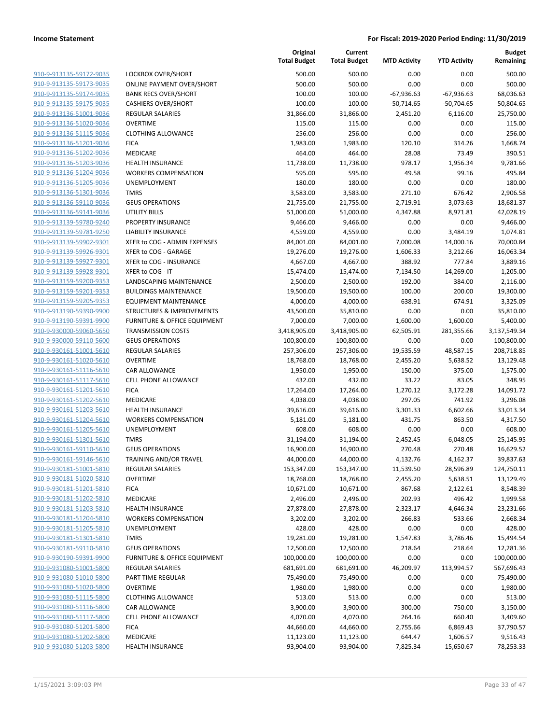|                                                    |                                                        | Original<br><b>Total Budget</b> | Current<br><b>Total Budget</b> | <b>MTD Activity</b> | <b>YTD Activity</b> | Budget<br>Remaining    |
|----------------------------------------------------|--------------------------------------------------------|---------------------------------|--------------------------------|---------------------|---------------------|------------------------|
| 910-9-913135-59172-9035                            | LOCKBOX OVER/SHORT                                     | 500.00                          | 500.00                         | 0.00                | 0.00                | 500.00                 |
| 910-9-913135-59173-9035                            | <b>ONLINE PAYMENT OVER/SHORT</b>                       | 500.00                          | 500.00                         | 0.00                | 0.00                | 500.00                 |
| 910-9-913135-59174-9035                            | <b>BANK RECS OVER/SHORT</b>                            | 100.00                          | 100.00                         | $-67,936.63$        | $-67,936.63$        | 68,036.63              |
| 910-9-913135-59175-9035                            | <b>CASHIERS OVER/SHORT</b>                             | 100.00                          | 100.00                         | $-50,714.65$        | $-50,704.65$        | 50,804.65              |
| 910-9-913136-51001-9036                            | <b>REGULAR SALARIES</b>                                | 31,866.00                       | 31,866.00                      | 2,451.20            | 6,116.00            | 25,750.00              |
| 910-9-913136-51020-9036                            | <b>OVERTIME</b>                                        | 115.00                          | 115.00                         | 0.00                | 0.00                | 115.00                 |
| 910-9-913136-51115-9036                            | <b>CLOTHING ALLOWANCE</b>                              | 256.00                          | 256.00                         | 0.00                | 0.00                | 256.00                 |
| 910-9-913136-51201-9036                            | <b>FICA</b>                                            | 1,983.00                        | 1,983.00                       | 120.10              | 314.26              | 1,668.74               |
| 910-9-913136-51202-9036                            | MEDICARE                                               | 464.00                          | 464.00                         | 28.08               | 73.49               | 390.51                 |
| 910-9-913136-51203-9036                            | <b>HEALTH INSURANCE</b>                                | 11,738.00                       | 11,738.00                      | 978.17              | 1,956.34            | 9,781.66               |
| 910-9-913136-51204-9036                            | <b>WORKERS COMPENSATION</b>                            | 595.00                          | 595.00                         | 49.58               | 99.16               | 495.84                 |
| 910-9-913136-51205-9036                            | <b>UNEMPLOYMENT</b>                                    | 180.00                          | 180.00                         | 0.00                | 0.00                | 180.00                 |
| 910-9-913136-51301-9036                            | <b>TMRS</b>                                            | 3,583.00                        | 3,583.00                       | 271.10              | 676.42              | 2,906.58               |
| 910-9-913136-59110-9036                            | <b>GEUS OPERATIONS</b>                                 | 21,755.00                       | 21,755.00                      | 2,719.91            | 3,073.63            | 18,681.37              |
| 910-9-913136-59141-9036                            | UTILITY BILLS                                          | 51,000.00                       | 51,000.00                      | 4,347.88            | 8,971.81            | 42,028.19              |
| 910-9-913139-59780-9240                            | PROPERTY INSURANCE                                     | 9,466.00                        | 9,466.00                       | 0.00                | 0.00                | 9,466.00               |
| 910-9-913139-59781-9250                            | <b>LIABILITY INSURANCE</b>                             | 4,559.00                        | 4,559.00                       | 0.00                | 3,484.19            | 1,074.81               |
| 910-9-913139-59902-9301                            | XFER to COG - ADMIN EXPENSES                           | 84,001.00                       | 84,001.00                      | 7,000.08            | 14,000.16           | 70,000.84              |
| 910-9-913139-59926-9301                            | XFER to COG - GARAGE                                   | 19,276.00                       | 19,276.00                      | 1,606.33            | 3,212.66            | 16,063.34              |
| 910-9-913139-59927-9301                            | XFER to COG - INSURANCE                                | 4,667.00                        | 4,667.00                       | 388.92              | 777.84              | 3,889.16               |
| 910-9-913139-59928-9301                            | XFER to COG - IT                                       | 15,474.00                       | 15,474.00                      | 7,134.50            | 14,269.00           | 1,205.00               |
| 910-9-913159-59200-9353                            | LANDSCAPING MAINTENANCE                                | 2,500.00                        | 2,500.00                       | 192.00              | 384.00              | 2,116.00               |
| 910-9-913159-59201-9353                            | <b>BUILDINGS MAINTENANCE</b>                           | 19,500.00                       | 19,500.00                      | 100.00              | 200.00              | 19,300.00              |
| 910-9-913159-59205-9353                            | <b>EQUIPMENT MAINTENANCE</b>                           | 4,000.00                        | 4,000.00                       | 638.91              | 674.91              | 3,325.09               |
| 910-9-913190-59390-9900                            | <b>STRUCTURES &amp; IMPROVEMENTS</b>                   | 43,500.00                       | 35,810.00                      | 0.00                | 0.00                | 35,810.00              |
| 910-9-913190-59391-9900                            | FURNITURE & OFFICE EQUIPMENT                           | 7,000.00                        | 7,000.00                       | 1,600.00            | 1,600.00            | 5,400.00               |
| 910-9-930000-59060-5650                            | <b>TRANSMISSION COSTS</b>                              | 3,418,905.00                    | 3,418,905.00                   | 62,505.91           | 281,355.66          | 3,137,549.34           |
| 910-9-930000-59110-5600                            | <b>GEUS OPERATIONS</b>                                 | 100,800.00                      | 100,800.00                     | 0.00                | 0.00                | 100,800.00             |
| 910-9-930161-51001-5610                            | <b>REGULAR SALARIES</b>                                | 257,306.00                      | 257,306.00                     | 19,535.59           | 48,587.15           | 208,718.85             |
| 910-9-930161-51020-5610                            | <b>OVERTIME</b>                                        | 18,768.00                       | 18,768.00                      | 2,455.20            | 5,638.52            | 13,129.48              |
| 910-9-930161-51116-5610                            | CAR ALLOWANCE                                          | 1,950.00                        | 1,950.00                       | 150.00              | 375.00              | 1,575.00               |
| 910-9-930161-51117-5610                            | <b>CELL PHONE ALLOWANCE</b>                            | 432.00                          | 432.00                         | 33.22               | 83.05               | 348.95                 |
| 910-9-930161-51201-5610                            | <b>FICA</b>                                            | 17,264.00                       | 17,264.00                      | 1,270.12            | 3,172.28            | 14,091.72              |
| 910-9-930161-51202-5610                            | MEDICARE                                               | 4,038.00                        | 4,038.00                       | 297.05              | 741.92              | 3,296.08               |
| 910-9-930161-51203-5610                            | <b>HEALTH INSURANCE</b><br><b>WORKERS COMPENSATION</b> | 39,616.00                       | 39,616.00                      | 3,301.33            | 6,602.66            | 33,013.34              |
| 910-9-930161-51204-5610                            |                                                        | 5,181.00                        | 5,181.00                       | 431.75              | 863.50              | 4,317.50               |
| 910-9-930161-51205-5610<br>910-9-930161-51301-5610 | UNEMPLOYMENT<br><b>TMRS</b>                            | 608.00<br>31,194.00             | 608.00                         | 0.00<br>2,452.45    | 0.00                | 608.00                 |
| 910-9-930161-59110-5610                            | <b>GEUS OPERATIONS</b>                                 | 16,900.00                       | 31,194.00<br>16,900.00         | 270.48              | 6,048.05<br>270.48  | 25,145.95<br>16,629.52 |
| 910-9-930161-59146-5610                            | TRAINING AND/OR TRAVEL                                 | 44,000.00                       | 44,000.00                      | 4,132.76            | 4,162.37            | 39,837.63              |
| 910-9-930181-51001-5810                            | <b>REGULAR SALARIES</b>                                | 153,347.00                      | 153,347.00                     | 11,539.50           | 28,596.89           | 124,750.11             |
| 910-9-930181-51020-5810                            | <b>OVERTIME</b>                                        | 18,768.00                       | 18,768.00                      | 2,455.20            | 5,638.51            | 13,129.49              |
| 910-9-930181-51201-5810                            | <b>FICA</b>                                            | 10,671.00                       | 10,671.00                      | 867.68              | 2,122.61            | 8,548.39               |
| 910-9-930181-51202-5810                            | MEDICARE                                               | 2,496.00                        | 2,496.00                       | 202.93              | 496.42              | 1,999.58               |
| 910-9-930181-51203-5810                            | <b>HEALTH INSURANCE</b>                                | 27,878.00                       | 27,878.00                      | 2,323.17            | 4,646.34            | 23,231.66              |
| 910-9-930181-51204-5810                            | <b>WORKERS COMPENSATION</b>                            | 3,202.00                        | 3,202.00                       | 266.83              | 533.66              | 2,668.34               |
| 910-9-930181-51205-5810                            | <b>UNEMPLOYMENT</b>                                    | 428.00                          | 428.00                         | 0.00                | 0.00                | 428.00                 |
| 910-9-930181-51301-5810                            | <b>TMRS</b>                                            | 19,281.00                       | 19,281.00                      | 1,547.83            | 3,786.46            | 15,494.54              |
| 910-9-930181-59110-5810                            | <b>GEUS OPERATIONS</b>                                 | 12,500.00                       | 12,500.00                      | 218.64              | 218.64              | 12,281.36              |
| 910-9-930190-59391-9900                            | FURNITURE & OFFICE EQUIPMENT                           | 100,000.00                      | 100,000.00                     | 0.00                | 0.00                | 100,000.00             |
| 910-9-931080-51001-5800                            | REGULAR SALARIES                                       | 681,691.00                      | 681,691.00                     | 46,209.97           | 113,994.57          | 567,696.43             |
| 910-9-931080-51010-5800                            | PART TIME REGULAR                                      | 75,490.00                       | 75,490.00                      | 0.00                | 0.00                | 75,490.00              |
| 910-9-931080-51020-5800                            | <b>OVERTIME</b>                                        | 1,980.00                        | 1,980.00                       | 0.00                | 0.00                | 1,980.00               |
| 910-9-931080-51115-5800                            | <b>CLOTHING ALLOWANCE</b>                              | 513.00                          | 513.00                         | 0.00                | 0.00                | 513.00                 |
| 910-9-931080-51116-5800                            | CAR ALLOWANCE                                          | 3,900.00                        | 3,900.00                       | 300.00              | 750.00              | 3,150.00               |
| 910-9-931080-51117-5800                            | <b>CELL PHONE ALLOWANCE</b>                            | 4,070.00                        | 4,070.00                       | 264.16              | 660.40              | 3,409.60               |
| 910-9-931080-51201-5800                            | <b>FICA</b>                                            | 44,660.00                       | 44,660.00                      | 2,755.66            | 6,869.43            | 37,790.57              |
| 910-9-931080-51202-5800                            | MEDICARE                                               | 11,123.00                       | 11,123.00                      | 644.47              | 1,606.57            | 9,516.43               |
| 910-9-931080-51203-5800                            | <b>HEALTH INSURANCE</b>                                | 93,904.00                       | 93,904.00                      | 7,825.34            | 15,650.67           | 78,253.33              |
|                                                    |                                                        |                                 |                                |                     |                     |                        |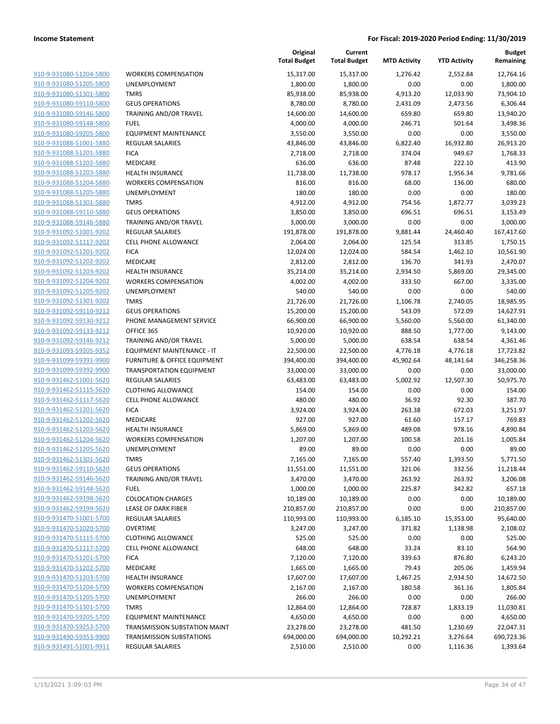|                         |                                   | Original<br><b>Total Budget</b> | Current<br><b>Total Budget</b> | <b>MTD Activity</b> | <b>YTD Activity</b> | <b>Budget</b><br>Remaining |
|-------------------------|-----------------------------------|---------------------------------|--------------------------------|---------------------|---------------------|----------------------------|
| 910-9-931080-51204-5800 | <b>WORKERS COMPENSATION</b>       | 15,317.00                       | 15,317.00                      | 1,276.42            | 2,552.84            | 12,764.16                  |
| 910-9-931080-51205-5800 | UNEMPLOYMENT                      | 1,800.00                        | 1,800.00                       | 0.00                | 0.00                | 1,800.00                   |
| 910-9-931080-51301-5800 | <b>TMRS</b>                       | 85,938.00                       | 85,938.00                      | 4,913.20            | 12,033.90           | 73,904.10                  |
| 910-9-931080-59110-5800 | <b>GEUS OPERATIONS</b>            | 8,780.00                        | 8,780.00                       | 2,431.09            | 2,473.56            | 6,306.44                   |
| 910-9-931080-59146-5800 | TRAINING AND/OR TRAVEL            | 14,600.00                       | 14,600.00                      | 659.80              | 659.80              | 13,940.20                  |
| 910-9-931080-59148-5800 | <b>FUEL</b>                       | 4,000.00                        | 4,000.00                       | 246.71              | 501.64              | 3,498.36                   |
| 910-9-931080-59205-5800 | <b>EQUIPMENT MAINTENANCE</b>      | 3,550.00                        | 3,550.00                       | 0.00                | 0.00                | 3,550.00                   |
| 910-9-931088-51001-5880 | REGULAR SALARIES                  | 43,846.00                       | 43,846.00                      | 6,822.40            | 16,932.80           | 26,913.20                  |
| 910-9-931088-51201-5880 | <b>FICA</b>                       | 2,718.00                        | 2,718.00                       | 374.04              | 949.67              | 1,768.33                   |
| 910-9-931088-51202-5880 | MEDICARE                          | 636.00                          | 636.00                         | 87.48               | 222.10              | 413.90                     |
| 910-9-931088-51203-5880 | <b>HEALTH INSURANCE</b>           | 11,738.00                       | 11,738.00                      | 978.17              | 1,956.34            | 9,781.66                   |
| 910-9-931088-51204-5880 | <b>WORKERS COMPENSATION</b>       | 816.00                          | 816.00                         | 68.00               | 136.00              | 680.00                     |
| 910-9-931088-51205-5880 | UNEMPLOYMENT                      | 180.00                          | 180.00                         | 0.00                | 0.00                | 180.00                     |
| 910-9-931088-51301-5880 | <b>TMRS</b>                       | 4,912.00                        | 4,912.00                       | 754.56              | 1,872.77            | 3,039.23                   |
| 910-9-931088-59110-5880 | <b>GEUS OPERATIONS</b>            | 3,850.00                        | 3,850.00                       | 696.51              | 696.51              | 3,153.49                   |
| 910-9-931088-59146-5880 | TRAINING AND/OR TRAVEL            | 3,000.00                        | 3,000.00                       | 0.00                | 0.00                | 3,000.00                   |
| 910-9-931092-51001-9202 | REGULAR SALARIES                  | 191,878.00                      | 191,878.00                     | 9,881.44            | 24,460.40           | 167,417.60                 |
| 910-9-931092-51117-9202 | <b>CELL PHONE ALLOWANCE</b>       | 2,064.00                        | 2,064.00                       | 125.54              | 313.85              | 1,750.15                   |
| 910-9-931092-51201-9202 | <b>FICA</b>                       | 12,024.00                       | 12,024.00                      | 584.54              | 1,462.10            | 10,561.90                  |
| 910-9-931092-51202-9202 | MEDICARE                          | 2,812.00                        | 2,812.00                       | 136.70              | 341.93              | 2,470.07                   |
| 910-9-931092-51203-9202 | <b>HEALTH INSURANCE</b>           | 35,214.00                       | 35,214.00                      | 2,934.50            | 5,869.00            | 29,345.00                  |
| 910-9-931092-51204-9202 | <b>WORKERS COMPENSATION</b>       | 4,002.00                        | 4,002.00                       | 333.50              | 667.00              | 3,335.00                   |
| 910-9-931092-51205-9202 | <b>UNEMPLOYMENT</b>               | 540.00                          | 540.00                         | 0.00                | 0.00                | 540.00                     |
| 910-9-931092-51301-9202 | <b>TMRS</b>                       | 21,726.00                       | 21,726.00                      | 1,106.78            | 2,740.05            | 18,985.95                  |
| 910-9-931092-59110-9212 | <b>GEUS OPERATIONS</b>            | 15,200.00                       | 15,200.00                      | 543.09              | 572.09              | 14,627.91                  |
| 910-9-931092-59130-9212 | PHONE MANAGEMENT SERVICE          | 66,900.00                       | 66,900.00                      | 5,560.00            | 5,560.00            | 61,340.00                  |
| 910-9-931092-59133-9212 | OFFICE 365                        | 10,920.00                       | 10,920.00                      | 888.50              | 1,777.00            | 9,143.00                   |
| 910-9-931092-59146-9212 | TRAINING AND/OR TRAVEL            | 5,000.00                        | 5,000.00                       | 638.54              | 638.54              | 4,361.46                   |
| 910-9-931093-59205-9352 | <b>EQUIPMENT MAINTENANCE - IT</b> | 22,500.00                       | 22,500.00                      | 4,776.18            | 4,776.18            | 17,723.82                  |
| 910-9-931099-59391-9900 | FURNITURE & OFFICE EQUIPMENT      | 394,400.00                      | 394,400.00                     | 45,902.64           | 48,141.64           | 346,258.36                 |
| 910-9-931099-59392-9900 | <b>TRANSPORTATION EQUIPMENT</b>   | 33,000.00                       | 33,000.00                      | 0.00                | 0.00                | 33,000.00                  |
| 910-9-931462-51001-5620 | REGULAR SALARIES                  | 63,483.00                       | 63,483.00                      | 5,002.92            | 12,507.30           | 50,975.70                  |
| 910-9-931462-51115-5620 | <b>CLOTHING ALLOWANCE</b>         | 154.00                          | 154.00                         | 0.00                | 0.00                | 154.00                     |
| 910-9-931462-51117-5620 | <b>CELL PHONE ALLOWANCE</b>       | 480.00                          | 480.00                         | 36.92               | 92.30               | 387.70                     |
| 910-9-931462-51201-5620 | <b>FICA</b>                       | 3,924.00                        | 3,924.00                       | 263.38              | 672.03              | 3,251.97                   |
| 910-9-931462-51202-5620 | MEDICARE                          | 927.00                          | 927.00                         | 61.60               | 157.17              | 769.83                     |
| 910-9-931462-51203-5620 | <b>HEALTH INSURANCE</b>           | 5,869.00                        | 5,869.00                       | 489.08              | 978.16              | 4,890.84                   |
| 910-9-931462-51204-5620 | <b>WORKERS COMPENSATION</b>       | 1,207.00                        | 1,207.00                       | 100.58              | 201.16              | 1,005.84                   |
| 910-9-931462-51205-5620 | UNEMPLOYMENT                      | 89.00                           | 89.00                          | 0.00                | 0.00                | 89.00                      |
| 910-9-931462-51301-5620 | <b>TMRS</b>                       | 7,165.00                        | 7,165.00                       | 557.40              | 1,393.50            | 5,771.50                   |
| 910-9-931462-59110-5620 | <b>GEUS OPERATIONS</b>            | 11,551.00                       | 11,551.00                      | 321.06              | 332.56              | 11,218.44                  |
| 910-9-931462-59146-5620 | TRAINING AND/OR TRAVEL            | 3,470.00                        | 3,470.00                       | 263.92              | 263.92              | 3,206.08                   |
| 910-9-931462-59148-5620 | <b>FUEL</b>                       | 1,000.00                        | 1,000.00                       | 225.87              | 342.82              | 657.18                     |
| 910-9-931462-59198-5620 | <b>COLOCATION CHARGES</b>         | 10,189.00                       | 10,189.00                      | 0.00                | 0.00                | 10,189.00                  |
| 910-9-931462-59199-5620 | LEASE OF DARK FIBER               | 210,857.00                      | 210,857.00                     | 0.00                | 0.00                | 210,857.00                 |
| 910-9-931470-51001-5700 | <b>REGULAR SALARIES</b>           | 110,993.00                      | 110,993.00                     | 6,185.10            | 15,353.00           | 95,640.00                  |
| 910-9-931470-51020-5700 | <b>OVERTIME</b>                   | 3,247.00                        | 3,247.00                       | 371.82              | 1,138.98            | 2,108.02                   |
| 910-9-931470-51115-5700 | <b>CLOTHING ALLOWANCE</b>         | 525.00                          | 525.00                         | 0.00                | 0.00                | 525.00                     |
| 910-9-931470-51117-5700 | <b>CELL PHONE ALLOWANCE</b>       | 648.00                          | 648.00                         | 33.24               | 83.10               | 564.90                     |
| 910-9-931470-51201-5700 | <b>FICA</b>                       | 7,120.00                        | 7,120.00                       | 339.63              | 876.80              | 6,243.20                   |
| 910-9-931470-51202-5700 | MEDICARE                          | 1,665.00                        | 1,665.00                       | 79.43               | 205.06              | 1,459.94                   |
| 910-9-931470-51203-5700 | <b>HEALTH INSURANCE</b>           | 17,607.00                       | 17,607.00                      | 1,467.25            | 2,934.50            | 14,672.50                  |
| 910-9-931470-51204-5700 | <b>WORKERS COMPENSATION</b>       | 2,167.00                        | 2,167.00                       | 180.58              | 361.16              | 1,805.84                   |
| 910-9-931470-51205-5700 | UNEMPLOYMENT                      | 266.00                          | 266.00                         | 0.00                | 0.00                | 266.00                     |
| 910-9-931470-51301-5700 | <b>TMRS</b>                       | 12,864.00                       | 12,864.00                      | 728.87              | 1,833.19            | 11,030.81                  |
| 910-9-931470-59205-5700 | <b>EQUIPMENT MAINTENANCE</b>      | 4,650.00                        | 4,650.00                       | 0.00                | 0.00                | 4,650.00                   |
| 910-9-931470-59253-5700 | TRANSMISSION SUBSTATION MAINT     | 23,278.00                       | 23,278.00                      | 481.50              | 1,230.69            | 22,047.31                  |
| 910-9-931490-59353-9900 | <b>TRANSMISSION SUBSTATIONS</b>   | 694,000.00                      | 694,000.00                     | 10,292.21           | 3,276.64            | 690,723.36                 |
| 910-9-931491-51001-9911 | REGULAR SALARIES                  | 2,510.00                        | 2,510.00                       | 0.00                | 1,116.36            | 1,393.64                   |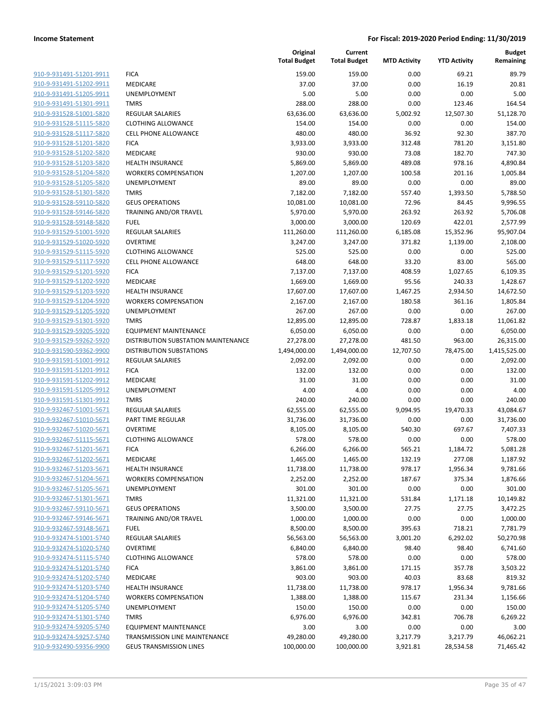| 910-9-931491-51201-9911                            |
|----------------------------------------------------|
| 910-9-931491-51202-9911                            |
| 910-9-931491-51205-9911                            |
| 910-9-931491-51301-9911                            |
| 910-9-931528-51001-5820                            |
| 910-9-931528-51115-5820                            |
| 910-9-931528-51117-5820                            |
| 910-9-931528-51201-5820                            |
| 910-9-931528-51202-5820                            |
| 910-9-931528-51203-5820                            |
| <u>910-9-931528-51204-5820</u>                     |
| 910-9-931528-51205-5820                            |
| 910-9-931528-51301-5820                            |
| 910-9-931528-59110-5820                            |
| 910-9-931528-59146-5820                            |
| <u>910-9-931528-59148-5820</u>                     |
| 910-9-931529-51001-5920                            |
| 910-9-931529-51020-5920                            |
| 910-9-931529-51115-5920                            |
| 910-9-931529-51117-5920                            |
| 910-9-931529-51201-5920                            |
| 910-9-931529-51202-5920                            |
| 910-9-931529-51203-5920                            |
| 910-9-931529-51204-5920                            |
| 910-9-931529-51205-5920                            |
| 910-9-931529-51301-5920                            |
| 910-9-931529-59205-5920                            |
| 910-9-931529-59262-5920                            |
| 910-9-931590-59362-9900                            |
| 910-9-931591-51001-9912                            |
| <u>910-9-931591-51201-9912</u>                     |
| 910-9-931591-51202-9912                            |
| 910-9-931591-51205-9912                            |
| 910-9-931591-51301-9912                            |
| 910-9-932467-51001-5671                            |
| 910-9-932467-51010-5671                            |
| 910-9-932467-51020-5671                            |
| 910-9-932467-51115-5671                            |
| 910-9-932467-51201-5671                            |
| 910-9-932467-51202-5671                            |
| <u>910-9-932467-51203-5671</u>                     |
| 910-9-932467-51204-5671                            |
| 910-9-932467-51205-5671<br>910-9-932467-51301-5671 |
|                                                    |
| 910-9-932467-59110-5671                            |
| 910-9-932467-59146-5671                            |
| 910-9-932467-59148-5671                            |
| 910-9-932474-51001-5740<br>910-9-932474-51020-5740 |
| 910-9-932474-51115-5740                            |
|                                                    |
| 910-9-932474-51201-5740                            |
| 910-9-932474-51202-5740                            |
| 910-9-932474-51203-5740                            |
| 910-9-932474-51204-5740                            |
| 910-9-932474-51205-5740                            |
| 910-9-932474-51301-5740                            |
| 910-9-932474-59205-5740                            |
| 910-9-932474-59257-5740                            |
| 910-9-932490-59356-9900                            |

|                         |                                     | Original<br><b>Total Budget</b> | Current<br><b>Total Budget</b> | <b>MTD Activity</b> | <b>YTD Activity</b> | <b>Budget</b><br>Remaining |
|-------------------------|-------------------------------------|---------------------------------|--------------------------------|---------------------|---------------------|----------------------------|
| 910-9-931491-51201-9911 | <b>FICA</b>                         | 159.00                          | 159.00                         | 0.00                | 69.21               | 89.79                      |
| 910-9-931491-51202-9911 | MEDICARE                            | 37.00                           | 37.00                          | 0.00                | 16.19               | 20.81                      |
| 910-9-931491-51205-9911 | <b>UNEMPLOYMENT</b>                 | 5.00                            | 5.00                           | 0.00                | 0.00                | 5.00                       |
| 910-9-931491-51301-9911 | <b>TMRS</b>                         | 288.00                          | 288.00                         | 0.00                | 123.46              | 164.54                     |
| 910-9-931528-51001-5820 | <b>REGULAR SALARIES</b>             | 63,636.00                       | 63,636.00                      | 5,002.92            | 12,507.30           | 51,128.70                  |
| 910-9-931528-51115-5820 | <b>CLOTHING ALLOWANCE</b>           | 154.00                          | 154.00                         | 0.00                | 0.00                | 154.00                     |
| 910-9-931528-51117-5820 | <b>CELL PHONE ALLOWANCE</b>         | 480.00                          | 480.00                         | 36.92               | 92.30               | 387.70                     |
| 910-9-931528-51201-5820 | <b>FICA</b>                         | 3,933.00                        | 3,933.00                       | 312.48              | 781.20              | 3,151.80                   |
| 910-9-931528-51202-5820 | <b>MEDICARE</b>                     | 930.00                          | 930.00                         | 73.08               | 182.70              | 747.30                     |
| 910-9-931528-51203-5820 | <b>HEALTH INSURANCE</b>             | 5,869.00                        | 5,869.00                       | 489.08              | 978.16              | 4,890.84                   |
| 910-9-931528-51204-5820 | <b>WORKERS COMPENSATION</b>         | 1,207.00                        | 1,207.00                       | 100.58              | 201.16              | 1,005.84                   |
| 910-9-931528-51205-5820 | UNEMPLOYMENT                        | 89.00                           | 89.00                          | 0.00                | 0.00                | 89.00                      |
| 910-9-931528-51301-5820 | <b>TMRS</b>                         | 7,182.00                        | 7,182.00                       | 557.40              | 1,393.50            | 5,788.50                   |
| 910-9-931528-59110-5820 | <b>GEUS OPERATIONS</b>              | 10,081.00                       | 10,081.00                      | 72.96               | 84.45               | 9,996.55                   |
| 910-9-931528-59146-5820 | TRAINING AND/OR TRAVEL              | 5,970.00                        | 5,970.00                       | 263.92              | 263.92              | 5,706.08                   |
| 910-9-931528-59148-5820 | <b>FUEL</b>                         | 3,000.00                        | 3,000.00                       | 120.69              | 422.01              | 2,577.99                   |
| 910-9-931529-51001-5920 | REGULAR SALARIES                    | 111,260.00                      | 111,260.00                     | 6,185.08            | 15,352.96           | 95,907.04                  |
| 910-9-931529-51020-5920 | <b>OVERTIME</b>                     | 3,247.00                        | 3,247.00                       | 371.82              | 1,139.00            | 2,108.00                   |
| 910-9-931529-51115-5920 | <b>CLOTHING ALLOWANCE</b>           | 525.00                          | 525.00                         | 0.00                | 0.00                | 525.00                     |
| 910-9-931529-51117-5920 | <b>CELL PHONE ALLOWANCE</b>         | 648.00                          | 648.00                         | 33.20               | 83.00               | 565.00                     |
| 910-9-931529-51201-5920 | <b>FICA</b>                         | 7,137.00                        | 7,137.00                       | 408.59              | 1,027.65            | 6,109.35                   |
| 910-9-931529-51202-5920 | <b>MEDICARE</b>                     | 1,669.00                        | 1,669.00                       | 95.56               | 240.33              | 1,428.67                   |
| 910-9-931529-51203-5920 | <b>HEALTH INSURANCE</b>             | 17,607.00                       | 17,607.00                      | 1,467.25            | 2,934.50            | 14,672.50                  |
| 910-9-931529-51204-5920 | <b>WORKERS COMPENSATION</b>         | 2,167.00                        | 2,167.00                       | 180.58              | 361.16              | 1,805.84                   |
| 910-9-931529-51205-5920 | <b>UNEMPLOYMENT</b>                 | 267.00                          | 267.00                         | 0.00                | 0.00                | 267.00                     |
| 910-9-931529-51301-5920 | <b>TMRS</b>                         | 12,895.00                       | 12,895.00                      | 728.87              | 1,833.18            | 11,061.82                  |
| 910-9-931529-59205-5920 | <b>EQUIPMENT MAINTENANCE</b>        | 6,050.00                        | 6,050.00                       | 0.00                | 0.00                | 6,050.00                   |
| 910-9-931529-59262-5920 | DISTRIBUTION SUBSTATION MAINTENANCE | 27,278.00                       | 27,278.00                      | 481.50              | 963.00              | 26,315.00                  |
| 910-9-931590-59362-9900 | <b>DISTRIBUTION SUBSTATIONS</b>     | 1,494,000.00                    | 1,494,000.00                   | 12,707.50           | 78,475.00           | 1,415,525.00               |
| 910-9-931591-51001-9912 | <b>REGULAR SALARIES</b>             | 2,092.00                        | 2,092.00                       | 0.00                | 0.00                | 2,092.00                   |
| 910-9-931591-51201-9912 | <b>FICA</b>                         | 132.00                          | 132.00                         | 0.00                | 0.00                | 132.00                     |
| 910-9-931591-51202-9912 | MEDICARE                            | 31.00                           | 31.00                          | 0.00                | 0.00                | 31.00                      |
| 910-9-931591-51205-9912 | <b>UNEMPLOYMENT</b>                 | 4.00                            | 4.00                           | 0.00                | 0.00                | 4.00                       |
| 910-9-931591-51301-9912 | <b>TMRS</b>                         | 240.00                          | 240.00                         | 0.00                | 0.00                | 240.00                     |
| 910-9-932467-51001-5671 | <b>REGULAR SALARIES</b>             | 62,555.00                       | 62,555.00                      | 9,094.95            | 19,470.33           | 43,084.67                  |
| 910-9-932467-51010-5671 | PART TIME REGULAR                   | 31,736.00                       | 31,736.00                      | 0.00                | 0.00                | 31,736.00                  |
| 910-9-932467-51020-5671 | <b>OVERTIME</b>                     | 8,105.00                        | 8,105.00                       | 540.30              | 697.67              | 7,407.33                   |
| 910-9-932467-51115-5671 | <b>CLOTHING ALLOWANCE</b>           | 578.00                          | 578.00                         | 0.00                | 0.00                | 578.00                     |
| 910-9-932467-51201-5671 | <b>FICA</b>                         | 6,266.00                        | 6,266.00                       | 565.21              | 1,184.72            | 5,081.28                   |
| 910-9-932467-51202-5671 | <b>MEDICARE</b>                     | 1,465.00                        | 1,465.00                       | 132.19              | 277.08              | 1,187.92                   |
| 910-9-932467-51203-5671 | <b>HEALTH INSURANCE</b>             | 11,738.00                       | 11,738.00                      | 978.17              | 1,956.34            | 9,781.66                   |
| 910-9-932467-51204-5671 | <b>WORKERS COMPENSATION</b>         | 2,252.00                        | 2,252.00                       | 187.67              | 375.34              | 1,876.66                   |
| 910-9-932467-51205-5671 | <b>UNEMPLOYMENT</b>                 | 301.00                          | 301.00                         | 0.00                | 0.00                | 301.00                     |
| 910-9-932467-51301-5671 | <b>TMRS</b>                         | 11,321.00                       | 11,321.00                      | 531.84              | 1,171.18            | 10,149.82                  |
| 910-9-932467-59110-5671 | <b>GEUS OPERATIONS</b>              | 3,500.00                        | 3,500.00                       | 27.75               | 27.75               | 3,472.25                   |
| 910-9-932467-59146-5671 | TRAINING AND/OR TRAVEL              | 1,000.00                        | 1,000.00                       | 0.00                | 0.00                | 1,000.00                   |
| 910-9-932467-59148-5671 | <b>FUEL</b>                         | 8,500.00                        | 8,500.00                       | 395.63              | 718.21              | 7,781.79                   |
| 910-9-932474-51001-5740 | REGULAR SALARIES                    | 56,563.00                       | 56,563.00                      | 3,001.20            | 6,292.02            | 50,270.98                  |
| 910-9-932474-51020-5740 | <b>OVERTIME</b>                     | 6,840.00                        | 6,840.00                       | 98.40               | 98.40               | 6,741.60                   |
| 910-9-932474-51115-5740 | <b>CLOTHING ALLOWANCE</b>           | 578.00                          | 578.00                         | 0.00                | 0.00                | 578.00                     |
| 910-9-932474-51201-5740 | <b>FICA</b>                         | 3,861.00                        | 3,861.00                       | 171.15              | 357.78              | 3,503.22                   |
| 910-9-932474-51202-5740 | MEDICARE                            | 903.00                          | 903.00                         | 40.03               | 83.68               | 819.32                     |
| 910-9-932474-51203-5740 | HEALTH INSURANCE                    | 11,738.00                       | 11,738.00                      | 978.17              | 1,956.34            | 9,781.66                   |
| 910-9-932474-51204-5740 | <b>WORKERS COMPENSATION</b>         | 1,388.00                        | 1,388.00                       | 115.67              | 231.34              | 1,156.66                   |
| 910-9-932474-51205-5740 | <b>UNEMPLOYMENT</b>                 | 150.00                          | 150.00                         | 0.00                | 0.00                | 150.00                     |
| 910-9-932474-51301-5740 | <b>TMRS</b>                         | 6,976.00                        | 6,976.00                       | 342.81              | 706.78              | 6,269.22                   |
| 910-9-932474-59205-5740 | <b>EQUIPMENT MAINTENANCE</b>        | 3.00                            | 3.00                           | 0.00                | 0.00                | 3.00                       |
| 910-9-932474-59257-5740 | TRANSMISSION LINE MAINTENANCE       | 49,280.00                       | 49,280.00                      | 3,217.79            | 3,217.79            | 46,062.21                  |
| 910-9-932490-59356-9900 | <b>GEUS TRANSMISSION LINES</b>      | 100,000.00                      | 100,000.00                     | 3,921.81            | 28,534.58           | 71,465.42                  |
|                         |                                     |                                 |                                |                     |                     |                            |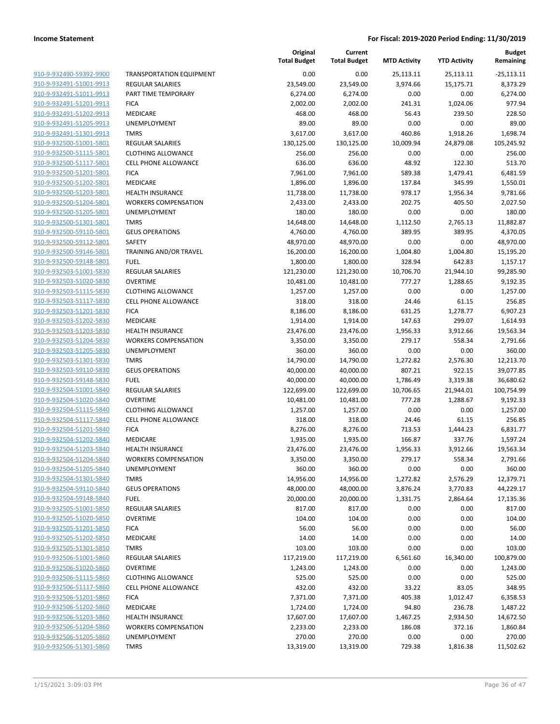| 910-9-932490-59392-9900        |
|--------------------------------|
| 910-9-932491-51001-9913        |
| 910-9-932491-51011-9913        |
| 910-9-932491-51201-9913        |
| <u>910-9-932491-51202-9913</u> |
| 910-9-932491-51205-9913        |
| <u>910-9-932491-51301-9913</u> |
| 910-9-932500-51001-5801        |
| 910-9-932500-51115-5801        |
| 910-9-932500-51117-5801        |
| 910-9-932500-51201-5801        |
| 910-9-932500-51202-5801        |
| 910-9-932500-51203-5801        |
| 910-9-932500-51204-5801        |
| 910-9-932500-51205-5801        |
|                                |
| <u>910-9-932500-51301-5801</u> |
| 910-9-932500-59110-5801        |
| 910-9-932500-59112-5801        |
| 910-9-932500-59146-5801        |
| 910-9-932500-59148-5801        |
| <u>910-9-932503-51001-5830</u> |
| 910-9-932503-51020-5830        |
| 910-9-932503-51115-5830        |
| 910-9-932503-51117-5830        |
| 910-9-932503-51201-5830        |
| <u>910-9-932503-51202-5830</u> |
| 910-9-932503-51203-5830        |
| 910-9-932503-51204-5830        |
| 910-9-932503-51205-5830        |
| 910-9-932503-51301-5830        |
| <u>910-9-932503-59110-5830</u> |
| 910-9-932503-59148-5830        |
| 910-9-932504-51001-5840        |
| 910-9-932504-51020-5840        |
| 910-9-932504-51115-5840        |
| 910-9-932504-51117-5840        |
| 910-9-932504-51201-5840        |
| 910-9-932504-51202-5840        |
| 910-9-932504-51203-5840        |
|                                |
| 910-9-932504-51204-5840        |
| 910-9-932504-51205-5840        |
| 910-9-932504-51301-5840        |
| 910-9-932504-59110-5840        |
| 910-9-932504-59148-5840        |
| 910-9-932505-51001-5850        |
| 910-9-932505-51020-5850        |
| 910-9-932505-51201-5850        |
| 910-9-932505-51202-5850        |
| 910-9-932505-51301-5850        |
| 910-9-932506-51001-5860        |
| 910-9-932506-51020-5860        |
| 910-9-932506-51115-5860        |
| 910-9-932506-51117-5860        |
| 910-9-932506-51201-5860        |
| 910-9-932506-51202-5860        |
| 910-9-932506-51203-5860        |
| 910-9-932506-51204-5860        |
| 910-9-932506-51205-5860        |
| 910-9-932506-51301-5860        |
|                                |

|                                                    |                                        | Original<br><b>Total Budget</b> | Current<br><b>Total Budget</b> | <b>MTD Activity</b> | <b>YTD Activity</b> | <b>Budget</b><br>Remaining |
|----------------------------------------------------|----------------------------------------|---------------------------------|--------------------------------|---------------------|---------------------|----------------------------|
| 910-9-932490-59392-9900                            | <b>TRANSPORTATION EQUIPMENT</b>        | 0.00                            | 0.00                           | 25,113.11           | 25,113.11           | $-25,113.11$               |
| 910-9-932491-51001-9913                            | <b>REGULAR SALARIES</b>                | 23,549.00                       | 23,549.00                      | 3,974.66            | 15,175.71           | 8,373.29                   |
| 910-9-932491-51011-9913                            | PART TIME TEMPORARY                    | 6,274.00                        | 6,274.00                       | 0.00                | 0.00                | 6,274.00                   |
| 910-9-932491-51201-9913                            | <b>FICA</b>                            | 2,002.00                        | 2,002.00                       | 241.31              | 1,024.06            | 977.94                     |
| 910-9-932491-51202-9913                            | MEDICARE                               | 468.00                          | 468.00                         | 56.43               | 239.50              | 228.50                     |
| 910-9-932491-51205-9913                            | UNEMPLOYMENT                           | 89.00                           | 89.00                          | 0.00                | 0.00                | 89.00                      |
| 910-9-932491-51301-9913                            | <b>TMRS</b>                            | 3,617.00                        | 3,617.00                       | 460.86              | 1,918.26            | 1,698.74                   |
| 910-9-932500-51001-5801                            | <b>REGULAR SALARIES</b>                | 130,125.00                      | 130,125.00                     | 10,009.94           | 24,879.08           | 105,245.92                 |
| 910-9-932500-51115-5801                            | <b>CLOTHING ALLOWANCE</b>              | 256.00                          | 256.00                         | 0.00                | 0.00                | 256.00                     |
| 910-9-932500-51117-5801                            | <b>CELL PHONE ALLOWANCE</b>            | 636.00                          | 636.00                         | 48.92               | 122.30              | 513.70                     |
| 910-9-932500-51201-5801                            | <b>FICA</b>                            | 7,961.00                        | 7,961.00                       | 589.38              | 1,479.41            | 6,481.59                   |
| 910-9-932500-51202-5801                            | MEDICARE                               | 1,896.00                        | 1,896.00                       | 137.84              | 345.99              | 1,550.01                   |
| 910-9-932500-51203-5801                            | HEALTH INSURANCE                       | 11,738.00                       | 11,738.00                      | 978.17              | 1,956.34            | 9,781.66                   |
| 910-9-932500-51204-5801                            | <b>WORKERS COMPENSATION</b>            | 2,433.00                        | 2,433.00                       | 202.75              | 405.50              | 2,027.50                   |
| 910-9-932500-51205-5801                            | UNEMPLOYMENT                           | 180.00                          | 180.00                         | 0.00                | 0.00                | 180.00                     |
| 910-9-932500-51301-5801                            | <b>TMRS</b>                            | 14,648.00                       | 14,648.00                      | 1,112.50            | 2,765.13            | 11,882.87                  |
| 910-9-932500-59110-5801                            | <b>GEUS OPERATIONS</b>                 | 4,760.00                        | 4,760.00                       | 389.95              | 389.95              | 4,370.05                   |
| 910-9-932500-59112-5801                            | SAFETY                                 | 48,970.00                       | 48,970.00                      | 0.00                | 0.00                | 48,970.00                  |
| 910-9-932500-59146-5801                            | TRAINING AND/OR TRAVEL                 | 16,200.00                       | 16,200.00                      | 1,004.80            | 1,004.80            | 15,195.20                  |
| 910-9-932500-59148-5801                            | <b>FUEL</b>                            | 1,800.00                        | 1,800.00                       | 328.94              | 642.83              | 1,157.17                   |
| 910-9-932503-51001-5830                            | <b>REGULAR SALARIES</b>                | 121,230.00                      | 121,230.00                     | 10,706.70           | 21,944.10           | 99,285.90                  |
| 910-9-932503-51020-5830                            | <b>OVERTIME</b>                        | 10,481.00                       | 10,481.00                      | 777.27              | 1,288.65            | 9,192.35                   |
| 910-9-932503-51115-5830                            | <b>CLOTHING ALLOWANCE</b>              | 1,257.00                        | 1,257.00                       | 0.00                | 0.00                | 1,257.00                   |
| 910-9-932503-51117-5830                            | CELL PHONE ALLOWANCE                   | 318.00                          | 318.00                         | 24.46               | 61.15               | 256.85                     |
| 910-9-932503-51201-5830                            | <b>FICA</b>                            | 8,186.00                        | 8,186.00                       | 631.25              | 1,278.77            | 6,907.23                   |
| 910-9-932503-51202-5830                            | MEDICARE                               | 1,914.00                        | 1,914.00                       | 147.63              | 299.07              | 1,614.93                   |
| 910-9-932503-51203-5830                            | HEALTH INSURANCE                       | 23,476.00                       | 23,476.00                      | 1,956.33            | 3,912.66            | 19,563.34                  |
| 910-9-932503-51204-5830                            | <b>WORKERS COMPENSATION</b>            | 3,350.00                        | 3,350.00                       | 279.17              | 558.34              | 2,791.66                   |
| 910-9-932503-51205-5830                            | UNEMPLOYMENT                           | 360.00                          | 360.00                         | 0.00                | 0.00                | 360.00                     |
| 910-9-932503-51301-5830                            | <b>TMRS</b>                            | 14,790.00                       | 14,790.00                      | 1,272.82            | 2,576.30            | 12,213.70                  |
| 910-9-932503-59110-5830                            | <b>GEUS OPERATIONS</b>                 | 40,000.00                       | 40,000.00                      | 807.21              | 922.15              | 39,077.85                  |
| 910-9-932503-59148-5830                            | <b>FUEL</b>                            | 40,000.00                       | 40,000.00                      | 1,786.49            | 3,319.38            | 36,680.62                  |
| 910-9-932504-51001-5840                            | <b>REGULAR SALARIES</b>                | 122,699.00                      | 122,699.00                     | 10,706.65           | 21,944.01           | 100,754.99                 |
| 910-9-932504-51020-5840                            | <b>OVERTIME</b>                        | 10,481.00                       | 10,481.00                      | 777.28              | 1,288.67            | 9,192.33                   |
| 910-9-932504-51115-5840                            | <b>CLOTHING ALLOWANCE</b>              | 1,257.00                        | 1,257.00                       | 0.00                | 0.00                | 1,257.00                   |
| 910-9-932504-51117-5840                            | <b>CELL PHONE ALLOWANCE</b>            | 318.00                          | 318.00                         | 24.46               | 61.15               | 256.85                     |
| 910-9-932504-51201-5840                            | <b>FICA</b>                            | 8,276.00                        | 8,276.00                       | 713.53              | 1,444.23            | 6,831.77                   |
| 910-9-932504-51202-5840                            | MEDICARE                               | 1,935.00                        | 1,935.00                       | 166.87              | 337.76              | 1,597.24                   |
| 910-9-932504-51203-5840                            | <b>HEALTH INSURANCE</b>                | 23,476.00                       | 23,476.00                      | 1,956.33            | 3,912.66            | 19,563.34                  |
| 910-9-932504-51204-5840                            | <b>WORKERS COMPENSATION</b>            | 3,350.00                        | 3,350.00                       | 279.17              | 558.34              | 2,791.66                   |
| 910-9-932504-51205-5840                            | UNEMPLOYMENT                           | 360.00                          | 360.00                         | 0.00                | 0.00                | 360.00                     |
| 910-9-932504-51301-5840                            | <b>TMRS</b>                            | 14,956.00                       | 14,956.00                      | 1,272.82            | 2,576.29            | 12,379.71                  |
| 910-9-932504-59110-5840                            | <b>GEUS OPERATIONS</b>                 | 48,000.00                       | 48,000.00                      | 3,876.24            | 3,770.83            | 44,229.17                  |
| 910-9-932504-59148-5840                            | <b>FUEL</b>                            | 20,000.00                       | 20,000.00                      | 1,331.75            | 2,864.64            | 17,135.36                  |
| 910-9-932505-51001-5850                            | <b>REGULAR SALARIES</b>                | 817.00                          | 817.00                         | 0.00                | 0.00                | 817.00                     |
| 910-9-932505-51020-5850                            | <b>OVERTIME</b>                        | 104.00                          | 104.00                         | 0.00                | 0.00                | 104.00                     |
| 910-9-932505-51201-5850                            | <b>FICA</b>                            | 56.00                           | 56.00                          | 0.00                | 0.00                | 56.00                      |
| 910-9-932505-51202-5850                            | MEDICARE                               | 14.00                           | 14.00                          | 0.00                | 0.00                | 14.00                      |
| 910-9-932505-51301-5850                            | <b>TMRS</b><br><b>REGULAR SALARIES</b> | 103.00                          | 103.00                         | 0.00                | 0.00<br>16,340.00   | 103.00                     |
| 910-9-932506-51001-5860                            |                                        | 117,219.00                      | 117,219.00                     | 6,561.60            |                     | 100,879.00<br>1,243.00     |
| 910-9-932506-51020-5860                            | <b>OVERTIME</b>                        | 1,243.00                        | 1,243.00                       | 0.00                | 0.00                |                            |
| 910-9-932506-51115-5860                            | <b>CLOTHING ALLOWANCE</b>              | 525.00                          | 525.00                         | 0.00                | 0.00                | 525.00                     |
| 910-9-932506-51117-5860                            | <b>CELL PHONE ALLOWANCE</b>            | 432.00                          | 432.00                         | 33.22               | 83.05               | 348.95                     |
| 910-9-932506-51201-5860                            | <b>FICA</b>                            | 7,371.00                        | 7,371.00                       | 405.38              | 1,012.47            | 6,358.53                   |
| 910-9-932506-51202-5860<br>910-9-932506-51203-5860 | MEDICARE                               | 1,724.00                        | 1,724.00                       | 94.80               | 236.78              | 1,487.22                   |
|                                                    | <b>HEALTH INSURANCE</b>                | 17,607.00                       | 17,607.00                      | 1,467.25            | 2,934.50            | 14,672.50                  |
| 910-9-932506-51204-5860                            | <b>WORKERS COMPENSATION</b>            | 2,233.00                        | 2,233.00                       | 186.08              | 372.16              | 1,860.84                   |
| 910-9-932506-51205-5860<br>910-9-932506-51301-5860 | UNEMPLOYMENT                           | 270.00                          | 270.00                         | 0.00                | 0.00                | 270.00                     |
|                                                    | <b>TMRS</b>                            | 13,319.00                       | 13,319.00                      | 729.38              | 1,816.38            | 11,502.62                  |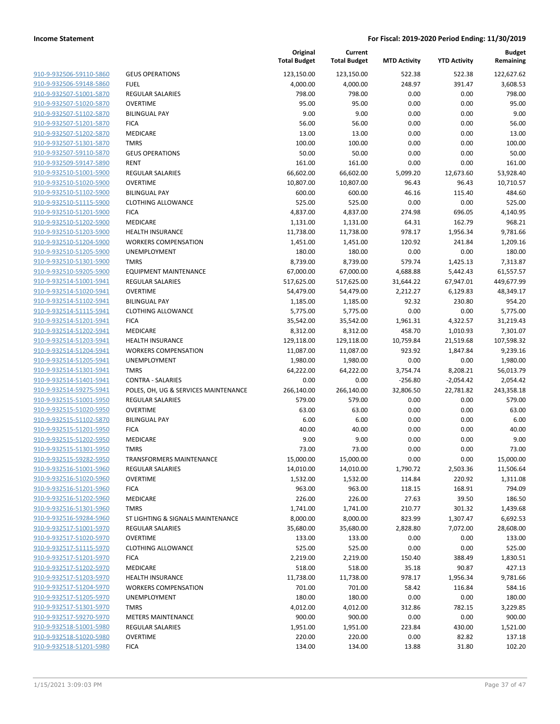| 910-9-932506-59110-5860                            |
|----------------------------------------------------|
| 910-9-932506-59148-5860                            |
| 910-9-932507-51001-5870                            |
| 910-9-932507-51020-5870                            |
| <u>910-9-932507-51102-5870</u>                     |
| 910-9-932507-51201-5870                            |
| 910-9-932507-51202-5870                            |
| 910-9-932507-51301-5870                            |
| 910-9-932507-59110-5870                            |
| <u>910-9-932509-59147-5890</u>                     |
| 910-9-932510-51001-5900                            |
| 910-9-932510-51020-5900                            |
| 910-9-932510-51102-5900                            |
| 910-9-932510-51115-5900                            |
| <u>910-9-932510-51201-5900</u>                     |
| 910-9-932510-51202-5900                            |
| 910-9-932510-51203-5900                            |
| 910-9-932510-51204-5900                            |
| 910-9-932510-51205-5900                            |
| <u>910-9-932510-51301-5900</u>                     |
| 910-9-932510-59205-5900                            |
| 910-9-932514-51001-5941                            |
| 910-9-932514-51020-5941                            |
| 910-9-932514-51102-5941                            |
| <u>910-9-932514-51115-5941</u>                     |
| 910-9-932514-51201-5941                            |
| 910-9-932514-51202-5941                            |
| 910-9-932514-51203-5941                            |
| <u>910-9-932514-51204-5941</u>                     |
| <u>910-9-932514-51205-5941</u>                     |
| 910-9-932514-51301-5941                            |
| <u>910-9-932514-51401-5941</u>                     |
| 910-9-932514-59275-5941                            |
| 910-9-932515-51001-5950                            |
| <u>910-9-932515-51020-5950</u>                     |
| 910-9-932515-51102-5870                            |
| 910-9-932515-51201-5950                            |
| 910-9-932515-51202-5950                            |
| 910-9-932515-51301-5950                            |
| 910-9-932515-59282-5950                            |
| 910-9-932516-51001-5960                            |
| 910-9-932516-51020-5960                            |
| 910-9-932516-51201-5960                            |
| 910-9-932516-51202-5960                            |
| 910-9-932516-51301-5960                            |
| 910-9-932516-59284-5960                            |
| 910-9-932517-51001-5970                            |
| 910-9-932517-51020-5970                            |
| 910-9-932517-51115-5970                            |
| <u>910-9-932517-51201-5970</u>                     |
| 910-9-932517-51202-5970                            |
| 910-9-932517-51203-5970                            |
| 910-9-932517-51204-5970                            |
| 910-9-932517-51205-5970                            |
| 910-9-932517-51301-5970<br>910-9-932517-59270-5970 |
| 910-9-932518-51001-5980                            |
| 910-9-932518-51020-5980                            |
| 910-9-932518-51201-5980                            |
|                                                    |

|                         |                                      | Original<br><b>Total Budget</b> | Current<br><b>Total Budget</b> | <b>MTD Activity</b> | <b>YTD Activity</b> | <b>Budget</b><br>Remaining |
|-------------------------|--------------------------------------|---------------------------------|--------------------------------|---------------------|---------------------|----------------------------|
| 910-9-932506-59110-5860 | <b>GEUS OPERATIONS</b>               | 123,150.00                      | 123,150.00                     | 522.38              | 522.38              | 122,627.62                 |
| 910-9-932506-59148-5860 | <b>FUEL</b>                          | 4,000.00                        | 4,000.00                       | 248.97              | 391.47              | 3,608.53                   |
| 910-9-932507-51001-5870 | <b>REGULAR SALARIES</b>              | 798.00                          | 798.00                         | 0.00                | 0.00                | 798.00                     |
| 910-9-932507-51020-5870 | <b>OVERTIME</b>                      | 95.00                           | 95.00                          | 0.00                | 0.00                | 95.00                      |
| 910-9-932507-51102-5870 | <b>BILINGUAL PAY</b>                 | 9.00                            | 9.00                           | 0.00                | 0.00                | 9.00                       |
| 910-9-932507-51201-5870 | <b>FICA</b>                          | 56.00                           | 56.00                          | 0.00                | 0.00                | 56.00                      |
| 910-9-932507-51202-5870 | MEDICARE                             | 13.00                           | 13.00                          | 0.00                | 0.00                | 13.00                      |
| 910-9-932507-51301-5870 | <b>TMRS</b>                          | 100.00                          | 100.00                         | 0.00                | 0.00                | 100.00                     |
| 910-9-932507-59110-5870 | <b>GEUS OPERATIONS</b>               | 50.00                           | 50.00                          | 0.00                | 0.00                | 50.00                      |
| 910-9-932509-59147-5890 | <b>RENT</b>                          | 161.00                          | 161.00                         | 0.00                | 0.00                | 161.00                     |
| 910-9-932510-51001-5900 | <b>REGULAR SALARIES</b>              | 66,602.00                       | 66,602.00                      | 5,099.20            | 12,673.60           | 53,928.40                  |
| 910-9-932510-51020-5900 | <b>OVERTIME</b>                      | 10,807.00                       | 10,807.00                      | 96.43               | 96.43               | 10,710.57                  |
| 910-9-932510-51102-5900 | <b>BILINGUAL PAY</b>                 | 600.00                          | 600.00                         | 46.16               | 115.40              | 484.60                     |
| 910-9-932510-51115-5900 | <b>CLOTHING ALLOWANCE</b>            | 525.00                          | 525.00                         | 0.00                | 0.00                | 525.00                     |
| 910-9-932510-51201-5900 | <b>FICA</b>                          | 4,837.00                        | 4,837.00                       | 274.98              | 696.05              | 4,140.95                   |
| 910-9-932510-51202-5900 | MEDICARE                             | 1,131.00                        | 1,131.00                       | 64.31               | 162.79              | 968.21                     |
| 910-9-932510-51203-5900 | <b>HEALTH INSURANCE</b>              | 11,738.00                       | 11,738.00                      | 978.17              | 1,956.34            | 9,781.66                   |
| 910-9-932510-51204-5900 | <b>WORKERS COMPENSATION</b>          | 1,451.00                        | 1,451.00                       | 120.92              | 241.84              | 1,209.16                   |
| 910-9-932510-51205-5900 | <b>UNEMPLOYMENT</b>                  | 180.00                          | 180.00                         | 0.00                | 0.00                | 180.00                     |
| 910-9-932510-51301-5900 | <b>TMRS</b>                          | 8,739.00                        | 8,739.00                       | 579.74              | 1,425.13            | 7,313.87                   |
| 910-9-932510-59205-5900 | <b>EQUIPMENT MAINTENANCE</b>         | 67,000.00                       | 67,000.00                      | 4,688.88            | 5,442.43            | 61,557.57                  |
| 910-9-932514-51001-5941 | REGULAR SALARIES                     | 517,625.00                      | 517,625.00                     | 31,644.22           | 67,947.01           | 449,677.99                 |
| 910-9-932514-51020-5941 | <b>OVERTIME</b>                      | 54,479.00                       | 54,479.00                      | 2,212.27            | 6,129.83            | 48,349.17                  |
| 910-9-932514-51102-5941 | <b>BILINGUAL PAY</b>                 | 1,185.00                        | 1,185.00                       | 92.32               | 230.80              | 954.20                     |
| 910-9-932514-51115-5941 | <b>CLOTHING ALLOWANCE</b>            | 5,775.00                        | 5,775.00                       | 0.00                | 0.00                | 5,775.00                   |
| 910-9-932514-51201-5941 | <b>FICA</b>                          | 35,542.00                       | 35,542.00                      | 1,961.31            | 4,322.57            | 31,219.43                  |
| 910-9-932514-51202-5941 | MEDICARE                             | 8,312.00                        | 8,312.00                       | 458.70              | 1,010.93            | 7,301.07                   |
| 910-9-932514-51203-5941 | <b>HEALTH INSURANCE</b>              | 129,118.00                      | 129,118.00                     | 10,759.84           | 21,519.68           | 107,598.32                 |
| 910-9-932514-51204-5941 | <b>WORKERS COMPENSATION</b>          | 11,087.00                       | 11,087.00                      | 923.92              | 1,847.84            | 9,239.16                   |
| 910-9-932514-51205-5941 | UNEMPLOYMENT                         | 1,980.00                        | 1,980.00                       | 0.00                | 0.00                | 1,980.00                   |
| 910-9-932514-51301-5941 | <b>TMRS</b>                          | 64,222.00                       | 64,222.00                      | 3,754.74            | 8,208.21            | 56,013.79                  |
| 910-9-932514-51401-5941 | <b>CONTRA - SALARIES</b>             | 0.00                            | 0.00                           | $-256.80$           | $-2,054.42$         | 2,054.42                   |
| 910-9-932514-59275-5941 | POLES, OH, UG & SERVICES MAINTENANCE | 266,140.00                      | 266,140.00                     | 32,806.50           | 22,781.82           | 243,358.18                 |
| 910-9-932515-51001-5950 | <b>REGULAR SALARIES</b>              | 579.00                          | 579.00                         | 0.00                | 0.00                | 579.00                     |
| 910-9-932515-51020-5950 | <b>OVERTIME</b>                      | 63.00                           | 63.00                          | 0.00                | 0.00                | 63.00                      |
| 910-9-932515-51102-5870 | <b>BILINGUAL PAY</b>                 | 6.00                            | 6.00                           | 0.00                | 0.00                | 6.00                       |
| 910-9-932515-51201-5950 | <b>FICA</b>                          | 40.00                           | 40.00                          | 0.00                | 0.00                | 40.00                      |
| 910-9-932515-51202-5950 | MEDICARE                             | 9.00                            | 9.00                           | 0.00                | 0.00                | 9.00                       |
| 910-9-932515-51301-5950 | <b>TMRS</b>                          | 73.00                           | 73.00                          | 0.00                | 0.00                | 73.00                      |
| 910-9-932515-59282-5950 | TRANSFORMERS MAINTENANCE             | 15,000.00                       | 15,000.00                      | 0.00                | 0.00                | 15,000.00                  |
| 910-9-932516-51001-5960 | <b>REGULAR SALARIES</b>              | 14,010.00                       | 14,010.00                      | 1,790.72            | 2,503.36            | 11,506.64                  |
| 910-9-932516-51020-5960 | <b>OVERTIME</b>                      | 1,532.00                        | 1,532.00                       | 114.84              | 220.92              | 1,311.08                   |
| 910-9-932516-51201-5960 | <b>FICA</b>                          | 963.00                          | 963.00                         | 118.15              | 168.91              | 794.09                     |
| 910-9-932516-51202-5960 | MEDICARE                             | 226.00                          | 226.00                         | 27.63               | 39.50               | 186.50                     |
| 910-9-932516-51301-5960 | <b>TMRS</b>                          | 1,741.00                        | 1,741.00                       | 210.77              | 301.32              | 1,439.68                   |
| 910-9-932516-59284-5960 | ST LIGHTING & SIGNALS MAINTENANCE    | 8,000.00                        | 8,000.00                       | 823.99              | 1,307.47            | 6,692.53                   |
| 910-9-932517-51001-5970 | <b>REGULAR SALARIES</b>              | 35,680.00                       | 35,680.00                      | 2,828.80            | 7,072.00            | 28,608.00                  |
| 910-9-932517-51020-5970 | <b>OVERTIME</b>                      | 133.00                          | 133.00                         | 0.00                | 0.00                | 133.00                     |
| 910-9-932517-51115-5970 | <b>CLOTHING ALLOWANCE</b>            | 525.00                          | 525.00                         | 0.00                | 0.00                | 525.00                     |
| 910-9-932517-51201-5970 | <b>FICA</b>                          | 2,219.00                        | 2,219.00                       | 150.40              | 388.49              | 1,830.51                   |
| 910-9-932517-51202-5970 | MEDICARE                             | 518.00                          | 518.00                         | 35.18               | 90.87               | 427.13                     |
| 910-9-932517-51203-5970 | <b>HEALTH INSURANCE</b>              | 11,738.00                       | 11,738.00                      | 978.17              | 1,956.34            | 9,781.66                   |
| 910-9-932517-51204-5970 | <b>WORKERS COMPENSATION</b>          | 701.00                          | 701.00                         | 58.42               | 116.84              | 584.16                     |
| 910-9-932517-51205-5970 | UNEMPLOYMENT                         | 180.00                          | 180.00                         | 0.00                | 0.00                | 180.00                     |
| 910-9-932517-51301-5970 | <b>TMRS</b>                          | 4,012.00                        | 4,012.00                       | 312.86              | 782.15              | 3,229.85                   |
| 910-9-932517-59270-5970 | <b>METERS MAINTENANCE</b>            | 900.00                          | 900.00                         | 0.00                | 0.00                | 900.00                     |
| 910-9-932518-51001-5980 | REGULAR SALARIES                     | 1,951.00                        | 1,951.00                       | 223.84              | 430.00              | 1,521.00                   |
| 910-9-932518-51020-5980 | <b>OVERTIME</b>                      | 220.00                          | 220.00                         | 0.00                | 82.82               | 137.18                     |
| 910-9-932518-51201-5980 | <b>FICA</b>                          | 134.00                          | 134.00                         | 13.88               | 31.80               | 102.20                     |
|                         |                                      |                                 |                                |                     |                     |                            |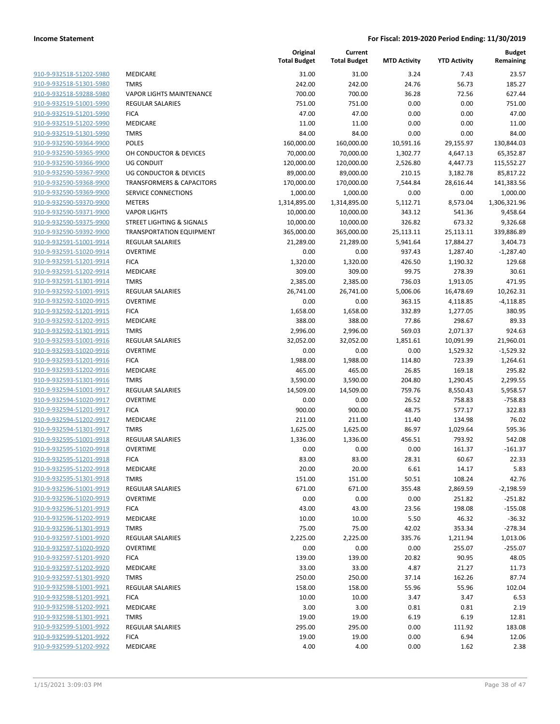|                                                    |                                            | Original<br><b>Total Budget</b> | Current<br><b>Total Budget</b> | <b>MTD Activity</b> | <b>YTD Activity</b> | <b>Budget</b><br>Remaining |
|----------------------------------------------------|--------------------------------------------|---------------------------------|--------------------------------|---------------------|---------------------|----------------------------|
| 910-9-932518-51202-5980                            | MEDICARE                                   | 31.00                           | 31.00                          | 3.24                | 7.43                | 23.57                      |
| 910-9-932518-51301-5980                            | <b>TMRS</b>                                | 242.00                          | 242.00                         | 24.76               | 56.73               | 185.27                     |
| 910-9-932518-59288-5980                            | <b>VAPOR LIGHTS MAINTENANCE</b>            | 700.00                          | 700.00                         | 36.28               | 72.56               | 627.44                     |
| 910-9-932519-51001-5990                            | REGULAR SALARIES                           | 751.00                          | 751.00                         | 0.00                | 0.00                | 751.00                     |
| 910-9-932519-51201-5990                            | <b>FICA</b>                                | 47.00                           | 47.00                          | 0.00                | 0.00                | 47.00                      |
| 910-9-932519-51202-5990                            | MEDICARE                                   | 11.00                           | 11.00                          | 0.00                | 0.00                | 11.00                      |
| 910-9-932519-51301-5990                            | <b>TMRS</b>                                | 84.00                           | 84.00                          | 0.00                | 0.00                | 84.00                      |
| 910-9-932590-59364-9900                            | <b>POLES</b>                               | 160,000.00                      | 160,000.00                     | 10,591.16           | 29,155.97           | 130,844.03                 |
| 910-9-932590-59365-9900                            | OH CONDUCTOR & DEVICES                     | 70,000.00                       | 70,000.00                      | 1,302.77            | 4,647.13            | 65,352.87                  |
| 910-9-932590-59366-9900                            | <b>UG CONDUIT</b>                          | 120,000.00                      | 120,000.00                     | 2,526.80            | 4,447.73            | 115,552.27                 |
| 910-9-932590-59367-9900                            | UG CONDUCTOR & DEVICES                     | 89,000.00                       | 89,000.00                      | 210.15              | 3,182.78            | 85,817.22                  |
| 910-9-932590-59368-9900                            | <b>TRANSFORMERS &amp; CAPACITORS</b>       | 170,000.00                      | 170,000.00                     | 7,544.84            | 28,616.44           | 141,383.56                 |
| 910-9-932590-59369-9900                            | SERVICE CONNECTIONS                        | 1,000.00                        | 1,000.00                       | 0.00                | 0.00                | 1,000.00                   |
| 910-9-932590-59370-9900                            | <b>METERS</b>                              | 1,314,895.00                    | 1,314,895.00                   | 5,112.71            | 8,573.04            | 1,306,321.96               |
| 910-9-932590-59371-9900                            | <b>VAPOR LIGHTS</b>                        | 10,000.00                       | 10,000.00                      | 343.12              | 541.36              | 9,458.64                   |
| 910-9-932590-59375-9900                            | STREET LIGHTING & SIGNALS                  | 10,000.00                       | 10,000.00                      | 326.82              | 673.32              | 9,326.68                   |
| 910-9-932590-59392-9900                            | <b>TRANSPORTATION EQUIPMENT</b>            | 365,000.00                      | 365,000.00                     | 25,113.11           | 25,113.11           | 339,886.89                 |
| 910-9-932591-51001-9914                            | <b>REGULAR SALARIES</b>                    | 21,289.00                       | 21,289.00                      | 5,941.64            | 17,884.27           | 3,404.73                   |
| 910-9-932591-51020-9914                            | <b>OVERTIME</b>                            | 0.00                            | 0.00                           | 937.43              | 1,287.40            | $-1,287.40$                |
| 910-9-932591-51201-9914                            | <b>FICA</b>                                | 1,320.00                        | 1,320.00                       | 426.50              | 1,190.32            | 129.68                     |
| 910-9-932591-51202-9914                            | MEDICARE                                   | 309.00                          | 309.00                         | 99.75               | 278.39              | 30.61                      |
| 910-9-932591-51301-9914                            | <b>TMRS</b>                                | 2,385.00                        | 2,385.00                       | 736.03              | 1,913.05            | 471.95                     |
| 910-9-932592-51001-9915                            | <b>REGULAR SALARIES</b>                    | 26,741.00                       | 26,741.00                      | 5,006.06            | 16,478.69           | 10,262.31                  |
| 910-9-932592-51020-9915                            | <b>OVERTIME</b>                            | 0.00                            | 0.00                           | 363.15              | 4,118.85            | $-4,118.85$                |
| 910-9-932592-51201-9915                            | <b>FICA</b>                                | 1,658.00                        | 1,658.00                       | 332.89              | 1,277.05            | 380.95                     |
| 910-9-932592-51202-9915                            | MEDICARE                                   | 388.00                          | 388.00                         | 77.86               | 298.67              | 89.33                      |
| 910-9-932592-51301-9915                            | <b>TMRS</b>                                | 2,996.00                        | 2,996.00                       | 569.03              | 2,071.37            | 924.63                     |
| 910-9-932593-51001-9916<br>910-9-932593-51020-9916 | <b>REGULAR SALARIES</b><br><b>OVERTIME</b> | 32,052.00                       | 32,052.00                      | 1,851.61            | 10,091.99           | 21,960.01                  |
| 910-9-932593-51201-9916                            | <b>FICA</b>                                | 0.00<br>1,988.00                | 0.00<br>1,988.00               | 0.00<br>114.80      | 1,529.32<br>723.39  | $-1,529.32$<br>1,264.61    |
| 910-9-932593-51202-9916                            | MEDICARE                                   | 465.00                          | 465.00                         | 26.85               | 169.18              | 295.82                     |
| 910-9-932593-51301-9916                            | <b>TMRS</b>                                | 3,590.00                        | 3,590.00                       | 204.80              | 1,290.45            | 2,299.55                   |
| 910-9-932594-51001-9917                            | <b>REGULAR SALARIES</b>                    | 14,509.00                       | 14,509.00                      | 759.76              | 8,550.43            | 5,958.57                   |
| 910-9-932594-51020-9917                            | <b>OVERTIME</b>                            | 0.00                            | 0.00                           | 26.52               | 758.83              | $-758.83$                  |
| 910-9-932594-51201-9917                            | <b>FICA</b>                                | 900.00                          | 900.00                         | 48.75               | 577.17              | 322.83                     |
| 910-9-932594-51202-9917                            | MEDICARE                                   | 211.00                          | 211.00                         | 11.40               | 134.98              | 76.02                      |
| 910-9-932594-51301-9917                            | <b>TMRS</b>                                | 1,625.00                        | 1,625.00                       | 86.97               | 1,029.64            | 595.36                     |
| 910-9-932595-51001-9918                            | <b>REGULAR SALARIES</b>                    | 1,336.00                        | 1,336.00                       | 456.51              | 793.92              | 542.08                     |
| 910-9-932595-51020-9918                            | <b>OVERTIME</b>                            | 0.00                            | 0.00                           | 0.00                | 161.37              | $-161.37$                  |
| 910-9-932595-51201-9918                            | <b>FICA</b>                                | 83.00                           | 83.00                          | 28.31               | 60.67               | 22.33                      |
| 910-9-932595-51202-9918                            | MEDICARE                                   | 20.00                           | 20.00                          | 6.61                | 14.17               | 5.83                       |
| 910-9-932595-51301-9918                            | <b>TMRS</b>                                | 151.00                          | 151.00                         | 50.51               | 108.24              | 42.76                      |
| 910-9-932596-51001-9919                            | <b>REGULAR SALARIES</b>                    | 671.00                          | 671.00                         | 355.48              | 2,869.59            | $-2,198.59$                |
| 910-9-932596-51020-9919                            | <b>OVERTIME</b>                            | 0.00                            | 0.00                           | 0.00                | 251.82              | $-251.82$                  |
| 910-9-932596-51201-9919                            | <b>FICA</b>                                | 43.00                           | 43.00                          | 23.56               | 198.08              | $-155.08$                  |
| 910-9-932596-51202-9919                            | MEDICARE                                   | 10.00                           | 10.00                          | 5.50                | 46.32               | $-36.32$                   |
| 910-9-932596-51301-9919                            | <b>TMRS</b>                                | 75.00                           | 75.00                          | 42.02               | 353.34              | $-278.34$                  |
| 910-9-932597-51001-9920                            | <b>REGULAR SALARIES</b>                    | 2,225.00                        | 2,225.00                       | 335.76              | 1,211.94            | 1,013.06                   |
| 910-9-932597-51020-9920                            | <b>OVERTIME</b>                            | 0.00                            | 0.00                           | 0.00                | 255.07              | $-255.07$                  |
| 910-9-932597-51201-9920                            | <b>FICA</b>                                | 139.00                          | 139.00                         | 20.82               | 90.95               | 48.05                      |
| 910-9-932597-51202-9920                            | MEDICARE                                   | 33.00                           | 33.00                          | 4.87                | 21.27               | 11.73                      |
| 910-9-932597-51301-9920                            | <b>TMRS</b>                                | 250.00                          | 250.00                         | 37.14               | 162.26              | 87.74                      |
| 910-9-932598-51001-9921                            | REGULAR SALARIES                           | 158.00                          | 158.00                         | 55.96               | 55.96               | 102.04                     |
| 910-9-932598-51201-9921                            | <b>FICA</b>                                | 10.00                           | 10.00                          | 3.47                | 3.47                | 6.53                       |
| 910-9-932598-51202-9921                            | MEDICARE                                   | 3.00                            | 3.00                           | 0.81                | 0.81                | 2.19                       |
| 910-9-932598-51301-9921                            | <b>TMRS</b>                                | 19.00                           | 19.00                          | 6.19                | 6.19                | 12.81                      |
| 910-9-932599-51001-9922                            | REGULAR SALARIES                           | 295.00                          | 295.00                         | 0.00                | 111.92              | 183.08                     |
| 910-9-932599-51201-9922                            | <b>FICA</b>                                | 19.00                           | 19.00                          | 0.00                | 6.94                | 12.06                      |
| 910-9-932599-51202-9922                            | MEDICARE                                   | 4.00                            | 4.00                           | 0.00                | 1.62                | 2.38                       |
|                                                    |                                            |                                 |                                |                     |                     |                            |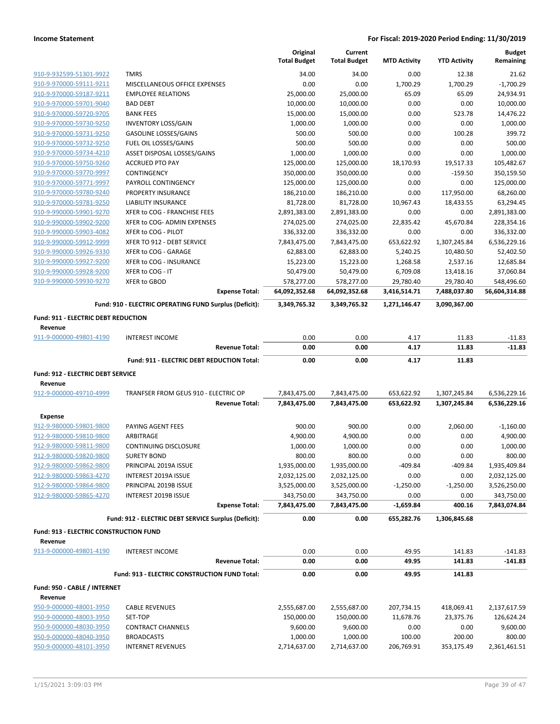|                                                    |                                                        | Original<br><b>Total Budget</b> | Current<br><b>Total Budget</b> | <b>MTD Activity</b>       | <b>YTD Activity</b>       | <b>Budget</b><br>Remaining  |
|----------------------------------------------------|--------------------------------------------------------|---------------------------------|--------------------------------|---------------------------|---------------------------|-----------------------------|
| 910-9-932599-51301-9922                            | <b>TMRS</b>                                            | 34.00                           | 34.00                          | 0.00                      | 12.38                     | 21.62                       |
| 910-9-970000-59111-9211                            | MISCELLANEOUS OFFICE EXPENSES                          | 0.00                            | 0.00                           | 1,700.29                  | 1,700.29                  | $-1,700.29$                 |
| 910-9-970000-59187-9211                            | <b>EMPLOYEE RELATIONS</b>                              | 25,000.00                       | 25,000.00                      | 65.09                     | 65.09                     | 24,934.91                   |
| 910-9-970000-59701-9040                            | <b>BAD DEBT</b>                                        | 10,000.00                       | 10,000.00                      | 0.00                      | 0.00                      | 10,000.00                   |
| 910-9-970000-59720-9705                            | <b>BANK FEES</b>                                       | 15,000.00                       | 15,000.00                      | 0.00                      | 523.78                    | 14,476.22                   |
| 910-9-970000-59730-9250                            | <b>INVENTORY LOSS/GAIN</b>                             | 1,000.00                        | 1,000.00                       | 0.00                      | 0.00                      | 1,000.00                    |
| 910-9-970000-59731-9250                            | <b>GASOLINE LOSSES/GAINS</b>                           | 500.00                          | 500.00                         | 0.00                      | 100.28                    | 399.72                      |
| 910-9-970000-59732-9250                            | FUEL OIL LOSSES/GAINS                                  | 500.00                          | 500.00                         | 0.00                      | 0.00                      | 500.00                      |
| 910-9-970000-59734-4210                            | ASSET DISPOSAL LOSSES/GAINS                            | 1,000.00                        | 1,000.00                       | 0.00                      | 0.00                      | 1,000.00                    |
| 910-9-970000-59750-9260                            | <b>ACCRUED PTO PAY</b>                                 | 125,000.00                      | 125,000.00                     | 18,170.93                 | 19,517.33                 | 105,482.67                  |
| 910-9-970000-59770-9997                            | CONTINGENCY                                            | 350,000.00                      | 350,000.00                     | 0.00                      | $-159.50$                 | 350,159.50                  |
| 910-9-970000-59771-9997                            | PAYROLL CONTINGENCY                                    | 125,000.00                      | 125,000.00                     | 0.00                      | 0.00                      | 125,000.00                  |
| 910-9-970000-59780-9240                            | PROPERTY INSURANCE                                     | 186,210.00                      | 186,210.00                     | 0.00                      | 117,950.00                | 68,260.00                   |
| 910-9-970000-59781-9250                            | <b>LIABILITY INSURANCE</b>                             | 81,728.00                       | 81,728.00                      | 10,967.43                 | 18,433.55                 | 63,294.45                   |
| 910-9-990000-59901-9270                            | XFER to COG - FRANCHISE FEES                           | 2,891,383.00                    | 2,891,383.00                   | 0.00                      | 0.00                      | 2,891,383.00                |
| 910-9-990000-59902-9200                            | XFER to COG- ADMIN EXPENSES                            | 274,025.00                      | 274,025.00                     | 22,835.42                 | 45,670.84                 | 228,354.16                  |
| 910-9-990000-59903-4082                            | XFER to COG - PILOT                                    | 336,332.00                      | 336,332.00                     | 0.00                      | 0.00                      | 336,332.00                  |
| 910-9-990000-59912-9999                            | XFER TO 912 - DEBT SERVICE                             | 7,843,475.00                    | 7,843,475.00                   | 653,622.92                | 1,307,245.84              | 6,536,229.16                |
| 910-9-990000-59926-9330                            | XFER to COG - GARAGE                                   | 62,883.00                       | 62,883.00                      | 5,240.25                  | 10,480.50                 | 52,402.50                   |
| 910-9-990000-59927-9200                            | XFER to COG - INSURANCE                                | 15,223.00                       | 15,223.00                      | 1,268.58                  | 2,537.16                  | 12,685.84                   |
| 910-9-990000-59928-9200                            | XFER to COG - IT                                       | 50,479.00                       | 50,479.00                      | 6,709.08                  | 13,418.16                 | 37,060.84                   |
| 910-9-990000-59930-9270                            | <b>XFER to GBOD</b><br><b>Expense Total:</b>           | 578,277.00<br>64,092,352.68     | 578,277.00<br>64,092,352.68    | 29,780.40<br>3,416,514.71 | 29,780.40<br>7,488,037.80 | 548,496.60<br>56,604,314.88 |
|                                                    | Fund: 910 - ELECTRIC OPERATING FUND Surplus (Deficit): | 3,349,765.32                    | 3,349,765.32                   | 1,271,146.47              | 3,090,367.00              |                             |
|                                                    |                                                        |                                 |                                |                           |                           |                             |
| Fund: 911 - ELECTRIC DEBT REDUCTION<br>Revenue     |                                                        |                                 |                                |                           |                           |                             |
| 911-9-000000-49801-4190                            | <b>INTEREST INCOME</b>                                 | 0.00                            | 0.00                           | 4.17                      | 11.83                     | $-11.83$                    |
|                                                    | <b>Revenue Total:</b>                                  | 0.00                            | 0.00                           | 4.17                      | 11.83                     | $-11.83$                    |
|                                                    |                                                        |                                 |                                |                           |                           |                             |
|                                                    | Fund: 911 - ELECTRIC DEBT REDUCTION Total:             | 0.00                            | 0.00                           | 4.17                      | 11.83                     |                             |
| Fund: 912 - ELECTRIC DEBT SERVICE                  |                                                        |                                 |                                |                           |                           |                             |
| Revenue                                            |                                                        |                                 |                                |                           |                           |                             |
| 912-9-000000-49710-4999                            | TRANFSER FROM GEUS 910 - ELECTRIC OP                   | 7,843,475.00                    | 7,843,475.00                   | 653,622.92                | 1,307,245.84              | 6,536,229.16                |
|                                                    | <b>Revenue Total:</b>                                  | 7,843,475.00                    | 7,843,475.00                   | 653,622.92                | 1,307,245.84              | 6,536,229.16                |
| <b>Expense</b>                                     |                                                        |                                 |                                |                           |                           |                             |
| 912-9-980000-59801-9800                            | PAYING AGENT FEES                                      | 900.00                          | 900.00                         | 0.00                      | 2,060.00                  |                             |
| 912-9-980000-59810-9800                            | ARBITRAGE                                              | 4,900.00                        | 4,900.00                       | 0.00                      | 0.00                      | $-1,160.00$<br>4,900.00     |
| 912-9-980000-59811-9800                            | <b>CONTINUING DISCLOSURE</b>                           |                                 |                                | 0.00                      |                           |                             |
| 912-9-980000-59820-9800                            | <b>SURETY BOND</b>                                     | 1,000.00<br>800.00              | 1,000.00<br>800.00             | 0.00                      | 0.00<br>0.00              | 1,000.00<br>800.00          |
| 912-9-980000-59862-9800                            | PRINCIPAL 2019A ISSUE                                  | 1,935,000.00                    | 1,935,000.00                   | $-409.84$                 | $-409.84$                 | 1,935,409.84                |
| 912-9-980000-59863-4270                            | INTEREST 2019A ISSUE                                   | 2,032,125.00                    | 2,032,125.00                   | 0.00                      | 0.00                      | 2,032,125.00                |
| 912-9-980000-59864-9800                            | PRINCIPAL 2019B ISSUE                                  | 3,525,000.00                    | 3,525,000.00                   | $-1,250.00$               | $-1,250.00$               | 3,526,250.00                |
| 912-9-980000-59865-4270                            | INTEREST 2019B ISSUE                                   | 343,750.00                      | 343,750.00                     | 0.00                      | 0.00                      | 343,750.00                  |
|                                                    | <b>Expense Total:</b>                                  | 7,843,475.00                    | 7,843,475.00                   | $-1,659.84$               | 400.16                    | 7,843,074.84                |
|                                                    | Fund: 912 - ELECTRIC DEBT SERVICE Surplus (Deficit):   | 0.00                            | 0.00                           | 655,282.76                | 1,306,845.68              |                             |
| Fund: 913 - ELECTRIC CONSTRUCTION FUND             |                                                        |                                 |                                |                           |                           |                             |
| Revenue<br>913-9-000000-49801-4190                 | <b>INTEREST INCOME</b>                                 |                                 |                                |                           |                           |                             |
|                                                    | <b>Revenue Total:</b>                                  | 0.00<br>0.00                    | 0.00<br>0.00                   | 49.95<br>49.95            | 141.83<br>141.83          | $-141.83$<br>-141.83        |
|                                                    | Fund: 913 - ELECTRIC CONSTRUCTION FUND Total:          | 0.00                            | 0.00                           | 49.95                     | 141.83                    |                             |
| Fund: 950 - CABLE / INTERNET                       |                                                        |                                 |                                |                           |                           |                             |
| Revenue                                            |                                                        |                                 |                                |                           |                           |                             |
| 950-9-000000-48001-3950                            | <b>CABLE REVENUES</b>                                  | 2,555,687.00                    | 2,555,687.00                   | 207,734.15                | 418,069.41                | 2,137,617.59                |
| 950-9-000000-48003-3950                            | SET-TOP                                                | 150,000.00                      | 150,000.00                     | 11,678.76                 | 23,375.76                 | 126,624.24                  |
| 950-9-000000-48030-3950                            | <b>CONTRACT CHANNELS</b>                               | 9,600.00                        | 9,600.00                       | 0.00                      | 0.00                      | 9,600.00                    |
| 950-9-000000-48040-3950<br>950-9-000000-48101-3950 | <b>BROADCASTS</b><br><b>INTERNET REVENUES</b>          | 1,000.00<br>2,714,637.00        | 1,000.00<br>2,714,637.00       | 100.00<br>206,769.91      | 200.00<br>353,175.49      | 800.00<br>2,361,461.51      |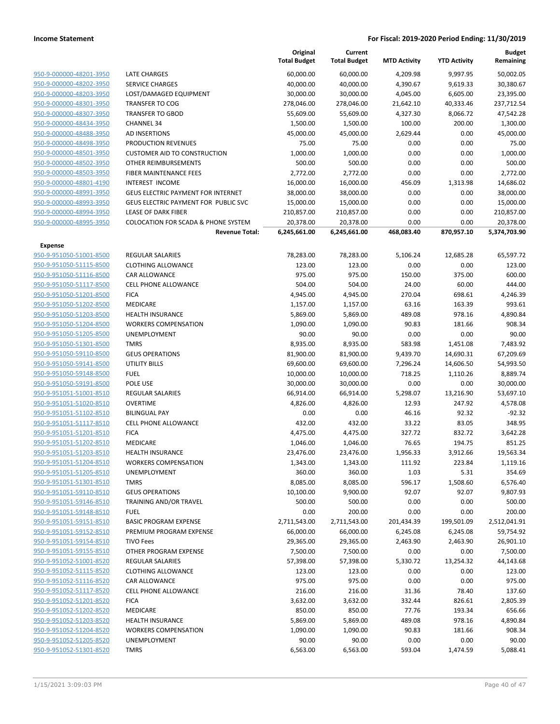|                                                    |                                      | Original<br><b>Total Budget</b> | Current<br><b>Total Budget</b> | <b>MTD Activity</b> | <b>YTD Activity</b> | <b>Budget</b><br>Remaining |
|----------------------------------------------------|--------------------------------------|---------------------------------|--------------------------------|---------------------|---------------------|----------------------------|
| 950-9-000000-48201-3950                            | <b>LATE CHARGES</b>                  | 60,000.00                       | 60,000.00                      | 4,209.98            | 9,997.95            | 50,002.05                  |
| 950-9-000000-48202-3950                            | <b>SERVICE CHARGES</b>               | 40,000.00                       | 40,000.00                      | 4,390.67            | 9,619.33            | 30,380.67                  |
| 950-9-000000-48203-3950                            | LOST/DAMAGED EQUIPMENT               | 30,000.00                       | 30,000.00                      | 4,045.00            | 6,605.00            | 23,395.00                  |
| 950-9-000000-48301-3950                            | <b>TRANSFER TO COG</b>               | 278,046.00                      | 278,046.00                     | 21,642.10           | 40,333.46           | 237,712.54                 |
| 950-9-000000-48307-3950                            | <b>TRANSFER TO GBOD</b>              | 55,609.00                       | 55,609.00                      | 4,327.30            | 8,066.72            | 47,542.28                  |
| 950-9-000000-48434-3950                            | <b>CHANNEL 34</b>                    | 1,500.00                        | 1,500.00                       | 100.00              | 200.00              | 1,300.00                   |
| 950-9-000000-48488-3950                            | AD INSERTIONS                        | 45,000.00                       | 45,000.00                      | 2,629.44            | 0.00                | 45,000.00                  |
| 950-9-000000-48498-3950                            | PRODUCTION REVENUES                  | 75.00                           | 75.00                          | 0.00                | 0.00                | 75.00                      |
| 950-9-000000-48501-3950                            | <b>CUSTOMER AID TO CONSTRUCTION</b>  | 1,000.00                        | 1,000.00                       | 0.00                | 0.00                | 1,000.00                   |
| 950-9-000000-48502-3950                            | OTHER REIMBURSEMENTS                 | 500.00                          | 500.00                         | 0.00                | 0.00                | 500.00                     |
| 950-9-000000-48503-3950                            | FIBER MAINTENANCE FEES               | 2,772.00                        | 2,772.00                       | 0.00                | 0.00                | 2,772.00                   |
| 950-9-000000-48801-4190                            | <b>INTEREST INCOME</b>               | 16,000.00                       | 16,000.00                      | 456.09              | 1,313.98            | 14,686.02                  |
| 950-9-000000-48991-3950                            | GEUS ELECTRIC PAYMENT FOR INTERNET   | 38,000.00                       | 38,000.00                      | 0.00                | 0.00                | 38,000.00                  |
| 950-9-000000-48993-3950                            | GEUS ELECTRIC PAYMENT FOR PUBLIC SVC | 15,000.00                       | 15,000.00                      | 0.00                | 0.00                | 15,000.00                  |
| 950-9-000000-48994-3950                            | <b>LEASE OF DARK FIBER</b>           | 210,857.00                      | 210,857.00                     | 0.00                | 0.00                | 210,857.00                 |
| 950-9-000000-48995-3950                            | COLOCATION FOR SCADA & PHONE SYSTEM  | 20,378.00                       | 20,378.00                      | 0.00                | 0.00                | 20,378.00                  |
|                                                    | <b>Revenue Total:</b>                | 6,245,661.00                    | 6,245,661.00                   | 468,083.40          | 870,957.10          | 5,374,703.90               |
| Expense                                            |                                      |                                 |                                |                     |                     |                            |
| 950-9-951050-51001-8500                            | <b>REGULAR SALARIES</b>              | 78,283.00                       | 78,283.00                      | 5,106.24            | 12,685.28           | 65,597.72                  |
| 950-9-951050-51115-8500                            | <b>CLOTHING ALLOWANCE</b>            | 123.00                          | 123.00                         | 0.00                | 0.00                | 123.00                     |
| 950-9-951050-51116-8500                            | <b>CAR ALLOWANCE</b>                 | 975.00                          | 975.00                         | 150.00              | 375.00              | 600.00                     |
| 950-9-951050-51117-8500                            | <b>CELL PHONE ALLOWANCE</b>          | 504.00                          | 504.00                         | 24.00               | 60.00               | 444.00                     |
| 950-9-951050-51201-8500                            | <b>FICA</b>                          | 4,945.00                        | 4,945.00                       | 270.04              | 698.61              | 4,246.39                   |
| 950-9-951050-51202-8500                            | MEDICARE                             | 1,157.00                        | 1,157.00                       | 63.16               | 163.39              | 993.61                     |
| 950-9-951050-51203-8500                            | <b>HEALTH INSURANCE</b>              | 5,869.00                        | 5,869.00                       | 489.08              | 978.16              | 4,890.84                   |
| 950-9-951050-51204-8500                            | <b>WORKERS COMPENSATION</b>          | 1,090.00                        | 1,090.00                       | 90.83               | 181.66              | 908.34                     |
| 950-9-951050-51205-8500                            | UNEMPLOYMENT                         | 90.00                           | 90.00                          | 0.00                | 0.00                | 90.00                      |
| 950-9-951050-51301-8500                            | <b>TMRS</b>                          | 8,935.00                        | 8,935.00                       | 583.98              | 1,451.08            | 7,483.92                   |
| 950-9-951050-59110-8500                            | <b>GEUS OPERATIONS</b>               | 81,900.00                       | 81,900.00                      | 9,439.70            | 14,690.31           | 67,209.69                  |
| 950-9-951050-59141-8500                            | <b>UTILITY BILLS</b>                 | 69,600.00                       | 69,600.00                      | 7,296.24            | 14,606.50           | 54,993.50                  |
| 950-9-951050-59148-8500                            | <b>FUEL</b>                          | 10,000.00                       | 10,000.00                      | 718.25              | 1,110.26            | 8,889.74                   |
| 950-9-951050-59191-8500                            | POLE USE                             | 30,000.00                       | 30,000.00                      | 0.00                | 0.00                | 30,000.00                  |
| 950-9-951051-51001-8510                            | REGULAR SALARIES                     | 66,914.00                       | 66,914.00                      | 5,298.07            | 13,216.90           | 53,697.10                  |
| 950-9-951051-51020-8510                            | <b>OVERTIME</b>                      | 4,826.00                        | 4,826.00                       | 12.93               | 247.92              | 4,578.08                   |
| 950-9-951051-51102-8510                            | <b>BILINGUAL PAY</b>                 | 0.00                            | 0.00                           | 46.16               | 92.32               | $-92.32$                   |
| 950-9-951051-51117-8510                            | <b>CELL PHONE ALLOWANCE</b>          | 432.00                          | 432.00                         | 33.22               | 83.05               | 348.95                     |
| 950-9-951051-51201-8510<br>950-9-951051-51202-8510 | <b>FICA</b><br>MEDICARE              | 4,475.00                        | 4,475.00                       | 327.72<br>76.65     | 832.72<br>194.75    | 3,642.28<br>851.25         |
| 950-9-951051-51203-8510                            | <b>HEALTH INSURANCE</b>              | 1,046.00<br>23,476.00           | 1,046.00<br>23,476.00          | 1,956.33            | 3,912.66            | 19,563.34                  |
| 950-9-951051-51204-8510                            | <b>WORKERS COMPENSATION</b>          | 1,343.00                        | 1,343.00                       | 111.92              | 223.84              | 1,119.16                   |
| 950-9-951051-51205-8510                            | UNEMPLOYMENT                         | 360.00                          | 360.00                         | 1.03                | 5.31                | 354.69                     |
| 950-9-951051-51301-8510                            | <b>TMRS</b>                          | 8,085.00                        | 8,085.00                       | 596.17              | 1,508.60            | 6,576.40                   |
| 950-9-951051-59110-8510                            | <b>GEUS OPERATIONS</b>               | 10,100.00                       | 9,900.00                       | 92.07               | 92.07               | 9,807.93                   |
| 950-9-951051-59146-8510                            | TRAINING AND/OR TRAVEL               | 500.00                          | 500.00                         | 0.00                | 0.00                | 500.00                     |
| 950-9-951051-59148-8510                            | <b>FUEL</b>                          | 0.00                            | 200.00                         | 0.00                | 0.00                | 200.00                     |
| 950-9-951051-59151-8510                            | <b>BASIC PROGRAM EXPENSE</b>         | 2,711,543.00                    | 2,711,543.00                   | 201,434.39          | 199,501.09          | 2,512,041.91               |
| 950-9-951051-59152-8510                            | PREMIUM PROGRAM EXPENSE              | 66,000.00                       | 66,000.00                      | 6,245.08            | 6,245.08            | 59,754.92                  |
| 950-9-951051-59154-8510                            | <b>TIVO Fees</b>                     | 29,365.00                       | 29,365.00                      | 2,463.90            | 2,463.90            | 26,901.10                  |
| 950-9-951051-59155-8510                            | OTHER PROGRAM EXPENSE                | 7,500.00                        | 7,500.00                       | 0.00                | 0.00                | 7,500.00                   |
| 950-9-951052-51001-8520                            | <b>REGULAR SALARIES</b>              | 57,398.00                       | 57,398.00                      | 5,330.72            | 13,254.32           | 44,143.68                  |
| 950-9-951052-51115-8520                            | <b>CLOTHING ALLOWANCE</b>            | 123.00                          | 123.00                         | 0.00                | 0.00                | 123.00                     |
| 950-9-951052-51116-8520                            | CAR ALLOWANCE                        | 975.00                          | 975.00                         | 0.00                | 0.00                | 975.00                     |
| 950-9-951052-51117-8520                            | <b>CELL PHONE ALLOWANCE</b>          | 216.00                          | 216.00                         | 31.36               | 78.40               | 137.60                     |
| 950-9-951052-51201-8520                            | <b>FICA</b>                          | 3,632.00                        | 3,632.00                       | 332.44              | 826.61              | 2,805.39                   |
| 950-9-951052-51202-8520                            | MEDICARE                             | 850.00                          | 850.00                         | 77.76               | 193.34              | 656.66                     |
| 950-9-951052-51203-8520                            | <b>HEALTH INSURANCE</b>              | 5,869.00                        | 5,869.00                       | 489.08              | 978.16              | 4,890.84                   |
| 950-9-951052-51204-8520                            | <b>WORKERS COMPENSATION</b>          | 1,090.00                        | 1,090.00                       | 90.83               | 181.66              | 908.34                     |
| 950-9-951052-51205-8520                            | UNEMPLOYMENT                         | 90.00                           | 90.00                          | 0.00                | 0.00                | 90.00                      |
| 950-9-951052-51301-8520                            | <b>TMRS</b>                          | 6,563.00                        | 6,563.00                       | 593.04              | 1,474.59            | 5,088.41                   |
|                                                    |                                      |                                 |                                |                     |                     |                            |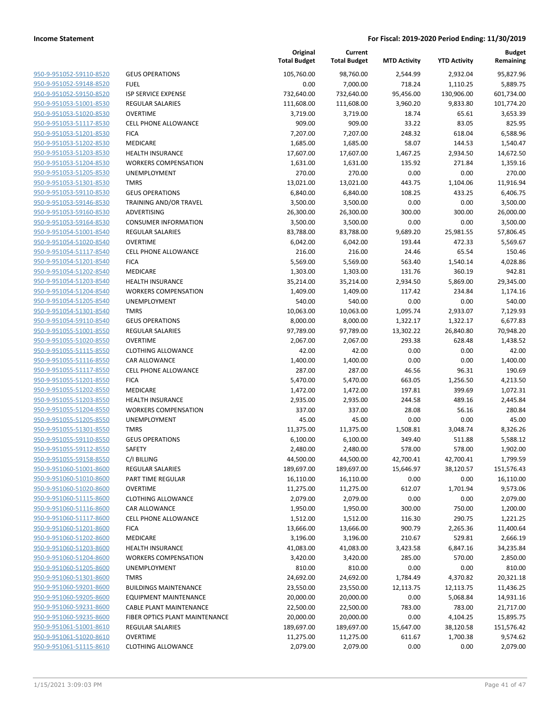| <b>GEUS OPERATIONS</b><br>105,760.00<br>98,760.00<br>2,932.04<br>95,827.96<br>2,544.99<br><b>FUEL</b><br>0.00<br>7,000.00<br>718.24<br>1,110.25<br>5,889.75<br><b>ISP SERVICE EXPENSE</b><br>732,640.00<br>732,640.00<br>95,456.00<br>130,906.00<br>601,734.00<br><b>REGULAR SALARIES</b><br>111,608.00<br>111,608.00<br>3,960.20<br>9,833.80<br>101,774.20<br><b>OVERTIME</b><br>3,719.00<br>3,719.00<br>18.74<br>65.61<br>3,653.39<br>33.22<br>83.05<br><b>CELL PHONE ALLOWANCE</b><br>909.00<br>909.00<br>825.95<br><b>FICA</b><br>7,207.00<br>7,207.00<br>248.32<br>618.04<br>6,588.96<br>58.07<br><b>MEDICARE</b><br>1,685.00<br>1,685.00<br>144.53<br>1,540.47<br>950-9-951053-51203-8530<br><b>HEALTH INSURANCE</b><br>17,607.00<br>17,607.00<br>1,467.25<br>2,934.50<br>14,672.50<br>950-9-951053-51204-8530<br>135.92<br><b>WORKERS COMPENSATION</b><br>1,631.00<br>1,631.00<br>271.84<br>1,359.16<br>950-9-951053-51205-8530<br><b>UNEMPLOYMENT</b><br>270.00<br>270.00<br>0.00<br>0.00<br>270.00<br>950-9-951053-51301-8530<br><b>TMRS</b><br>13,021.00<br>13,021.00<br>443.75<br>1,104.06<br>11,916.94<br>950-9-951053-59110-8530<br><b>GEUS OPERATIONS</b><br>6,840.00<br>6,840.00<br>108.25<br>433.25<br>6,406.75<br>950-9-951053-59146-8530<br>TRAINING AND/OR TRAVEL<br>3,500.00<br>3,500.00<br>0.00<br>0.00<br>3,500.00<br>950-9-951053-59160-8530<br>ADVERTISING<br>26,300.00<br>26,300.00<br>300.00<br>300.00<br>26,000.00<br>950-9-951053-59164-8530<br><b>CONSUMER INFORMATION</b><br>3,500.00<br>3,500.00<br>0.00<br>0.00<br>3,500.00<br>950-9-951054-51001-8540<br>REGULAR SALARIES<br>83,788.00<br>83,788.00<br>9,689.20<br>25,981.55<br>57,806.45<br>950-9-951054-51020-8540<br><b>OVERTIME</b><br>6,042.00<br>6,042.00<br>193.44<br>472.33<br>5,569.67<br>950-9-951054-51117-8540<br>65.54<br>150.46<br><b>CELL PHONE ALLOWANCE</b><br>216.00<br>216.00<br>24.46<br>950-9-951054-51201-8540<br><b>FICA</b><br>5,569.00<br>5,569.00<br>563.40<br>1,540.14<br>4,028.86<br>950-9-951054-51202-8540<br><b>MEDICARE</b><br>1,303.00<br>1,303.00<br>131.76<br>360.19<br>942.81<br>HEALTH INSURANCE<br>35,214.00<br>2,934.50<br>5,869.00<br>29,345.00<br>35,214.00<br>950-9-951054-51204-8540<br><b>WORKERS COMPENSATION</b><br>1,409.00<br>1,409.00<br>117.42<br>234.84<br>1,174.16<br>950-9-951054-51205-8540<br><b>UNEMPLOYMENT</b><br>540.00<br>540.00<br>0.00<br>0.00<br>540.00<br>950-9-951054-51301-8540<br><b>TMRS</b><br>10,063.00<br>10,063.00<br>1,095.74<br>2,933.07<br>7,129.93<br>950-9-951054-59110-8540<br><b>GEUS OPERATIONS</b><br>8,000.00<br>8,000.00<br>6,677.83<br>1,322.17<br>1,322.17<br>950-9-951055-51001-8550<br>REGULAR SALARIES<br>97,789.00<br>97,789.00<br>13,302.22<br>26,840.80<br>70,948.20<br><b>OVERTIME</b><br>2,067.00<br>2,067.00<br>293.38<br>628.48<br>1,438.52<br>950-9-951055-51115-8550<br>42.00<br>42.00<br>0.00<br>0.00<br>42.00<br><b>CLOTHING ALLOWANCE</b><br>0.00<br>950-9-951055-51116-8550<br><b>CAR ALLOWANCE</b><br>1,400.00<br>1,400.00<br>0.00<br>1,400.00<br>190.69<br>950-9-951055-51117-8550<br>CELL PHONE ALLOWANCE<br>287.00<br>287.00<br>46.56<br>96.31<br>950-9-951055-51201-8550<br><b>FICA</b><br>5,470.00<br>5,470.00<br>663.05<br>1,256.50<br>4,213.50<br>950-9-951055-51202-8550<br>MEDICARE<br>1,472.00<br>1,472.00<br>197.81<br>399.69<br>1,072.31<br>950-9-951055-51203-8550<br>489.16<br><b>HEALTH INSURANCE</b><br>2,935.00<br>2,935.00<br>244.58<br>2,445.84<br>950-9-951055-51204-8550<br><b>WORKERS COMPENSATION</b><br>337.00<br>337.00<br>28.08<br>56.16<br>280.84<br>950-9-951055-51205-8550<br>UNEMPLOYMENT<br>45.00<br>45.00<br>0.00<br>0.00<br>45.00<br>950-9-951055-51301-8550<br><b>TMRS</b><br>11,375.00<br>1,508.81<br>3,048.74<br>8,326.26<br>11,375.00<br>950-9-951055-59110-8550<br><b>GEUS OPERATIONS</b><br>6,100.00<br>6,100.00<br>349.40<br>511.88<br>5,588.12<br>950-9-951055-59112-8550<br><b>SAFETY</b><br>2,480.00<br>2,480.00<br>578.00<br>578.00<br>1,902.00<br>C/I BILLING<br>44,500.00<br>42,700.41<br>42,700.41<br>950-9-951055-59158-8550<br>44,500.00<br>950-9-951060-51001-8600<br>REGULAR SALARIES<br>189,697.00<br>189,697.00<br>15,646.97<br>38,120.57<br>151,576.43<br>950-9-951060-51010-8600<br>PART TIME REGULAR<br>16,110.00<br>16,110.00<br>0.00<br>0.00<br>16,110.00<br>950-9-951060-51020-8600<br><b>OVERTIME</b><br>11,275.00<br>11,275.00<br>612.07<br>1,701.94<br>9,573.06<br>950-9-951060-51115-8600<br>2,079.00<br>2,079.00<br>0.00<br>0.00<br><b>CLOTHING ALLOWANCE</b><br>2,079.00<br>950-9-951060-51116-8600<br>1,950.00<br>1,950.00<br>300.00<br>750.00<br>1,200.00<br>CAR ALLOWANCE<br>950-9-951060-51117-8600<br><b>CELL PHONE ALLOWANCE</b><br>1,512.00<br>1,512.00<br>116.30<br>290.75<br>1,221.25<br>950-9-951060-51201-8600<br><b>FICA</b><br>13,666.00<br>13,666.00<br>900.79<br>2,265.36<br>11,400.64<br>950-9-951060-51202-8600<br>MEDICARE<br>3,196.00<br>3,196.00<br>210.67<br>529.81<br>2,666.19<br>950-9-951060-51203-8600<br><b>HEALTH INSURANCE</b><br>41,083.00<br>41,083.00<br>3,423.58<br>6,847.16<br>34,235.84<br>950-9-951060-51204-8600<br>3,420.00<br>3,420.00<br>285.00<br>570.00<br>2,850.00<br><b>WORKERS COMPENSATION</b><br>950-9-951060-51205-8600<br>810.00<br>810.00<br>0.00<br>0.00<br>810.00<br><b>UNEMPLOYMENT</b><br>950-9-951060-51301-8600<br><b>TMRS</b><br>24,692.00<br>24,692.00<br>20,321.18<br>1,784.49<br>4,370.82<br>950-9-951060-59201-8600<br><b>BUILDINGS MAINTENANCE</b><br>23,550.00<br>23,550.00<br>12,113.75<br>12,113.75<br>11,436.25<br>950-9-951060-59205-8600<br>0.00<br><b>EQUIPMENT MAINTENANCE</b><br>20,000.00<br>20,000.00<br>5,068.84<br>14,931.16<br>950-9-951060-59231-8600<br>22,500.00<br>22,500.00<br>783.00<br>783.00<br>21,717.00<br>CABLE PLANT MAINTENANCE<br>950-9-951060-59235-8600<br>FIBER OPTICS PLANT MAINTENANCE<br>20,000.00<br>20,000.00<br>0.00<br>4,104.25<br>15,895.75<br>REGULAR SALARIES<br>189,697.00<br>189,697.00<br>15,647.00<br>38,120.58<br>151,576.42<br><b>OVERTIME</b><br>11,275.00<br>11,275.00<br>611.67<br>1,700.38<br>9,574.62 |                         | Original<br><b>Total Budget</b> | Current<br><b>Total Budget</b> | <b>MTD Activity</b> | <b>YTD Activity</b> | <b>Budget</b><br>Remaining |
|--------------------------------------------------------------------------------------------------------------------------------------------------------------------------------------------------------------------------------------------------------------------------------------------------------------------------------------------------------------------------------------------------------------------------------------------------------------------------------------------------------------------------------------------------------------------------------------------------------------------------------------------------------------------------------------------------------------------------------------------------------------------------------------------------------------------------------------------------------------------------------------------------------------------------------------------------------------------------------------------------------------------------------------------------------------------------------------------------------------------------------------------------------------------------------------------------------------------------------------------------------------------------------------------------------------------------------------------------------------------------------------------------------------------------------------------------------------------------------------------------------------------------------------------------------------------------------------------------------------------------------------------------------------------------------------------------------------------------------------------------------------------------------------------------------------------------------------------------------------------------------------------------------------------------------------------------------------------------------------------------------------------------------------------------------------------------------------------------------------------------------------------------------------------------------------------------------------------------------------------------------------------------------------------------------------------------------------------------------------------------------------------------------------------------------------------------------------------------------------------------------------------------------------------------------------------------------------------------------------------------------------------------------------------------------------------------------------------------------------------------------------------------------------------------------------------------------------------------------------------------------------------------------------------------------------------------------------------------------------------------------------------------------------------------------------------------------------------------------------------------------------------------------------------------------------------------------------------------------------------------------------------------------------------------------------------------------------------------------------------------------------------------------------------------------------------------------------------------------------------------------------------------------------------------------------------------------------------------------------------------------------------------------------------------------------------------------------------------------------------------------------------------------------------------------------------------------------------------------------------------------------------------------------------------------------------------------------------------------------------------------------------------------------------------------------------------------------------------------------------------------------------------------------------------------------------------------------------------------------------------------------------------------------------------------------------------------------------------------------------------------------------------------------------------------------------------------------------------------------------------------------------------------------------------------------------------------------------------------------------------------------------------------------------------------------------------------------------------------------------------------------------------------------------------------------------------------------------------------------------------------------------------------------------------------------------------------------------------------------------------------------------------------------------------------------------------------------------------------------------------------------------------------------------------------------------------------------------------------------------------------------------------------------------------------------------------------------------------------------------------------------------------------------------------------------------------------------------------------------------------------------------------------------------------------------------------------------------------------------------------------------------------------------------------------------------------------------------------------------------------------------------------------------------------------------------------------------------------------------------------------------------------------------------------------------------------------------------------------------------------------------------------------------------------------------------------------|-------------------------|---------------------------------|--------------------------------|---------------------|---------------------|----------------------------|
| 1,799.59                                                                                                                                                                                                                                                                                                                                                                                                                                                                                                                                                                                                                                                                                                                                                                                                                                                                                                                                                                                                                                                                                                                                                                                                                                                                                                                                                                                                                                                                                                                                                                                                                                                                                                                                                                                                                                                                                                                                                                                                                                                                                                                                                                                                                                                                                                                                                                                                                                                                                                                                                                                                                                                                                                                                                                                                                                                                                                                                                                                                                                                                                                                                                                                                                                                                                                                                                                                                                                                                                                                                                                                                                                                                                                                                                                                                                                                                                                                                                                                                                                                                                                                                                                                                                                                                                                                                                                                                                                                                                                                                                                                                                                                                                                                                                                                                                                                                                                                                                                                                                                                                                                                                                                                                                                                                                                                                                                                                                                                                                                                                                                                                                                                                                                                                                                                                                                                                                                                                                                                                                                                                       | 950-9-951052-59110-8520 |                                 |                                |                     |                     |                            |
|                                                                                                                                                                                                                                                                                                                                                                                                                                                                                                                                                                                                                                                                                                                                                                                                                                                                                                                                                                                                                                                                                                                                                                                                                                                                                                                                                                                                                                                                                                                                                                                                                                                                                                                                                                                                                                                                                                                                                                                                                                                                                                                                                                                                                                                                                                                                                                                                                                                                                                                                                                                                                                                                                                                                                                                                                                                                                                                                                                                                                                                                                                                                                                                                                                                                                                                                                                                                                                                                                                                                                                                                                                                                                                                                                                                                                                                                                                                                                                                                                                                                                                                                                                                                                                                                                                                                                                                                                                                                                                                                                                                                                                                                                                                                                                                                                                                                                                                                                                                                                                                                                                                                                                                                                                                                                                                                                                                                                                                                                                                                                                                                                                                                                                                                                                                                                                                                                                                                                                                                                                                                                | 950-9-951052-59148-8520 |                                 |                                |                     |                     |                            |
|                                                                                                                                                                                                                                                                                                                                                                                                                                                                                                                                                                                                                                                                                                                                                                                                                                                                                                                                                                                                                                                                                                                                                                                                                                                                                                                                                                                                                                                                                                                                                                                                                                                                                                                                                                                                                                                                                                                                                                                                                                                                                                                                                                                                                                                                                                                                                                                                                                                                                                                                                                                                                                                                                                                                                                                                                                                                                                                                                                                                                                                                                                                                                                                                                                                                                                                                                                                                                                                                                                                                                                                                                                                                                                                                                                                                                                                                                                                                                                                                                                                                                                                                                                                                                                                                                                                                                                                                                                                                                                                                                                                                                                                                                                                                                                                                                                                                                                                                                                                                                                                                                                                                                                                                                                                                                                                                                                                                                                                                                                                                                                                                                                                                                                                                                                                                                                                                                                                                                                                                                                                                                | 950-9-951052-59150-8520 |                                 |                                |                     |                     |                            |
|                                                                                                                                                                                                                                                                                                                                                                                                                                                                                                                                                                                                                                                                                                                                                                                                                                                                                                                                                                                                                                                                                                                                                                                                                                                                                                                                                                                                                                                                                                                                                                                                                                                                                                                                                                                                                                                                                                                                                                                                                                                                                                                                                                                                                                                                                                                                                                                                                                                                                                                                                                                                                                                                                                                                                                                                                                                                                                                                                                                                                                                                                                                                                                                                                                                                                                                                                                                                                                                                                                                                                                                                                                                                                                                                                                                                                                                                                                                                                                                                                                                                                                                                                                                                                                                                                                                                                                                                                                                                                                                                                                                                                                                                                                                                                                                                                                                                                                                                                                                                                                                                                                                                                                                                                                                                                                                                                                                                                                                                                                                                                                                                                                                                                                                                                                                                                                                                                                                                                                                                                                                                                | 950-9-951053-51001-8530 |                                 |                                |                     |                     |                            |
|                                                                                                                                                                                                                                                                                                                                                                                                                                                                                                                                                                                                                                                                                                                                                                                                                                                                                                                                                                                                                                                                                                                                                                                                                                                                                                                                                                                                                                                                                                                                                                                                                                                                                                                                                                                                                                                                                                                                                                                                                                                                                                                                                                                                                                                                                                                                                                                                                                                                                                                                                                                                                                                                                                                                                                                                                                                                                                                                                                                                                                                                                                                                                                                                                                                                                                                                                                                                                                                                                                                                                                                                                                                                                                                                                                                                                                                                                                                                                                                                                                                                                                                                                                                                                                                                                                                                                                                                                                                                                                                                                                                                                                                                                                                                                                                                                                                                                                                                                                                                                                                                                                                                                                                                                                                                                                                                                                                                                                                                                                                                                                                                                                                                                                                                                                                                                                                                                                                                                                                                                                                                                | 950-9-951053-51020-8530 |                                 |                                |                     |                     |                            |
|                                                                                                                                                                                                                                                                                                                                                                                                                                                                                                                                                                                                                                                                                                                                                                                                                                                                                                                                                                                                                                                                                                                                                                                                                                                                                                                                                                                                                                                                                                                                                                                                                                                                                                                                                                                                                                                                                                                                                                                                                                                                                                                                                                                                                                                                                                                                                                                                                                                                                                                                                                                                                                                                                                                                                                                                                                                                                                                                                                                                                                                                                                                                                                                                                                                                                                                                                                                                                                                                                                                                                                                                                                                                                                                                                                                                                                                                                                                                                                                                                                                                                                                                                                                                                                                                                                                                                                                                                                                                                                                                                                                                                                                                                                                                                                                                                                                                                                                                                                                                                                                                                                                                                                                                                                                                                                                                                                                                                                                                                                                                                                                                                                                                                                                                                                                                                                                                                                                                                                                                                                                                                | 950-9-951053-51117-8530 |                                 |                                |                     |                     |                            |
|                                                                                                                                                                                                                                                                                                                                                                                                                                                                                                                                                                                                                                                                                                                                                                                                                                                                                                                                                                                                                                                                                                                                                                                                                                                                                                                                                                                                                                                                                                                                                                                                                                                                                                                                                                                                                                                                                                                                                                                                                                                                                                                                                                                                                                                                                                                                                                                                                                                                                                                                                                                                                                                                                                                                                                                                                                                                                                                                                                                                                                                                                                                                                                                                                                                                                                                                                                                                                                                                                                                                                                                                                                                                                                                                                                                                                                                                                                                                                                                                                                                                                                                                                                                                                                                                                                                                                                                                                                                                                                                                                                                                                                                                                                                                                                                                                                                                                                                                                                                                                                                                                                                                                                                                                                                                                                                                                                                                                                                                                                                                                                                                                                                                                                                                                                                                                                                                                                                                                                                                                                                                                | 950-9-951053-51201-8530 |                                 |                                |                     |                     |                            |
|                                                                                                                                                                                                                                                                                                                                                                                                                                                                                                                                                                                                                                                                                                                                                                                                                                                                                                                                                                                                                                                                                                                                                                                                                                                                                                                                                                                                                                                                                                                                                                                                                                                                                                                                                                                                                                                                                                                                                                                                                                                                                                                                                                                                                                                                                                                                                                                                                                                                                                                                                                                                                                                                                                                                                                                                                                                                                                                                                                                                                                                                                                                                                                                                                                                                                                                                                                                                                                                                                                                                                                                                                                                                                                                                                                                                                                                                                                                                                                                                                                                                                                                                                                                                                                                                                                                                                                                                                                                                                                                                                                                                                                                                                                                                                                                                                                                                                                                                                                                                                                                                                                                                                                                                                                                                                                                                                                                                                                                                                                                                                                                                                                                                                                                                                                                                                                                                                                                                                                                                                                                                                | 950-9-951053-51202-8530 |                                 |                                |                     |                     |                            |
|                                                                                                                                                                                                                                                                                                                                                                                                                                                                                                                                                                                                                                                                                                                                                                                                                                                                                                                                                                                                                                                                                                                                                                                                                                                                                                                                                                                                                                                                                                                                                                                                                                                                                                                                                                                                                                                                                                                                                                                                                                                                                                                                                                                                                                                                                                                                                                                                                                                                                                                                                                                                                                                                                                                                                                                                                                                                                                                                                                                                                                                                                                                                                                                                                                                                                                                                                                                                                                                                                                                                                                                                                                                                                                                                                                                                                                                                                                                                                                                                                                                                                                                                                                                                                                                                                                                                                                                                                                                                                                                                                                                                                                                                                                                                                                                                                                                                                                                                                                                                                                                                                                                                                                                                                                                                                                                                                                                                                                                                                                                                                                                                                                                                                                                                                                                                                                                                                                                                                                                                                                                                                |                         |                                 |                                |                     |                     |                            |
|                                                                                                                                                                                                                                                                                                                                                                                                                                                                                                                                                                                                                                                                                                                                                                                                                                                                                                                                                                                                                                                                                                                                                                                                                                                                                                                                                                                                                                                                                                                                                                                                                                                                                                                                                                                                                                                                                                                                                                                                                                                                                                                                                                                                                                                                                                                                                                                                                                                                                                                                                                                                                                                                                                                                                                                                                                                                                                                                                                                                                                                                                                                                                                                                                                                                                                                                                                                                                                                                                                                                                                                                                                                                                                                                                                                                                                                                                                                                                                                                                                                                                                                                                                                                                                                                                                                                                                                                                                                                                                                                                                                                                                                                                                                                                                                                                                                                                                                                                                                                                                                                                                                                                                                                                                                                                                                                                                                                                                                                                                                                                                                                                                                                                                                                                                                                                                                                                                                                                                                                                                                                                |                         |                                 |                                |                     |                     |                            |
|                                                                                                                                                                                                                                                                                                                                                                                                                                                                                                                                                                                                                                                                                                                                                                                                                                                                                                                                                                                                                                                                                                                                                                                                                                                                                                                                                                                                                                                                                                                                                                                                                                                                                                                                                                                                                                                                                                                                                                                                                                                                                                                                                                                                                                                                                                                                                                                                                                                                                                                                                                                                                                                                                                                                                                                                                                                                                                                                                                                                                                                                                                                                                                                                                                                                                                                                                                                                                                                                                                                                                                                                                                                                                                                                                                                                                                                                                                                                                                                                                                                                                                                                                                                                                                                                                                                                                                                                                                                                                                                                                                                                                                                                                                                                                                                                                                                                                                                                                                                                                                                                                                                                                                                                                                                                                                                                                                                                                                                                                                                                                                                                                                                                                                                                                                                                                                                                                                                                                                                                                                                                                |                         |                                 |                                |                     |                     |                            |
|                                                                                                                                                                                                                                                                                                                                                                                                                                                                                                                                                                                                                                                                                                                                                                                                                                                                                                                                                                                                                                                                                                                                                                                                                                                                                                                                                                                                                                                                                                                                                                                                                                                                                                                                                                                                                                                                                                                                                                                                                                                                                                                                                                                                                                                                                                                                                                                                                                                                                                                                                                                                                                                                                                                                                                                                                                                                                                                                                                                                                                                                                                                                                                                                                                                                                                                                                                                                                                                                                                                                                                                                                                                                                                                                                                                                                                                                                                                                                                                                                                                                                                                                                                                                                                                                                                                                                                                                                                                                                                                                                                                                                                                                                                                                                                                                                                                                                                                                                                                                                                                                                                                                                                                                                                                                                                                                                                                                                                                                                                                                                                                                                                                                                                                                                                                                                                                                                                                                                                                                                                                                                |                         |                                 |                                |                     |                     |                            |
|                                                                                                                                                                                                                                                                                                                                                                                                                                                                                                                                                                                                                                                                                                                                                                                                                                                                                                                                                                                                                                                                                                                                                                                                                                                                                                                                                                                                                                                                                                                                                                                                                                                                                                                                                                                                                                                                                                                                                                                                                                                                                                                                                                                                                                                                                                                                                                                                                                                                                                                                                                                                                                                                                                                                                                                                                                                                                                                                                                                                                                                                                                                                                                                                                                                                                                                                                                                                                                                                                                                                                                                                                                                                                                                                                                                                                                                                                                                                                                                                                                                                                                                                                                                                                                                                                                                                                                                                                                                                                                                                                                                                                                                                                                                                                                                                                                                                                                                                                                                                                                                                                                                                                                                                                                                                                                                                                                                                                                                                                                                                                                                                                                                                                                                                                                                                                                                                                                                                                                                                                                                                                |                         |                                 |                                |                     |                     |                            |
|                                                                                                                                                                                                                                                                                                                                                                                                                                                                                                                                                                                                                                                                                                                                                                                                                                                                                                                                                                                                                                                                                                                                                                                                                                                                                                                                                                                                                                                                                                                                                                                                                                                                                                                                                                                                                                                                                                                                                                                                                                                                                                                                                                                                                                                                                                                                                                                                                                                                                                                                                                                                                                                                                                                                                                                                                                                                                                                                                                                                                                                                                                                                                                                                                                                                                                                                                                                                                                                                                                                                                                                                                                                                                                                                                                                                                                                                                                                                                                                                                                                                                                                                                                                                                                                                                                                                                                                                                                                                                                                                                                                                                                                                                                                                                                                                                                                                                                                                                                                                                                                                                                                                                                                                                                                                                                                                                                                                                                                                                                                                                                                                                                                                                                                                                                                                                                                                                                                                                                                                                                                                                |                         |                                 |                                |                     |                     |                            |
|                                                                                                                                                                                                                                                                                                                                                                                                                                                                                                                                                                                                                                                                                                                                                                                                                                                                                                                                                                                                                                                                                                                                                                                                                                                                                                                                                                                                                                                                                                                                                                                                                                                                                                                                                                                                                                                                                                                                                                                                                                                                                                                                                                                                                                                                                                                                                                                                                                                                                                                                                                                                                                                                                                                                                                                                                                                                                                                                                                                                                                                                                                                                                                                                                                                                                                                                                                                                                                                                                                                                                                                                                                                                                                                                                                                                                                                                                                                                                                                                                                                                                                                                                                                                                                                                                                                                                                                                                                                                                                                                                                                                                                                                                                                                                                                                                                                                                                                                                                                                                                                                                                                                                                                                                                                                                                                                                                                                                                                                                                                                                                                                                                                                                                                                                                                                                                                                                                                                                                                                                                                                                |                         |                                 |                                |                     |                     |                            |
|                                                                                                                                                                                                                                                                                                                                                                                                                                                                                                                                                                                                                                                                                                                                                                                                                                                                                                                                                                                                                                                                                                                                                                                                                                                                                                                                                                                                                                                                                                                                                                                                                                                                                                                                                                                                                                                                                                                                                                                                                                                                                                                                                                                                                                                                                                                                                                                                                                                                                                                                                                                                                                                                                                                                                                                                                                                                                                                                                                                                                                                                                                                                                                                                                                                                                                                                                                                                                                                                                                                                                                                                                                                                                                                                                                                                                                                                                                                                                                                                                                                                                                                                                                                                                                                                                                                                                                                                                                                                                                                                                                                                                                                                                                                                                                                                                                                                                                                                                                                                                                                                                                                                                                                                                                                                                                                                                                                                                                                                                                                                                                                                                                                                                                                                                                                                                                                                                                                                                                                                                                                                                |                         |                                 |                                |                     |                     |                            |
|                                                                                                                                                                                                                                                                                                                                                                                                                                                                                                                                                                                                                                                                                                                                                                                                                                                                                                                                                                                                                                                                                                                                                                                                                                                                                                                                                                                                                                                                                                                                                                                                                                                                                                                                                                                                                                                                                                                                                                                                                                                                                                                                                                                                                                                                                                                                                                                                                                                                                                                                                                                                                                                                                                                                                                                                                                                                                                                                                                                                                                                                                                                                                                                                                                                                                                                                                                                                                                                                                                                                                                                                                                                                                                                                                                                                                                                                                                                                                                                                                                                                                                                                                                                                                                                                                                                                                                                                                                                                                                                                                                                                                                                                                                                                                                                                                                                                                                                                                                                                                                                                                                                                                                                                                                                                                                                                                                                                                                                                                                                                                                                                                                                                                                                                                                                                                                                                                                                                                                                                                                                                                |                         |                                 |                                |                     |                     |                            |
|                                                                                                                                                                                                                                                                                                                                                                                                                                                                                                                                                                                                                                                                                                                                                                                                                                                                                                                                                                                                                                                                                                                                                                                                                                                                                                                                                                                                                                                                                                                                                                                                                                                                                                                                                                                                                                                                                                                                                                                                                                                                                                                                                                                                                                                                                                                                                                                                                                                                                                                                                                                                                                                                                                                                                                                                                                                                                                                                                                                                                                                                                                                                                                                                                                                                                                                                                                                                                                                                                                                                                                                                                                                                                                                                                                                                                                                                                                                                                                                                                                                                                                                                                                                                                                                                                                                                                                                                                                                                                                                                                                                                                                                                                                                                                                                                                                                                                                                                                                                                                                                                                                                                                                                                                                                                                                                                                                                                                                                                                                                                                                                                                                                                                                                                                                                                                                                                                                                                                                                                                                                                                |                         |                                 |                                |                     |                     |                            |
|                                                                                                                                                                                                                                                                                                                                                                                                                                                                                                                                                                                                                                                                                                                                                                                                                                                                                                                                                                                                                                                                                                                                                                                                                                                                                                                                                                                                                                                                                                                                                                                                                                                                                                                                                                                                                                                                                                                                                                                                                                                                                                                                                                                                                                                                                                                                                                                                                                                                                                                                                                                                                                                                                                                                                                                                                                                                                                                                                                                                                                                                                                                                                                                                                                                                                                                                                                                                                                                                                                                                                                                                                                                                                                                                                                                                                                                                                                                                                                                                                                                                                                                                                                                                                                                                                                                                                                                                                                                                                                                                                                                                                                                                                                                                                                                                                                                                                                                                                                                                                                                                                                                                                                                                                                                                                                                                                                                                                                                                                                                                                                                                                                                                                                                                                                                                                                                                                                                                                                                                                                                                                |                         |                                 |                                |                     |                     |                            |
|                                                                                                                                                                                                                                                                                                                                                                                                                                                                                                                                                                                                                                                                                                                                                                                                                                                                                                                                                                                                                                                                                                                                                                                                                                                                                                                                                                                                                                                                                                                                                                                                                                                                                                                                                                                                                                                                                                                                                                                                                                                                                                                                                                                                                                                                                                                                                                                                                                                                                                                                                                                                                                                                                                                                                                                                                                                                                                                                                                                                                                                                                                                                                                                                                                                                                                                                                                                                                                                                                                                                                                                                                                                                                                                                                                                                                                                                                                                                                                                                                                                                                                                                                                                                                                                                                                                                                                                                                                                                                                                                                                                                                                                                                                                                                                                                                                                                                                                                                                                                                                                                                                                                                                                                                                                                                                                                                                                                                                                                                                                                                                                                                                                                                                                                                                                                                                                                                                                                                                                                                                                                                |                         |                                 |                                |                     |                     |                            |
|                                                                                                                                                                                                                                                                                                                                                                                                                                                                                                                                                                                                                                                                                                                                                                                                                                                                                                                                                                                                                                                                                                                                                                                                                                                                                                                                                                                                                                                                                                                                                                                                                                                                                                                                                                                                                                                                                                                                                                                                                                                                                                                                                                                                                                                                                                                                                                                                                                                                                                                                                                                                                                                                                                                                                                                                                                                                                                                                                                                                                                                                                                                                                                                                                                                                                                                                                                                                                                                                                                                                                                                                                                                                                                                                                                                                                                                                                                                                                                                                                                                                                                                                                                                                                                                                                                                                                                                                                                                                                                                                                                                                                                                                                                                                                                                                                                                                                                                                                                                                                                                                                                                                                                                                                                                                                                                                                                                                                                                                                                                                                                                                                                                                                                                                                                                                                                                                                                                                                                                                                                                                                |                         |                                 |                                |                     |                     |                            |
|                                                                                                                                                                                                                                                                                                                                                                                                                                                                                                                                                                                                                                                                                                                                                                                                                                                                                                                                                                                                                                                                                                                                                                                                                                                                                                                                                                                                                                                                                                                                                                                                                                                                                                                                                                                                                                                                                                                                                                                                                                                                                                                                                                                                                                                                                                                                                                                                                                                                                                                                                                                                                                                                                                                                                                                                                                                                                                                                                                                                                                                                                                                                                                                                                                                                                                                                                                                                                                                                                                                                                                                                                                                                                                                                                                                                                                                                                                                                                                                                                                                                                                                                                                                                                                                                                                                                                                                                                                                                                                                                                                                                                                                                                                                                                                                                                                                                                                                                                                                                                                                                                                                                                                                                                                                                                                                                                                                                                                                                                                                                                                                                                                                                                                                                                                                                                                                                                                                                                                                                                                                                                | 950-9-951054-51203-8540 |                                 |                                |                     |                     |                            |
|                                                                                                                                                                                                                                                                                                                                                                                                                                                                                                                                                                                                                                                                                                                                                                                                                                                                                                                                                                                                                                                                                                                                                                                                                                                                                                                                                                                                                                                                                                                                                                                                                                                                                                                                                                                                                                                                                                                                                                                                                                                                                                                                                                                                                                                                                                                                                                                                                                                                                                                                                                                                                                                                                                                                                                                                                                                                                                                                                                                                                                                                                                                                                                                                                                                                                                                                                                                                                                                                                                                                                                                                                                                                                                                                                                                                                                                                                                                                                                                                                                                                                                                                                                                                                                                                                                                                                                                                                                                                                                                                                                                                                                                                                                                                                                                                                                                                                                                                                                                                                                                                                                                                                                                                                                                                                                                                                                                                                                                                                                                                                                                                                                                                                                                                                                                                                                                                                                                                                                                                                                                                                |                         |                                 |                                |                     |                     |                            |
|                                                                                                                                                                                                                                                                                                                                                                                                                                                                                                                                                                                                                                                                                                                                                                                                                                                                                                                                                                                                                                                                                                                                                                                                                                                                                                                                                                                                                                                                                                                                                                                                                                                                                                                                                                                                                                                                                                                                                                                                                                                                                                                                                                                                                                                                                                                                                                                                                                                                                                                                                                                                                                                                                                                                                                                                                                                                                                                                                                                                                                                                                                                                                                                                                                                                                                                                                                                                                                                                                                                                                                                                                                                                                                                                                                                                                                                                                                                                                                                                                                                                                                                                                                                                                                                                                                                                                                                                                                                                                                                                                                                                                                                                                                                                                                                                                                                                                                                                                                                                                                                                                                                                                                                                                                                                                                                                                                                                                                                                                                                                                                                                                                                                                                                                                                                                                                                                                                                                                                                                                                                                                |                         |                                 |                                |                     |                     |                            |
|                                                                                                                                                                                                                                                                                                                                                                                                                                                                                                                                                                                                                                                                                                                                                                                                                                                                                                                                                                                                                                                                                                                                                                                                                                                                                                                                                                                                                                                                                                                                                                                                                                                                                                                                                                                                                                                                                                                                                                                                                                                                                                                                                                                                                                                                                                                                                                                                                                                                                                                                                                                                                                                                                                                                                                                                                                                                                                                                                                                                                                                                                                                                                                                                                                                                                                                                                                                                                                                                                                                                                                                                                                                                                                                                                                                                                                                                                                                                                                                                                                                                                                                                                                                                                                                                                                                                                                                                                                                                                                                                                                                                                                                                                                                                                                                                                                                                                                                                                                                                                                                                                                                                                                                                                                                                                                                                                                                                                                                                                                                                                                                                                                                                                                                                                                                                                                                                                                                                                                                                                                                                                |                         |                                 |                                |                     |                     |                            |
|                                                                                                                                                                                                                                                                                                                                                                                                                                                                                                                                                                                                                                                                                                                                                                                                                                                                                                                                                                                                                                                                                                                                                                                                                                                                                                                                                                                                                                                                                                                                                                                                                                                                                                                                                                                                                                                                                                                                                                                                                                                                                                                                                                                                                                                                                                                                                                                                                                                                                                                                                                                                                                                                                                                                                                                                                                                                                                                                                                                                                                                                                                                                                                                                                                                                                                                                                                                                                                                                                                                                                                                                                                                                                                                                                                                                                                                                                                                                                                                                                                                                                                                                                                                                                                                                                                                                                                                                                                                                                                                                                                                                                                                                                                                                                                                                                                                                                                                                                                                                                                                                                                                                                                                                                                                                                                                                                                                                                                                                                                                                                                                                                                                                                                                                                                                                                                                                                                                                                                                                                                                                                |                         |                                 |                                |                     |                     |                            |
|                                                                                                                                                                                                                                                                                                                                                                                                                                                                                                                                                                                                                                                                                                                                                                                                                                                                                                                                                                                                                                                                                                                                                                                                                                                                                                                                                                                                                                                                                                                                                                                                                                                                                                                                                                                                                                                                                                                                                                                                                                                                                                                                                                                                                                                                                                                                                                                                                                                                                                                                                                                                                                                                                                                                                                                                                                                                                                                                                                                                                                                                                                                                                                                                                                                                                                                                                                                                                                                                                                                                                                                                                                                                                                                                                                                                                                                                                                                                                                                                                                                                                                                                                                                                                                                                                                                                                                                                                                                                                                                                                                                                                                                                                                                                                                                                                                                                                                                                                                                                                                                                                                                                                                                                                                                                                                                                                                                                                                                                                                                                                                                                                                                                                                                                                                                                                                                                                                                                                                                                                                                                                |                         |                                 |                                |                     |                     |                            |
|                                                                                                                                                                                                                                                                                                                                                                                                                                                                                                                                                                                                                                                                                                                                                                                                                                                                                                                                                                                                                                                                                                                                                                                                                                                                                                                                                                                                                                                                                                                                                                                                                                                                                                                                                                                                                                                                                                                                                                                                                                                                                                                                                                                                                                                                                                                                                                                                                                                                                                                                                                                                                                                                                                                                                                                                                                                                                                                                                                                                                                                                                                                                                                                                                                                                                                                                                                                                                                                                                                                                                                                                                                                                                                                                                                                                                                                                                                                                                                                                                                                                                                                                                                                                                                                                                                                                                                                                                                                                                                                                                                                                                                                                                                                                                                                                                                                                                                                                                                                                                                                                                                                                                                                                                                                                                                                                                                                                                                                                                                                                                                                                                                                                                                                                                                                                                                                                                                                                                                                                                                                                                | 950-9-951055-51020-8550 |                                 |                                |                     |                     |                            |
|                                                                                                                                                                                                                                                                                                                                                                                                                                                                                                                                                                                                                                                                                                                                                                                                                                                                                                                                                                                                                                                                                                                                                                                                                                                                                                                                                                                                                                                                                                                                                                                                                                                                                                                                                                                                                                                                                                                                                                                                                                                                                                                                                                                                                                                                                                                                                                                                                                                                                                                                                                                                                                                                                                                                                                                                                                                                                                                                                                                                                                                                                                                                                                                                                                                                                                                                                                                                                                                                                                                                                                                                                                                                                                                                                                                                                                                                                                                                                                                                                                                                                                                                                                                                                                                                                                                                                                                                                                                                                                                                                                                                                                                                                                                                                                                                                                                                                                                                                                                                                                                                                                                                                                                                                                                                                                                                                                                                                                                                                                                                                                                                                                                                                                                                                                                                                                                                                                                                                                                                                                                                                |                         |                                 |                                |                     |                     |                            |
|                                                                                                                                                                                                                                                                                                                                                                                                                                                                                                                                                                                                                                                                                                                                                                                                                                                                                                                                                                                                                                                                                                                                                                                                                                                                                                                                                                                                                                                                                                                                                                                                                                                                                                                                                                                                                                                                                                                                                                                                                                                                                                                                                                                                                                                                                                                                                                                                                                                                                                                                                                                                                                                                                                                                                                                                                                                                                                                                                                                                                                                                                                                                                                                                                                                                                                                                                                                                                                                                                                                                                                                                                                                                                                                                                                                                                                                                                                                                                                                                                                                                                                                                                                                                                                                                                                                                                                                                                                                                                                                                                                                                                                                                                                                                                                                                                                                                                                                                                                                                                                                                                                                                                                                                                                                                                                                                                                                                                                                                                                                                                                                                                                                                                                                                                                                                                                                                                                                                                                                                                                                                                |                         |                                 |                                |                     |                     |                            |
|                                                                                                                                                                                                                                                                                                                                                                                                                                                                                                                                                                                                                                                                                                                                                                                                                                                                                                                                                                                                                                                                                                                                                                                                                                                                                                                                                                                                                                                                                                                                                                                                                                                                                                                                                                                                                                                                                                                                                                                                                                                                                                                                                                                                                                                                                                                                                                                                                                                                                                                                                                                                                                                                                                                                                                                                                                                                                                                                                                                                                                                                                                                                                                                                                                                                                                                                                                                                                                                                                                                                                                                                                                                                                                                                                                                                                                                                                                                                                                                                                                                                                                                                                                                                                                                                                                                                                                                                                                                                                                                                                                                                                                                                                                                                                                                                                                                                                                                                                                                                                                                                                                                                                                                                                                                                                                                                                                                                                                                                                                                                                                                                                                                                                                                                                                                                                                                                                                                                                                                                                                                                                |                         |                                 |                                |                     |                     |                            |
|                                                                                                                                                                                                                                                                                                                                                                                                                                                                                                                                                                                                                                                                                                                                                                                                                                                                                                                                                                                                                                                                                                                                                                                                                                                                                                                                                                                                                                                                                                                                                                                                                                                                                                                                                                                                                                                                                                                                                                                                                                                                                                                                                                                                                                                                                                                                                                                                                                                                                                                                                                                                                                                                                                                                                                                                                                                                                                                                                                                                                                                                                                                                                                                                                                                                                                                                                                                                                                                                                                                                                                                                                                                                                                                                                                                                                                                                                                                                                                                                                                                                                                                                                                                                                                                                                                                                                                                                                                                                                                                                                                                                                                                                                                                                                                                                                                                                                                                                                                                                                                                                                                                                                                                                                                                                                                                                                                                                                                                                                                                                                                                                                                                                                                                                                                                                                                                                                                                                                                                                                                                                                |                         |                                 |                                |                     |                     |                            |
|                                                                                                                                                                                                                                                                                                                                                                                                                                                                                                                                                                                                                                                                                                                                                                                                                                                                                                                                                                                                                                                                                                                                                                                                                                                                                                                                                                                                                                                                                                                                                                                                                                                                                                                                                                                                                                                                                                                                                                                                                                                                                                                                                                                                                                                                                                                                                                                                                                                                                                                                                                                                                                                                                                                                                                                                                                                                                                                                                                                                                                                                                                                                                                                                                                                                                                                                                                                                                                                                                                                                                                                                                                                                                                                                                                                                                                                                                                                                                                                                                                                                                                                                                                                                                                                                                                                                                                                                                                                                                                                                                                                                                                                                                                                                                                                                                                                                                                                                                                                                                                                                                                                                                                                                                                                                                                                                                                                                                                                                                                                                                                                                                                                                                                                                                                                                                                                                                                                                                                                                                                                                                |                         |                                 |                                |                     |                     |                            |
|                                                                                                                                                                                                                                                                                                                                                                                                                                                                                                                                                                                                                                                                                                                                                                                                                                                                                                                                                                                                                                                                                                                                                                                                                                                                                                                                                                                                                                                                                                                                                                                                                                                                                                                                                                                                                                                                                                                                                                                                                                                                                                                                                                                                                                                                                                                                                                                                                                                                                                                                                                                                                                                                                                                                                                                                                                                                                                                                                                                                                                                                                                                                                                                                                                                                                                                                                                                                                                                                                                                                                                                                                                                                                                                                                                                                                                                                                                                                                                                                                                                                                                                                                                                                                                                                                                                                                                                                                                                                                                                                                                                                                                                                                                                                                                                                                                                                                                                                                                                                                                                                                                                                                                                                                                                                                                                                                                                                                                                                                                                                                                                                                                                                                                                                                                                                                                                                                                                                                                                                                                                                                |                         |                                 |                                |                     |                     |                            |
|                                                                                                                                                                                                                                                                                                                                                                                                                                                                                                                                                                                                                                                                                                                                                                                                                                                                                                                                                                                                                                                                                                                                                                                                                                                                                                                                                                                                                                                                                                                                                                                                                                                                                                                                                                                                                                                                                                                                                                                                                                                                                                                                                                                                                                                                                                                                                                                                                                                                                                                                                                                                                                                                                                                                                                                                                                                                                                                                                                                                                                                                                                                                                                                                                                                                                                                                                                                                                                                                                                                                                                                                                                                                                                                                                                                                                                                                                                                                                                                                                                                                                                                                                                                                                                                                                                                                                                                                                                                                                                                                                                                                                                                                                                                                                                                                                                                                                                                                                                                                                                                                                                                                                                                                                                                                                                                                                                                                                                                                                                                                                                                                                                                                                                                                                                                                                                                                                                                                                                                                                                                                                |                         |                                 |                                |                     |                     |                            |
|                                                                                                                                                                                                                                                                                                                                                                                                                                                                                                                                                                                                                                                                                                                                                                                                                                                                                                                                                                                                                                                                                                                                                                                                                                                                                                                                                                                                                                                                                                                                                                                                                                                                                                                                                                                                                                                                                                                                                                                                                                                                                                                                                                                                                                                                                                                                                                                                                                                                                                                                                                                                                                                                                                                                                                                                                                                                                                                                                                                                                                                                                                                                                                                                                                                                                                                                                                                                                                                                                                                                                                                                                                                                                                                                                                                                                                                                                                                                                                                                                                                                                                                                                                                                                                                                                                                                                                                                                                                                                                                                                                                                                                                                                                                                                                                                                                                                                                                                                                                                                                                                                                                                                                                                                                                                                                                                                                                                                                                                                                                                                                                                                                                                                                                                                                                                                                                                                                                                                                                                                                                                                |                         |                                 |                                |                     |                     |                            |
|                                                                                                                                                                                                                                                                                                                                                                                                                                                                                                                                                                                                                                                                                                                                                                                                                                                                                                                                                                                                                                                                                                                                                                                                                                                                                                                                                                                                                                                                                                                                                                                                                                                                                                                                                                                                                                                                                                                                                                                                                                                                                                                                                                                                                                                                                                                                                                                                                                                                                                                                                                                                                                                                                                                                                                                                                                                                                                                                                                                                                                                                                                                                                                                                                                                                                                                                                                                                                                                                                                                                                                                                                                                                                                                                                                                                                                                                                                                                                                                                                                                                                                                                                                                                                                                                                                                                                                                                                                                                                                                                                                                                                                                                                                                                                                                                                                                                                                                                                                                                                                                                                                                                                                                                                                                                                                                                                                                                                                                                                                                                                                                                                                                                                                                                                                                                                                                                                                                                                                                                                                                                                |                         |                                 |                                |                     |                     |                            |
|                                                                                                                                                                                                                                                                                                                                                                                                                                                                                                                                                                                                                                                                                                                                                                                                                                                                                                                                                                                                                                                                                                                                                                                                                                                                                                                                                                                                                                                                                                                                                                                                                                                                                                                                                                                                                                                                                                                                                                                                                                                                                                                                                                                                                                                                                                                                                                                                                                                                                                                                                                                                                                                                                                                                                                                                                                                                                                                                                                                                                                                                                                                                                                                                                                                                                                                                                                                                                                                                                                                                                                                                                                                                                                                                                                                                                                                                                                                                                                                                                                                                                                                                                                                                                                                                                                                                                                                                                                                                                                                                                                                                                                                                                                                                                                                                                                                                                                                                                                                                                                                                                                                                                                                                                                                                                                                                                                                                                                                                                                                                                                                                                                                                                                                                                                                                                                                                                                                                                                                                                                                                                |                         |                                 |                                |                     |                     |                            |
|                                                                                                                                                                                                                                                                                                                                                                                                                                                                                                                                                                                                                                                                                                                                                                                                                                                                                                                                                                                                                                                                                                                                                                                                                                                                                                                                                                                                                                                                                                                                                                                                                                                                                                                                                                                                                                                                                                                                                                                                                                                                                                                                                                                                                                                                                                                                                                                                                                                                                                                                                                                                                                                                                                                                                                                                                                                                                                                                                                                                                                                                                                                                                                                                                                                                                                                                                                                                                                                                                                                                                                                                                                                                                                                                                                                                                                                                                                                                                                                                                                                                                                                                                                                                                                                                                                                                                                                                                                                                                                                                                                                                                                                                                                                                                                                                                                                                                                                                                                                                                                                                                                                                                                                                                                                                                                                                                                                                                                                                                                                                                                                                                                                                                                                                                                                                                                                                                                                                                                                                                                                                                |                         |                                 |                                |                     |                     |                            |
|                                                                                                                                                                                                                                                                                                                                                                                                                                                                                                                                                                                                                                                                                                                                                                                                                                                                                                                                                                                                                                                                                                                                                                                                                                                                                                                                                                                                                                                                                                                                                                                                                                                                                                                                                                                                                                                                                                                                                                                                                                                                                                                                                                                                                                                                                                                                                                                                                                                                                                                                                                                                                                                                                                                                                                                                                                                                                                                                                                                                                                                                                                                                                                                                                                                                                                                                                                                                                                                                                                                                                                                                                                                                                                                                                                                                                                                                                                                                                                                                                                                                                                                                                                                                                                                                                                                                                                                                                                                                                                                                                                                                                                                                                                                                                                                                                                                                                                                                                                                                                                                                                                                                                                                                                                                                                                                                                                                                                                                                                                                                                                                                                                                                                                                                                                                                                                                                                                                                                                                                                                                                                |                         |                                 |                                |                     |                     |                            |
|                                                                                                                                                                                                                                                                                                                                                                                                                                                                                                                                                                                                                                                                                                                                                                                                                                                                                                                                                                                                                                                                                                                                                                                                                                                                                                                                                                                                                                                                                                                                                                                                                                                                                                                                                                                                                                                                                                                                                                                                                                                                                                                                                                                                                                                                                                                                                                                                                                                                                                                                                                                                                                                                                                                                                                                                                                                                                                                                                                                                                                                                                                                                                                                                                                                                                                                                                                                                                                                                                                                                                                                                                                                                                                                                                                                                                                                                                                                                                                                                                                                                                                                                                                                                                                                                                                                                                                                                                                                                                                                                                                                                                                                                                                                                                                                                                                                                                                                                                                                                                                                                                                                                                                                                                                                                                                                                                                                                                                                                                                                                                                                                                                                                                                                                                                                                                                                                                                                                                                                                                                                                                |                         |                                 |                                |                     |                     |                            |
|                                                                                                                                                                                                                                                                                                                                                                                                                                                                                                                                                                                                                                                                                                                                                                                                                                                                                                                                                                                                                                                                                                                                                                                                                                                                                                                                                                                                                                                                                                                                                                                                                                                                                                                                                                                                                                                                                                                                                                                                                                                                                                                                                                                                                                                                                                                                                                                                                                                                                                                                                                                                                                                                                                                                                                                                                                                                                                                                                                                                                                                                                                                                                                                                                                                                                                                                                                                                                                                                                                                                                                                                                                                                                                                                                                                                                                                                                                                                                                                                                                                                                                                                                                                                                                                                                                                                                                                                                                                                                                                                                                                                                                                                                                                                                                                                                                                                                                                                                                                                                                                                                                                                                                                                                                                                                                                                                                                                                                                                                                                                                                                                                                                                                                                                                                                                                                                                                                                                                                                                                                                                                |                         |                                 |                                |                     |                     |                            |
|                                                                                                                                                                                                                                                                                                                                                                                                                                                                                                                                                                                                                                                                                                                                                                                                                                                                                                                                                                                                                                                                                                                                                                                                                                                                                                                                                                                                                                                                                                                                                                                                                                                                                                                                                                                                                                                                                                                                                                                                                                                                                                                                                                                                                                                                                                                                                                                                                                                                                                                                                                                                                                                                                                                                                                                                                                                                                                                                                                                                                                                                                                                                                                                                                                                                                                                                                                                                                                                                                                                                                                                                                                                                                                                                                                                                                                                                                                                                                                                                                                                                                                                                                                                                                                                                                                                                                                                                                                                                                                                                                                                                                                                                                                                                                                                                                                                                                                                                                                                                                                                                                                                                                                                                                                                                                                                                                                                                                                                                                                                                                                                                                                                                                                                                                                                                                                                                                                                                                                                                                                                                                |                         |                                 |                                |                     |                     |                            |
|                                                                                                                                                                                                                                                                                                                                                                                                                                                                                                                                                                                                                                                                                                                                                                                                                                                                                                                                                                                                                                                                                                                                                                                                                                                                                                                                                                                                                                                                                                                                                                                                                                                                                                                                                                                                                                                                                                                                                                                                                                                                                                                                                                                                                                                                                                                                                                                                                                                                                                                                                                                                                                                                                                                                                                                                                                                                                                                                                                                                                                                                                                                                                                                                                                                                                                                                                                                                                                                                                                                                                                                                                                                                                                                                                                                                                                                                                                                                                                                                                                                                                                                                                                                                                                                                                                                                                                                                                                                                                                                                                                                                                                                                                                                                                                                                                                                                                                                                                                                                                                                                                                                                                                                                                                                                                                                                                                                                                                                                                                                                                                                                                                                                                                                                                                                                                                                                                                                                                                                                                                                                                |                         |                                 |                                |                     |                     |                            |
|                                                                                                                                                                                                                                                                                                                                                                                                                                                                                                                                                                                                                                                                                                                                                                                                                                                                                                                                                                                                                                                                                                                                                                                                                                                                                                                                                                                                                                                                                                                                                                                                                                                                                                                                                                                                                                                                                                                                                                                                                                                                                                                                                                                                                                                                                                                                                                                                                                                                                                                                                                                                                                                                                                                                                                                                                                                                                                                                                                                                                                                                                                                                                                                                                                                                                                                                                                                                                                                                                                                                                                                                                                                                                                                                                                                                                                                                                                                                                                                                                                                                                                                                                                                                                                                                                                                                                                                                                                                                                                                                                                                                                                                                                                                                                                                                                                                                                                                                                                                                                                                                                                                                                                                                                                                                                                                                                                                                                                                                                                                                                                                                                                                                                                                                                                                                                                                                                                                                                                                                                                                                                |                         |                                 |                                |                     |                     |                            |
|                                                                                                                                                                                                                                                                                                                                                                                                                                                                                                                                                                                                                                                                                                                                                                                                                                                                                                                                                                                                                                                                                                                                                                                                                                                                                                                                                                                                                                                                                                                                                                                                                                                                                                                                                                                                                                                                                                                                                                                                                                                                                                                                                                                                                                                                                                                                                                                                                                                                                                                                                                                                                                                                                                                                                                                                                                                                                                                                                                                                                                                                                                                                                                                                                                                                                                                                                                                                                                                                                                                                                                                                                                                                                                                                                                                                                                                                                                                                                                                                                                                                                                                                                                                                                                                                                                                                                                                                                                                                                                                                                                                                                                                                                                                                                                                                                                                                                                                                                                                                                                                                                                                                                                                                                                                                                                                                                                                                                                                                                                                                                                                                                                                                                                                                                                                                                                                                                                                                                                                                                                                                                |                         |                                 |                                |                     |                     |                            |
|                                                                                                                                                                                                                                                                                                                                                                                                                                                                                                                                                                                                                                                                                                                                                                                                                                                                                                                                                                                                                                                                                                                                                                                                                                                                                                                                                                                                                                                                                                                                                                                                                                                                                                                                                                                                                                                                                                                                                                                                                                                                                                                                                                                                                                                                                                                                                                                                                                                                                                                                                                                                                                                                                                                                                                                                                                                                                                                                                                                                                                                                                                                                                                                                                                                                                                                                                                                                                                                                                                                                                                                                                                                                                                                                                                                                                                                                                                                                                                                                                                                                                                                                                                                                                                                                                                                                                                                                                                                                                                                                                                                                                                                                                                                                                                                                                                                                                                                                                                                                                                                                                                                                                                                                                                                                                                                                                                                                                                                                                                                                                                                                                                                                                                                                                                                                                                                                                                                                                                                                                                                                                |                         |                                 |                                |                     |                     |                            |
|                                                                                                                                                                                                                                                                                                                                                                                                                                                                                                                                                                                                                                                                                                                                                                                                                                                                                                                                                                                                                                                                                                                                                                                                                                                                                                                                                                                                                                                                                                                                                                                                                                                                                                                                                                                                                                                                                                                                                                                                                                                                                                                                                                                                                                                                                                                                                                                                                                                                                                                                                                                                                                                                                                                                                                                                                                                                                                                                                                                                                                                                                                                                                                                                                                                                                                                                                                                                                                                                                                                                                                                                                                                                                                                                                                                                                                                                                                                                                                                                                                                                                                                                                                                                                                                                                                                                                                                                                                                                                                                                                                                                                                                                                                                                                                                                                                                                                                                                                                                                                                                                                                                                                                                                                                                                                                                                                                                                                                                                                                                                                                                                                                                                                                                                                                                                                                                                                                                                                                                                                                                                                |                         |                                 |                                |                     |                     |                            |
|                                                                                                                                                                                                                                                                                                                                                                                                                                                                                                                                                                                                                                                                                                                                                                                                                                                                                                                                                                                                                                                                                                                                                                                                                                                                                                                                                                                                                                                                                                                                                                                                                                                                                                                                                                                                                                                                                                                                                                                                                                                                                                                                                                                                                                                                                                                                                                                                                                                                                                                                                                                                                                                                                                                                                                                                                                                                                                                                                                                                                                                                                                                                                                                                                                                                                                                                                                                                                                                                                                                                                                                                                                                                                                                                                                                                                                                                                                                                                                                                                                                                                                                                                                                                                                                                                                                                                                                                                                                                                                                                                                                                                                                                                                                                                                                                                                                                                                                                                                                                                                                                                                                                                                                                                                                                                                                                                                                                                                                                                                                                                                                                                                                                                                                                                                                                                                                                                                                                                                                                                                                                                |                         |                                 |                                |                     |                     |                            |
|                                                                                                                                                                                                                                                                                                                                                                                                                                                                                                                                                                                                                                                                                                                                                                                                                                                                                                                                                                                                                                                                                                                                                                                                                                                                                                                                                                                                                                                                                                                                                                                                                                                                                                                                                                                                                                                                                                                                                                                                                                                                                                                                                                                                                                                                                                                                                                                                                                                                                                                                                                                                                                                                                                                                                                                                                                                                                                                                                                                                                                                                                                                                                                                                                                                                                                                                                                                                                                                                                                                                                                                                                                                                                                                                                                                                                                                                                                                                                                                                                                                                                                                                                                                                                                                                                                                                                                                                                                                                                                                                                                                                                                                                                                                                                                                                                                                                                                                                                                                                                                                                                                                                                                                                                                                                                                                                                                                                                                                                                                                                                                                                                                                                                                                                                                                                                                                                                                                                                                                                                                                                                |                         |                                 |                                |                     |                     |                            |
|                                                                                                                                                                                                                                                                                                                                                                                                                                                                                                                                                                                                                                                                                                                                                                                                                                                                                                                                                                                                                                                                                                                                                                                                                                                                                                                                                                                                                                                                                                                                                                                                                                                                                                                                                                                                                                                                                                                                                                                                                                                                                                                                                                                                                                                                                                                                                                                                                                                                                                                                                                                                                                                                                                                                                                                                                                                                                                                                                                                                                                                                                                                                                                                                                                                                                                                                                                                                                                                                                                                                                                                                                                                                                                                                                                                                                                                                                                                                                                                                                                                                                                                                                                                                                                                                                                                                                                                                                                                                                                                                                                                                                                                                                                                                                                                                                                                                                                                                                                                                                                                                                                                                                                                                                                                                                                                                                                                                                                                                                                                                                                                                                                                                                                                                                                                                                                                                                                                                                                                                                                                                                |                         |                                 |                                |                     |                     |                            |
|                                                                                                                                                                                                                                                                                                                                                                                                                                                                                                                                                                                                                                                                                                                                                                                                                                                                                                                                                                                                                                                                                                                                                                                                                                                                                                                                                                                                                                                                                                                                                                                                                                                                                                                                                                                                                                                                                                                                                                                                                                                                                                                                                                                                                                                                                                                                                                                                                                                                                                                                                                                                                                                                                                                                                                                                                                                                                                                                                                                                                                                                                                                                                                                                                                                                                                                                                                                                                                                                                                                                                                                                                                                                                                                                                                                                                                                                                                                                                                                                                                                                                                                                                                                                                                                                                                                                                                                                                                                                                                                                                                                                                                                                                                                                                                                                                                                                                                                                                                                                                                                                                                                                                                                                                                                                                                                                                                                                                                                                                                                                                                                                                                                                                                                                                                                                                                                                                                                                                                                                                                                                                |                         |                                 |                                |                     |                     |                            |
|                                                                                                                                                                                                                                                                                                                                                                                                                                                                                                                                                                                                                                                                                                                                                                                                                                                                                                                                                                                                                                                                                                                                                                                                                                                                                                                                                                                                                                                                                                                                                                                                                                                                                                                                                                                                                                                                                                                                                                                                                                                                                                                                                                                                                                                                                                                                                                                                                                                                                                                                                                                                                                                                                                                                                                                                                                                                                                                                                                                                                                                                                                                                                                                                                                                                                                                                                                                                                                                                                                                                                                                                                                                                                                                                                                                                                                                                                                                                                                                                                                                                                                                                                                                                                                                                                                                                                                                                                                                                                                                                                                                                                                                                                                                                                                                                                                                                                                                                                                                                                                                                                                                                                                                                                                                                                                                                                                                                                                                                                                                                                                                                                                                                                                                                                                                                                                                                                                                                                                                                                                                                                |                         |                                 |                                |                     |                     |                            |
|                                                                                                                                                                                                                                                                                                                                                                                                                                                                                                                                                                                                                                                                                                                                                                                                                                                                                                                                                                                                                                                                                                                                                                                                                                                                                                                                                                                                                                                                                                                                                                                                                                                                                                                                                                                                                                                                                                                                                                                                                                                                                                                                                                                                                                                                                                                                                                                                                                                                                                                                                                                                                                                                                                                                                                                                                                                                                                                                                                                                                                                                                                                                                                                                                                                                                                                                                                                                                                                                                                                                                                                                                                                                                                                                                                                                                                                                                                                                                                                                                                                                                                                                                                                                                                                                                                                                                                                                                                                                                                                                                                                                                                                                                                                                                                                                                                                                                                                                                                                                                                                                                                                                                                                                                                                                                                                                                                                                                                                                                                                                                                                                                                                                                                                                                                                                                                                                                                                                                                                                                                                                                |                         |                                 |                                |                     |                     |                            |
|                                                                                                                                                                                                                                                                                                                                                                                                                                                                                                                                                                                                                                                                                                                                                                                                                                                                                                                                                                                                                                                                                                                                                                                                                                                                                                                                                                                                                                                                                                                                                                                                                                                                                                                                                                                                                                                                                                                                                                                                                                                                                                                                                                                                                                                                                                                                                                                                                                                                                                                                                                                                                                                                                                                                                                                                                                                                                                                                                                                                                                                                                                                                                                                                                                                                                                                                                                                                                                                                                                                                                                                                                                                                                                                                                                                                                                                                                                                                                                                                                                                                                                                                                                                                                                                                                                                                                                                                                                                                                                                                                                                                                                                                                                                                                                                                                                                                                                                                                                                                                                                                                                                                                                                                                                                                                                                                                                                                                                                                                                                                                                                                                                                                                                                                                                                                                                                                                                                                                                                                                                                                                |                         |                                 |                                |                     |                     |                            |
|                                                                                                                                                                                                                                                                                                                                                                                                                                                                                                                                                                                                                                                                                                                                                                                                                                                                                                                                                                                                                                                                                                                                                                                                                                                                                                                                                                                                                                                                                                                                                                                                                                                                                                                                                                                                                                                                                                                                                                                                                                                                                                                                                                                                                                                                                                                                                                                                                                                                                                                                                                                                                                                                                                                                                                                                                                                                                                                                                                                                                                                                                                                                                                                                                                                                                                                                                                                                                                                                                                                                                                                                                                                                                                                                                                                                                                                                                                                                                                                                                                                                                                                                                                                                                                                                                                                                                                                                                                                                                                                                                                                                                                                                                                                                                                                                                                                                                                                                                                                                                                                                                                                                                                                                                                                                                                                                                                                                                                                                                                                                                                                                                                                                                                                                                                                                                                                                                                                                                                                                                                                                                |                         |                                 |                                |                     |                     |                            |
|                                                                                                                                                                                                                                                                                                                                                                                                                                                                                                                                                                                                                                                                                                                                                                                                                                                                                                                                                                                                                                                                                                                                                                                                                                                                                                                                                                                                                                                                                                                                                                                                                                                                                                                                                                                                                                                                                                                                                                                                                                                                                                                                                                                                                                                                                                                                                                                                                                                                                                                                                                                                                                                                                                                                                                                                                                                                                                                                                                                                                                                                                                                                                                                                                                                                                                                                                                                                                                                                                                                                                                                                                                                                                                                                                                                                                                                                                                                                                                                                                                                                                                                                                                                                                                                                                                                                                                                                                                                                                                                                                                                                                                                                                                                                                                                                                                                                                                                                                                                                                                                                                                                                                                                                                                                                                                                                                                                                                                                                                                                                                                                                                                                                                                                                                                                                                                                                                                                                                                                                                                                                                |                         |                                 |                                |                     |                     |                            |
|                                                                                                                                                                                                                                                                                                                                                                                                                                                                                                                                                                                                                                                                                                                                                                                                                                                                                                                                                                                                                                                                                                                                                                                                                                                                                                                                                                                                                                                                                                                                                                                                                                                                                                                                                                                                                                                                                                                                                                                                                                                                                                                                                                                                                                                                                                                                                                                                                                                                                                                                                                                                                                                                                                                                                                                                                                                                                                                                                                                                                                                                                                                                                                                                                                                                                                                                                                                                                                                                                                                                                                                                                                                                                                                                                                                                                                                                                                                                                                                                                                                                                                                                                                                                                                                                                                                                                                                                                                                                                                                                                                                                                                                                                                                                                                                                                                                                                                                                                                                                                                                                                                                                                                                                                                                                                                                                                                                                                                                                                                                                                                                                                                                                                                                                                                                                                                                                                                                                                                                                                                                                                | 950-9-951061-51001-8610 |                                 |                                |                     |                     |                            |
| 950-9-951061-51115-8610<br>2,079.00<br>2,079.00<br><b>CLOTHING ALLOWANCE</b><br>0.00<br>0.00<br>2,079.00                                                                                                                                                                                                                                                                                                                                                                                                                                                                                                                                                                                                                                                                                                                                                                                                                                                                                                                                                                                                                                                                                                                                                                                                                                                                                                                                                                                                                                                                                                                                                                                                                                                                                                                                                                                                                                                                                                                                                                                                                                                                                                                                                                                                                                                                                                                                                                                                                                                                                                                                                                                                                                                                                                                                                                                                                                                                                                                                                                                                                                                                                                                                                                                                                                                                                                                                                                                                                                                                                                                                                                                                                                                                                                                                                                                                                                                                                                                                                                                                                                                                                                                                                                                                                                                                                                                                                                                                                                                                                                                                                                                                                                                                                                                                                                                                                                                                                                                                                                                                                                                                                                                                                                                                                                                                                                                                                                                                                                                                                                                                                                                                                                                                                                                                                                                                                                                                                                                                                                       | 950-9-951061-51020-8610 |                                 |                                |                     |                     |                            |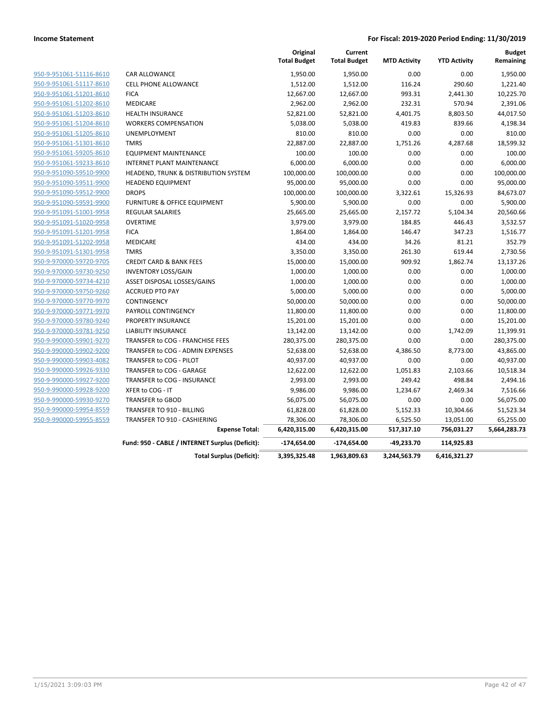|                         |                                                 | Original<br><b>Total Budget</b> | Current<br><b>Total Budget</b> | <b>MTD Activity</b> | <b>YTD Activity</b> | <b>Budget</b><br>Remaining |
|-------------------------|-------------------------------------------------|---------------------------------|--------------------------------|---------------------|---------------------|----------------------------|
| 950-9-951061-51116-8610 | CAR ALLOWANCE                                   | 1,950.00                        | 1,950.00                       | 0.00                | 0.00                | 1,950.00                   |
| 950-9-951061-51117-8610 | <b>CELL PHONE ALLOWANCE</b>                     | 1,512.00                        | 1,512.00                       | 116.24              | 290.60              | 1,221.40                   |
| 950-9-951061-51201-8610 | <b>FICA</b>                                     | 12,667.00                       | 12,667.00                      | 993.31              | 2,441.30            | 10,225.70                  |
| 950-9-951061-51202-8610 | MEDICARE                                        | 2,962.00                        | 2,962.00                       | 232.31              | 570.94              | 2,391.06                   |
| 950-9-951061-51203-8610 | <b>HEALTH INSURANCE</b>                         | 52,821.00                       | 52,821.00                      | 4,401.75            | 8,803.50            | 44,017.50                  |
| 950-9-951061-51204-8610 | <b>WORKERS COMPENSATION</b>                     | 5,038.00                        | 5,038.00                       | 419.83              | 839.66              | 4,198.34                   |
| 950-9-951061-51205-8610 | <b>UNEMPLOYMENT</b>                             | 810.00                          | 810.00                         | 0.00                | 0.00                | 810.00                     |
| 950-9-951061-51301-8610 | <b>TMRS</b>                                     | 22,887.00                       | 22,887.00                      | 1,751.26            | 4,287.68            | 18,599.32                  |
| 950-9-951061-59205-8610 | <b>EQUIPMENT MAINTENANCE</b>                    | 100.00                          | 100.00                         | 0.00                | 0.00                | 100.00                     |
| 950-9-951061-59233-8610 | <b>INTERNET PLANT MAINTENANCE</b>               | 6,000.00                        | 6,000.00                       | 0.00                | 0.00                | 6,000.00                   |
| 950-9-951090-59510-9900 | <b>HEADEND, TRUNK &amp; DISTRIBUTION SYSTEM</b> | 100,000.00                      | 100,000.00                     | 0.00                | 0.00                | 100,000.00                 |
| 950-9-951090-59511-9900 | <b>HEADEND EQUIPMENT</b>                        | 95,000.00                       | 95,000.00                      | 0.00                | 0.00                | 95,000.00                  |
| 950-9-951090-59512-9900 | <b>DROPS</b>                                    | 100,000.00                      | 100,000.00                     | 3,322.61            | 15,326.93           | 84,673.07                  |
| 950-9-951090-59591-9900 | <b>FURNITURE &amp; OFFICE EQUIPMENT</b>         | 5,900.00                        | 5,900.00                       | 0.00                | 0.00                | 5,900.00                   |
| 950-9-951091-51001-9958 | <b>REGULAR SALARIES</b>                         | 25,665.00                       | 25,665.00                      | 2,157.72            | 5,104.34            | 20,560.66                  |
| 950-9-951091-51020-9958 | <b>OVERTIME</b>                                 | 3,979.00                        | 3,979.00                       | 184.85              | 446.43              | 3,532.57                   |
| 950-9-951091-51201-9958 | <b>FICA</b>                                     | 1,864.00                        | 1,864.00                       | 146.47              | 347.23              | 1,516.77                   |
| 950-9-951091-51202-9958 | <b>MEDICARE</b>                                 | 434.00                          | 434.00                         | 34.26               | 81.21               | 352.79                     |
| 950-9-951091-51301-9958 | <b>TMRS</b>                                     | 3,350.00                        | 3,350.00                       | 261.30              | 619.44              | 2,730.56                   |
| 950-9-970000-59720-9705 | <b>CREDIT CARD &amp; BANK FEES</b>              | 15,000.00                       | 15,000.00                      | 909.92              | 1,862.74            | 13,137.26                  |
| 950-9-970000-59730-9250 | <b>INVENTORY LOSS/GAIN</b>                      | 1,000.00                        | 1,000.00                       | 0.00                | 0.00                | 1,000.00                   |
| 950-9-970000-59734-4210 | ASSET DISPOSAL LOSSES/GAINS                     | 1,000.00                        | 1,000.00                       | 0.00                | 0.00                | 1,000.00                   |
| 950-9-970000-59750-9260 | <b>ACCRUED PTO PAY</b>                          | 5,000.00                        | 5,000.00                       | 0.00                | 0.00                | 5,000.00                   |
| 950-9-970000-59770-9970 | CONTINGENCY                                     | 50,000.00                       | 50,000.00                      | 0.00                | 0.00                | 50,000.00                  |
| 950-9-970000-59771-9970 | PAYROLL CONTINGENCY                             | 11,800.00                       | 11,800.00                      | 0.00                | 0.00                | 11,800.00                  |
| 950-9-970000-59780-9240 | PROPERTY INSURANCE                              | 15,201.00                       | 15,201.00                      | 0.00                | 0.00                | 15,201.00                  |
| 950-9-970000-59781-9250 | <b>LIABILITY INSURANCE</b>                      | 13,142.00                       | 13,142.00                      | 0.00                | 1,742.09            | 11,399.91                  |
| 950-9-990000-59901-9270 | TRANSFER to COG - FRANCHISE FEES                | 280,375.00                      | 280,375.00                     | 0.00                | 0.00                | 280,375.00                 |
| 950-9-990000-59902-9200 | TRANSFER to COG - ADMIN EXPENSES                | 52,638.00                       | 52,638.00                      | 4,386.50            | 8,773.00            | 43,865.00                  |
| 950-9-990000-59903-4082 | TRANSFER to COG - PILOT                         | 40,937.00                       | 40,937.00                      | 0.00                | 0.00                | 40,937.00                  |
| 950-9-990000-59926-9330 | TRANSFER to COG - GARAGE                        | 12,622.00                       | 12,622.00                      | 1,051.83            | 2,103.66            | 10,518.34                  |
| 950-9-990000-59927-9200 | TRANSFER to COG - INSURANCE                     | 2,993.00                        | 2,993.00                       | 249.42              | 498.84              | 2,494.16                   |
| 950-9-990000-59928-9200 | XFER to COG - IT                                | 9,986.00                        | 9,986.00                       | 1,234.67            | 2,469.34            | 7,516.66                   |
| 950-9-990000-59930-9270 | <b>TRANSFER to GBOD</b>                         | 56,075.00                       | 56,075.00                      | 0.00                | 0.00                | 56,075.00                  |
| 950-9-990000-59954-8559 | TRANSFER TO 910 - BILLING                       | 61,828.00                       | 61,828.00                      | 5,152.33            | 10,304.66           | 51,523.34                  |
| 950-9-990000-59955-8559 | TRANSFER TO 910 - CASHIERING                    | 78,306.00                       | 78,306.00                      | 6,525.50            | 13,051.00           | 65,255.00                  |
|                         | <b>Expense Total:</b>                           | 6,420,315.00                    | 6,420,315.00                   | 517,317.10          | 756,031.27          | 5,664,283.73               |
|                         | Fund: 950 - CABLE / INTERNET Surplus (Deficit): | $-174,654.00$                   | $-174,654.00$                  | $-49,233.70$        | 114,925.83          |                            |
|                         | <b>Total Surplus (Deficit):</b>                 | 3,395,325.48                    | 1,963,809.63                   | 3,244,563.79        | 6,416,321.27        |                            |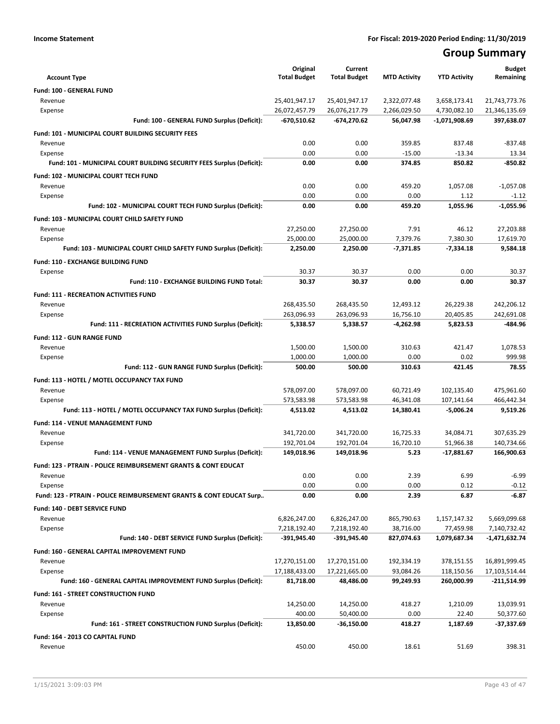## **Group Summary**

| <b>Account Type</b>                                                       | Original<br><b>Total Budget</b> | Current<br><b>Total Budget</b> | <b>MTD Activity</b>          | <b>YTD Activity</b>          | <b>Budget</b><br>Remaining     |
|---------------------------------------------------------------------------|---------------------------------|--------------------------------|------------------------------|------------------------------|--------------------------------|
|                                                                           |                                 |                                |                              |                              |                                |
| <b>Fund: 100 - GENERAL FUND</b>                                           |                                 |                                |                              |                              |                                |
| Revenue<br>Expense                                                        | 25,401,947.17<br>26,072,457.79  | 25,401,947.17<br>26,076,217.79 | 2,322,077.48<br>2,266,029.50 | 3,658,173.41<br>4,730,082.10 | 21,743,773.76<br>21,346,135.69 |
| Fund: 100 - GENERAL FUND Surplus (Deficit):                               | -670,510.62                     | $-674,270.62$                  | 56,047.98                    | -1,071,908.69                | 397,638.07                     |
| Fund: 101 - MUNICIPAL COURT BUILDING SECURITY FEES                        |                                 |                                |                              |                              |                                |
| Revenue                                                                   | 0.00                            | 0.00                           | 359.85                       | 837.48                       | $-837.48$                      |
| Expense                                                                   | 0.00                            | 0.00                           | $-15.00$                     | $-13.34$                     | 13.34                          |
| Fund: 101 - MUNICIPAL COURT BUILDING SECURITY FEES Surplus (Deficit):     | 0.00                            | 0.00                           | 374.85                       | 850.82                       | $-850.82$                      |
| Fund: 102 - MUNICIPAL COURT TECH FUND                                     |                                 |                                |                              |                              |                                |
| Revenue                                                                   | 0.00                            | 0.00                           | 459.20                       | 1.057.08                     | $-1.057.08$                    |
| Expense                                                                   | 0.00                            | 0.00                           | 0.00                         | 1.12                         | $-1.12$                        |
| Fund: 102 - MUNICIPAL COURT TECH FUND Surplus (Deficit):                  | 0.00                            | 0.00                           | 459.20                       | 1,055.96                     | $-1,055.96$                    |
| Fund: 103 - MUNICIPAL COURT CHILD SAFETY FUND                             |                                 |                                |                              |                              |                                |
| Revenue                                                                   | 27,250.00                       | 27,250.00                      | 7.91                         | 46.12                        | 27,203.88                      |
| Expense                                                                   | 25,000.00                       | 25,000.00                      | 7.379.76                     | 7.380.30                     | 17,619.70                      |
| Fund: 103 - MUNICIPAL COURT CHILD SAFETY FUND Surplus (Deficit):          | 2,250.00                        | 2,250.00                       | $-7,371.85$                  | $-7,334.18$                  | 9,584.18                       |
| <b>Fund: 110 - EXCHANGE BUILDING FUND</b>                                 |                                 |                                |                              |                              |                                |
| Expense                                                                   | 30.37                           | 30.37                          | 0.00                         | 0.00                         | 30.37                          |
| Fund: 110 - EXCHANGE BUILDING FUND Total:                                 | 30.37                           | 30.37                          | 0.00                         | 0.00                         | 30.37                          |
| <b>Fund: 111 - RECREATION ACTIVITIES FUND</b>                             |                                 |                                |                              |                              |                                |
| Revenue                                                                   | 268,435.50                      | 268,435.50                     | 12,493.12                    | 26,229.38                    | 242,206.12                     |
| Expense                                                                   | 263,096.93                      | 263,096.93                     | 16,756.10                    | 20,405.85                    | 242,691.08                     |
| Fund: 111 - RECREATION ACTIVITIES FUND Surplus (Deficit):                 | 5,338.57                        | 5,338.57                       | $-4,262.98$                  | 5,823.53                     | -484.96                        |
| <b>Fund: 112 - GUN RANGE FUND</b>                                         |                                 |                                |                              |                              |                                |
| Revenue                                                                   | 1,500.00                        | 1,500.00                       | 310.63                       | 421.47                       | 1,078.53                       |
| Expense                                                                   | 1,000.00                        | 1,000.00                       | 0.00                         | 0.02                         | 999.98                         |
| Fund: 112 - GUN RANGE FUND Surplus (Deficit):                             | 500.00                          | 500.00                         | 310.63                       | 421.45                       | 78.55                          |
| Fund: 113 - HOTEL / MOTEL OCCUPANCY TAX FUND                              |                                 |                                |                              |                              |                                |
| Revenue                                                                   | 578,097.00                      | 578,097.00                     | 60,721.49                    | 102,135.40                   | 475,961.60                     |
| Expense                                                                   | 573,583.98                      | 573,583.98                     | 46,341.08                    | 107,141.64                   | 466,442.34                     |
| Fund: 113 - HOTEL / MOTEL OCCUPANCY TAX FUND Surplus (Deficit):           | 4,513.02                        | 4,513.02                       | 14,380.41                    | $-5,006.24$                  | 9,519.26                       |
| Fund: 114 - VENUE MANAGEMENT FUND                                         |                                 |                                |                              |                              |                                |
| Revenue                                                                   | 341,720.00                      | 341,720.00                     | 16,725.33                    | 34,084.71                    | 307,635.29                     |
| Expense                                                                   | 192,701.04                      | 192,701.04                     | 16,720.10                    | 51,966.38                    | 140,734.66                     |
| Fund: 114 - VENUE MANAGEMENT FUND Surplus (Deficit):                      | 149,018.96                      | 149,018.96                     | 5.23                         | -17,881.67                   | 166,900.63                     |
| <b>Fund: 123 - PTRAIN - POLICE REIMBURSEMENT GRANTS &amp; CONT EDUCAT</b> |                                 |                                |                              |                              |                                |
| Revenue                                                                   | 0.00                            | 0.00                           | 2.39                         | 6.99                         | $-6.99$                        |
| Expense                                                                   | 0.00                            | 0.00                           | 0.00                         | 0.12                         | $-0.12$                        |
| Fund: 123 - PTRAIN - POLICE REIMBURSEMENT GRANTS & CONT EDUCAT Surp       | 0.00                            | 0.00                           | 2.39                         | 6.87                         | $-6.87$                        |
| Fund: 140 - DEBT SERVICE FUND                                             |                                 |                                |                              |                              |                                |
| Revenue                                                                   | 6,826,247.00                    | 6,826,247.00                   | 865,790.63                   | 1,157,147.32                 | 5,669,099.68                   |
| Expense                                                                   | 7,218,192.40                    | 7,218,192.40                   | 38,716.00                    | 77,459.98                    | 7,140,732.42                   |
| Fund: 140 - DEBT SERVICE FUND Surplus (Deficit):                          | -391,945.40                     | -391,945.40                    | 827,074.63                   | 1,079,687.34                 | -1,471,632.74                  |
| Fund: 160 - GENERAL CAPITAL IMPROVEMENT FUND                              |                                 |                                |                              |                              |                                |
| Revenue                                                                   | 17,270,151.00                   | 17,270,151.00                  | 192,334.19                   | 378,151.55                   | 16,891,999.45                  |
| Expense                                                                   | 17,188,433.00                   | 17,221,665.00                  | 93,084.26                    | 118,150.56                   | 17,103,514.44                  |
| Fund: 160 - GENERAL CAPITAL IMPROVEMENT FUND Surplus (Deficit):           | 81,718.00                       | 48,486.00                      | 99,249.93                    | 260,000.99                   | -211,514.99                    |
| Fund: 161 - STREET CONSTRUCTION FUND                                      |                                 |                                |                              |                              |                                |
| Revenue                                                                   | 14,250.00                       | 14,250.00                      | 418.27                       | 1,210.09                     | 13,039.91                      |
| Expense<br>Fund: 161 - STREET CONSTRUCTION FUND Surplus (Deficit):        | 400.00<br>13,850.00             | 50,400.00<br>$-36,150.00$      | 0.00<br>418.27               | 22.40<br>1,187.69            | 50,377.60<br>-37,337.69        |
|                                                                           |                                 |                                |                              |                              |                                |
| Fund: 164 - 2013 CO CAPITAL FUND                                          |                                 |                                |                              |                              |                                |
| Revenue                                                                   | 450.00                          | 450.00                         | 18.61                        | 51.69                        | 398.31                         |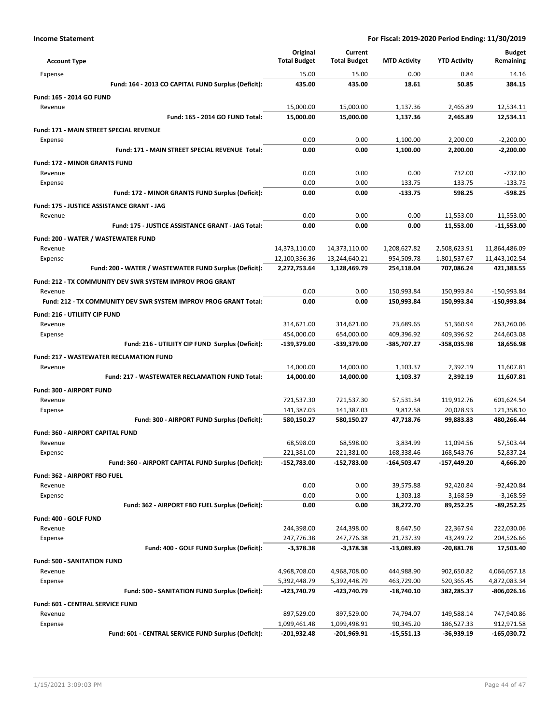| <b>Account Type</b>                                              | Original<br><b>Total Budget</b> | Current<br><b>Total Budget</b> | <b>MTD Activity</b>       | <b>YTD Activity</b>       | <b>Budget</b><br>Remaining |
|------------------------------------------------------------------|---------------------------------|--------------------------------|---------------------------|---------------------------|----------------------------|
| Expense                                                          | 15.00                           | 15.00                          | 0.00                      | 0.84                      | 14.16                      |
| Fund: 164 - 2013 CO CAPITAL FUND Surplus (Deficit):              | 435.00                          | 435.00                         | 18.61                     | 50.85                     | 384.15                     |
| Fund: 165 - 2014 GO FUND                                         |                                 |                                |                           |                           |                            |
| Revenue                                                          | 15,000.00                       | 15,000.00                      | 1.137.36                  | 2.465.89                  | 12,534.11                  |
| Fund: 165 - 2014 GO FUND Total:                                  | 15,000.00                       | 15,000.00                      | 1,137.36                  | 2,465.89                  | 12,534.11                  |
| Fund: 171 - MAIN STREET SPECIAL REVENUE                          |                                 |                                |                           |                           |                            |
| Expense                                                          | 0.00                            | 0.00                           | 1,100.00                  | 2,200.00                  | $-2,200.00$                |
| Fund: 171 - MAIN STREET SPECIAL REVENUE Total:                   | 0.00                            | 0.00                           | 1,100.00                  | 2,200.00                  | $-2,200.00$                |
|                                                                  |                                 |                                |                           |                           |                            |
| Fund: 172 - MINOR GRANTS FUND<br>Revenue                         | 0.00                            | 0.00                           | 0.00                      | 732.00                    | $-732.00$                  |
| Expense                                                          | 0.00                            | 0.00                           | 133.75                    | 133.75                    | $-133.75$                  |
| Fund: 172 - MINOR GRANTS FUND Surplus (Deficit):                 | 0.00                            | 0.00                           | $-133.75$                 | 598.25                    | $-598.25$                  |
|                                                                  |                                 |                                |                           |                           |                            |
| Fund: 175 - JUSTICE ASSISTANCE GRANT - JAG                       |                                 |                                |                           |                           |                            |
| Revenue                                                          | 0.00                            | 0.00                           | 0.00                      | 11,553.00                 | $-11,553.00$               |
| Fund: 175 - JUSTICE ASSISTANCE GRANT - JAG Total:                | 0.00                            | 0.00                           | 0.00                      | 11,553.00                 | $-11,553.00$               |
| Fund: 200 - WATER / WASTEWATER FUND                              |                                 |                                |                           |                           |                            |
| Revenue                                                          | 14,373,110.00                   | 14,373,110.00                  | 1,208,627.82              | 2,508,623.91              | 11,864,486.09              |
| Expense                                                          | 12,100,356.36                   | 13,244,640.21                  | 954,509.78                | 1,801,537.67              | 11,443,102.54              |
| Fund: 200 - WATER / WASTEWATER FUND Surplus (Deficit):           | 2,272,753.64                    | 1,128,469.79                   | 254,118.04                | 707,086.24                | 421,383.55                 |
| Fund: 212 - TX COMMUNITY DEV SWR SYSTEM IMPROV PROG GRANT        |                                 |                                |                           |                           |                            |
| Revenue                                                          | 0.00                            | 0.00                           | 150,993.84                | 150,993.84                | -150,993.84                |
| Fund: 212 - TX COMMUNITY DEV SWR SYSTEM IMPROV PROG GRANT Total: | 0.00                            | 0.00                           | 150,993.84                | 150,993.84                | -150,993.84                |
| <b>Fund: 216 - UTILIITY CIP FUND</b>                             |                                 |                                |                           |                           |                            |
| Revenue                                                          | 314,621.00                      | 314,621.00                     | 23,689.65                 | 51,360.94                 | 263,260.06                 |
| Expense                                                          | 454,000.00                      | 654,000.00                     | 409,396.92                | 409,396.92                | 244,603.08                 |
| Fund: 216 - UTILIITY CIP FUND Surplus (Deficit):                 | -139,379.00                     | -339,379.00                    | -385,707.27               | -358,035.98               | 18,656.98                  |
| <b>Fund: 217 - WASTEWATER RECLAMATION FUND</b>                   |                                 |                                |                           |                           |                            |
| Revenue                                                          | 14,000.00                       | 14,000.00                      | 1,103.37                  | 2,392.19                  | 11,607.81                  |
| Fund: 217 - WASTEWATER RECLAMATION FUND Total:                   | 14,000.00                       | 14,000.00                      | 1,103.37                  | 2,392.19                  | 11,607.81                  |
| <b>Fund: 300 - AIRPORT FUND</b>                                  |                                 |                                |                           |                           |                            |
| Revenue                                                          | 721,537.30                      | 721,537.30                     | 57,531.34                 | 119,912.76                | 601,624.54                 |
| Expense                                                          | 141,387.03                      | 141,387.03                     | 9,812.58                  | 20,028.93                 | 121,358.10                 |
| Fund: 300 - AIRPORT FUND Surplus (Deficit):                      | 580,150.27                      | 580,150.27                     | 47,718.76                 | 99,883.83                 | 480,266.44                 |
|                                                                  |                                 |                                |                           |                           |                            |
| Fund: 360 - AIRPORT CAPITAL FUND                                 |                                 |                                | 3,834.99                  | 11,094.56                 |                            |
| Revenue<br>Expense                                               | 68,598.00                       | 68,598.00                      |                           |                           | 57,503.44                  |
| Fund: 360 - AIRPORT CAPITAL FUND Surplus (Deficit):              | 221,381.00<br>-152,783.00       | 221,381.00<br>$-152,783.00$    | 168,338.46<br>-164,503.47 | 168,543.76<br>-157,449.20 | 52,837.24<br>4,666.20      |
|                                                                  |                                 |                                |                           |                           |                            |
| Fund: 362 - AIRPORT FBO FUEL                                     |                                 |                                |                           |                           |                            |
| Revenue                                                          | 0.00                            | 0.00                           | 39,575.88                 | 92,420.84                 | -92,420.84                 |
| Expense                                                          | 0.00                            | 0.00                           | 1,303.18                  | 3,168.59<br>89,252.25     | $-3,168.59$                |
| Fund: 362 - AIRPORT FBO FUEL Surplus (Deficit):                  | 0.00                            | 0.00                           | 38,272.70                 |                           | -89,252.25                 |
| Fund: 400 - GOLF FUND                                            |                                 |                                |                           |                           |                            |
| Revenue                                                          | 244,398.00                      | 244,398.00                     | 8,647.50                  | 22,367.94                 | 222,030.06                 |
| Expense                                                          | 247,776.38                      | 247,776.38                     | 21,737.39                 | 43,249.72                 | 204,526.66                 |
| Fund: 400 - GOLF FUND Surplus (Deficit):                         | $-3,378.38$                     | $-3,378.38$                    | $-13,089.89$              | $-20,881.78$              | 17,503.40                  |
| Fund: 500 - SANITATION FUND                                      |                                 |                                |                           |                           |                            |
| Revenue                                                          | 4,968,708.00                    | 4,968,708.00                   | 444,988.90                | 902,650.82                | 4,066,057.18               |
| Expense                                                          | 5,392,448.79                    | 5,392,448.79                   | 463,729.00                | 520,365.45                | 4,872,083.34               |
| Fund: 500 - SANITATION FUND Surplus (Deficit):                   | -423,740.79                     | -423,740.79                    | $-18,740.10$              | 382,285.37                | $-806,026.16$              |
| Fund: 601 - CENTRAL SERVICE FUND                                 |                                 |                                |                           |                           |                            |
| Revenue                                                          | 897,529.00                      | 897,529.00                     | 74,794.07                 | 149,588.14                | 747,940.86                 |
| Expense                                                          | 1,099,461.48                    | 1,099,498.91                   | 90,345.20                 | 186,527.33                | 912,971.58                 |
| Fund: 601 - CENTRAL SERVICE FUND Surplus (Deficit):              | -201,932.48                     | -201,969.91                    | $-15,551.13$              | -36,939.19                | -165,030.72                |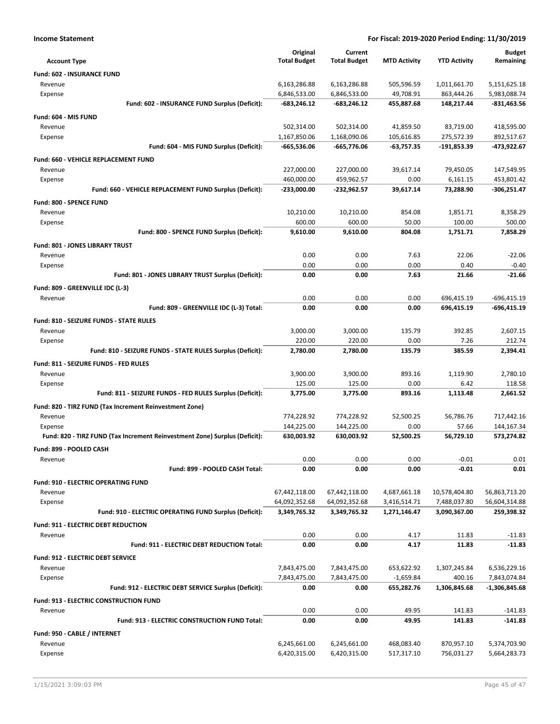| <b>Income Statement</b>                                                    |                     |                     |                     | For Fiscal: 2019-2020 Period Ending: 11/30/2019 |                      |
|----------------------------------------------------------------------------|---------------------|---------------------|---------------------|-------------------------------------------------|----------------------|
|                                                                            | Original            | Current             |                     |                                                 | <b>Budget</b>        |
| <b>Account Type</b>                                                        | <b>Total Budget</b> | <b>Total Budget</b> | <b>MTD Activity</b> | <b>YTD Activity</b>                             | Remaining            |
| Fund: 602 - INSURANCE FUND                                                 |                     |                     |                     |                                                 |                      |
| Revenue                                                                    | 6,163,286.88        | 6,163,286.88        | 505,596.59          | 1,011,661.70                                    | 5,151,625.18         |
| Expense                                                                    | 6,846,533.00        | 6,846,533.00        | 49,708.91           | 863,444.26                                      | 5,983,088.74         |
| Fund: 602 - INSURANCE FUND Surplus (Deficit):                              | -683,246.12         | $-683,246.12$       | 455,887.68          | 148,217.44                                      | $-831,463.56$        |
| Fund: 604 - MIS FUND                                                       |                     |                     |                     |                                                 |                      |
| Revenue                                                                    | 502,314.00          | 502,314.00          | 41,859.50           | 83,719.00                                       | 418,595.00           |
| Expense                                                                    | 1,167,850.06        | 1,168,090.06        | 105,616.85          | 275,572.39                                      | 892,517.67           |
| Fund: 604 - MIS FUND Surplus (Deficit):                                    | -665,536.06         | -665,776.06         | $-63,757.35$        | -191,853.39                                     | -473,922.67          |
| Fund: 660 - VEHICLE REPLACEMENT FUND                                       |                     |                     |                     |                                                 |                      |
| Revenue                                                                    | 227,000.00          | 227,000.00          | 39,617.14           | 79,450.05                                       | 147,549.95           |
| Expense                                                                    | 460,000.00          | 459,962.57          | 0.00                | 6,161.15                                        | 453,801.42           |
| Fund: 660 - VEHICLE REPLACEMENT FUND Surplus (Deficit):                    | -233,000.00         | -232,962.57         | 39,617.14           | 73,288.90                                       | $-306,251.47$        |
| Fund: 800 - SPENCE FUND                                                    |                     |                     |                     |                                                 |                      |
| Revenue                                                                    | 10,210.00           | 10,210.00<br>600.00 | 854.08              | 1,851.71                                        | 8,358.29             |
| Expense<br>Fund: 800 - SPENCE FUND Surplus (Deficit):                      | 600.00<br>9,610.00  | 9,610.00            | 50.00<br>804.08     | 100.00<br>1,751.71                              | 500.00<br>7,858.29   |
|                                                                            |                     |                     |                     |                                                 |                      |
| Fund: 801 - JONES LIBRARY TRUST                                            |                     |                     |                     |                                                 |                      |
| Revenue<br>Expense                                                         | 0.00<br>0.00        | 0.00<br>0.00        | 7.63<br>0.00        | 22.06<br>0.40                                   | $-22.06$<br>$-0.40$  |
| Fund: 801 - JONES LIBRARY TRUST Surplus (Deficit):                         | 0.00                | 0.00                | 7.63                | 21.66                                           | -21.66               |
| Fund: 809 - GREENVILLE IDC (L-3)                                           |                     |                     |                     |                                                 |                      |
| Revenue                                                                    | 0.00                | 0.00                | 0.00                | 696,415.19                                      | $-696,415.19$        |
| Fund: 809 - GREENVILLE IDC (L-3) Total:                                    | 0.00                | 0.00                | 0.00                | 696,415.19                                      | -696,415.19          |
| Fund: 810 - SEIZURE FUNDS - STATE RULES                                    |                     |                     |                     |                                                 |                      |
| Revenue                                                                    | 3,000.00            | 3,000.00            | 135.79              | 392.85                                          | 2,607.15             |
| Expense                                                                    | 220.00              | 220.00              | 0.00                | 7.26                                            | 212.74               |
| Fund: 810 - SEIZURE FUNDS - STATE RULES Surplus (Deficit):                 | 2,780.00            | 2,780.00            | 135.79              | 385.59                                          | 2,394.41             |
| Fund: 811 - SEIZURE FUNDS - FED RULES                                      |                     |                     |                     |                                                 |                      |
| Revenue                                                                    | 3,900.00            | 3,900.00            | 893.16              | 1,119.90                                        | 2,780.10             |
| Expense                                                                    | 125.00              | 125.00              | 0.00                | 6.42                                            | 118.58               |
| Fund: 811 - SEIZURE FUNDS - FED RULES Surplus (Deficit):                   | 3,775.00            | 3,775.00            | 893.16              | 1,113.48                                        | 2,661.52             |
| Fund: 820 - TIRZ FUND (Tax Increment Reinvestment Zone)                    |                     |                     |                     |                                                 |                      |
| Revenue                                                                    | 774,228.92          | 774,228.92          | 52,500.25           | 56,786.76                                       | 717,442.16           |
| Expense                                                                    | 144,225.00          | 144,225.00          | 0.00                | 57.66                                           | 144,167.34           |
| Fund: 820 - TIRZ FUND (Tax Increment Reinvestment Zone) Surplus (Deficit): | 630,003.92          | 630,003.92          | 52,500.25           | 56,729.10                                       | 573,274.82           |
| Fund: 899 - POOLED CASH                                                    |                     |                     |                     |                                                 |                      |
| Revenue                                                                    | 0.00                | 0.00                | 0.00                | $-0.01$                                         | 0.01                 |
| Fund: 899 - POOLED CASH Total:                                             | 0.00                | 0.00                | 0.00                | $-0.01$                                         | 0.01                 |
| Fund: 910 - ELECTRIC OPERATING FUND                                        |                     |                     |                     |                                                 |                      |
| Revenue                                                                    | 67,442,118.00       | 67,442,118.00       | 4,687,661.18        | 10,578,404.80                                   | 56,863,713.20        |
| Expense                                                                    | 64,092,352.68       | 64,092,352.68       | 3,416,514.71        | 7,488,037.80                                    | 56,604,314.88        |
| Fund: 910 - ELECTRIC OPERATING FUND Surplus (Deficit):                     | 3,349,765.32        | 3,349,765.32        | 1,271,146.47        | 3,090,367.00                                    | 259,398.32           |
| <b>Fund: 911 - ELECTRIC DEBT REDUCTION</b>                                 |                     |                     |                     |                                                 |                      |
| Revenue                                                                    | 0.00                | 0.00                | 4.17                | 11.83                                           | $-11.83$             |
| <b>Fund: 911 - ELECTRIC DEBT REDUCTION Total:</b>                          | 0.00                | 0.00                | 4.17                | 11.83                                           | $-11.83$             |
| Fund: 912 - ELECTRIC DEBT SERVICE                                          |                     |                     |                     |                                                 |                      |
| Revenue                                                                    | 7,843,475.00        | 7,843,475.00        | 653,622.92          | 1,307,245.84                                    | 6,536,229.16         |
| Expense                                                                    | 7,843,475.00        | 7,843,475.00        | $-1,659.84$         | 400.16                                          | 7,843,074.84         |
| Fund: 912 - ELECTRIC DEBT SERVICE Surplus (Deficit):                       | 0.00                | 0.00                | 655,282.76          | 1,306,845.68                                    | -1,306,845.68        |
| <b>Fund: 913 - ELECTRIC CONSTRUCTION FUND</b>                              |                     |                     |                     |                                                 |                      |
| Revenue<br><b>Fund: 913 - ELECTRIC CONSTRUCTION FUND Total:</b>            | 0.00<br>0.00        | 0.00<br>0.00        | 49.95<br>49.95      | 141.83                                          | $-141.83$<br>-141.83 |
|                                                                            |                     |                     |                     | 141.83                                          |                      |
| Fund: 950 - CABLE / INTERNET                                               |                     |                     |                     |                                                 |                      |
| Revenue                                                                    | 6,245,661.00        | 6,245,661.00        | 468,083.40          | 870,957.10                                      | 5,374,703.90         |
| Expense                                                                    | 6,420,315.00        | 6,420,315.00        | 517,317.10          | 756,031.27                                      | 5,664,283.73         |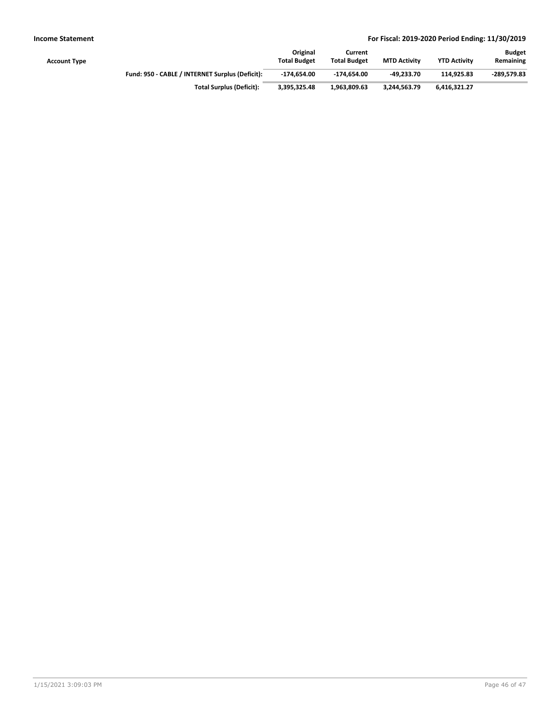| Account Type |                                                 | Original<br><b>Total Budget</b> | Current<br><b>Total Budget</b> | <b>MTD Activity</b> | <b>YTD Activity</b> | <b>Budget</b><br>Remaining |
|--------------|-------------------------------------------------|---------------------------------|--------------------------------|---------------------|---------------------|----------------------------|
|              | Fund: 950 - CABLE / INTERNET Surplus (Deficit): | $-174.654.00$                   | -174.654.00                    | -49.233.70          | 114.925.83          | -289.579.83                |
|              | <b>Total Surplus (Deficit):</b>                 | 3.395.325.48                    | 1,963,809.63                   | 3.244.563.79        | 6.416.321.27        |                            |